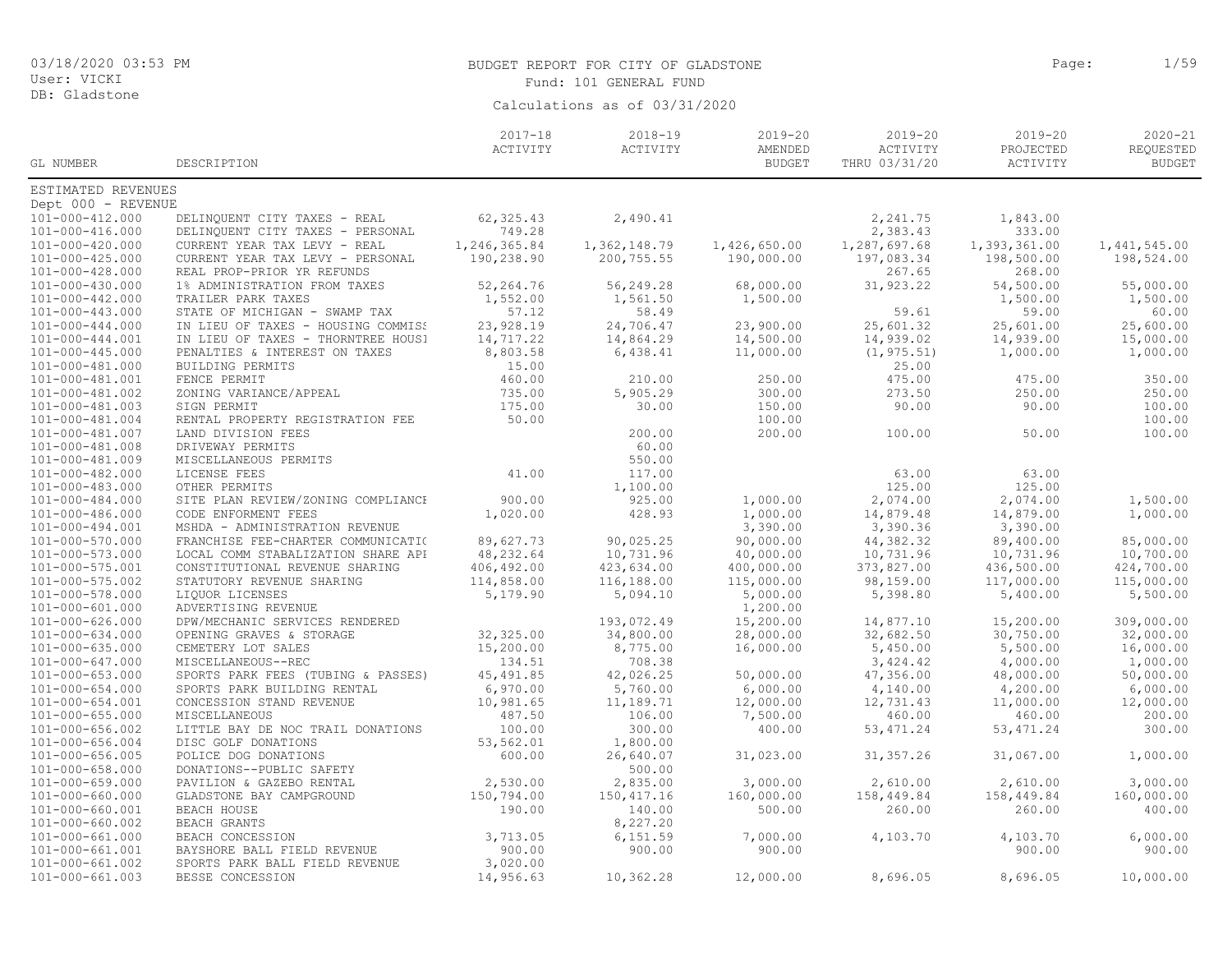# BUDGET REPORT FOR CITY OF GLADSTONE **Page:** 1/59 Fund: 101 GENERAL FUND

| GL NUMBER             | DESCRIPTION                        | $2017 - 18$<br>ACTIVITY | $2018 - 19$<br>ACTIVITY | $2019 - 20$<br>AMENDED<br><b>BUDGET</b> | $2019 - 20$<br>ACTIVITY<br>THRU 03/31/20 | $2019 - 20$<br>${\tt PROJECTED}$<br>ACTIVITY | $2020 - 21$<br>REQUESTED<br><b>BUDGET</b> |
|-----------------------|------------------------------------|-------------------------|-------------------------|-----------------------------------------|------------------------------------------|----------------------------------------------|-------------------------------------------|
|                       |                                    |                         |                         |                                         |                                          |                                              |                                           |
| ESTIMATED REVENUES    |                                    |                         |                         |                                         |                                          |                                              |                                           |
| Dept 000 - REVENUE    |                                    |                         |                         |                                         |                                          |                                              |                                           |
| 101-000-412.000       | DELINQUENT CITY TAXES - REAL       | 62, 325.43              | 2,490.41                |                                         | 2,241.75                                 | 1,843.00                                     |                                           |
| 101-000-416.000       | DELINQUENT CITY TAXES - PERSONAL   | 749.28                  |                         |                                         | 2,383.43                                 | 333.00                                       |                                           |
| 101-000-420.000       | CURRENT YEAR TAX LEVY - REAL       | 1,246,365.84            | 1,362,148.79            | 1,426,650.00                            | 1,287,697.68                             | 1,393,361.00                                 | 1,441,545.00                              |
| 101-000-425.000       | CURRENT YEAR TAX LEVY - PERSONAL   | 190,238.90              | 200,755.55              | 190,000.00                              | 197,083.34                               | 198,500.00                                   | 198,524.00                                |
| 101-000-428.000       | REAL PROP-PRIOR YR REFUNDS         |                         |                         |                                         | 267.65                                   | 268.00                                       |                                           |
| 101-000-430.000       | 1% ADMINISTRATION FROM TAXES       | 52,264.76               | 56,249.28               | 68,000.00                               | 31,923.22                                | 54,500.00                                    | 55,000.00                                 |
| 101-000-442.000       | TRAILER PARK TAXES                 | 1,552.00                | 1,561.50                | 1,500.00                                |                                          | 1,500.00                                     | 1,500.00                                  |
| 101-000-443.000       | STATE OF MICHIGAN - SWAMP TAX      | 57.12                   | 58.49                   |                                         | 59.61                                    | 59.00                                        | 60.00                                     |
| 101-000-444.000       | IN LIEU OF TAXES - HOUSING COMMISS | 23,928.19               | 24,706.47               | 23,900.00                               | 25,601.32                                | 25,601.00                                    | 25,600.00                                 |
| 101-000-444.001       | IN LIEU OF TAXES - THORNTREE HOUS! | 14,717.22               | 14,864.29               | 14,500.00                               | 14,939.02                                | 14,939.00                                    | 15,000.00                                 |
| 101-000-445.000       | PENALTIES & INTEREST ON TAXES      | 8,803.58                | 6,438.41                | 11,000.00                               | (1, 975.51)                              | 1,000.00                                     | 1,000.00                                  |
| 101-000-481.000       | BUILDING PERMITS                   | 15.00                   |                         |                                         | 25.00                                    |                                              |                                           |
| 101-000-481.001       | FENCE PERMIT                       | 460.00                  | 210.00                  | 250.00                                  | 475.00                                   | 475.00                                       | 350.00                                    |
| 101-000-481.002       | ZONING VARIANCE/APPEAL             | 735.00                  | 5,905.29                | 300.00                                  | 273.50                                   | 250.00                                       | 250.00                                    |
| 101-000-481.003       | SIGN PERMIT                        | 175.00                  | 30.00                   | 150.00                                  | 90.00                                    | 90.00                                        | 100.00                                    |
| 101-000-481.004       | RENTAL PROPERTY REGISTRATION FEE   | 50.00                   |                         | 100.00                                  |                                          |                                              | 100.00                                    |
| 101-000-481.007       | LAND DIVISION FEES                 |                         | 200.00                  | 200.00                                  | 100.00                                   | 50.00                                        | 100.00                                    |
| 101-000-481.008       | DRIVEWAY PERMITS                   |                         | 60.00                   |                                         |                                          |                                              |                                           |
| 101-000-481.009       | MISCELLANEOUS PERMITS              |                         | 550.00                  |                                         |                                          |                                              |                                           |
| 101-000-482.000       | LICENSE FEES                       | 41.00                   | 117.00                  |                                         | 63.00                                    | 63.00                                        |                                           |
| 101-000-483.000       | OTHER PERMITS                      |                         | 1,100.00                |                                         | 125.00                                   | 125.00                                       |                                           |
| 101-000-484.000       | SITE PLAN REVIEW/ZONING COMPLIANCH | 900.00                  | 925.00                  | 1,000.00                                | 2,074.00                                 | 2,074.00                                     | 1,500.00                                  |
| 101-000-486.000       | CODE ENFORMENT FEES                | 1,020.00                | 428.93                  | 1,000.00                                | 14,879.48                                | 14,879.00                                    | 1,000.00                                  |
| 101-000-494.001       | MSHDA - ADMINISTRATION REVENUE     |                         |                         | 3,390.00                                | 3,390.36                                 | 3,390.00                                     |                                           |
| 101-000-570.000       | FRANCHISE FEE-CHARTER COMMUNICATIO | 89,627.73               | 90,025.25               | 90,000.00                               | 44, 382.32                               | 89,400.00                                    | 85,000.00                                 |
| 101-000-573.000       | LOCAL COMM STABALIZATION SHARE API | 48,232.64               | 10,731.96               | 40,000.00                               | 10,731.96                                | 10,731.96                                    | 10,700.00                                 |
| 101-000-575.001       | CONSTITUTIONAL REVENUE SHARING     | 406,492.00              | 423,634.00              | 400,000.00                              | 373,827.00                               | 436,500.00                                   | 424,700.00                                |
| 101-000-575.002       | STATUTORY REVENUE SHARING          | 114,858.00              | 116,188.00              | 115,000.00                              | 98,159.00                                | 117,000.00                                   | 115,000.00                                |
| 101-000-578.000       | LIQUOR LICENSES                    | 5,179.90                | 5,094.10                | 5,000.00                                | 5,398.80                                 | 5,400.00                                     | 5,500.00                                  |
| 101-000-601.000       | ADVERTISING REVENUE                |                         |                         | 1,200.00                                |                                          |                                              |                                           |
| 101-000-626.000       | DPW/MECHANIC SERVICES RENDERED     |                         | 193,072.49              | 15,200.00                               | 14,877.10                                | 15,200.00                                    | 309,000.00                                |
| 101-000-634.000       | OPENING GRAVES & STORAGE           | 32,325.00               | 34,800.00               | 28,000.00                               | 32,682.50                                | 30,750.00                                    | 32,000.00                                 |
| 101-000-635.000       | CEMETERY LOT SALES                 | 15,200.00               | 8,775.00                | 16,000.00                               | 5,450.00                                 | 5,500.00                                     | 16,000.00                                 |
| 101-000-647.000       | MISCELLANEOUS--REC                 | 134.51                  | 708.38                  |                                         | 3,424.42                                 | 4,000.00                                     | 1,000.00                                  |
| $101 - 000 - 653.000$ | SPORTS PARK FEES (TUBING & PASSES) | 45, 491.85              | 42,026.25               | 50,000.00                               | 47,356.00                                | 48,000.00                                    | 50,000.00                                 |
| 101-000-654.000       | SPORTS PARK BUILDING RENTAL        | 6,970.00                | 5,760.00                | 6,000.00                                | 4,140.00                                 | 4,200.00                                     | 6,000.00                                  |
| 101-000-654.001       | CONCESSION STAND REVENUE           | 10,981.65               | 11,189.71               | 12,000.00                               | 12,731.43                                | 11,000.00                                    | 12,000.00                                 |
| $101 - 000 - 655.000$ | <b>MISCELLANEOUS</b>               | 487.50                  | 106.00                  | 7,500.00                                | 460.00                                   | 460.00                                       | 200.00                                    |
| 101-000-656.002       | LITTLE BAY DE NOC TRAIL DONATIONS  | 100.00                  | 300.00                  | 400.00                                  | 53, 471.24                               | 53, 471.24                                   | 300.00                                    |
| 101-000-656.004       | DISC GOLF DONATIONS                | 53,562.01               | 1,800.00                |                                         |                                          |                                              |                                           |
| $101 - 000 - 656.005$ | POLICE DOG DONATIONS               | 600.00                  | 26,640.07               | 31,023.00                               | 31, 357.26                               | 31,067.00                                    | 1,000.00                                  |
| 101-000-658.000       | DONATIONS--PUBLIC SAFETY           |                         | 500.00                  |                                         |                                          |                                              |                                           |
| 101-000-659.000       | PAVILION & GAZEBO RENTAL           | 2,530.00                | 2,835.00                | 3,000.00                                | 2,610.00                                 | 2,610.00                                     | 3,000.00                                  |
| 101-000-660.000       | GLADSTONE BAY CAMPGROUND           | 150,794.00              | 150, 417.16             | 160,000.00                              | 158,449.84                               | 158,449.84                                   | 160,000.00                                |
| 101-000-660.001       | BEACH HOUSE                        | 190.00                  | 140.00                  | 500.00                                  | 260.00                                   | 260.00                                       | 400.00                                    |
| 101-000-660.002       | BEACH GRANTS                       | 3,713.05                | 8,227.20                | 7,000.00                                |                                          | 4,103.70                                     | 6,000.00                                  |
| 101-000-661.000       | BEACH CONCESSION                   |                         | 6, 151.59               |                                         | 4,103.70                                 |                                              |                                           |
| 101-000-661.001       | BAYSHORE BALL FIELD REVENUE        | 900.00<br>3,020.00      | 900.00                  | 900.00                                  |                                          | 900.00                                       | 900.00                                    |
| 101-000-661.002       | SPORTS PARK BALL FIELD REVENUE     |                         |                         |                                         |                                          |                                              |                                           |
| $101 - 000 - 661.003$ | BESSE CONCESSION                   | 14,956.63               | 10,362.28               | 12,000.00                               | 8,696.05                                 | 8,696.05                                     | 10,000.00                                 |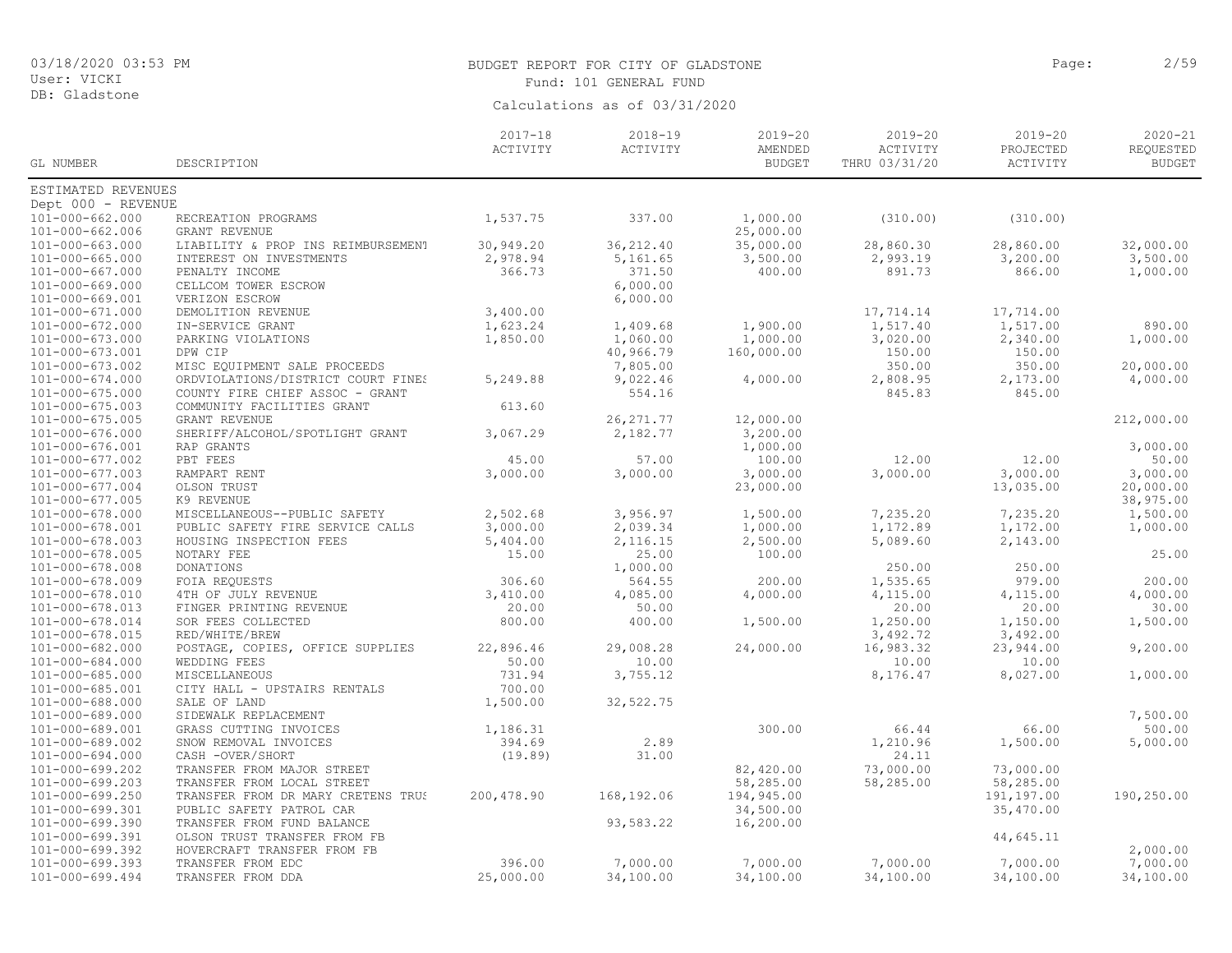#### BUDGET REPORT FOR CITY OF GLADSTONE **Page:** 2/59 Fund: 101 GENERAL FUND

|                                    |                                                          | $2017 - 18$ | $2018 - 19$ | $2019 - 20$            | $2019 - 20$            | $2019 - 20$            | $2020 - 21$   |
|------------------------------------|----------------------------------------------------------|-------------|-------------|------------------------|------------------------|------------------------|---------------|
|                                    |                                                          | ACTIVITY    | ACTIVITY    | AMENDED                | ACTIVITY               | PROJECTED              | REQUESTED     |
| GL NUMBER                          | DESCRIPTION                                              |             |             | <b>BUDGET</b>          | THRU 03/31/20          | ACTIVITY               | <b>BUDGET</b> |
| ESTIMATED REVENUES                 |                                                          |             |             |                        |                        |                        |               |
| Dept 000 - REVENUE                 |                                                          |             |             |                        |                        |                        |               |
| $101 - 000 - 662.000$              | RECREATION PROGRAMS                                      | 1,537.75    | 337.00      | 1,000.00               | (310.00)               | (310.00)               |               |
| $101 - 000 - 662.006$              | GRANT REVENUE                                            |             |             | 25,000.00              |                        |                        |               |
| $101 - 000 - 663.000$              | LIABILITY & PROP INS REIMBURSEMENT                       | 30,949.20   | 36, 212.40  | 35,000.00              | 28,860.30              | 28,860.00              | 32,000.00     |
| $101 - 000 - 665.000$              | INTEREST ON INVESTMENTS                                  | 2,978.94    | 5,161.65    | 3,500.00               | 2,993.19               | 3,200.00               | 3,500.00      |
| $101 - 000 - 667.000$              | PENALTY INCOME                                           | 366.73      | 371.50      | 400.00                 | 891.73                 | 866.00                 | 1,000.00      |
| $101 - 000 - 669.000$              | CELLCOM TOWER ESCROW                                     |             | 6,000.00    |                        |                        |                        |               |
| $101 - 000 - 669.001$              | VERIZON ESCROW                                           |             | 6,000.00    |                        |                        |                        |               |
| $101 - 000 - 671.000$              | DEMOLITION REVENUE                                       | 3,400.00    |             |                        | 17,714.14              | 17,714.00              |               |
| 101-000-672.000                    | IN-SERVICE GRANT                                         | 1,623.24    | 1,409.68    | 1,900.00               | 1,517.40               | 1,517.00               | 890.00        |
| $101 - 000 - 673.000$              | PARKING VIOLATIONS                                       | 1,850.00    | 1,060.00    | 1,000.00               | 3,020.00               | 2,340.00               | 1,000.00      |
| $101 - 000 - 673.001$              | DPW CIP                                                  |             | 40,966.79   | 160,000.00             | 150.00                 | 150.00                 |               |
| 101-000-673.002                    | MISC EQUIPMENT SALE PROCEEDS                             |             | 7,805.00    |                        | 350.00                 | 350.00                 | 20,000.00     |
| $101 - 000 - 674.000$              | ORDVIOLATIONS/DISTRICT COURT FINES                       | 5,249.88    | 9,022.46    | 4,000.00               | 2,808.95               | 2,173.00               | 4,000.00      |
| $101 - 000 - 675.000$              | COUNTY FIRE CHIEF ASSOC - GRANT                          |             | 554.16      |                        | 845.83                 | 845.00                 |               |
| $101 - 000 - 675.003$              | COMMUNITY FACILITIES GRANT                               | 613.60      |             |                        |                        |                        |               |
| $101 - 000 - 675.005$              | GRANT REVENUE                                            |             | 26, 271.77  | 12,000.00              |                        |                        | 212,000.00    |
| $101 - 000 - 676.000$              | SHERIFF/ALCOHOL/SPOTLIGHT GRANT                          | 3,067.29    | 2,182.77    | 3,200.00               |                        |                        |               |
| 101-000-676.001                    | RAP GRANTS                                               |             |             | 1,000.00               |                        |                        | 3,000.00      |
| 101-000-677.002                    | PBT FEES                                                 | 45.00       | 57.00       | 100.00                 | 12.00                  | 12.00                  | 50.00         |
| $101 - 000 - 677.003$              | RAMPART RENT                                             | 3,000.00    | 3,000.00    | 3,000.00               | 3,000.00               | 3,000.00               | 3,000.00      |
| $101 - 000 - 677.004$              | OLSON TRUST                                              |             |             | 23,000.00              |                        | 13,035.00              | 20,000.00     |
| 101-000-677.005                    | K9 REVENUE                                               |             |             |                        |                        |                        | 38,975.00     |
| $101 - 000 - 678.000$              | MISCELLANEOUS--PUBLIC SAFETY                             | 2,502.68    | 3,956.97    | 1,500.00               | 7,235.20               | 7,235.20               | 1,500.00      |
| 101-000-678.001                    | PUBLIC SAFETY FIRE SERVICE CALLS                         | 3,000.00    | 2,039.34    | 1,000.00               | 1,172.89               | 1,172.00               | 1,000.00      |
| $101 - 000 - 678.003$              | HOUSING INSPECTION FEES                                  | 5,404.00    | 2,116.15    | 2,500.00               | 5,089.60               | 2,143.00               |               |
| $101 - 000 - 678.005$              | NOTARY FEE                                               | 15.00       | 25.00       | 100.00                 |                        |                        | 25.00         |
| $101 - 000 - 678.008$              | <b>DONATIONS</b>                                         |             | 1,000.00    |                        | 250.00                 | 250.00                 |               |
| 101-000-678.009                    | FOIA REQUESTS                                            | 306.60      | 564.55      | 200.00                 | 1,535.65               | 979.00                 | 200.00        |
| 101-000-678.010                    | 4TH OF JULY REVENUE                                      | 3,410.00    | 4,085.00    | 4,000.00               | 4,115.00               | 4,115.00               | 4,000.00      |
| $101 - 000 - 678.013$              | FINGER PRINTING REVENUE                                  | 20.00       | 50.00       |                        | 20.00                  | 20.00                  | 30.00         |
| 101-000-678.014                    | SOR FEES COLLECTED                                       | 800.00      | 400.00      | 1,500.00               | 1,250.00               | 1,150.00               | 1,500.00      |
| $101 - 000 - 678.015$              | RED/WHITE/BREW                                           |             |             |                        | 3,492.72               | 3,492.00               |               |
| 101-000-682.000                    | POSTAGE, COPIES, OFFICE SUPPLIES                         | 22,896.46   | 29,008.28   | 24,000.00              | 16,983.32              | 23,944.00              | 9,200.00      |
| 101-000-684.000                    | WEDDING FEES                                             | 50.00       | 10.00       |                        | 10.00                  | 10.00                  |               |
| $101 - 000 - 685.000$              | <b>MISCELLANEOUS</b>                                     | 731.94      | 3,755.12    |                        | 8,176.47               | 8,027.00               | 1,000.00      |
| 101-000-685.001                    | CITY HALL - UPSTAIRS RENTALS                             | 700.00      |             |                        |                        |                        |               |
| 101-000-688.000                    | SALE OF LAND                                             | 1,500.00    | 32, 522.75  |                        |                        |                        |               |
| 101-000-689.000                    | SIDEWALK REPLACEMENT                                     |             |             |                        |                        |                        | 7,500.00      |
| 101-000-689.001                    | GRASS CUTTING INVOICES                                   | 1,186.31    |             | 300.00                 | 66.44                  | 66.00                  | 500.00        |
| 101-000-689.002                    | SNOW REMOVAL INVOICES                                    | 394.69      | 2.89        |                        | 1,210.96<br>24.11      | 1,500.00               | 5,000.00      |
| $101 - 000 - 694.000$              | CASH -OVER/SHORT                                         | (19.89)     | 31.00       |                        |                        |                        |               |
| 101-000-699.202<br>101-000-699.203 | TRANSFER FROM MAJOR STREET<br>TRANSFER FROM LOCAL STREET |             |             | 82,420.00<br>58,285.00 | 73,000.00<br>58,285.00 | 73,000.00<br>58,285.00 |               |
| 101-000-699.250                    | TRANSFER FROM DR MARY CRETENS TRUS                       | 200,478.90  | 168,192.06  | 194,945.00             |                        | 191,197.00             | 190,250.00    |
| 101-000-699.301                    | PUBLIC SAFETY PATROL CAR                                 |             |             | 34,500.00              |                        | 35,470.00              |               |
| 101-000-699.390                    | TRANSFER FROM FUND BALANCE                               |             | 93,583.22   | 16,200.00              |                        |                        |               |
| 101-000-699.391                    | OLSON TRUST TRANSFER FROM FB                             |             |             |                        |                        | 44,645.11              |               |
| 101-000-699.392                    | HOVERCRAFT TRANSFER FROM FB                              |             |             |                        |                        |                        | 2,000.00      |
| $101 - 000 - 699.393$              | TRANSFER FROM EDC                                        | 396.00      | 7,000.00    | 7,000.00               | 7,000.00               | 7,000.00               | 7,000.00      |
| $101 - 000 - 699.494$              | TRANSFER FROM DDA                                        | 25,000.00   | 34,100.00   | 34,100.00              | 34,100.00              | 34,100.00              | 34,100.00     |
|                                    |                                                          |             |             |                        |                        |                        |               |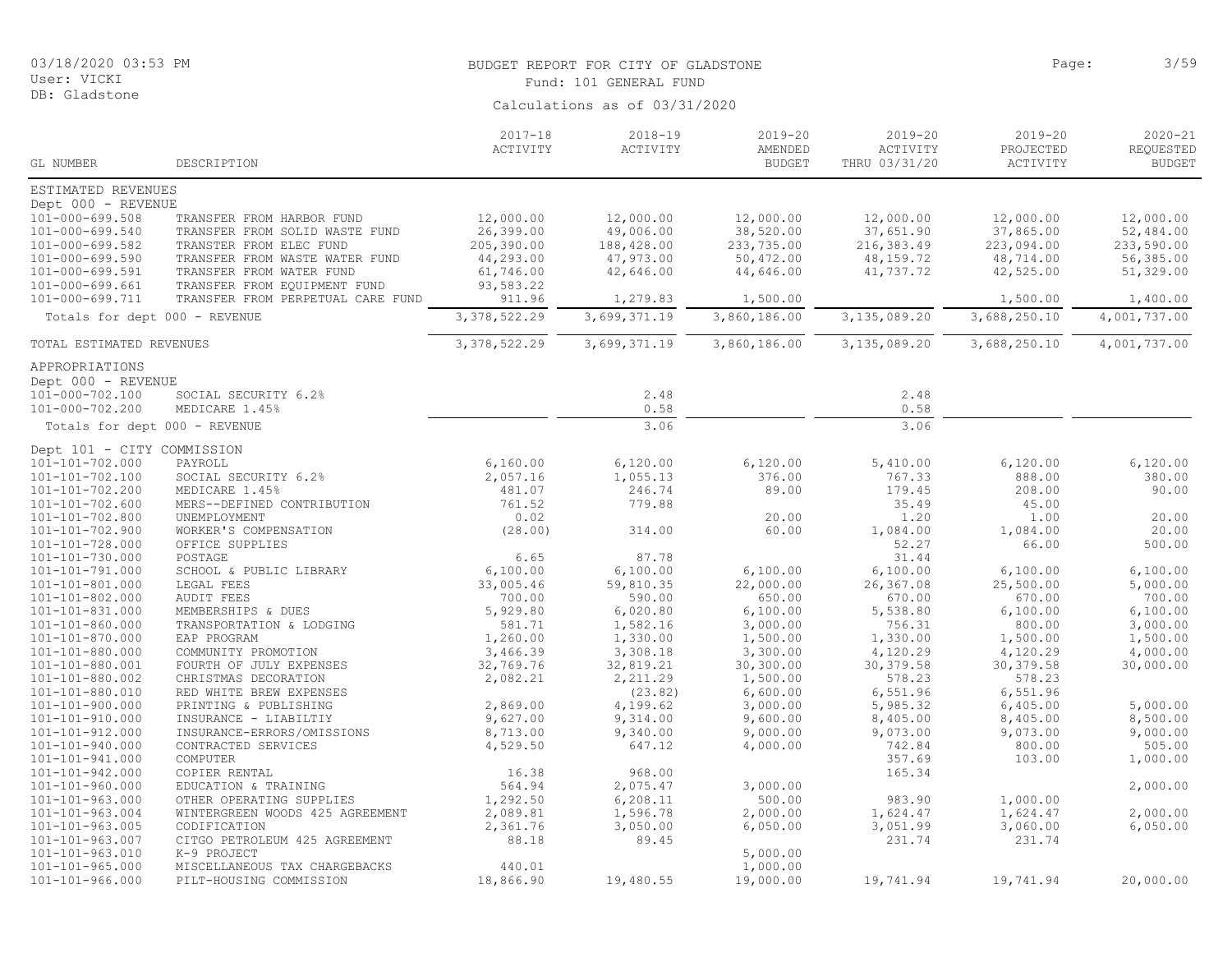# BUDGET REPORT FOR CITY OF GLADSTONE PAGE AND CONTROLLED BAGE: 3/59

| User: VICKI                   |                                   | Fund: 101 GENERAL FUND  |                               |                                         |                                          |                                      |                                           |  |  |
|-------------------------------|-----------------------------------|-------------------------|-------------------------------|-----------------------------------------|------------------------------------------|--------------------------------------|-------------------------------------------|--|--|
| DB: Gladstone                 |                                   |                         | Calculations as of 03/31/2020 |                                         |                                          |                                      |                                           |  |  |
| GL NUMBER                     | DESCRIPTION                       | $2017 - 18$<br>ACTIVITY | $2018 - 19$<br>ACTIVITY       | $2019 - 20$<br>AMENDED<br><b>BUDGET</b> | $2019 - 20$<br>ACTIVITY<br>THRU 03/31/20 | $2019 - 20$<br>PROJECTED<br>ACTIVITY | $2020 - 21$<br>REQUESTED<br><b>BUDGET</b> |  |  |
| ESTIMATED REVENUES            |                                   |                         |                               |                                         |                                          |                                      |                                           |  |  |
| Dept 000 - REVENUE            |                                   |                         |                               |                                         |                                          |                                      |                                           |  |  |
| 101-000-699.508               | TRANSFER FROM HARBOR FUND         | 12,000.00               | 12,000.00                     | 12,000.00                               | 12,000.00                                | 12,000.00                            | 12,000.00                                 |  |  |
| 101-000-699.540               | TRANSFER FROM SOLID WASTE FUND    | 26,399.00               | 49,006.00                     | 38,520.00                               | 37,651.90                                | 37,865.00                            | 52,484.00                                 |  |  |
| 101-000-699.582               | TRANSTER FROM ELEC FUND           | 205,390.00              | 188,428.00                    | 233,735.00                              | 216,383.49                               | 223,094.00                           | 233,590.00                                |  |  |
| $101 - 000 - 699.590$         | TRANSFER FROM WASTE WATER FUND    | 44,293.00               | 47,973.00                     | 50,472.00                               | 48, 159. 72                              | 48,714.00                            | 56,385.00                                 |  |  |
| 101-000-699.591               | TRANSFER FROM WATER FUND          | 61,746.00               | 42,646.00                     | 44,646.00                               | 41,737.72                                | 42,525.00                            | 51,329.00                                 |  |  |
| 101-000-699.661               | TRANSFER FROM EQUIPMENT FUND      | 93,583.22               |                               |                                         |                                          |                                      |                                           |  |  |
| 101-000-699.711               | TRANSFER FROM PERPETUAL CARE FUND | 911.96                  | 1,279.83                      | 1,500.00                                |                                          | 1,500.00                             | 1,400.00                                  |  |  |
| Totals for dept 000 - REVENUE |                                   | 3, 378, 522.29          | 3,699,371.19                  | 3,860,186.00                            | 3,135,089.20                             | 3,688,250.10                         | 4,001,737.00                              |  |  |
| TOTAL ESTIMATED REVENUES      |                                   | 3, 378, 522.29          | 3,699,371.19                  | 3,860,186.00                            | 3,135,089.20                             | 3,688,250.10                         | 4,001,737.00                              |  |  |
| APPROPRIATIONS                |                                   |                         |                               |                                         |                                          |                                      |                                           |  |  |
| Dept 000 - REVENUE            |                                   |                         |                               |                                         |                                          |                                      |                                           |  |  |
| 101-000-702.100               | SOCIAL SECURITY 6.2%              |                         | 2.48                          |                                         | 2.48                                     |                                      |                                           |  |  |
| 101-000-702.200               | MEDICARE 1.45%                    |                         | 0.58                          |                                         | 0.58                                     |                                      |                                           |  |  |
| Totals for dept 000 - REVENUE |                                   |                         | 3.06                          |                                         | 3.06                                     |                                      |                                           |  |  |
| Dept 101 - CITY COMMISSION    |                                   |                         |                               |                                         |                                          |                                      |                                           |  |  |
| 101-101-702.000               | PAYROLL                           | 6,160.00                | 6,120.00                      | 6,120.00                                | 5,410.00                                 | 6,120.00                             | 6,120.00                                  |  |  |
| 101-101-702.100               | SOCIAL SECURITY 6.2%              | 2,057.16                | 1,055.13                      | 376.00                                  | 767.33                                   | 888.00                               | 380.00                                    |  |  |
| 101-101-702.200               | MEDICARE 1.45%                    | 481.07                  | 246.74                        | 89.00                                   | 179.45                                   | 208.00                               | 90.00                                     |  |  |
| 101-101-702.600               | MERS--DEFINED CONTRIBUTION        | 761.52                  | 779.88                        |                                         | 35.49                                    | 45.00                                |                                           |  |  |
| 101-101-702.800               | UNEMPLOYMENT                      | 0.02                    |                               | 20.00                                   | 1.20                                     | 1.00                                 | 20.00                                     |  |  |
| 101-101-702.900               | WORKER'S COMPENSATION             | (28.00)                 | 314.00                        | 60.00                                   | 1,084.00                                 | 1,084.00                             | 20.00                                     |  |  |
| 101-101-728.000               | OFFICE SUPPLIES                   |                         |                               |                                         | 52.27                                    | 66.00                                | 500.00                                    |  |  |
| 101-101-730.000               | POSTAGE                           | 6.65                    | 87.78                         |                                         | 31.44                                    |                                      |                                           |  |  |
| 101-101-791.000               | SCHOOL & PUBLIC LIBRARY           | 6,100.00                | 6,100.00                      | 6,100.00                                | 6,100.00                                 | 6,100.00                             | 6,100.00                                  |  |  |
| 101-101-801.000               | LEGAL FEES                        | 33,005.46               | 59,810.35                     | 22,000.00                               | 26,367.08                                | 25,500.00                            | 5,000.00                                  |  |  |
| $101 - 101 - 802.000$         | <b>AUDIT FEES</b>                 | 700.00                  | 590.00                        | 650.00                                  | 670.00                                   | 670.00                               | 700.00                                    |  |  |
| 101-101-831.000               | MEMBERSHIPS & DUES                | 5,929.80                | 6,020.80                      | 6,100.00                                | 5,538.80                                 | 6,100.00                             | 6,100.00                                  |  |  |
| 101-101-860.000               | TRANSPORTATION & LODGING          | 581.71                  | 1,582.16                      | 3,000.00                                | 756.31                                   | 800.00                               | 3,000.00                                  |  |  |
| 101-101-870.000               | EAP PROGRAM                       | 1,260.00                | 1,330.00                      | 1,500.00                                | 1,330.00                                 | 1,500.00                             | 1,500.00                                  |  |  |
| 101-101-880.000               | COMMUNITY PROMOTION               | 3,466.39                | 3,308.18                      | 3,300.00                                | 4,120.29                                 | 4,120.29                             | 4,000.00                                  |  |  |
| 101-101-880.001               | FOURTH OF JULY EXPENSES           | 32,769.76               | 32,819.21                     | 30,300.00                               | 30, 379.58                               | 30, 379.58                           | 30,000.00                                 |  |  |
| 101-101-880.002               | CHRISTMAS DECORATION              | 2,082.21                | 2,211.29                      | 1,500.00                                | 578.23                                   | 578.23                               |                                           |  |  |
| 101-101-880.010               | RED WHITE BREW EXPENSES           |                         | (23.82)                       | 6,600.00                                | 6,551.96                                 | 6,551.96                             |                                           |  |  |
| 101-101-900.000               | PRINTING & PUBLISHING             | 2,869.00                | 4,199.62                      | 3,000.00                                | 5,985.32                                 | 6,405.00                             | 5,000.00                                  |  |  |
| 101-101-910.000               | INSURANCE - LIABILTIY             | 9,627.00                | 9,314.00                      | 9,600.00                                | 8,405.00                                 | 8,405.00                             | 8,500.00                                  |  |  |
| $101 - 101 - 912.000$         | INSURANCE-ERRORS/OMISSIONS        | 8,713.00                | 9,340.00                      | 9,000.00                                | 9,073.00                                 | 9,073.00                             | 9,000.00                                  |  |  |
| 101-101-940.000               | CONTRACTED SERVICES               | 4,529.50                | 647.12                        | 4,000.00                                | 742.84                                   | 800.00                               | 505.00                                    |  |  |

101-101-941.000 COMPUTER 357.69 103.00 1,000.00

101-101-960.000 EDUCATION & TRAINING 564.94 2,075.47 3,000.00 2,000.00

101-101-963.004 WINTERGREEN WOODS 425 AGREEMENT 2,089.81 1,596.78 2,000.00 1,624.47 1,624.47 2,000.00 101-101-963.005 CODIFICATION 2,361.76 3,050.00 6,050.00 3,051.99 3,060.00 6,050.00

101-101-942.000 COPIER RENTAL 16.38 968.00 165.34

MISCELLANEOUS TAX CHARGEBACKS

101-101-963.000 OTHER OPERATING SUPPLIES 1,292.50 6,208.11 500.00 983.90 1,000.00

101-101-963.007 CITGO PETROLEUM 425 AGREEMENT 88.18 89.45 231.74 231.74

101-101-963.010 K-9 PROJECT 5,000.00 101-101-966.000 PILT-HOUSING COMMISSION 18,866.90 19,480.55 19,000.00 19,741.94 19,741.94 20,000.00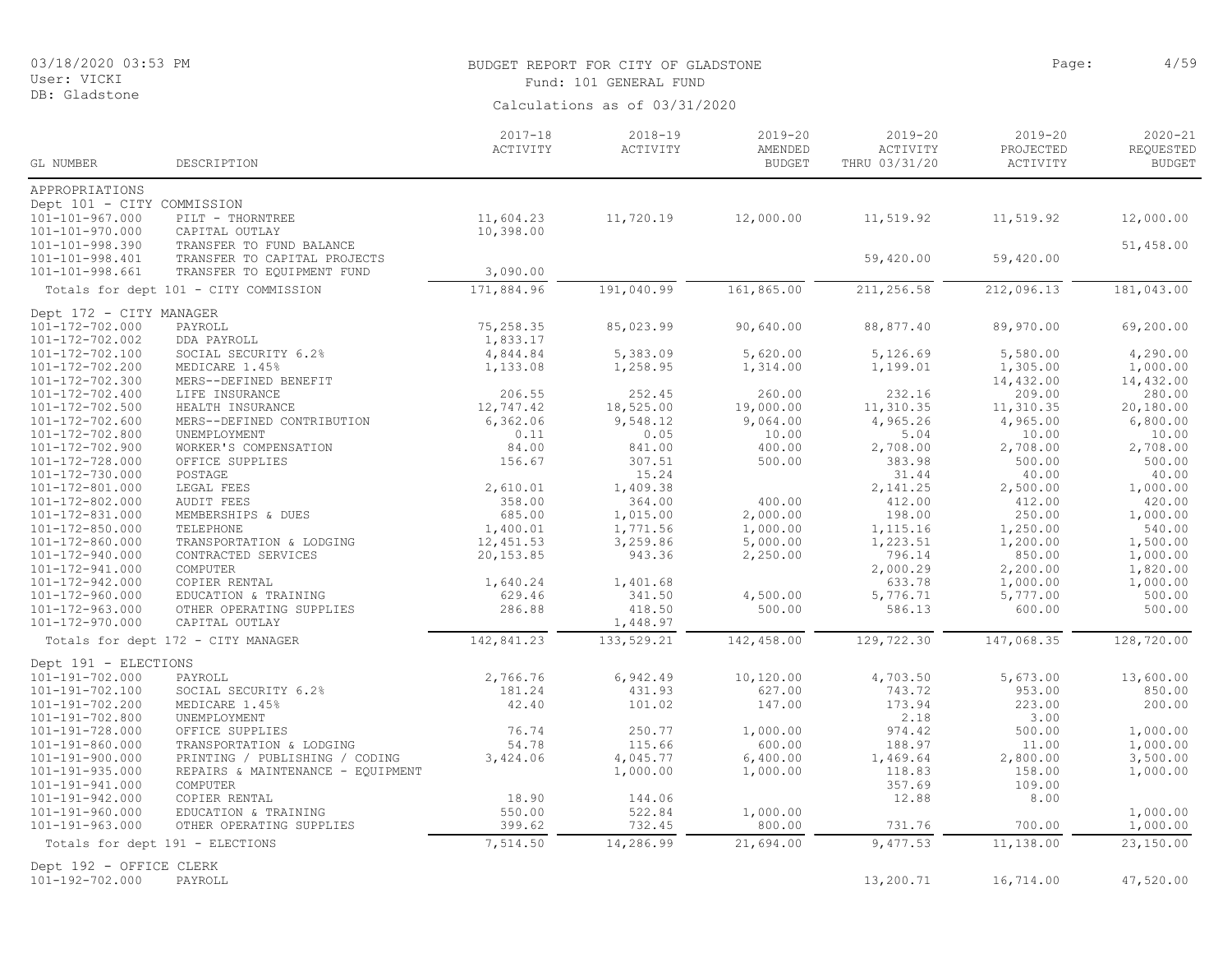DB: Gladstone

#### BUDGET REPORT FOR CITY OF GLADSTONE **Page:** 4/59 Fund: 101 GENERAL FUND

| GL NUMBER                                 | DESCRIPTION                           | $2017 - 18$<br>ACTIVITY | $2018 - 19$<br>ACTIVITY | $2019 - 20$<br>AMENDED<br><b>BUDGET</b> | $2019 - 20$<br>ACTIVITY<br>THRU 03/31/20 | $2019 - 20$<br>PROJECTED<br>ACTIVITY | $2020 - 21$<br>REQUESTED<br><b>BUDGET</b> |
|-------------------------------------------|---------------------------------------|-------------------------|-------------------------|-----------------------------------------|------------------------------------------|--------------------------------------|-------------------------------------------|
| APPROPRIATIONS                            |                                       |                         |                         |                                         |                                          |                                      |                                           |
| Dept 101 - CITY COMMISSION                |                                       |                         |                         |                                         |                                          |                                      |                                           |
| $101 - 101 - 967.000$                     | PILT - THORNTREE                      | 11,604.23               | 11,720.19               | 12,000.00                               | 11,519.92                                | 11,519.92                            | 12,000.00                                 |
| 101-101-970.000                           | CAPITAL OUTLAY                        | 10,398.00               |                         |                                         |                                          |                                      |                                           |
| 101-101-998.390                           | TRANSFER TO FUND BALANCE              |                         |                         |                                         |                                          |                                      | 51,458.00                                 |
| 101-101-998.401                           | TRANSFER TO CAPITAL PROJECTS          |                         |                         |                                         | 59,420.00                                | 59,420.00                            |                                           |
| 101-101-998.661                           | TRANSFER TO EQUIPMENT FUND            | 3,090.00                |                         |                                         |                                          |                                      |                                           |
|                                           | Totals for dept 101 - CITY COMMISSION | 171,884.96              | 191,040.99              | 161,865.00                              | 211,256.58                               | 212,096.13                           | 181,043.00                                |
| Dept 172 - CITY MANAGER                   |                                       |                         |                         |                                         |                                          |                                      |                                           |
| 101-172-702.000                           | PAYROLL                               | 75,258.35               | 85,023.99               | 90,640.00                               | 88,877.40                                | 89,970.00                            | 69,200.00                                 |
| 101-172-702.002                           | DDA PAYROLL                           | 1,833.17                |                         |                                         |                                          |                                      |                                           |
| 101-172-702.100                           | SOCIAL SECURITY 6.2%                  | 4,844.84                | 5,383.09                | 5,620.00                                | 5,126.69                                 | 5,580.00                             | 4,290.00                                  |
| 101-172-702.200                           | MEDICARE 1.45%                        | 1,133.08                | 1,258.95                | 1,314.00                                | 1,199.01                                 | 1,305.00                             | 1,000.00                                  |
| 101-172-702.300                           | MERS--DEFINED BENEFIT                 |                         |                         |                                         |                                          | 14,432.00                            | 14,432.00                                 |
| 101-172-702.400                           | LIFE INSURANCE                        | 206.55                  | 252.45                  | 260.00                                  | 232.16                                   | 209.00                               | 280.00                                    |
| 101-172-702.500                           | HEALTH INSURANCE                      | 12,747.42               | 18,525.00               | 19,000.00                               | 11,310.35                                | 11,310.35                            | 20,180.00                                 |
| 101-172-702.600                           | MERS--DEFINED CONTRIBUTION            | 6,362.06                | 9,548.12                | 9,064.00                                | 4,965.26                                 | 4,965.00                             | 6,800.00                                  |
| 101-172-702.800                           | UNEMPLOYMENT                          | 0.11                    | 0.05                    | 10.00                                   | 5.04                                     | 10.00                                | 10.00                                     |
| 101-172-702.900                           | WORKER'S COMPENSATION                 | 84.00                   | 841.00                  | 400.00                                  | 2,708.00                                 | 2,708.00                             | 2,708.00                                  |
| 101-172-728.000                           | OFFICE SUPPLIES                       | 156.67                  | 307.51                  | 500.00                                  | 383.98                                   | 500.00                               | 500.00                                    |
| 101-172-730.000                           | POSTAGE                               |                         | 15.24                   |                                         | 31.44                                    | 40.00                                | 40.00                                     |
| 101-172-801.000                           | LEGAL FEES                            | 2,610.01                | 1,409.38                |                                         | 2, 141.25                                | 2,500.00                             | 1,000.00                                  |
| 101-172-802.000                           | <b>AUDIT FEES</b>                     | 358.00                  | 364.00                  | 400.00                                  | 412.00                                   | 412.00                               | 420.00                                    |
| 101-172-831.000                           | MEMBERSHIPS & DUES                    | 685.00                  | 1,015.00                | 2,000.00                                | 198.00                                   | 250.00                               | 1,000.00                                  |
| 101-172-850.000                           | TELEPHONE                             | 1,400.01                | 1,771.56                | 1,000.00                                | 1,115.16                                 | 1,250.00                             | 540.00                                    |
| 101-172-860.000                           | TRANSPORTATION & LODGING              | 12,451.53               | 3,259.86                | 5,000.00                                | 1,223.51                                 | 1,200.00                             | 1,500.00                                  |
| 101-172-940.000                           | CONTRACTED SERVICES                   | 20,153.85               | 943.36                  | 2,250.00                                | 796.14                                   | 850.00                               | 1,000.00                                  |
| 101-172-941.000                           | COMPUTER                              |                         |                         |                                         | 2,000.29                                 | 2,200.00                             | 1,820.00                                  |
| 101-172-942.000                           | COPIER RENTAL                         | 1,640.24                | 1,401.68                |                                         | 633.78                                   | 1,000.00                             | 1,000.00                                  |
| 101-172-960.000                           | EDUCATION & TRAINING                  | 629.46                  | 341.50                  | 4,500.00                                | 5,776.71                                 | 5,777.00                             | 500.00                                    |
| $101 - 172 - 963.000$                     | OTHER OPERATING SUPPLIES              | 286.88                  | 418.50                  | 500.00                                  | 586.13                                   | 600.00                               | 500.00                                    |
| 101-172-970.000                           | CAPITAL OUTLAY                        |                         | 1,448.97                |                                         |                                          |                                      |                                           |
|                                           | Totals for dept 172 - CITY MANAGER    | 142,841.23              | 133,529.21              | 142,458.00                              | 129,722.30                               | 147,068.35                           | 128,720.00                                |
| Dept 191 - ELECTIONS                      |                                       |                         |                         |                                         |                                          |                                      |                                           |
| 101-191-702.000                           | PAYROLL                               | 2,766.76                | 6,942.49                | 10,120.00                               | 4,703.50                                 | 5,673.00                             | 13,600.00                                 |
| 101-191-702.100                           | SOCIAL SECURITY 6.2%                  | 181.24                  | 431.93                  | 627.00                                  | 743.72                                   | 953.00                               | 850.00                                    |
| 101-191-702.200                           | MEDICARE 1.45%                        | 42.40                   | 101.02                  | 147.00                                  | 173.94                                   | 223.00                               | 200.00                                    |
| 101-191-702.800                           | UNEMPLOYMENT                          |                         |                         |                                         | 2.18                                     | 3.00                                 |                                           |
| $101 - 191 - 728.000$                     | OFFICE SUPPLIES                       | 76.74                   | 250.77                  | 1,000.00                                | 974.42                                   | 500.00                               | 1,000.00                                  |
| 101-191-860.000                           | TRANSPORTATION & LODGING              | 54.78                   | 115.66                  | 600.00                                  | 188.97                                   | 11.00                                | 1,000.00                                  |
| $101 - 191 - 900.000$                     | PRINTING / PUBLISHING / CODING        | 3,424.06                | 4,045.77                | 6,400.00                                | 1,469.64                                 | 2,800.00                             | 3,500.00                                  |
| 101-191-935.000                           | REPAIRS & MAINTENANCE - EQUIPMENT     |                         | 1,000.00                | 1,000.00                                | 118.83                                   | 158.00                               | 1,000.00                                  |
| 101-191-941.000                           | COMPUTER                              |                         |                         |                                         | 357.69                                   | 109.00                               |                                           |
| 101-191-942.000                           | COPIER RENTAL                         | 18.90                   | 144.06                  |                                         | 12.88                                    | 8.00                                 |                                           |
| 101-191-960.000                           | EDUCATION & TRAINING                  | 550.00                  | 522.84                  | 1,000.00                                |                                          |                                      | 1,000.00                                  |
| 101-191-963.000                           | OTHER OPERATING SUPPLIES              | 399.62                  | 732.45                  | 800.00                                  | 731.76                                   | 700.00                               | 1,000.00                                  |
| Totals for dept 191 - ELECTIONS<br>$-100$ |                                       | 7,514.50                | 14,286.99               | 21,694.00                               | 9,477.53                                 | 11,138.00                            | 23,150.00                                 |

Dept 192 - OFFICE CLERK<br>101-192-702.000 PAYROLL

13,200.71 16,714.00 47,520.00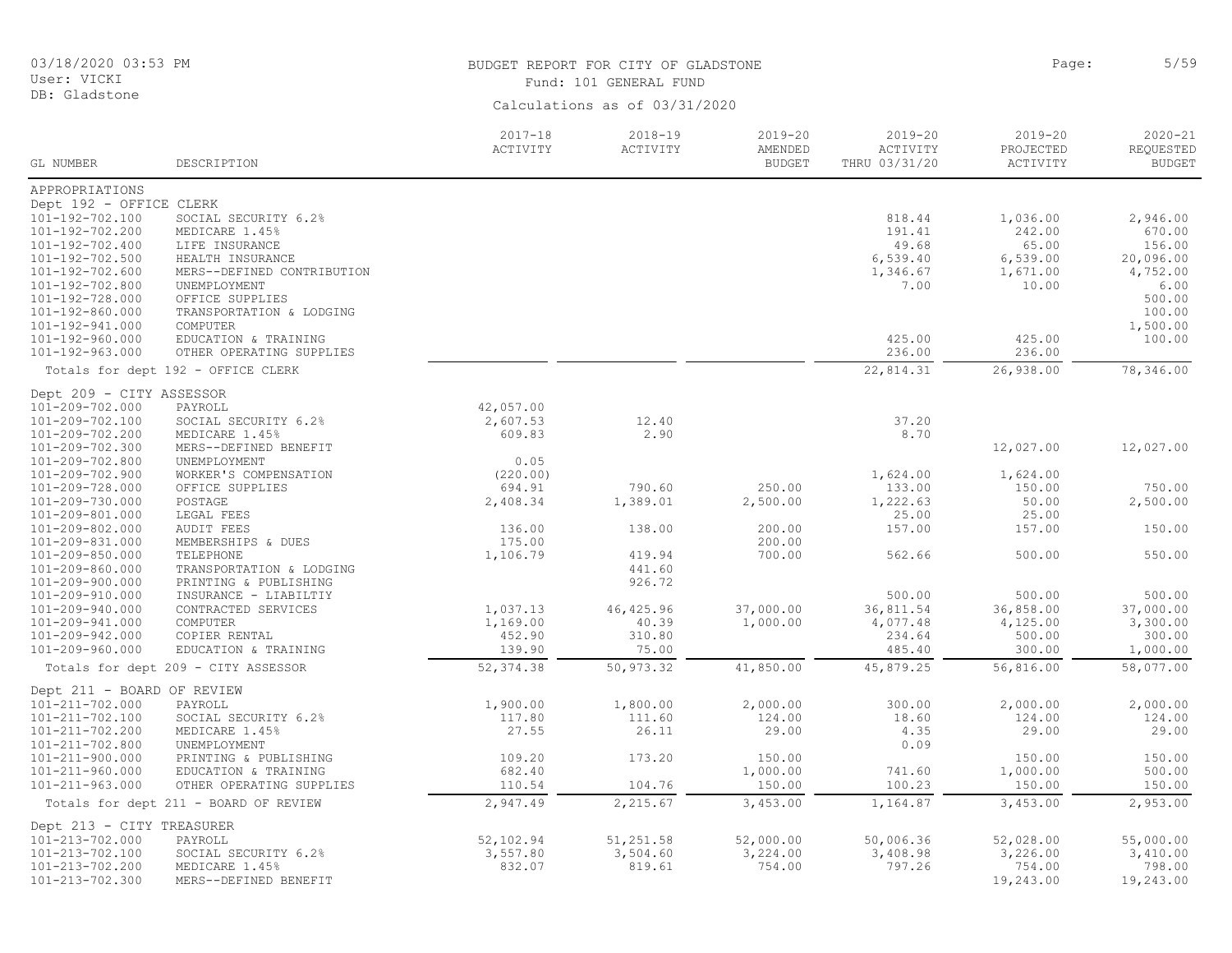03/18/2020 03:53 PM User: VICKI DB: Gladstone

# BUDGET REPORT FOR CITY OF GLADSTONE **Page:** 5/59 Fund: 101 GENERAL FUND

| Calculations as of 03/31/2020 |  |  |
|-------------------------------|--|--|
|                               |  |  |

| GL NUMBER                          | DESCRIPTION                                       | $2017 - 18$<br>ACTIVITY | $2018 - 19$<br>ACTIVITY | $2019 - 20$<br>AMENDED<br><b>BUDGET</b> | 2019-20<br>ACTIVITY<br>THRU 03/31/20 | $2019 - 20$<br>PROJECTED<br>ACTIVITY | $2020 - 21$<br>REQUESTED<br><b>BUDGET</b> |
|------------------------------------|---------------------------------------------------|-------------------------|-------------------------|-----------------------------------------|--------------------------------------|--------------------------------------|-------------------------------------------|
| APPROPRIATIONS                     |                                                   |                         |                         |                                         |                                      |                                      |                                           |
| Dept 192 - OFFICE CLERK            |                                                   |                         |                         |                                         |                                      |                                      |                                           |
| 101-192-702.100                    | SOCIAL SECURITY 6.2%                              |                         |                         |                                         | 818.44                               | 1,036.00                             | 2,946.00                                  |
| 101-192-702.200                    | MEDICARE 1.45%                                    |                         |                         |                                         | 191.41                               | 242.00                               | 670.00                                    |
| 101-192-702.400                    | LIFE INSURANCE                                    |                         |                         |                                         | 49.68                                | 65.00                                | 156.00                                    |
| 101-192-702.500                    | HEALTH INSURANCE                                  |                         |                         |                                         | 6,539.40                             | 6,539.00                             | 20,096.00                                 |
| 101-192-702.600                    | MERS--DEFINED CONTRIBUTION                        |                         |                         |                                         | 1,346.67                             | 1,671.00                             | 4,752.00                                  |
| 101-192-702.800                    | UNEMPLOYMENT                                      |                         |                         |                                         | 7.00                                 | 10.00                                | 6.00                                      |
| 101-192-728.000                    | OFFICE SUPPLIES                                   |                         |                         |                                         |                                      |                                      | 500.00                                    |
| 101-192-860.000                    | TRANSPORTATION & LODGING                          |                         |                         |                                         |                                      |                                      | 100.00                                    |
| 101-192-941.000                    | COMPUTER                                          |                         |                         |                                         |                                      |                                      | 1,500.00                                  |
| 101-192-960.000                    | EDUCATION & TRAINING                              |                         |                         |                                         | 425.00                               | 425.00                               | 100.00                                    |
| 101-192-963.000                    | OTHER OPERATING SUPPLIES                          |                         |                         |                                         | 236.00                               | 236.00                               |                                           |
|                                    | Totals for dept 192 - OFFICE CLERK                |                         |                         |                                         | 22,814.31                            | 26,938.00                            | 78,346.00                                 |
| Dept 209 - CITY ASSESSOR           |                                                   |                         |                         |                                         |                                      |                                      |                                           |
| 101-209-702.000                    | PAYROLL                                           | 42,057.00               |                         |                                         |                                      |                                      |                                           |
| 101-209-702.100                    | SOCIAL SECURITY 6.2%                              | 2,607.53                | 12.40                   |                                         | 37.20                                |                                      |                                           |
| 101-209-702.200                    | MEDICARE 1.45%                                    | 609.83                  | 2.90                    |                                         | 8.70                                 |                                      |                                           |
| 101-209-702.300                    | MERS--DEFINED BENEFIT                             |                         |                         |                                         |                                      | 12,027.00                            | 12,027.00                                 |
| 101-209-702.800                    | UNEMPLOYMENT                                      | 0.05                    |                         |                                         |                                      |                                      |                                           |
| 101-209-702.900                    | WORKER'S COMPENSATION                             | (220.00)                |                         |                                         | 1,624.00                             | 1,624.00                             |                                           |
| 101-209-728.000                    | OFFICE SUPPLIES                                   | 694.91                  | 790.60                  | 250.00                                  | 133.00                               | 150.00                               | 750.00                                    |
| 101-209-730.000                    | POSTAGE                                           | 2,408.34                | 1,389.01                | 2,500.00                                | 1,222.63                             | 50.00                                | 2,500.00                                  |
| 101-209-801.000                    | LEGAL FEES                                        |                         |                         |                                         | 25.00                                | 25.00                                |                                           |
| 101-209-802.000                    | <b>AUDIT FEES</b>                                 | 136.00                  | 138.00                  | 200.00                                  | 157.00                               | 157.00                               | 150.00                                    |
| 101-209-831.000                    | MEMBERSHIPS & DUES                                | 175.00                  |                         | 200.00                                  |                                      |                                      |                                           |
| 101-209-850.000<br>101-209-860.000 | TELEPHONE                                         | 1,106.79                | 419.94<br>441.60        | 700.00                                  | 562.66                               | 500.00                               | 550.00                                    |
| 101-209-900.000                    | TRANSPORTATION & LODGING<br>PRINTING & PUBLISHING |                         | 926.72                  |                                         |                                      |                                      |                                           |
| 101-209-910.000                    | INSURANCE - LIABILTIY                             |                         |                         |                                         | 500.00                               | 500.00                               | 500.00                                    |
| 101-209-940.000                    | CONTRACTED SERVICES                               | 1,037.13                | 46, 425.96              | 37,000.00                               | 36,811.54                            | 36,858.00                            | 37,000.00                                 |
| 101-209-941.000                    | COMPUTER                                          | 1,169.00                | 40.39                   | 1,000.00                                | 4,077.48                             | 4,125.00                             | 3,300.00                                  |
| 101-209-942.000                    | COPIER RENTAL                                     | 452.90                  | 310.80                  |                                         | 234.64                               | 500.00                               | 300.00                                    |
| 101-209-960.000                    | EDUCATION & TRAINING                              | 139.90                  | 75.00                   |                                         | 485.40                               | 300.00                               | 1,000.00                                  |
|                                    | Totals for dept 209 - CITY ASSESSOR               | 52, 374.38              | 50,973.32               | 41,850.00                               | 45,879.25                            | 56,816.00                            | 58,077.00                                 |
| Dept 211 - BOARD OF REVIEW         |                                                   |                         |                         |                                         |                                      |                                      |                                           |
| 101-211-702.000                    | PAYROLL                                           | 1,900.00                | 1,800.00                | 2,000.00                                | 300.00                               | 2,000.00                             | 2,000.00                                  |
| 101-211-702.100                    | SOCIAL SECURITY 6.2%                              | 117.80                  | 111.60                  | 124.00                                  | 18.60                                | 124.00                               | 124.00                                    |
| 101-211-702.200                    | MEDICARE 1.45%                                    | 27.55                   | 26.11                   | 29.00                                   | 4.35                                 | 29.00                                | 29.00                                     |
| 101-211-702.800                    | UNEMPLOYMENT                                      |                         |                         |                                         | 0.09                                 |                                      |                                           |
| $101 - 211 - 900.000$              | PRINTING & PUBLISHING                             | 109.20                  | 173.20                  | 150.00                                  |                                      | 150.00                               | 150.00                                    |
| 101-211-960.000                    | EDUCATION & TRAINING                              | 682.40                  |                         | 1,000.00                                | 741.60                               | 1,000.00                             | 500.00                                    |
| 101-211-963.000                    | OTHER OPERATING SUPPLIES                          | 110.54                  | 104.76                  | 150.00                                  | 100.23                               | 150.00                               | 150.00                                    |
|                                    | Totals for dept 211 - BOARD OF REVIEW             | 2,947.49                | 2,215.67                | 3,453.00                                | 1,164.87                             | 3,453.00                             | 2,953.00                                  |
| Dept 213 - CITY TREASURER          |                                                   |                         |                         |                                         |                                      |                                      |                                           |
| 101-213-702.000                    | PAYROLL                                           | 52,102.94               | 51,251.58               | 52,000.00                               | 50,006.36                            | 52,028.00                            | 55,000.00                                 |
| 101-213-702.100                    | SOCIAL SECURITY 6.2%                              | 3,557.80                | 3,504.60                | 3,224.00                                | 3,408.98                             | 3,226.00                             | 3,410.00                                  |
| 101-213-702.200                    | MEDICARE 1.45%                                    | 832.07                  | 819.61                  | 754.00                                  | 797.26                               | 754.00                               | 798.00                                    |
| 101-213-702.300                    | MERS--DEFINED BENEFIT                             |                         |                         |                                         |                                      | 19,243.00                            | 19,243.00                                 |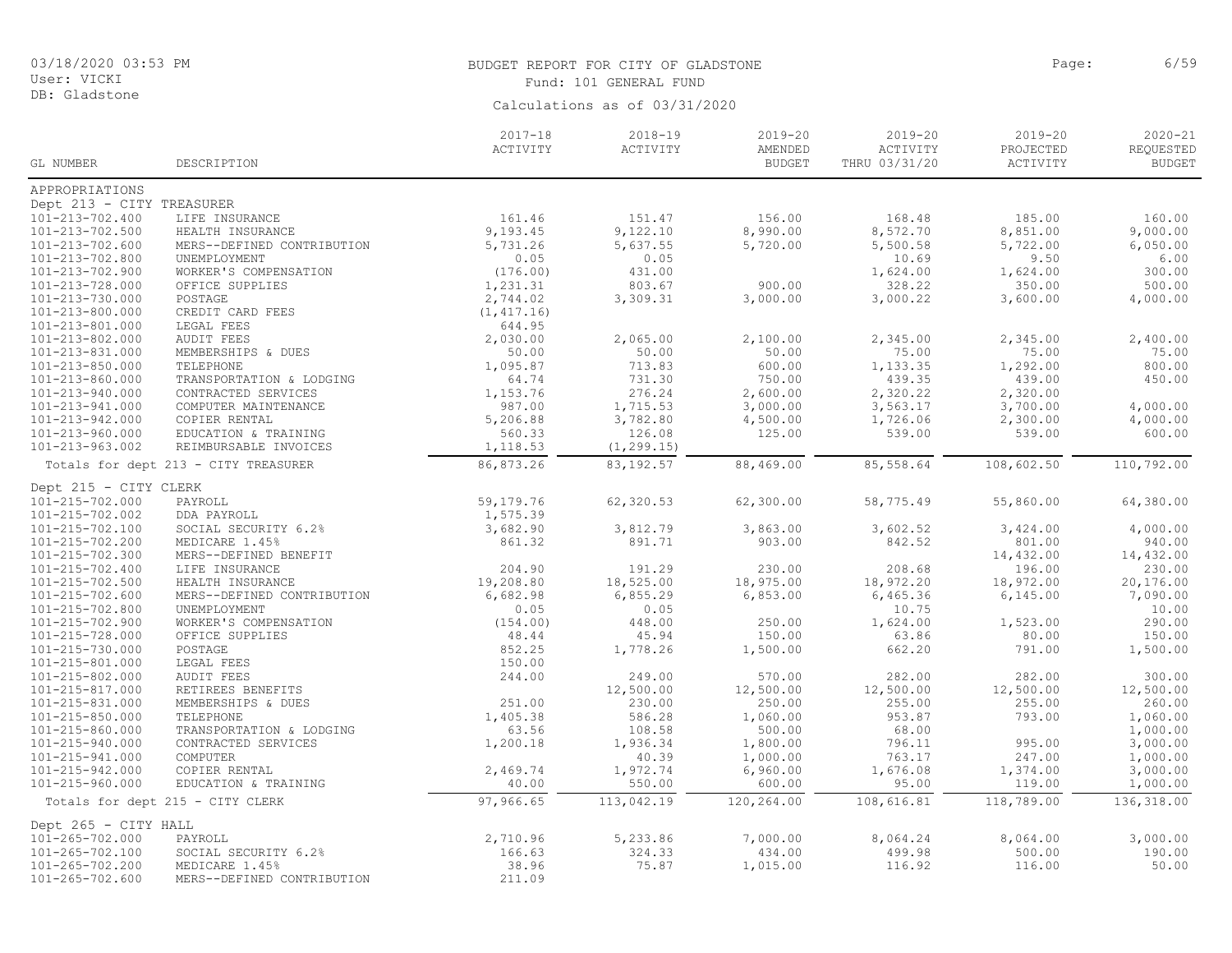#### DB: Gladstone

# BUDGET REPORT FOR CITY OF GLADSTONE **Page:** 6/59 Fund: 101 GENERAL FUND

|                           |                                      | $2017 - 18$ | $2018 - 19$ | $2019 - 20$              | $2019 - 20$               | $2019 - 20$           | $2020 - 21$                |
|---------------------------|--------------------------------------|-------------|-------------|--------------------------|---------------------------|-----------------------|----------------------------|
| GL NUMBER                 | DESCRIPTION                          | ACTIVITY    | ACTIVITY    | AMENDED<br><b>BUDGET</b> | ACTIVITY<br>THRU 03/31/20 | PROJECTED<br>ACTIVITY | REQUESTED<br><b>BUDGET</b> |
| APPROPRIATIONS            |                                      |             |             |                          |                           |                       |                            |
| Dept 213 - CITY TREASURER |                                      |             |             |                          |                           |                       |                            |
| 101-213-702.400           | LIFE INSURANCE                       | 161.46      | 151.47      | 156.00                   | 168.48                    | 185.00                | 160.00                     |
| 101-213-702.500           | HEALTH INSURANCE                     | 9,193.45    | 9,122.10    | 8,990.00                 | 8,572.70                  | 8,851.00              | 9,000.00                   |
| 101-213-702.600           | MERS--DEFINED CONTRIBUTION           | 5,731.26    | 5,637.55    | 5,720.00                 | 5,500.58                  | 5,722.00              | 6,050.00                   |
| $101 - 213 - 702.800$     | UNEMPLOYMENT                         | 0.05        | 0.05        |                          | 10.69                     | 9.50                  | 6.00                       |
| 101-213-702.900           | WORKER'S COMPENSATION                | (176.00)    | 431.00      |                          | 1,624.00                  | 1,624.00              | 300.00                     |
| 101-213-728.000           | OFFICE SUPPLIES                      | 1,231.31    | 803.67      | 900.00                   | 328.22                    | 350.00                | 500.00                     |
| 101-213-730.000           | POSTAGE                              | 2,744.02    | 3,309.31    | 3,000.00                 | 3,000.22                  | 3,600.00              | 4,000.00                   |
| 101-213-800.000           | CREDIT CARD FEES                     | (1, 417.16) |             |                          |                           |                       |                            |
| 101-213-801.000           | LEGAL FEES                           | 644.95      |             |                          |                           |                       |                            |
| 101-213-802.000           | <b>AUDIT FEES</b>                    | 2,030.00    | 2,065.00    | 2,100.00                 | 2,345.00                  | 2,345.00              | 2,400.00                   |
| 101-213-831.000           | MEMBERSHIPS & DUES                   | 50.00       | 50.00       | 50.00                    | 75.00                     | 75.00                 | 75.00                      |
| 101-213-850.000           | TELEPHONE                            | 1,095.87    | 713.83      | 600.00                   | 1,133.35                  | 1,292.00              | 800.00                     |
| 101-213-860.000           | TRANSPORTATION & LODGING             | 64.74       | 731.30      | 750.00                   | 439.35                    | 439.00                | 450.00                     |
| 101-213-940.000           | CONTRACTED SERVICES                  | 1,153.76    | 276.24      | 2,600.00                 | 2,320.22                  | 2,320.00              |                            |
| 101-213-941.000           | COMPUTER MAINTENANCE                 | 987.00      | 1,715.53    | 3,000.00                 | 3,563.17                  | 3,700.00              | 4,000.00                   |
| 101-213-942.000           | COPIER RENTAL                        | 5,206.88    | 3,782.80    | 4,500.00                 | 1,726.06                  | 2,300.00              | 4,000.00                   |
| 101-213-960.000           | EDUCATION & TRAINING                 | 560.33      | 126.08      | 125.00                   | 539.00                    | 539.00                | 600.00                     |
| 101-213-963.002           | REIMBURSABLE INVOICES                | 1,118.53    | (1, 299.15) |                          |                           |                       |                            |
|                           | Totals for dept 213 - CITY TREASURER | 86,873.26   | 83, 192.57  | 88,469.00                | 85,558.64                 | 108,602.50            | 110,792.00                 |
| Dept 215 - CITY CLERK     |                                      |             |             |                          |                           |                       |                            |
| 101-215-702.000           | PAYROLL                              | 59,179.76   | 62,320.53   | 62,300.00                | 58,775.49                 | 55,860.00             | 64,380.00                  |
| 101-215-702.002           | DDA PAYROLL                          | 1,575.39    |             |                          |                           |                       |                            |
| 101-215-702.100           | SOCIAL SECURITY 6.2%                 | 3,682.90    | 3,812.79    | 3,863.00                 | 3,602.52                  | 3,424.00              | 4,000.00                   |
| 101-215-702.200           | MEDICARE 1.45%                       | 861.32      | 891.71      | 903.00                   | 842.52                    | 801.00                | 940.00                     |
| 101-215-702.300           | MERS--DEFINED BENEFIT                |             |             |                          |                           | 14,432.00             | 14,432.00                  |
| 101-215-702.400           | LIFE INSURANCE                       | 204.90      | 191.29      | 230.00                   | 208.68                    | 196.00                | 230.00                     |
| 101-215-702.500           | HEALTH INSURANCE                     | 19,208.80   | 18,525.00   | 18,975.00                | 18,972.20                 | 18,972.00             | 20,176.00                  |
| 101-215-702.600           | MERS--DEFINED CONTRIBUTION           | 6,682.98    | 6,855.29    | 6,853.00                 | 6,465.36                  | 6, 145.00             | 7,090.00                   |
| 101-215-702.800           | UNEMPLOYMENT                         | 0.05        | 0.05        |                          | 10.75                     |                       | 10.00                      |
| 101-215-702.900           | WORKER'S COMPENSATION                | (154.00)    | 448.00      | 250.00                   | 1,624.00                  | 1,523.00              | 290.00                     |
| 101-215-728.000           | OFFICE SUPPLIES                      | 48.44       | 45.94       | 150.00                   | 63.86                     | 80.00                 | 150.00                     |
| 101-215-730.000           | POSTAGE                              | 852.25      | 1,778.26    | 1,500.00                 | 662.20                    | 791.00                | 1,500.00                   |
| 101-215-801.000           | LEGAL FEES                           | 150.00      |             |                          |                           |                       |                            |
| 101-215-802.000           | AUDIT FEES                           | 244.00      | 249.00      | 570.00                   | 282.00                    | 282.00                | 300.00                     |
| 101-215-817.000           | RETIREES BENEFITS                    |             | 12,500.00   | 12,500.00                | 12,500.00                 | 12,500.00             | 12,500.00                  |
| 101-215-831.000           | MEMBERSHIPS & DUES                   | 251.00      | 230.00      | 250.00                   | 255.00                    | 255.00                | 260.00                     |
| 101-215-850.000           | TELEPHONE                            | 1,405.38    | 586.28      | 1,060.00                 | 953.87                    | 793.00                | 1,060.00                   |
| 101-215-860.000           | TRANSPORTATION & LODGING             | 63.56       | 108.58      | 500.00                   | 68.00                     |                       | 1,000.00                   |
| 101-215-940.000           | CONTRACTED SERVICES                  | 1,200.18    | 1,936.34    | 1,800.00                 | 796.11                    | 995.00                | 3,000.00                   |
| 101-215-941.000           | COMPUTER                             |             | 40.39       | 1,000.00                 | 763.17                    | 247.00                | 1,000.00                   |
| 101-215-942.000           | COPIER RENTAL                        | 2,469.74    | 1,972.74    | 6,960.00                 | 1,676.08                  | 1,374.00              | 3,000.00                   |
| 101-215-960.000           | EDUCATION & TRAINING                 | 40.00       | 550.00      | 600.00                   | 95.00                     | 119.00                | 1,000.00                   |
|                           | Totals for dept 215 - CITY CLERK     | 97,966.65   | 113,042.19  | 120,264.00               | 108,616.81                | 118,789.00            | 136,318.00                 |
| Dept 265 - CITY HALL      |                                      |             |             |                          |                           |                       |                            |
| $101 - 265 - 702.000$     | PAYROLL                              | 2,710.96    | 5,233.86    | 7,000.00                 | 8,064.24                  | 8,064.00              | 3,000.00                   |
| 101-265-702.100           | SOCIAL SECURITY 6.2%                 | 166.63      | 324.33      | 434.00                   | 499.98                    | 500.00                | 190.00                     |
| 101-265-702.200           | MEDICARE 1.45%                       | 38.96       | 75.87       | 1,015.00                 | 116.92                    | 116.00                | 50.00                      |
| 101-265-702.600           | MERS--DEFINED CONTRIBUTION           | 211.09      |             |                          |                           |                       |                            |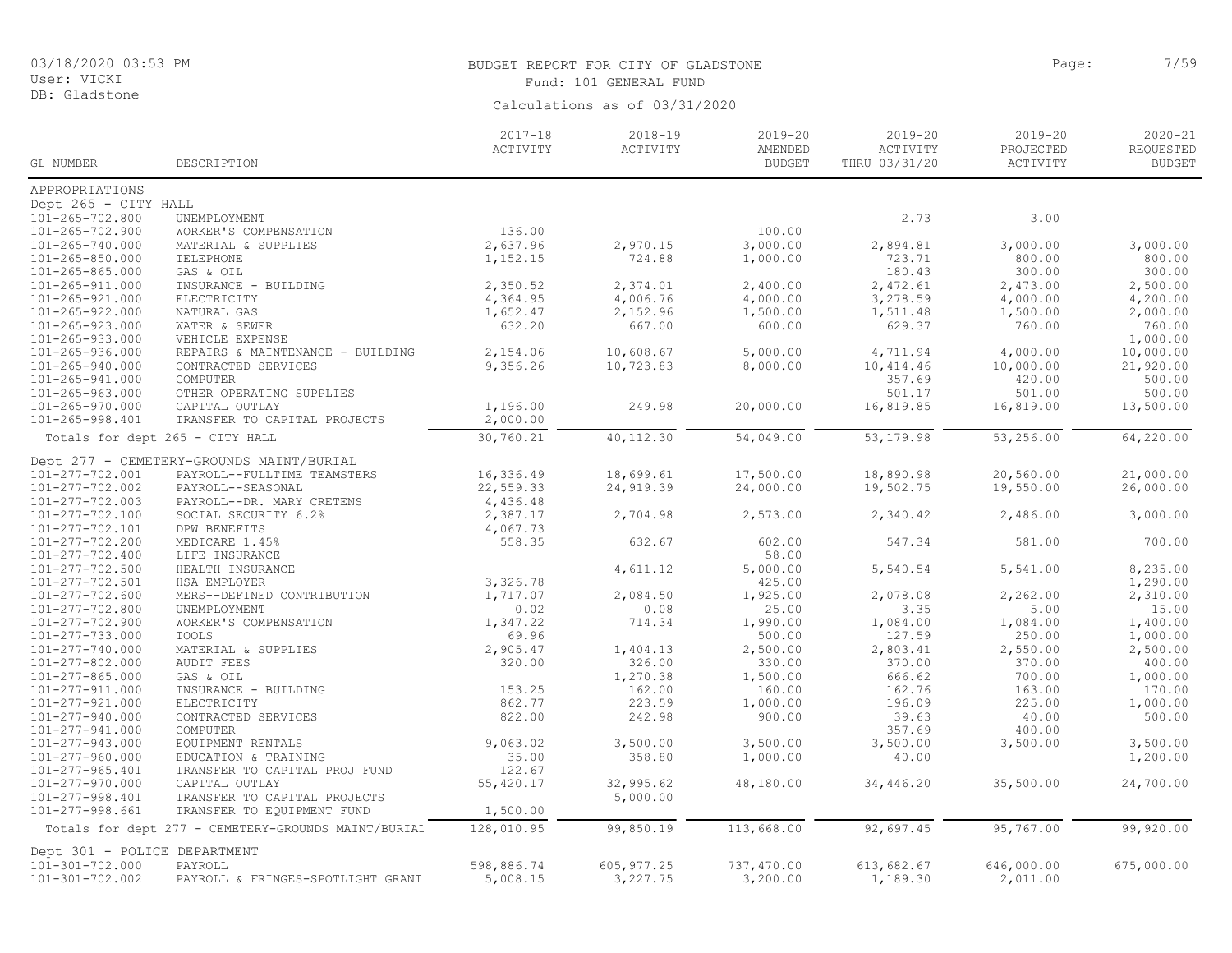# BUDGET REPORT FOR CITY OF GLADSTONE **Page:** 7/59 Fund: 101 GENERAL FUND

|                                 |                                                     | $2017 - 18$ | $2018 - 19$ | $2019 - 20$   | $2019 - 20$   | $2019 - 20$ | $2020 - 21$   |
|---------------------------------|-----------------------------------------------------|-------------|-------------|---------------|---------------|-------------|---------------|
|                                 |                                                     | ACTIVITY    | ACTIVITY    | AMENDED       | ACTIVITY      | PROJECTED   | REQUESTED     |
| GL NUMBER                       | DESCRIPTION                                         |             |             | <b>BUDGET</b> | THRU 03/31/20 | ACTIVITY    | <b>BUDGET</b> |
| APPROPRIATIONS                  |                                                     |             |             |               |               |             |               |
| Dept 265 - CITY HALL            |                                                     |             |             |               |               |             |               |
| $101 - 265 - 702.800$           | UNEMPLOYMENT                                        |             |             |               | 2.73          | 3.00        |               |
| $101 - 265 - 702.900$           | WORKER'S COMPENSATION                               | 136.00      |             | 100.00        |               |             |               |
| 101-265-740.000                 | MATERIAL & SUPPLIES                                 | 2,637.96    | 2,970.15    | 3,000.00      | 2,894.81      | 3,000.00    | 3,000.00      |
| $101 - 265 - 850.000$           | TELEPHONE                                           | 1,152.15    | 724.88      | 1,000.00      | 723.71        | 800.00      | 800.00        |
| $101 - 265 - 865.000$           | GAS & OIL                                           |             |             |               | 180.43        | 300.00      | 300.00        |
| 101-265-911.000                 | INSURANCE - BUILDING                                | 2,350.52    | 2,374.01    | 2,400.00      | 2,472.61      | 2,473.00    | 2,500.00      |
| 101-265-921.000                 | ELECTRICITY                                         | 4,364.95    | 4,006.76    | 4,000.00      | 3,278.59      | 4,000.00    | 4,200.00      |
| 101-265-922.000                 | NATURAL GAS                                         | 1,652.47    | 2,152.96    | 1,500.00      | 1,511.48      | 1,500.00    | 2,000.00      |
| 101-265-923.000                 | WATER & SEWER                                       | 632.20      | 667.00      | 600.00        | 629.37        | 760.00      | 760.00        |
| $101 - 265 - 933.000$           | VEHICLE EXPENSE                                     |             |             |               |               |             | 1,000.00      |
| 101-265-936.000                 | REPAIRS & MAINTENANCE - BUILDING                    | 2,154.06    | 10,608.67   | 5,000.00      | 4,711.94      | 4,000.00    | 10,000.00     |
| 101-265-940.000                 | CONTRACTED SERVICES                                 | 9,356.26    | 10,723.83   | 8,000.00      | 10,414.46     | 10,000.00   | 21,920.00     |
| 101-265-941.000                 | COMPUTER                                            |             |             |               | 357.69        | 420.00      | 500.00        |
| $101 - 265 - 963.000$           | OTHER OPERATING SUPPLIES                            |             |             |               | 501.17        | 501.00      | 500.00        |
| 101-265-970.000                 | CAPITAL OUTLAY                                      | 1,196.00    | 249.98      | 20,000.00     | 16,819.85     | 16,819.00   | 13,500.00     |
| 101-265-998.401                 | TRANSFER TO CAPITAL PROJECTS                        | 2,000.00    |             |               |               |             |               |
| Totals for dept 265 - CITY HALL |                                                     | 30,760.21   | 40,112.30   | 54,049.00     | 53, 179.98    | 53,256.00   | 64,220.00     |
|                                 | Dept 277 - CEMETERY-GROUNDS MAINT/BURIAL            |             |             |               |               |             |               |
| 101-277-702.001                 | PAYROLL--FULLTIME TEAMSTERS                         | 16,336.49   | 18,699.61   | 17,500.00     | 18,890.98     | 20,560.00   | 21,000.00     |
| 101-277-702.002                 | PAYROLL--SEASONAL                                   | 22,559.33   | 24, 919.39  | 24,000.00     | 19,502.75     | 19,550.00   | 26,000.00     |
| 101-277-702.003                 | PAYROLL--DR. MARY CRETENS                           | 4,436.48    |             |               |               |             |               |
| 101-277-702.100                 | SOCIAL SECURITY 6.2%                                | 2,387.17    | 2,704.98    | 2,573.00      | 2,340.42      | 2,486.00    | 3,000.00      |
| 101-277-702.101                 | DPW BENEFITS                                        | 4,067.73    |             |               |               |             |               |
| 101-277-702.200                 | MEDICARE 1.45%                                      | 558.35      | 632.67      | 602.00        | 547.34        | 581.00      | 700.00        |
| 101-277-702.400                 | LIFE INSURANCE                                      |             |             | 58.00         |               |             |               |
| 101-277-702.500                 | HEALTH INSURANCE                                    |             | 4,611.12    | 5,000.00      | 5,540.54      | 5,541.00    | 8,235.00      |
| 101-277-702.501                 | HSA EMPLOYER                                        | 3,326.78    |             | 425.00        |               |             | 1,290.00      |
| 101-277-702.600                 | MERS--DEFINED CONTRIBUTION                          | 1,717.07    | 2,084.50    | 1,925.00      | 2,078.08      | 2,262.00    | 2,310.00      |
| 101-277-702.800                 | UNEMPLOYMENT                                        | 0.02        | 0.08        | 25.00         | 3.35          | 5.00        | 15.00         |
| 101-277-702.900                 | WORKER'S COMPENSATION                               | 1,347.22    | 714.34      | 1,990.00      | 1,084.00      | 1,084.00    | 1,400.00      |
| 101-277-733.000                 | TOOLS                                               | 69.96       |             | 500.00        | 127.59        | 250.00      | 1,000.00      |
| 101-277-740.000                 | MATERIAL & SUPPLIES                                 | 2,905.47    | 1,404.13    | 2,500.00      | 2,803.41      | 2,550.00    | 2,500.00      |
| 101-277-802.000                 | <b>AUDIT FEES</b>                                   | 320.00      | 326.00      | 330.00        | 370.00        | 370.00      | 400.00        |
| 101-277-865.000                 | GAS & OIL                                           |             | 1,270.38    | 1,500.00      | 666.62        | 700.00      | 1,000.00      |
| 101-277-911.000                 | INSURANCE - BUILDING                                | 153.25      | 162.00      | 160.00        | 162.76        | 163.00      | 170.00        |
| 101-277-921.000                 | ELECTRICITY                                         | 862.77      | 223.59      | 1,000.00      | 196.09        | 225.00      | 1,000.00      |
| 101-277-940.000                 | CONTRACTED SERVICES                                 | 822.00      | 242.98      | 900.00        | 39.63         | 40.00       | 500.00        |
| 101-277-941.000                 | COMPUTER                                            |             |             |               | 357.69        | 400.00      |               |
| 101-277-943.000                 | EQUIPMENT RENTALS                                   | 9,063.02    | 3,500.00    | 3,500.00      | 3,500.00      | 3,500.00    | 3,500.00      |
| 101-277-960.000                 | EDUCATION & TRAINING                                | 35.00       | 358.80      | 1,000.00      | 40.00         |             | 1,200.00      |
| 101-277-965.401                 | TRANSFER TO CAPITAL PROJ FUND                       | 122.67      |             |               |               |             |               |
| 101-277-970.000                 | CAPITAL OUTLAY                                      | 55,420.17   | 32,995.62   | 48,180.00     | 34,446.20     | 35,500.00   | 24,700.00     |
| 101-277-998.401                 | TRANSFER TO CAPITAL PROJECTS                        |             | 5,000.00    |               |               |             |               |
| 101-277-998.661                 | TRANSFER TO EQUIPMENT FUND                          | 1,500.00    |             |               |               |             |               |
|                                 | Totals for dept 277 - CEMETERY-GROUNDS MAINT/BURIAI | 128,010.95  | 99,850.19   | 113,668.00    | 92,697.45     | 95,767.00   | 99,920.00     |
| Dept 301 - POLICE DEPARTMENT    |                                                     |             |             |               |               |             |               |
| 101-301-702.000                 | PAYROLL                                             | 598,886.74  | 605, 977.25 | 737,470.00    | 613,682.67    | 646,000.00  | 675,000.00    |
| 101-301-702.002                 | PAYROLL & FRINGES-SPOTLIGHT GRANT                   | 5,008.15    | 3,227.75    | 3,200.00      | 1,189.30      | 2,011.00    |               |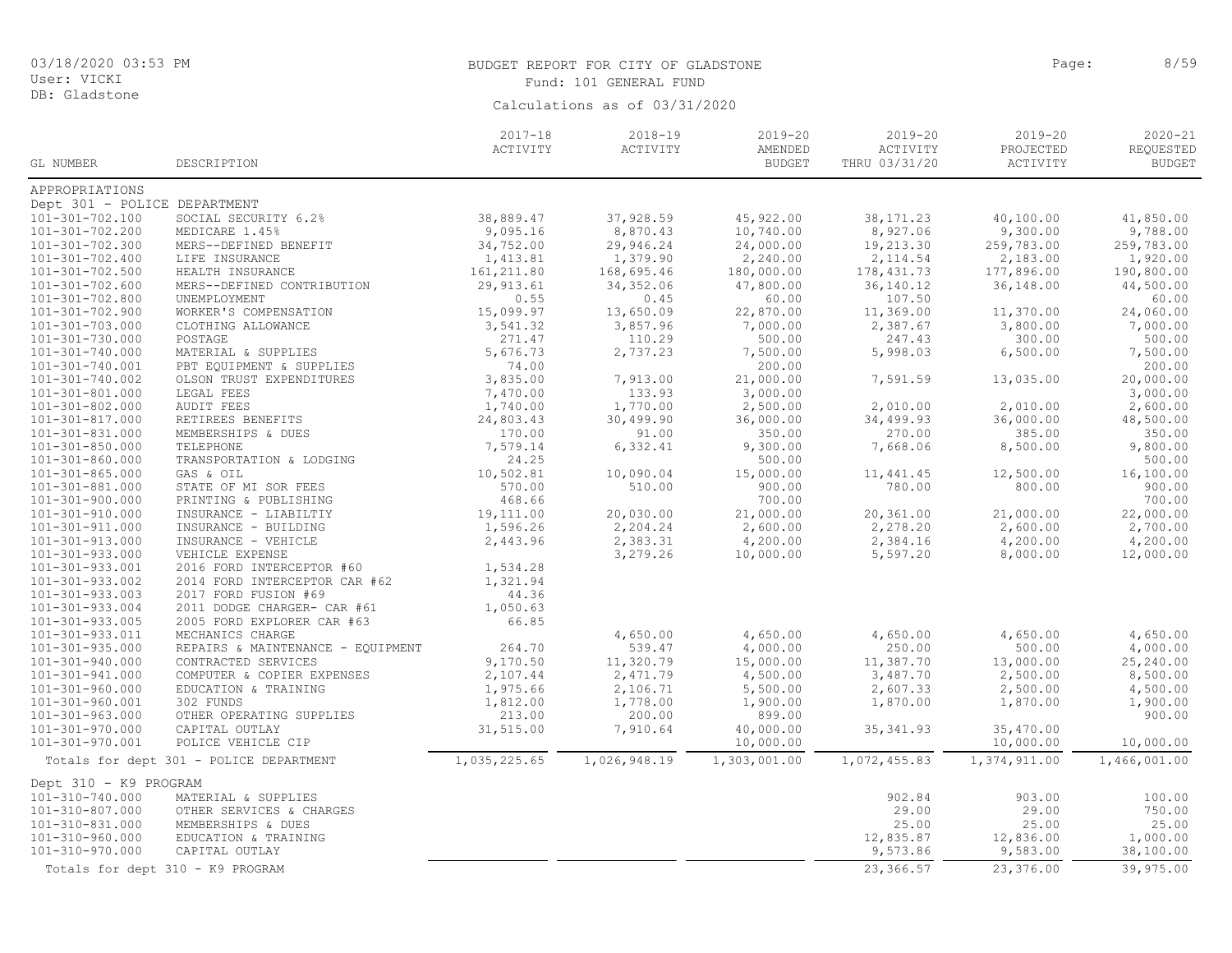DB: Gladstone

# BUDGET REPORT FOR CITY OF GLADSTONE **Page:** 8/59 Fund: 101 GENERAL FUND

|                              |                                         | $2017 - 18$<br>ACTIVITY | $2018 - 19$<br>ACTIVITY | $2019 - 20$<br>AMENDED | $2019 - 20$<br>ACTIVITY | 2019-20<br>PROJECTED | $2020 - 21$<br>REQUESTED |
|------------------------------|-----------------------------------------|-------------------------|-------------------------|------------------------|-------------------------|----------------------|--------------------------|
| GL NUMBER                    | DESCRIPTION                             |                         |                         | <b>BUDGET</b>          | THRU 03/31/20           | ACTIVITY             | <b>BUDGET</b>            |
| APPROPRIATIONS               |                                         |                         |                         |                        |                         |                      |                          |
| Dept 301 - POLICE DEPARTMENT |                                         |                         |                         |                        |                         |                      |                          |
| 101-301-702.100              | SOCIAL SECURITY 6.2%                    | 38,889.47               | 37,928.59               | 45,922.00              | 38, 171.23              | 40,100.00            | 41,850.00                |
| 101-301-702.200              | MEDICARE 1.45%                          | 9,095.16                | 8,870.43                | 10,740.00              | 8,927.06                | 9,300.00             | 9,788.00                 |
| 101-301-702.300              | MERS--DEFINED BENEFIT                   | 34,752.00               | 29,946.24               | 24,000.00              | 19,213.30               | 259,783.00           | 259,783.00               |
| 101-301-702.400              | LIFE INSURANCE                          | 1,413.81                | 1,379.90                | 2,240.00               | 2, 114.54               | 2,183.00             | 1,920.00                 |
| 101-301-702.500              | HEALTH INSURANCE                        | 161, 211.80             | 168,695.46              | 180,000.00             | 178, 431.73             | 177,896.00           | 190,800.00               |
| 101-301-702.600              | MERS--DEFINED CONTRIBUTION              | 29, 913.61              | 34, 352.06              | 47,800.00              | 36, 140. 12             | 36,148.00            | 44,500.00                |
| 101-301-702.800              | UNEMPLOYMENT                            | 0.55                    | 0.45                    | 60.00                  | 107.50                  |                      | 60.00                    |
| 101-301-702.900              | WORKER'S COMPENSATION                   | 15,099.97               | 13,650.09               | 22,870.00              | 11,369.00               | 11,370.00            | 24,060.00                |
| 101-301-703.000              | CLOTHING ALLOWANCE                      | 3,541.32                | 3,857.96                | 7,000.00               | 2,387.67                | 3,800.00             | 7,000.00                 |
| 101-301-730.000              | POSTAGE                                 | 271.47                  | 110.29                  | 500.00                 | 247.43                  | 300.00               | 500.00                   |
| 101-301-740.000              | MATERIAL & SUPPLIES                     | 5,676.73                | 2,737.23                | 7,500.00               | 5,998.03                | 6,500.00             | 7,500.00                 |
| 101-301-740.001              | PBT EQUIPMENT & SUPPLIES                | 74.00                   |                         | 200.00                 |                         |                      | 200.00                   |
| 101-301-740.002              | OLSON TRUST EXPENDITURES                | 3,835.00                | 7,913.00                | 21,000.00              | 7,591.59                | 13,035.00            | 20,000.00                |
| 101-301-801.000              | LEGAL FEES                              | 7,470.00                | 133.93                  | 3,000.00               |                         |                      | 3,000.00                 |
| 101-301-802.000              | <b>AUDIT FEES</b>                       | 1,740.00                | 1,770.00                | 2,500.00               | 2,010.00                | 2,010.00             | 2,600.00                 |
| 101-301-817.000              | RETIREES BENEFITS                       | 24,803.43               | 30,499.90               | 36,000.00              | 34,499.93               | 36,000.00            | 48,500.00                |
| 101-301-831.000              | MEMBERSHIPS & DUES                      | 170.00                  | 91.00                   | 350.00                 | 270.00                  | 385.00               | 350.00                   |
| 101-301-850.000              | TELEPHONE                               | 7,579.14                | 6,332.41                | 9,300.00               | 7,668.06                | 8,500.00             | 9,800.00                 |
| 101-301-860.000              | TRANSPORTATION & LODGING                | 24.25                   |                         | 500.00                 |                         |                      | 500.00                   |
| $101 - 301 - 865.000$        | GAS & OIL                               | 10,502.81               | 10,090.04               | 15,000.00              | 11,441.45               | 12,500.00            | 16,100.00                |
| 101-301-881.000              | STATE OF MI SOR FEES                    | 570.00                  | 510.00                  | 900.00                 | 780.00                  | 800.00               | 900.00                   |
| 101-301-900.000              | PRINTING & PUBLISHING                   | 468.66                  |                         | 700.00                 |                         |                      | 700.00                   |
| 101-301-910.000              | INSURANCE - LIABILTIY                   | 19,111.00               | 20,030.00               | 21,000.00              | 20,361.00               | 21,000.00            | 22,000.00                |
| 101-301-911.000              | INSURANCE - BUILDING                    | 1,596.26                | 2,204.24                | 2,600.00               | 2,278.20                | 2,600.00             | 2,700.00                 |
| 101-301-913.000              | INSURANCE - VEHICLE                     | 2,443.96                | 2,383.31                | 4,200.00               | 2,384.16                | 4,200.00             | 4,200.00                 |
| 101-301-933.000              | VEHICLE EXPENSE                         |                         | 3,279.26                | 10,000.00              | 5,597.20                | 8,000.00             | 12,000.00                |
| 101-301-933.001              | 2016 FORD INTERCEPTOR #60               | 1,534.28                |                         |                        |                         |                      |                          |
| 101-301-933.002              | 2014 FORD INTERCEPTOR CAR #62           | 1,321.94                |                         |                        |                         |                      |                          |
| 101-301-933.003              | 2017 FORD FUSION #69                    | 44.36                   |                         |                        |                         |                      |                          |
| 101-301-933.004              | 2011 DODGE CHARGER- CAR #61             | 1,050.63                |                         |                        |                         |                      |                          |
| 101-301-933.005              | 2005 FORD EXPLORER CAR #63              | 66.85                   |                         |                        |                         |                      |                          |
| 101-301-933.011              | MECHANICS CHARGE                        |                         | 4,650.00                | 4,650.00               | 4,650.00                | 4,650.00             | 4,650.00                 |
| 101-301-935.000              | REPAIRS & MAINTENANCE - EQUIPMENT       | 264.70                  | 539.47                  | 4,000.00               | 250.00                  | 500.00               | 4,000.00                 |
| 101-301-940.000              | CONTRACTED SERVICES                     | 9,170.50                | 11,320.79               | 15,000.00              | 11,387.70               | 13,000.00            | 25,240.00                |
| 101-301-941.000              | COMPUTER & COPIER EXPENSES              | 2,107.44                | 2,471.79                | 4,500.00               | 3,487.70                | 2,500.00             | 8,500.00                 |
| 101-301-960.000              | EDUCATION & TRAINING                    | 1,975.66                | 2,106.71                | 5,500.00               | 2,607.33                | 2,500.00             | 4,500.00                 |
| 101-301-960.001              | 302 FUNDS                               | 1,812.00                | 1,778.00                | 1,900.00               | 1,870.00                | 1,870.00             | 1,900.00                 |
| 101-301-963.000              | OTHER OPERATING SUPPLIES                | 213.00                  | 200.00                  | 899.00                 |                         |                      | 900.00                   |
| 101-301-970.000              | CAPITAL OUTLAY                          | 31,515.00               | 7,910.64                | 40,000.00              | 35, 341.93              | 35,470.00            |                          |
| 101-301-970.001              | POLICE VEHICLE CIP                      |                         |                         | 10,000.00              |                         | 10,000.00            | 10,000.00                |
|                              | Totals for dept 301 - POLICE DEPARTMENT | 1,035,225.65            | 1,026,948.19            | 1,303,001.00           | 1,072,455.83            | 1,374,911.00         | 1,466,001.00             |
| Dept 310 - K9 PROGRAM        |                                         |                         |                         |                        |                         |                      |                          |
| 101-310-740.000              | MATERIAL & SUPPLIES                     |                         |                         |                        | 902.84                  | 903.00               | 100.00                   |
| 101-310-807.000              | OTHER SERVICES & CHARGES                |                         |                         |                        | 29.00                   | 29.00                | 750.00                   |
| 101-310-831.000              | MEMBERSHIPS & DUES                      |                         |                         |                        | 25.00                   | 25.00                | 25.00                    |
| 101-310-960.000              | EDUCATION & TRAINING                    |                         |                         |                        | 12,835.87               | 12,836.00            | 1,000.00                 |
| 101-310-970.000              | CAPITAL OUTLAY                          |                         |                         |                        | 9,573.86                | 9,583.00             | 38,100.00                |
|                              | Totals for dept 310 - K9 PROGRAM        |                         |                         |                        | 23,366.57               | 23,376.00            | 39,975.00                |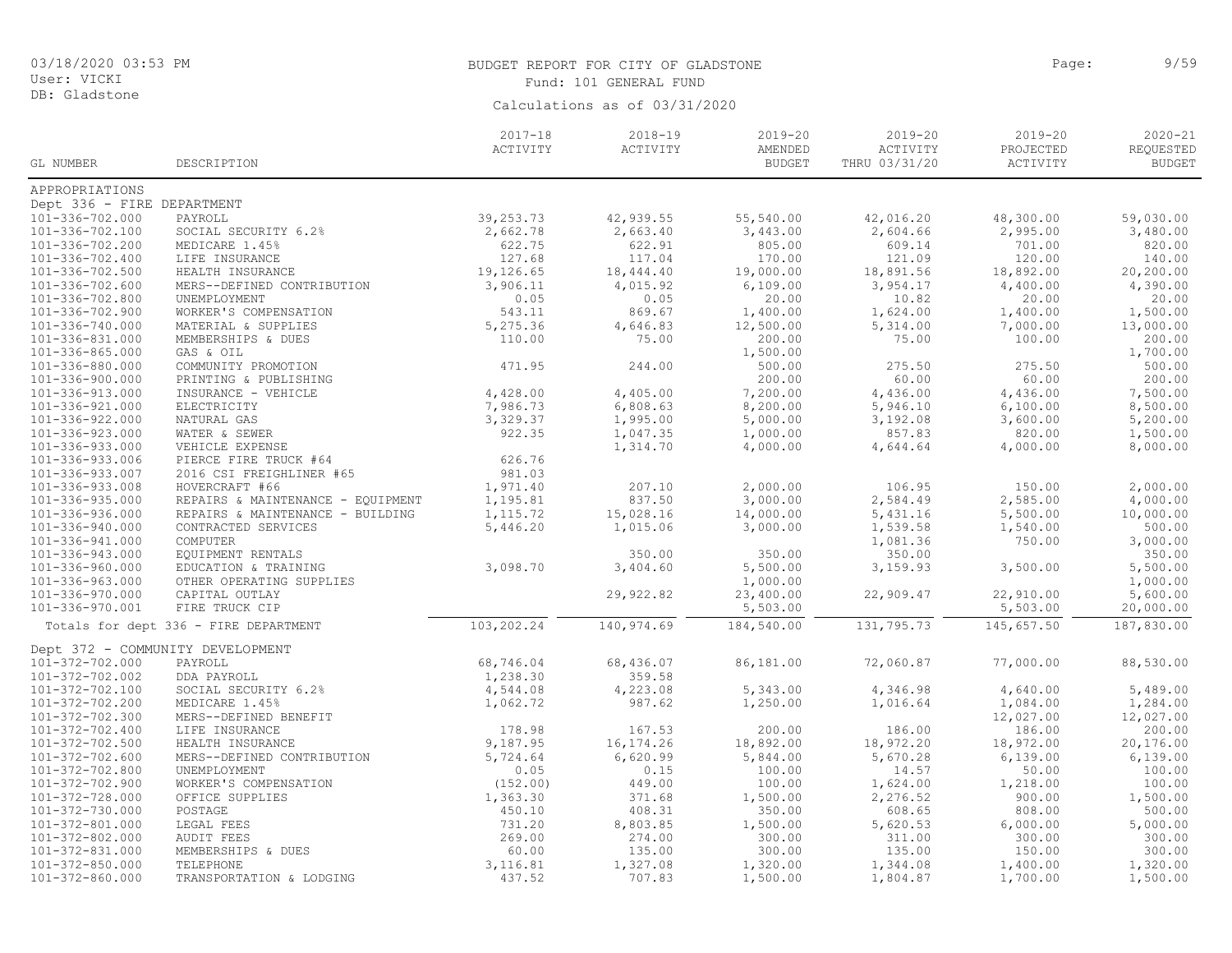DB: Gladstone

# BUDGET REPORT FOR CITY OF GLADSTONE **Page:** 9/59 Fund: 101 GENERAL FUND

|                                  |                                       | $2017 - 18$ | $2018 - 19$ | $2019 - 20$   | $2019 - 20$   | $2019 - 20$ | $2020 - 21$   |
|----------------------------------|---------------------------------------|-------------|-------------|---------------|---------------|-------------|---------------|
|                                  |                                       | ACTIVITY    | ACTIVITY    | AMENDED       | ACTIVITY      | PROJECTED   | REQUESTED     |
| GL NUMBER                        | DESCRIPTION                           |             |             | <b>BUDGET</b> | THRU 03/31/20 | ACTIVITY    | <b>BUDGET</b> |
| APPROPRIATIONS                   |                                       |             |             |               |               |             |               |
| Dept 336 - FIRE DEPARTMENT       |                                       |             |             |               |               |             |               |
| 101-336-702.000                  | PAYROLL                               | 39, 253. 73 | 42,939.55   | 55,540.00     | 42,016.20     | 48,300.00   | 59,030.00     |
| 101-336-702.100                  | SOCIAL SECURITY 6.2%                  | 2,662.78    | 2,663.40    | 3,443.00      | 2,604.66      | 2,995.00    | 3,480.00      |
| 101-336-702.200                  | MEDICARE 1.45%                        | 622.75      | 622.91      | 805.00        | 609.14        | 701.00      | 820.00        |
| 101-336-702.400                  | LIFE INSURANCE                        | 127.68      | 117.04      | 170.00        | 121.09        | 120.00      | 140.00        |
| 101-336-702.500                  | HEALTH INSURANCE                      | 19,126.65   | 18,444.40   | 19,000.00     | 18,891.56     | 18,892.00   | 20,200.00     |
| $101 - 336 - 702.600$            | MERS--DEFINED CONTRIBUTION            | 3,906.11    | 4,015.92    | 6,109.00      | 3,954.17      | 4,400.00    | 4,390.00      |
| 101-336-702.800                  | UNEMPLOYMENT                          | 0.05        | 0.05        | 20.00         | 10.82         | 20.00       | 20.00         |
| 101-336-702.900                  | WORKER'S COMPENSATION                 | 543.11      | 869.67      | 1,400.00      | 1,624.00      | 1,400.00    | 1,500.00      |
| 101-336-740.000                  | MATERIAL & SUPPLIES                   | 5,275.36    | 4,646.83    | 12,500.00     | 5,314.00      | 7,000.00    | 13,000.00     |
| 101-336-831.000                  | MEMBERSHIPS & DUES                    | 110.00      | 75.00       | 200.00        | 75.00         | 100.00      | 200.00        |
| 101-336-865.000                  | GAS & OIL                             |             |             | 1,500.00      |               |             | 1,700.00      |
| 101-336-880.000                  | COMMUNITY PROMOTION                   | 471.95      | 244.00      | 500.00        | 275.50        | 275.50      | 500.00        |
| 101-336-900.000                  | PRINTING & PUBLISHING                 |             |             | 200.00        | 60.00         | 60.00       | 200.00        |
| 101-336-913.000                  | INSURANCE - VEHICLE                   | 4,428.00    | 4,405.00    | 7,200.00      | 4,436.00      | 4,436.00    | 7,500.00      |
| 101-336-921.000                  | ELECTRICITY                           | 7,986.73    | 6,808.63    | 8,200.00      | 5,946.10      | 6,100.00    | 8,500.00      |
| 101-336-922.000                  | NATURAL GAS                           | 3,329.37    | 1,995.00    | 5,000.00      | 3,192.08      | 3,600.00    | 5,200.00      |
| 101-336-923.000                  | WATER & SEWER                         | 922.35      | 1,047.35    | 1,000.00      | 857.83        | 820.00      | 1,500.00      |
| 101-336-933.000                  | VEHICLE EXPENSE                       |             | 1,314.70    | 4,000.00      | 4,644.64      | 4,000.00    | 8,000.00      |
| 101-336-933.006                  | PIERCE FIRE TRUCK #64                 | 626.76      |             |               |               |             |               |
| 101-336-933.007                  | 2016 CSI FREIGHLINER #65              | 981.03      |             |               |               |             |               |
| 101-336-933.008                  | HOVERCRAFT #66                        | 1,971.40    | 207.10      | 2,000.00      | 106.95        | 150.00      | 2,000.00      |
| 101-336-935.000                  | REPAIRS & MAINTENANCE - EQUIPMENT     | 1,195.81    | 837.50      | 3,000.00      | 2,584.49      | 2,585.00    | 4,000.00      |
| 101-336-936.000                  | REPAIRS & MAINTENANCE - BUILDING      | 1, 115.72   | 15,028.16   | 14,000.00     | 5,431.16      | 5,500.00    | 10,000.00     |
| 101-336-940.000                  | CONTRACTED SERVICES                   | 5,446.20    | 1,015.06    | 3,000.00      | 1,539.58      | 1,540.00    | 500.00        |
| 101-336-941.000                  | COMPUTER                              |             |             |               | 1,081.36      | 750.00      | 3,000.00      |
| 101-336-943.000                  | EQUIPMENT RENTALS                     |             | 350.00      | 350.00        | 350.00        |             | 350.00        |
| 101-336-960.000                  | EDUCATION & TRAINING                  | 3,098.70    | 3,404.60    | 5,500.00      | 3,159.93      | 3,500.00    | 5,500.00      |
| 101-336-963.000                  | OTHER OPERATING SUPPLIES              |             |             | 1,000.00      |               |             | 1,000.00      |
| 101-336-970.000                  | CAPITAL OUTLAY                        |             | 29,922.82   | 23,400.00     | 22,909.47     | 22,910.00   | 5,600.00      |
| 101-336-970.001                  | FIRE TRUCK CIP                        |             |             | 5,503.00      |               | 5,503.00    | 20,000.00     |
|                                  | Totals for dept 336 - FIRE DEPARTMENT | 103,202.24  | 140,974.69  | 184,540.00    | 131,795.73    | 145,657.50  | 187,830.00    |
| Dept 372 - COMMUNITY DEVELOPMENT |                                       |             |             |               |               |             |               |
| 101-372-702.000                  | PAYROLL                               | 68,746.04   | 68,436.07   | 86,181.00     | 72,060.87     | 77,000.00   | 88,530.00     |
| 101-372-702.002                  | DDA PAYROLL                           | 1,238.30    | 359.58      |               |               |             |               |
| 101-372-702.100                  | SOCIAL SECURITY 6.2%                  | 4,544.08    | 4,223.08    | 5,343.00      | 4,346.98      | 4,640.00    | 5,489.00      |
| 101-372-702.200                  | MEDICARE 1.45%                        | 1,062.72    | 987.62      | 1,250.00      | 1,016.64      | 1,084.00    | 1,284.00      |
| 101-372-702.300                  | MERS--DEFINED BENEFIT                 |             |             |               |               | 12,027.00   | 12,027.00     |
| 101-372-702.400                  | LIFE INSURANCE                        | 178.98      | 167.53      | 200.00        | 186.00        | 186.00      | 200.00        |
| 101-372-702.500                  | HEALTH INSURANCE                      | 9,187.95    | 16, 174.26  | 18,892.00     | 18,972.20     | 18,972.00   | 20,176.00     |
| 101-372-702.600                  | MERS--DEFINED CONTRIBUTION            | 5,724.64    | 6,620.99    | 5,844.00      | 5,670.28      | 6, 139.00   | 6, 139.00     |
| 101-372-702.800                  | UNEMPLOYMENT                          | 0.05        | 0.15        | 100.00        | 14.57         | 50.00       | 100.00        |
| 101-372-702.900                  | WORKER'S COMPENSATION                 | (152.00)    | 449.00      | 100.00        | 1,624.00      | 1,218.00    | 100.00        |
| 101-372-728.000                  | OFFICE SUPPLIES                       | 1,363.30    | 371.68      | 1,500.00      | 2,276.52      | 900.00      | 1,500.00      |
| 101-372-730.000                  | POSTAGE                               | 450.10      | 408.31      | 350.00        | 608.65        | 808.00      | 500.00        |
| 101-372-801.000                  | LEGAL FEES                            | 731.20      | 8,803.85    | 1,500.00      | 5,620.53      | 6,000.00    | 5,000.00      |
| 101-372-802.000                  | <b>AUDIT FEES</b>                     | 269.00      | 274.00      | 300.00        | 311.00        | 300.00      | 300.00        |
| 101-372-831.000                  | MEMBERSHIPS & DUES                    | 60.00       | 135.00      | 300.00        | 135.00        | 150.00      | 300.00        |
| $101 - 372 - 850.000$            | TELEPHONE                             | 3,116.81    | 1,327.08    | 1,320.00      | 1,344.08      | 1,400.00    | 1,320.00      |
| 101-372-860.000                  | TRANSPORTATION & LODGING              | 437.52      | 707.83      | 1,500.00      | 1,804.87      | 1,700.00    | 1,500.00      |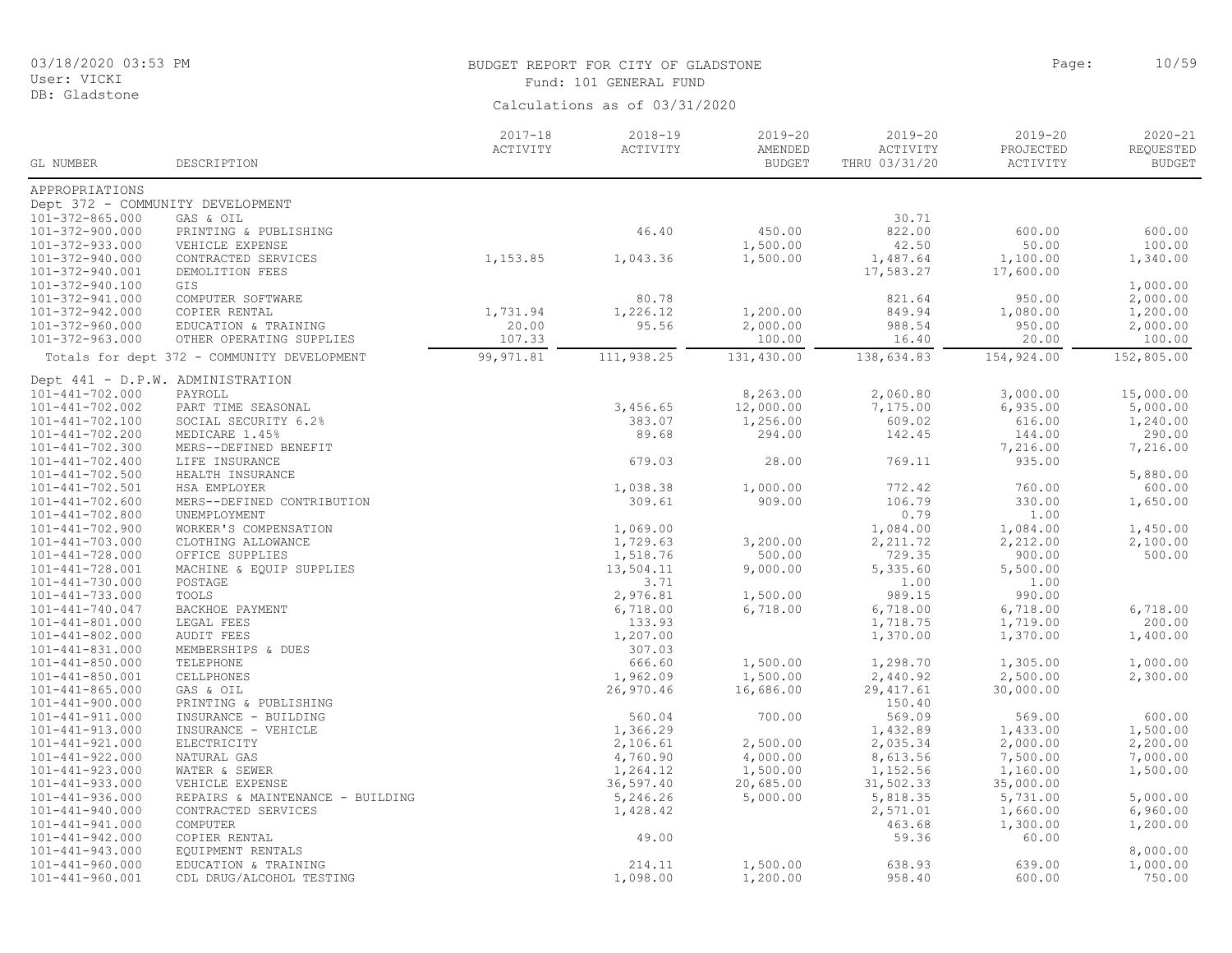DB: Gladstone

# BUDGET REPORT FOR CITY OF GLADSTONE **Page:** 10/59 Fund: 101 GENERAL FUND

| Calculations as of 03/31/2020 |  |  |
|-------------------------------|--|--|
|                               |  |  |

|                                                |                                                     | $2017 - 18$ | $2018 - 19$          | $2019 - 20$   | $2019 - 20$          | $2019 - 20$           | $2020 - 21$          |
|------------------------------------------------|-----------------------------------------------------|-------------|----------------------|---------------|----------------------|-----------------------|----------------------|
|                                                |                                                     | ACTIVITY    | ACTIVITY             | AMENDED       | ACTIVITY             | PROJECTED             | REQUESTED            |
| GL NUMBER                                      | DESCRIPTION                                         |             |                      | <b>BUDGET</b> | THRU 03/31/20        | ACTIVITY              | <b>BUDGET</b>        |
| APPROPRIATIONS                                 |                                                     |             |                      |               |                      |                       |                      |
|                                                | Dept 372 - COMMUNITY DEVELOPMENT                    |             |                      |               |                      |                       |                      |
| $101 - 372 - 865.000$                          | GAS & OIL                                           |             |                      |               | 30.71                |                       |                      |
| 101-372-900.000                                | PRINTING & PUBLISHING                               |             | 46.40                | 450.00        | 822.00               | 600.00                | 600.00               |
| 101-372-933.000                                | VEHICLE EXPENSE                                     |             |                      | 1,500.00      | 42.50                | 50.00                 | 100.00               |
| 101-372-940.000                                | CONTRACTED SERVICES                                 | 1,153.85    | 1,043.36             | 1,500.00      | 1,487.64             | 1,100.00              | 1,340.00             |
| 101-372-940.001                                | DEMOLITION FEES                                     |             |                      |               | 17,583.27            | 17,600.00             |                      |
| 101-372-940.100                                | GIS                                                 |             |                      |               |                      |                       | 1,000.00             |
| 101-372-941.000                                | COMPUTER SOFTWARE                                   |             | 80.78                |               | 821.64               | 950.00                | 2,000.00             |
| 101-372-942.000                                | COPIER RENTAL                                       | 1,731.94    | 1,226.12             | 1,200.00      | 849.94               | 1,080.00              | 1,200.00             |
| 101-372-960.000                                | EDUCATION & TRAINING                                | 20.00       | 95.56                | 2,000.00      | 988.54               | 950.00                | 2,000.00             |
| 101-372-963.000                                | OTHER OPERATING SUPPLIES                            | 107.33      |                      | 100.00        | 16.40                | 20.00                 | 100.00               |
|                                                | Totals for dept 372 - COMMUNITY DEVELOPMENT         | 99, 971.81  | 111,938.25           | 131,430.00    | 138,634.83           | 154,924.00            | 152,805.00           |
|                                                | Dept 441 - D.P.W. ADMINISTRATION                    |             |                      |               |                      |                       |                      |
| 101-441-702.000                                | PAYROLL                                             |             |                      | 8,263.00      | 2,060.80             | 3,000.00              | 15,000.00            |
| $101 - 441 - 702.002$                          | PART TIME SEASONAL                                  |             | 3,456.65             | 12,000.00     | 7,175.00             | 6,935.00              | 5,000.00             |
| 101-441-702.100                                | SOCIAL SECURITY 6.2%                                |             | 383.07               | 1,256.00      | 609.02               | 616.00                | 1,240.00             |
| 101-441-702.200                                | MEDICARE 1.45%                                      |             | 89.68                | 294.00        | 142.45               | 144.00                | 290.00               |
| $101 - 441 - 702.300$                          | MERS--DEFINED BENEFIT                               |             |                      |               |                      | 7,216.00              | 7,216.00             |
| $101 - 441 - 702.400$                          | LIFE INSURANCE                                      |             | 679.03               | 28.00         | 769.11               | 935.00                |                      |
| $101 - 441 - 702.500$                          | HEALTH INSURANCE                                    |             |                      |               |                      |                       | 5,880.00             |
| $101 - 441 - 702.501$                          | HSA EMPLOYER                                        |             | 1,038.38             | 1,000.00      | 772.42               | 760.00                | 600.00               |
| $101 - 441 - 702.600$                          | MERS--DEFINED CONTRIBUTION                          |             | 309.61               | 909.00        | 106.79               | 330.00                | 1,650.00             |
| 101-441-702.800                                | UNEMPLOYMENT                                        |             |                      |               | 0.79                 | 1.00                  |                      |
| $101 - 441 - 702.900$                          | WORKER'S COMPENSATION                               |             | 1,069.00             |               | 1,084.00             | 1,084.00              | 1,450.00             |
| $101 - 441 - 703.000$                          | CLOTHING ALLOWANCE                                  |             | 1,729.63             | 3,200.00      | 2, 211.72            | 2,212.00              | 2,100.00             |
| $101 - 441 - 728.000$                          | OFFICE SUPPLIES                                     |             | 1,518.76             | 500.00        | 729.35               | 900.00                | 500.00               |
| $101 - 441 - 728.001$                          | MACHINE & EQUIP SUPPLIES                            |             | 13,504.11            | 9,000.00      | 5,335.60             | 5,500.00              |                      |
| $101 - 441 - 730.000$                          | POSTAGE                                             |             | 3.71                 |               | 1.00                 | 1.00                  |                      |
| $101 - 441 - 733.000$                          | TOOLS                                               |             | 2,976.81             | 1,500.00      | 989.15               | 990.00                |                      |
| $101 - 441 - 740.047$                          | BACKHOE PAYMENT                                     |             | 6,718.00             | 6,718.00      | 6,718.00             | 6,718.00              | 6,718.00             |
| $101 - 441 - 801.000$                          | LEGAL FEES                                          |             | 133.93               |               | 1,718.75             | 1,719.00              | 200.00               |
| $101 - 441 - 802.000$                          | <b>AUDIT FEES</b>                                   |             | 1,207.00             |               | 1,370.00             | 1,370.00              | 1,400.00             |
| $101 - 441 - 831.000$                          | MEMBERSHIPS & DUES                                  |             | 307.03               |               |                      |                       |                      |
| $101 - 441 - 850.000$                          | TELEPHONE                                           |             | 666.60               | 1,500.00      | 1,298.70             | 1,305.00              | 1,000.00             |
| $101 - 441 - 850.001$                          | CELLPHONES                                          |             | 1,962.09             | 1,500.00      | 2,440.92             | 2,500.00              | 2,300.00             |
| $101 - 441 - 865.000$                          | GAS & OIL                                           |             | 26,970.46            | 16,686.00     | 29, 417.61           | 30,000.00             |                      |
| $101 - 441 - 900.000$                          | PRINTING & PUBLISHING                               |             |                      |               | 150.40               |                       |                      |
| $101 - 441 - 911.000$                          | INSURANCE - BUILDING                                |             | 560.04               | 700.00        | 569.09               | 569.00                | 600.00               |
| $101 - 441 - 913.000$                          | INSURANCE - VEHICLE                                 |             | 1,366.29             |               | 1,432.89             | 1,433.00              | 1,500.00             |
| $101 - 441 - 921.000$                          | ELECTRICITY                                         |             | 2,106.61             | 2,500.00      | 2,035.34             | 2,000.00              | 2,200.00<br>7,000.00 |
| $101 - 441 - 922.000$<br>$101 - 441 - 923.000$ | NATURAL GAS                                         |             | 4,760.90             | 4,000.00      | 8,613.56             | 7,500.00              |                      |
|                                                | WATER & SEWER                                       |             | 1,264.12             | 1,500.00      | 1,152.56             | 1,160.00              | 1,500.00             |
| $101 - 441 - 933.000$<br>$101 - 441 - 936.000$ | VEHICLE EXPENSE<br>REPAIRS & MAINTENANCE - BUILDING |             | 36,597.40            | 20,685.00     | 31,502.33            | 35,000.00<br>5,731.00 | 5,000.00             |
| $101 - 441 - 940.000$                          | CONTRACTED SERVICES                                 |             | 5,246.26<br>1,428.42 | 5,000.00      | 5,818.35<br>2,571.01 | 1,660.00              | 6,960.00             |
| $101 - 441 - 941.000$                          | COMPUTER                                            |             |                      |               | 463.68               | 1,300.00              | 1,200.00             |
| $101 - 441 - 942.000$                          | COPIER RENTAL                                       |             | 49.00                |               | 59.36                | 60.00                 |                      |
| $101 - 441 - 943.000$                          | EQUIPMENT RENTALS                                   |             |                      |               |                      |                       | 8,000.00             |
| $101 - 441 - 960.000$                          | EDUCATION & TRAINING                                |             | 214.11               | 1,500.00      | 638.93               | 639.00                | 1,000.00             |
| $101 - 441 - 960.001$                          | CDL DRUG/ALCOHOL TESTING                            |             | 1,098.00             | 1,200.00      | 958.40               | 600.00                | 750.00               |
|                                                |                                                     |             |                      |               |                      |                       |                      |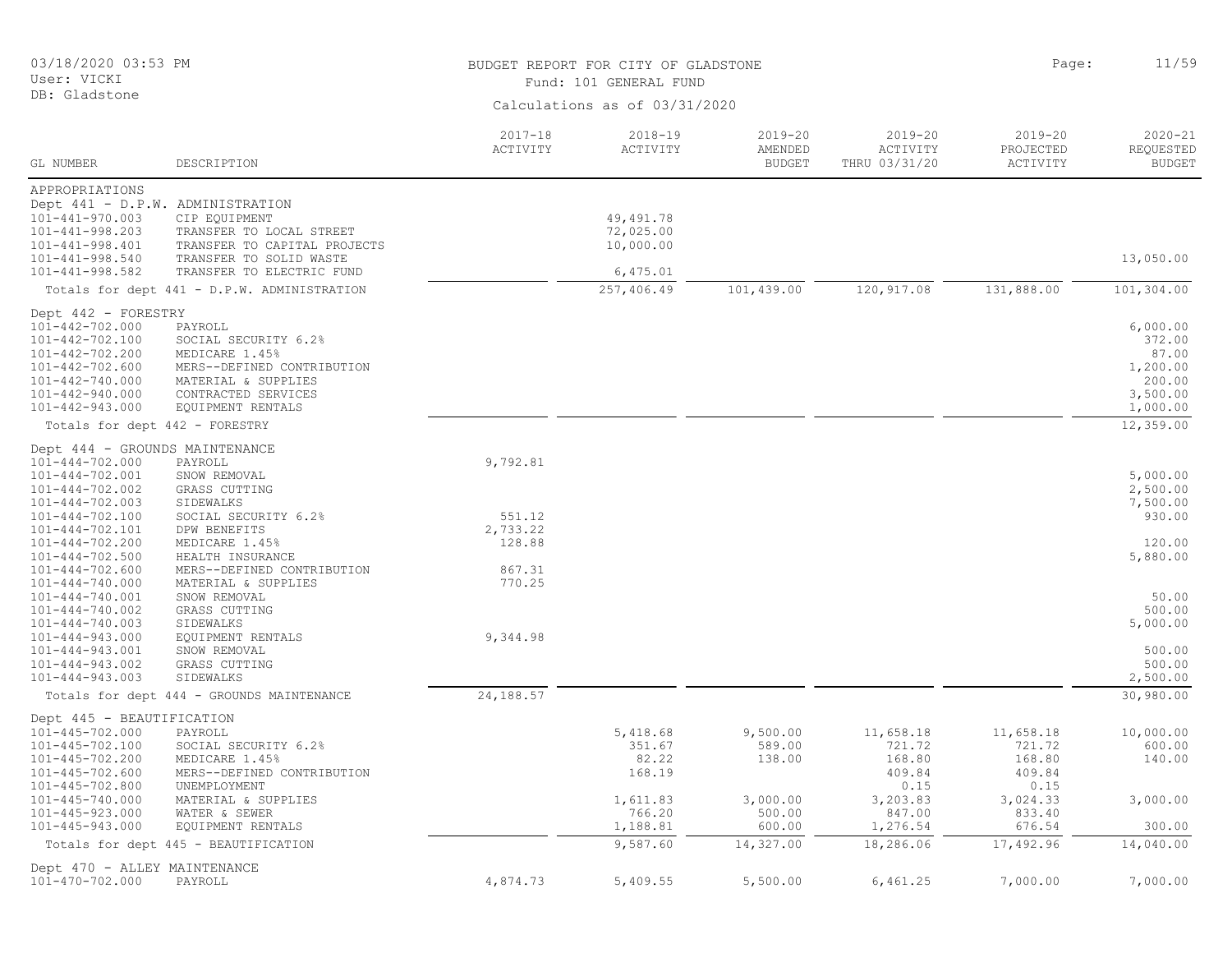| 03/18/2020 03:53 PM<br>User: VICKI                                                                                                                                   |                                                                                                                                                    | BUDGET REPORT FOR CITY OF GLADSTONE<br>Fund: 101 GENERAL FUND |                                       |                                         |                                          |                                         | 11/59                                                                     |
|----------------------------------------------------------------------------------------------------------------------------------------------------------------------|----------------------------------------------------------------------------------------------------------------------------------------------------|---------------------------------------------------------------|---------------------------------------|-----------------------------------------|------------------------------------------|-----------------------------------------|---------------------------------------------------------------------------|
| DB: Gladstone                                                                                                                                                        |                                                                                                                                                    |                                                               | Calculations as of 03/31/2020         |                                         |                                          |                                         |                                                                           |
| GL NUMBER                                                                                                                                                            | DESCRIPTION                                                                                                                                        | $2017 - 18$<br>ACTIVITY                                       | 2018-19<br>ACTIVITY                   | $2019 - 20$<br>AMENDED<br><b>BUDGET</b> | $2019 - 20$<br>ACTIVITY<br>THRU 03/31/20 | $2019 - 20$<br>PROJECTED<br>ACTIVITY    | $2020 - 21$<br>REQUESTED<br><b>BUDGET</b>                                 |
| APPROPRIATIONS                                                                                                                                                       |                                                                                                                                                    |                                                               |                                       |                                         |                                          |                                         |                                                                           |
| $101 - 441 - 970.003$<br>$101 - 441 - 998.203$<br>$101 - 441 - 998.401$<br>101-441-998.540                                                                           | Dept 441 - D.P.W. ADMINISTRATION<br>CIP EQUIPMENT<br>TRANSFER TO LOCAL STREET<br>TRANSFER TO CAPITAL PROJECTS<br>TRANSFER TO SOLID WASTE           |                                                               | 49, 491.78<br>72,025.00<br>10,000.00  |                                         |                                          |                                         | 13,050.00                                                                 |
| 101-441-998.582                                                                                                                                                      | TRANSFER TO ELECTRIC FUND                                                                                                                          |                                                               | 6,475.01<br>257,406.49                | 101,439.00                              | 120, 917.08                              | 131,888.00                              | 101,304.00                                                                |
|                                                                                                                                                                      | Totals for dept 441 - D.P.W. ADMINISTRATION                                                                                                        |                                                               |                                       |                                         |                                          |                                         |                                                                           |
| Dept 442 - FORESTRY<br>101-442-702.000<br>101-442-702.100<br>101-442-702.200<br>$101 - 442 - 702.600$<br>101-442-740.000<br>101-442-940.000<br>$101 - 442 - 943.000$ | PAYROLL<br>SOCIAL SECURITY 6.2%<br>MEDICARE 1.45%<br>MERS--DEFINED CONTRIBUTION<br>MATERIAL & SUPPLIES<br>CONTRACTED SERVICES<br>EQUIPMENT RENTALS |                                                               |                                       |                                         |                                          |                                         | 6,000.00<br>372.00<br>87.00<br>1,200.00<br>200.00<br>3,500.00<br>1,000.00 |
| Totals for dept 442 - FORESTRY                                                                                                                                       |                                                                                                                                                    |                                                               |                                       |                                         |                                          |                                         | 12,359.00                                                                 |
| Dept 444 - GROUNDS MAINTENANCE<br>$101 - 444 - 702.000$<br>$101 - 444 - 702.001$<br>$101 - 444 - 702.002$<br>101-444-702.003                                         | PAYROLL<br>SNOW REMOVAL<br>GRASS CUTTING<br>SIDEWALKS                                                                                              | 9,792.81                                                      |                                       |                                         |                                          |                                         | 5,000.00<br>2,500.00<br>7,500.00                                          |
| 101-444-702.100<br>101-444-702.101<br>$101 - 444 - 702.200$                                                                                                          | SOCIAL SECURITY 6.2%<br>DPW BENEFITS<br>MEDICARE 1.45%                                                                                             | 551.12<br>2,733.22<br>128.88                                  |                                       |                                         |                                          |                                         | 930.00<br>120.00                                                          |
| $101 - 444 - 702.500$<br>$101 - 444 - 702.600$<br>$101 - 444 - 740.000$                                                                                              | HEALTH INSURANCE<br>MERS--DEFINED CONTRIBUTION<br>MATERIAL & SUPPLIES                                                                              | 867.31<br>770.25                                              |                                       |                                         |                                          |                                         | 5,880.00                                                                  |
| 101-444-740.001<br>$101 - 444 - 740.002$<br>101-444-740.003<br>$101 - 444 - 943.000$                                                                                 | SNOW REMOVAL<br>GRASS CUTTING<br>SIDEWALKS<br>EQUIPMENT RENTALS                                                                                    | 9,344.98                                                      |                                       |                                         |                                          |                                         | 50.00<br>500.00<br>5,000.00                                               |
| 101-444-943.001<br>$101 - 444 - 943.002$<br>$101 - 444 - 943.003$                                                                                                    | SNOW REMOVAL<br>GRASS CUTTING<br>SIDEWALKS                                                                                                         |                                                               |                                       |                                         |                                          |                                         | 500.00<br>500.00<br>2,500.00                                              |
|                                                                                                                                                                      | Totals for dept 444 - GROUNDS MAINTENANCE                                                                                                          | 24,188.57                                                     |                                       |                                         |                                          |                                         | 30,980.00                                                                 |
| Dept 445 - BEAUTIFICATION<br>101-445-702.000<br>101-445-702.100<br>$101 - 445 - 702.200$<br>$101 - 445 - 702.600$                                                    | PAYROLL<br>SOCIAL SECURITY 6.2%<br>MEDICARE 1.45%<br>MERS--DEFINED CONTRIBUTION                                                                    |                                                               | 5,418.68<br>351.67<br>82.22<br>168.19 | 9,500.00<br>589.00<br>138.00            | 11,658.18<br>721.72<br>168.80<br>409.84  | 11,658.18<br>721.72<br>168.80<br>409.84 | 10,000.00<br>600.00<br>140.00                                             |
| $101 - 445 - 702.800$<br>$101 - 445 - 740.000$<br>$101 - 445 - 923.000$<br>$101 - 445 - 943.000$                                                                     | UNEMPLOYMENT<br>MATERIAL & SUPPLIES<br>WATER & SEWER<br>EQUIPMENT RENTALS                                                                          |                                                               | 1,611.83<br>766.20<br>1,188.81        | 3,000.00<br>500.00<br>600.00            | 0.15<br>3,203.83<br>847.00<br>1,276.54   | 0.15<br>3,024.33<br>833.40<br>676.54    | 3,000.00<br>300.00                                                        |
|                                                                                                                                                                      | Totals for dept 445 - BEAUTIFICATION                                                                                                               |                                                               | 9,587.60                              | 14,327.00                               | 18,286.06                                | 17,492.96                               | 14,040.00                                                                 |
| Dept 470 - ALLEY MAINTENANCE<br>101-470-702.000                                                                                                                      | PAYROLL                                                                                                                                            | 4,874.73                                                      | 5,409.55                              | 5,500.00                                | 6,461.25                                 | 7,000.00                                | 7,000.00                                                                  |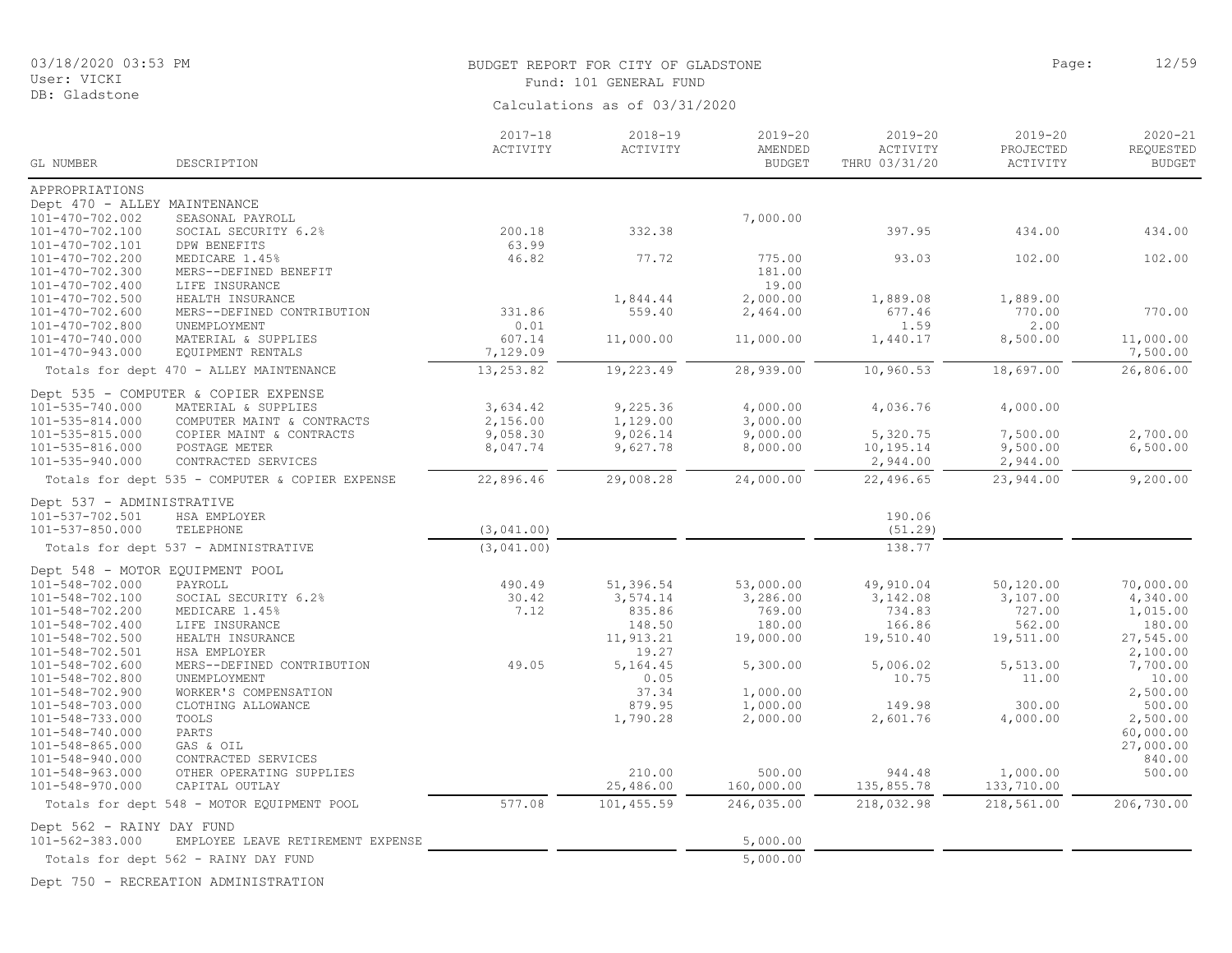# BUDGET REPORT FOR CITY OF GLADSTONE PAGE AND SERVICE PAGE: 12/59

| User: VICKI                     |                                                 |                               | Fund: 101 GENERAL FUND |                          |                           |                       |                            |  |  |
|---------------------------------|-------------------------------------------------|-------------------------------|------------------------|--------------------------|---------------------------|-----------------------|----------------------------|--|--|
| DB: Gladstone                   |                                                 | Calculations as of 03/31/2020 |                        |                          |                           |                       |                            |  |  |
|                                 |                                                 |                               |                        |                          |                           |                       |                            |  |  |
|                                 |                                                 | $2017 - 18$                   | $2018 - 19$            | $2019 - 20$              | $2019 - 20$               | $2019 - 20$           | $2020 - 21$                |  |  |
| GL NUMBER                       | DESCRIPTION                                     | ACTIVITY                      | ACTIVITY               | AMENDED<br><b>BUDGET</b> | ACTIVITY<br>THRU 03/31/20 | PROJECTED<br>ACTIVITY | REQUESTED<br><b>BUDGET</b> |  |  |
| APPROPRIATIONS                  |                                                 |                               |                        |                          |                           |                       |                            |  |  |
| Dept 470 - ALLEY MAINTENANCE    |                                                 |                               |                        |                          |                           |                       |                            |  |  |
| 101-470-702.002                 | SEASONAL PAYROLL                                |                               |                        | 7,000.00                 |                           |                       |                            |  |  |
| 101-470-702.100                 | SOCIAL SECURITY 6.2%                            | 200.18                        | 332.38                 |                          | 397.95                    | 434.00                | 434.00                     |  |  |
| 101-470-702.101                 | DPW BENEFITS                                    | 63.99                         |                        |                          |                           |                       |                            |  |  |
| 101-470-702.200                 | MEDICARE 1.45%                                  | 46.82                         | 77.72                  | 775.00                   | 93.03                     | 102.00                | 102.00                     |  |  |
| 101-470-702.300                 | MERS--DEFINED BENEFIT                           |                               |                        | 181.00                   |                           |                       |                            |  |  |
| 101-470-702.400                 | LIFE INSURANCE                                  |                               |                        | 19.00                    |                           |                       |                            |  |  |
| 101-470-702.500                 | HEALTH INSURANCE                                |                               | 1,844.44               | 2,000.00                 | 1,889.08                  | 1,889.00              |                            |  |  |
| 101-470-702.600                 | MERS--DEFINED CONTRIBUTION                      | 331.86                        | 559.40                 | 2,464.00                 | 677.46                    | 770.00                | 770.00                     |  |  |
| 101-470-702.800                 | UNEMPLOYMENT                                    | 0.01                          |                        |                          | 1.59                      | 2.00                  |                            |  |  |
| 101-470-740.000                 | MATERIAL & SUPPLIES                             | 607.14                        | 11,000.00              | 11,000.00                | 1,440.17                  | 8,500.00              | 11,000.00                  |  |  |
| 101-470-943.000                 | EQUIPMENT RENTALS                               | 7,129.09                      |                        |                          |                           |                       | 7,500.00                   |  |  |
|                                 | Totals for dept 470 - ALLEY MAINTENANCE         | 13,253.82                     | 19,223.49              | 28,939.00                | 10,960.53                 | 18,697.00             | 26,806.00                  |  |  |
|                                 | Dept 535 - COMPUTER & COPIER EXPENSE            |                               |                        |                          |                           |                       |                            |  |  |
| 101-535-740.000                 | MATERIAL & SUPPLIES                             | 3,634.42                      | 9,225.36               | 4,000.00                 | 4,036.76                  | 4,000.00              |                            |  |  |
| 101-535-814.000                 | COMPUTER MAINT & CONTRACTS                      | 2,156.00                      | 1,129.00               | 3,000.00                 |                           |                       |                            |  |  |
| 101-535-815.000                 | COPIER MAINT & CONTRACTS                        | 9,058.30                      | 9,026.14               | 9,000.00                 | 5,320.75                  | 7,500.00              | 2,700.00                   |  |  |
| 101-535-816.000                 | POSTAGE METER                                   | 8,047.74                      | 9,627.78               | 8,000.00                 | 10,195.14                 | 9,500.00              | 6,500.00                   |  |  |
| 101-535-940.000                 | CONTRACTED SERVICES                             |                               |                        |                          | 2,944.00                  | 2,944.00              |                            |  |  |
|                                 | Totals for dept 535 - COMPUTER & COPIER EXPENSE | 22,896.46                     | 29,008.28              | 24,000.00                | 22,496.65                 | 23,944.00             | 9,200.00                   |  |  |
| Dept 537 - ADMINISTRATIVE       |                                                 |                               |                        |                          |                           |                       |                            |  |  |
| 101-537-702.501                 | HSA EMPLOYER                                    |                               |                        |                          | 190.06                    |                       |                            |  |  |
| 101-537-850.000                 | TELEPHONE                                       | (3,041,00)                    |                        |                          | (51.29)                   |                       |                            |  |  |
|                                 | Totals for dept 537 - ADMINISTRATIVE            | (3,041,00)                    |                        |                          | 138.77                    |                       |                            |  |  |
| Dept 548 - MOTOR EQUIPMENT POOL |                                                 |                               |                        |                          |                           |                       |                            |  |  |
| 101-548-702.000                 | PAYROLL                                         | 490.49                        | 51,396.54              | 53,000.00                | 49,910.04                 | 50,120.00             | 70,000.00                  |  |  |
| 101-548-702.100                 | SOCIAL SECURITY 6.2%                            | 30.42                         | 3,574.14               | 3,286.00                 | 3,142.08                  | 3,107.00              | 4,340.00                   |  |  |
| 101-548-702.200                 | MEDICARE 1.45%                                  | 7.12                          | 835.86                 | 769.00                   | 734.83                    | 727.00                | 1,015.00                   |  |  |
| 101-548-702.400                 | LIFE INSURANCE                                  |                               | 148.50                 | 180.00                   | 166.86                    | 562.00                | 180.00                     |  |  |
| 101-548-702.500                 | HEALTH INSURANCE                                |                               | 11,913.21              | 19,000.00                | 19,510.40                 | 19,511.00             | 27,545.00                  |  |  |
| 101-548-702.501                 | HSA EMPLOYER                                    |                               | 19.27                  |                          |                           |                       | 2,100.00                   |  |  |
| 101-548-702.600                 | MERS--DEFINED CONTRIBUTION                      | 49.05                         | 5,164.45               | 5,300.00                 | 5,006.02                  | 5,513.00              | 7,700.00                   |  |  |
| 101-548-702.800                 | UNEMPLOYMENT                                    |                               | 0.05                   |                          | 10.75                     | 11.00                 | 10.00                      |  |  |
| 101-548-702.900                 | WORKER'S COMPENSATION                           |                               | 37.34                  | 1,000.00                 |                           |                       | 2,500.00                   |  |  |
| 101-548-703.000                 | CLOTHING ALLOWANCE                              |                               | 879.95                 | 1,000.00                 | 149.98                    | 300.00                | 500.00                     |  |  |

101-548-703.000 CLOTHING ALLOWANCE 879.95 1,000.00 149.98 300.00 500.00 101-548-733.000 TOOLS 1,790.28 2,000.00 2,601.76 4,000.00 2,500.00 101-548-740.000 PARTS 60,000.00 101-548-865.000 GAS & OIL 27,000.00 101-548-940.000 CONTRACTED SERVICES 840.00 101-548-963.000 OTHER OPERATING SUPPLIES 210.00 500.00 944.48 1,000.00 500.00

Totals for dept 548 - MOTOR EQUIPMENT POOL 577.08 101,455.59 246,035.00 218,032.98 218,561.00 206,730.00

101-548-970.000 CAPITAL OUTLAY 25,486.00 160,000.00 135,855.78 133,710.00

EMPLOYEE LEAVE RETIREMENT EXPENSE 5,000.00

Totals for dept 562 - RAINY DAY FUND 5,000.00

Dept 562 - RAINY DAY FUND<br>101-562-383.000 EMPLOYEE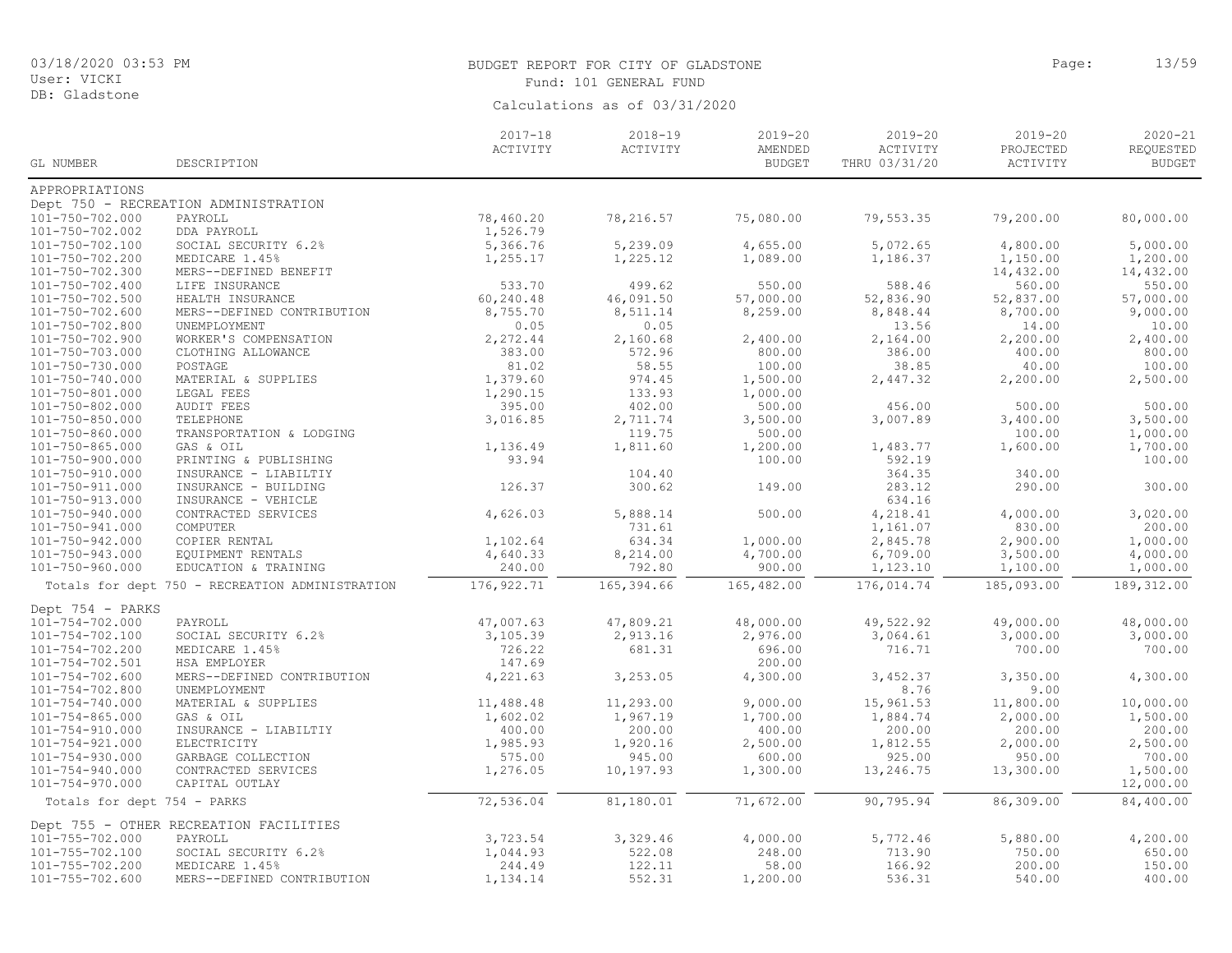DB: Gladstone

#### BUDGET REPORT FOR CITY OF GLADSTONE PAGE AND SERVICE PAGE: 13/59 Fund: 101 GENERAL FUND

Calculations as of 03/31/2020

2020-21 REQUESTED BUDGET 2019-20 PROJECTED ACTIVITY 2019-20 ACTIVITY THRU 03/31/20 2019-20 AMENDED **BUDGET** 2018-19 ACTIVITY 2017-18 ACTIVITY GL NUMBER DESCRIPTION APPROPRIATIONS Dept 750 - RECREATION ADMINISTRATION<br>101-750-702.000 PAYROLL 101-750-702.000 PAYROLL 78,460.20 78,216.57 75,080.00 79,553.35 79,200.00 80,000.00 101-750-702.002 DDA PAYROLL 1,526.79<br>101-750-702.100 SOCTAL SECURTTY 6.2% 5.366.76 101-750-702.100 SOCIAL SECURITY 6.2% 5,366.76 5,239.09 4,655.00 5,072.65 4,800.00 5,000.00 101-750-702.200 MEDICARE 1.45% 1,255.17 1,225.12 1,089.00 1,186.37 1,150.00 1,200.00 101-750-702.300 MERS--DEFINED BENEFIT 14,432.00 14,432.00 101-750-702.400 LIFE INSURANCE 533.70 499.62 550.00 588.46 560.00 550.00 101-750-702.500 HEALTH INSURANCE 60,240.48 46,091.50 57,000.00 52,836.90 52,837.00 57,000.00 101-750-702.600 MERS--DEFINED CONTRIBUTION 8,755.70 8,511.14 8,259.00 8,848.44 8,700.00 9,000.00 101-750-702.800 UNEMPLOYMENT 0.05 0.05 13.56 14.00 10.00 101-750-702.900 WORKER'S COMPENSATION 2,272.44 2,160.68 2,400.00 2,164.00 2,200.00 2,400.00 101-750-703.000 CLOTHING ALLOWANCE 383.00 572.96 800.00 386.00 400.00 800.00 101-750-730.000 POSTAGE 81.02 58.55 100.00 38.85 40.00 100.00 101-750-740.000 MATERIAL & SUPPLIES 1,379.60 974.45 1,500.00 2,447.32 2,200.00 2,500.00 101-750-801.000 LEGAL FEES 1,290.15 133.93 1,000.00 101-750-802.000 AUDIT FEES 395.00 402.00 500.00 456.00 500.00 500.00 101-750-850.000 TELEPHONE 3,016.85 2,711.74 3,500.00 3,007.89 3,400.00 3,500.00 101-750-860.000 TRANSPORTATION & LODGING 119.75 500.00 100.00 1,000.00 101-750-865.000 GAS & OIL 1,136.49 1,811.60 1,200.00 1,483.77 1,600.00 1,700.00 101-750-900.000 PRINTING & PUBLISHING 93.94 100.00 592.19 100.00 101-750-910.000 INSURANCE - LIABILTIY 104.40 364.35 340.00 101-750-911.000 INSURANCE - BUILDING 126.37 300.62 149.00 283.12 290.00 300.00 101-750-913.000 INSURANCE - VEHICLE (634.16) (634.16) 5.888.14 (626.03 (634.16) (634.16 (634.16) (634.16 (634<br>101-750-940.000 CONTRACTED SERVICES (626.03 (626.03 (638.14 (626.03 (64.218.41 101-750-940.000 CONTRACTED SERVICES 4,626.03 5,888.14 500.00 4,218.41 4,000.00 3,020.00 101-750-941.000 COMPUTER 200.00 200.00 200.00 731.61 200.00 830.00 200.00 200.00 101-750-942.000 COPIER RENTAL 1,102.64 634.34 1,000.00 2,845.78 2,900.00 1,000.00 101-750-943.000 EQUIPMENT RENTALS 4,640.33 8,214.00 4,700.00 6,709.00 3,500.00 4,000.00 101-750-960.000 EDUCATION & TRAINING 240.00 792.80 900.00 1,123.10 1,100.00 1,000.00 Totals for dept 750 - RECREATION ADMINISTRATION 176,922.71 165,394.66 165,482.00 176,014.74 185,093.00 189,312.00 Dept 754 - PARKS<br>101-754-702.000 101-754-702.000 PAYROLL 47,007.63 47,809.21 48,000.00 49,522.92 49,000.00 48,000.00 101-754-702.100 SOCIAL SECURITY 6.2% 3,105.39 2,913.16 2,976.00 3,064.61 3,000.00 3,000.00 101-754-702.200 MEDICARE 1.45% 726.22 681.31 696.00 716.71 700.00 700.00 101-754-702.501 HSA EMPLOYER 147.69 200.00<br>101-754-702.600 MERS--DEFINED CONTRIBUTION 4.221.63 3.253.05 4.300.00 101-754-702.600 MERS--DEFINED CONTRIBUTION 4,221.63 3,253.05 4,300.00 3,452.37 3,350.00 4,300.00 101-754-702.800 UNEMPLOYMENT 8.76 9.00 101-754-740.000 MATERIAL & SUPPLIES 11,488.48 11,293.00 9,000.00 15,961.53 11,800.00 10,000.00 101-754-865.000 GAS & OIL 1,602.02 1,967.19 1,700.00 1,884.74 2,000.00 1,500.00 101-754-910.000 INSURANCE - LIABILTIY 400.00 200.00 400.00 200.00 200.00 200.00 101-754-921.000 ELECTRICITY 1,985.93 1,920.16 2,500.00 1,812.55 2,000.00 2,500.00 101-754-930.000 GARBAGE COLLECTION 575.00 945.00 600.00 925.00 950.00 700.00 101-754-940.000 CONTRACTED SERVICES 1,276.05 10,197.93 1,300.00 13,246.75 13,300.00 1,500.00 101-754-970.000 CAPITAL OUTLAY 12,000.00 Totals for dept 754 - PARKS 72,536.04 81,180.01 71,672.00 90,795.94 86,309.00 84,400.00 Dept 755 - OTHER RECREATION FACILITIES<br>101-755-702.000 PAYROLL 101-755-702.000 PAYROLL 3,723.54 3,329.46 4,000.00 5,772.46 5,880.00 4,200.00 101-755-702.100 SOCIAL SECURITY 6.2% 1,044.93 522.08 248.00 713.90 750.00 650.00 101-755-702.200 MEDICARE 1.45% 244.49 122.11 58.00 166.92 200.00 150.00 101-755-702.600 MERS--DEFINED CONTRIBUTION 1,134.14 552.31 1,200.00 536.31 540.00 400.00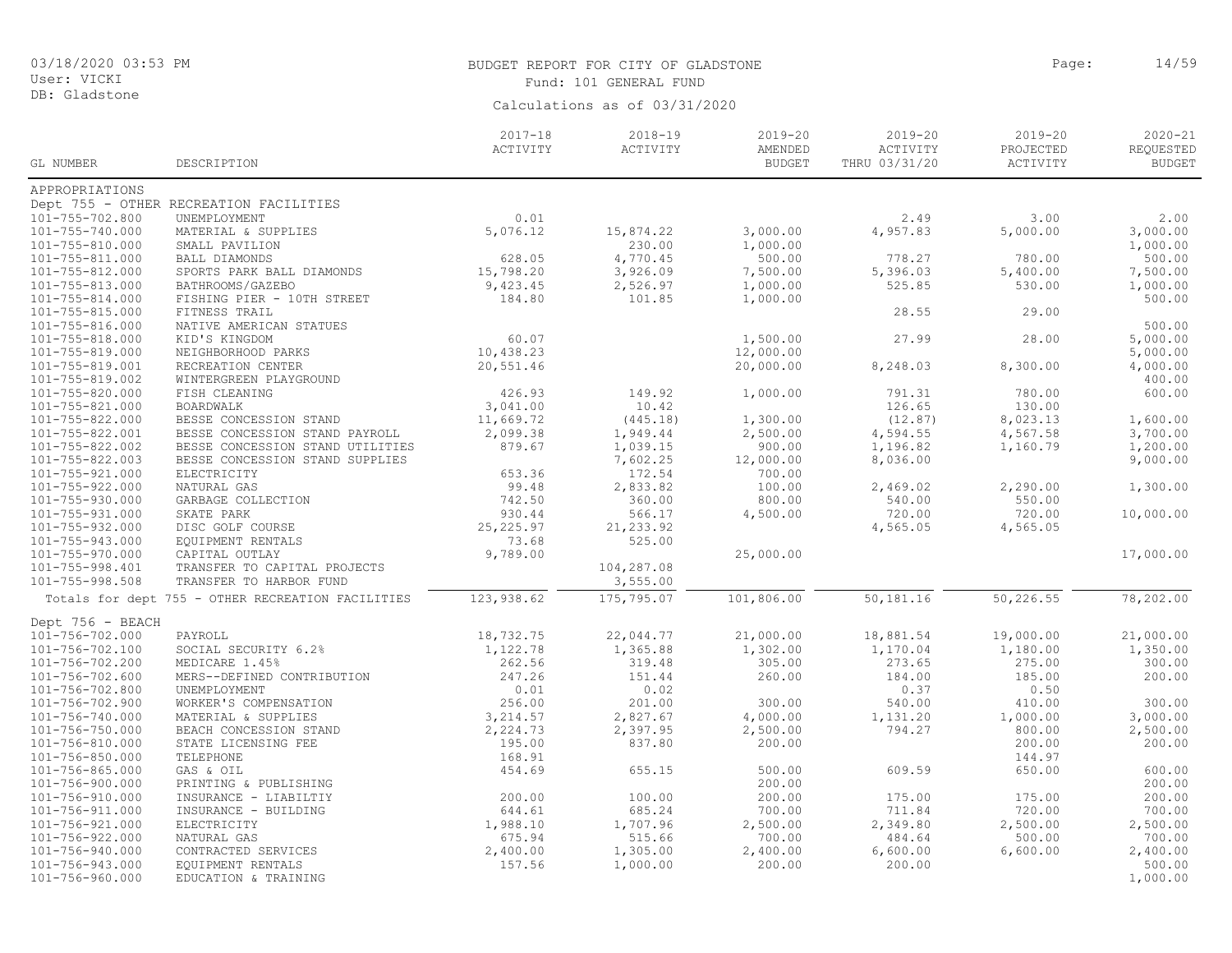DB: Gladstone

# BUDGET REPORT FOR CITY OF GLADSTONE **Page:** 14/59 Fund: 101 GENERAL FUND

| Calculations as of 03/31/2020 |  |  |  |  |
|-------------------------------|--|--|--|--|
|-------------------------------|--|--|--|--|

|                                    |                                                   | $2017 - 18$        | $2018 - 19$ | $2019 - 20$              | $2019 - 20$               | $2019 - 20$ | $2020 - 21$                |
|------------------------------------|---------------------------------------------------|--------------------|-------------|--------------------------|---------------------------|-------------|----------------------------|
| GL NUMBER                          | DESCRIPTION                                       | ACTIVITY           | ACTIVITY    | AMENDED<br><b>BUDGET</b> | ACTIVITY<br>THRU 03/31/20 | PROJECTED   | REQUESTED<br><b>BUDGET</b> |
|                                    |                                                   |                    |             |                          |                           | ACTIVITY    |                            |
| APPROPRIATIONS                     |                                                   |                    |             |                          |                           |             |                            |
|                                    | Dept 755 - OTHER RECREATION FACILITIES            |                    |             |                          |                           |             |                            |
| 101-755-702.800                    | UNEMPLOYMENT                                      | 0.01               |             |                          | 2.49                      | 3.00        | 2.00                       |
| 101-755-740.000                    | MATERIAL & SUPPLIES                               | 5,076.12           | 15,874.22   | 3,000.00                 | 4,957.83                  | 5,000.00    | 3,000.00                   |
| 101-755-810.000                    | SMALL PAVILION                                    |                    | 230.00      | 1,000.00                 |                           |             | 1,000.00                   |
| 101-755-811.000                    | BALL DIAMONDS                                     | 628.05             | 4,770.45    | 500.00                   | 778.27                    | 780.00      | 500.00                     |
| 101-755-812.000                    | SPORTS PARK BALL DIAMONDS                         | 15,798.20          | 3,926.09    | 7,500.00                 | 5,396.03                  | 5,400.00    | 7,500.00                   |
| 101-755-813.000                    | BATHROOMS/GAZEBO                                  | 9,423.45           | 2,526.97    | 1,000.00                 | 525.85                    | 530.00      | 1,000.00                   |
| 101-755-814.000                    | FISHING PIER - 10TH STREET                        | 184.80             | 101.85      | 1,000.00                 |                           |             | 500.00                     |
| 101-755-815.000                    | FITNESS TRAIL                                     |                    |             |                          | 28.55                     | 29.00       |                            |
| 101-755-816.000                    | NATIVE AMERICAN STATUES                           | 60.07              |             |                          | 27.99                     | 28.00       | 500.00                     |
| 101-755-818.000                    | KID'S KINGDOM                                     |                    |             | 1,500.00                 |                           |             | 5,000.00                   |
| 101-755-819.000                    | NEIGHBORHOOD PARKS                                | 10,438.23          |             | 12,000.00                |                           |             | 5,000.00                   |
| 101-755-819.001<br>101-755-819.002 | RECREATION CENTER                                 | 20,551.46          |             | 20,000.00                | 8,248.03                  | 8,300.00    | 4,000.00<br>400.00         |
| 101-755-820.000                    | WINTERGREEN PLAYGROUND<br>FISH CLEANING           | 426.93             | 149.92      | 1,000.00                 | 791.31                    | 780.00      | 600.00                     |
| 101-755-821.000                    | BOARDWALK                                         | 3,041.00           | 10.42       |                          | 126.65                    | 130.00      |                            |
| 101-755-822.000                    | BESSE CONCESSION STAND                            | 11,669.72          | (445.18)    | 1,300.00                 | (12.87)                   | 8,023.13    | 1,600.00                   |
| 101-755-822.001                    | BESSE CONCESSION STAND PAYROLL                    | 2,099.38           | 1,949.44    | 2,500.00                 | 4,594.55                  | 4,567.58    | 3,700.00                   |
| 101-755-822.002                    | BESSE CONCESSION STAND UTILITIES                  | 879.67             | 1,039.15    | 900.00                   | 1,196.82                  | 1,160.79    | 1,200.00                   |
| 101-755-822.003                    | BESSE CONCESSION STAND SUPPLIES                   |                    | 7,602.25    | 12,000.00                | 8,036.00                  |             | 9,000.00                   |
| 101-755-921.000                    | ELECTRICITY                                       | 653.36             | 172.54      | 700.00                   |                           |             |                            |
| 101-755-922.000                    | NATURAL GAS                                       | 99.48              | 2,833.82    | 100.00                   | 2,469.02                  | 2,290.00    | 1,300.00                   |
| 101-755-930.000                    | GARBAGE COLLECTION                                | 742.50             | 360.00      | 800.00                   | 540.00                    | 550.00      |                            |
| 101-755-931.000                    | SKATE PARK                                        | 930.44             | 566.17      | 4,500.00                 | 720.00                    | 720.00      | 10,000.00                  |
| 101-755-932.000                    | DISC GOLF COURSE                                  | 25, 225.97         | 21, 233.92  |                          | 4,565.05                  | 4,565.05    |                            |
| 101-755-943.000                    | EQUIPMENT RENTALS                                 | 73.68              | 525.00      |                          |                           |             |                            |
| 101-755-970.000                    | CAPITAL OUTLAY                                    | 9,789.00           |             | 25,000.00                |                           |             | 17,000.00                  |
| 101-755-998.401                    | TRANSFER TO CAPITAL PROJECTS                      |                    | 104,287.08  |                          |                           |             |                            |
| 101-755-998.508                    | TRANSFER TO HARBOR FUND                           |                    | 3,555.00    |                          |                           |             |                            |
|                                    | Totals for dept 755 - OTHER RECREATION FACILITIES | 123,938.62         | 175,795.07  | 101,806.00               | 50,181.16                 | 50,226.55   | 78,202.00                  |
| Dept 756 - BEACH                   |                                                   |                    |             |                          |                           |             |                            |
| 101-756-702.000                    | PAYROLL                                           | 18,732.75          | 22,044.77   | 21,000.00                | 18,881.54                 | 19,000.00   | 21,000.00                  |
| 101-756-702.100                    | SOCIAL SECURITY 6.2%                              | 1,122.78           | 1,365.88    | 1,302.00                 | 1,170.04                  | 1,180.00    | 1,350.00                   |
| 101-756-702.200                    | MEDICARE 1.45%                                    | 262.56             | 319.48      | 305.00                   | 273.65                    | 275.00      | 300.00                     |
| 101-756-702.600                    | MERS--DEFINED CONTRIBUTION                        | 247.26             | 151.44      | 260.00                   | 184.00                    | 185.00      | 200.00                     |
| 101-756-702.800                    | UNEMPLOYMENT                                      | 0.01               | 0.02        |                          | 0.37                      | 0.50        |                            |
| 101-756-702.900                    | WORKER'S COMPENSATION                             | 256.00             | 201.00      | 300.00                   | 540.00                    | 410.00      | 300.00                     |
| 101-756-740.000                    | MATERIAL & SUPPLIES                               | 3,214.57           | 2,827.67    | 4,000.00                 | 1,131.20                  | 1,000.00    | 3,000.00                   |
| 101-756-750.000                    | BEACH CONCESSION STAND                            | 2,224.73           | 2,397.95    | 2,500.00                 | 794.27                    | 800.00      | 2,500.00                   |
| 101-756-810.000                    | STATE LICENSING FEE                               | 195.00             | 837.80      | 200.00                   |                           | 200.00      | 200.00                     |
| 101-756-850.000                    | TELEPHONE                                         | 168.91             |             |                          |                           | 144.97      |                            |
| 101-756-865.000                    | GAS & OIL                                         | 454.69             | 655.15      | 500.00                   | 609.59                    | 650.00      | 600.00                     |
| 101-756-900.000                    | PRINTING & PUBLISHING                             |                    |             | 200.00                   |                           |             | 200.00                     |
| 101-756-910.000                    | INSURANCE - LIABILTIY                             | 200.00             | 100.00      | 200.00                   | 175.00                    | 175.00      | 200.00                     |
| 101-756-911.000                    | INSURANCE - BUILDING                              | 644.61             | 685.24      | 700.00                   | 711.84                    | 720.00      | 700.00                     |
| 101-756-921.000                    | ELECTRICITY                                       | 1,988.10           | 1,707.96    | 2,500.00                 | 2,349.80                  | 2,500.00    | 2,500.00                   |
| 101-756-922.000                    | NATURAL GAS                                       | 675.94             | 515.66      | 700.00                   | 484.64                    | 500.00      | 700.00                     |
| 101-756-940.000<br>101-756-943.000 | CONTRACTED SERVICES<br>EQUIPMENT RENTALS          | 2,400.00<br>157.56 | 1,305.00    | 2,400.00<br>200.00       | 6,600.00<br>200.00        | 6,600.00    | 2,400.00<br>500.00         |
| 101-756-960.000                    | EDUCATION & TRAINING                              |                    | 1,000.00    |                          |                           |             | 1,000.00                   |
|                                    |                                                   |                    |             |                          |                           |             |                            |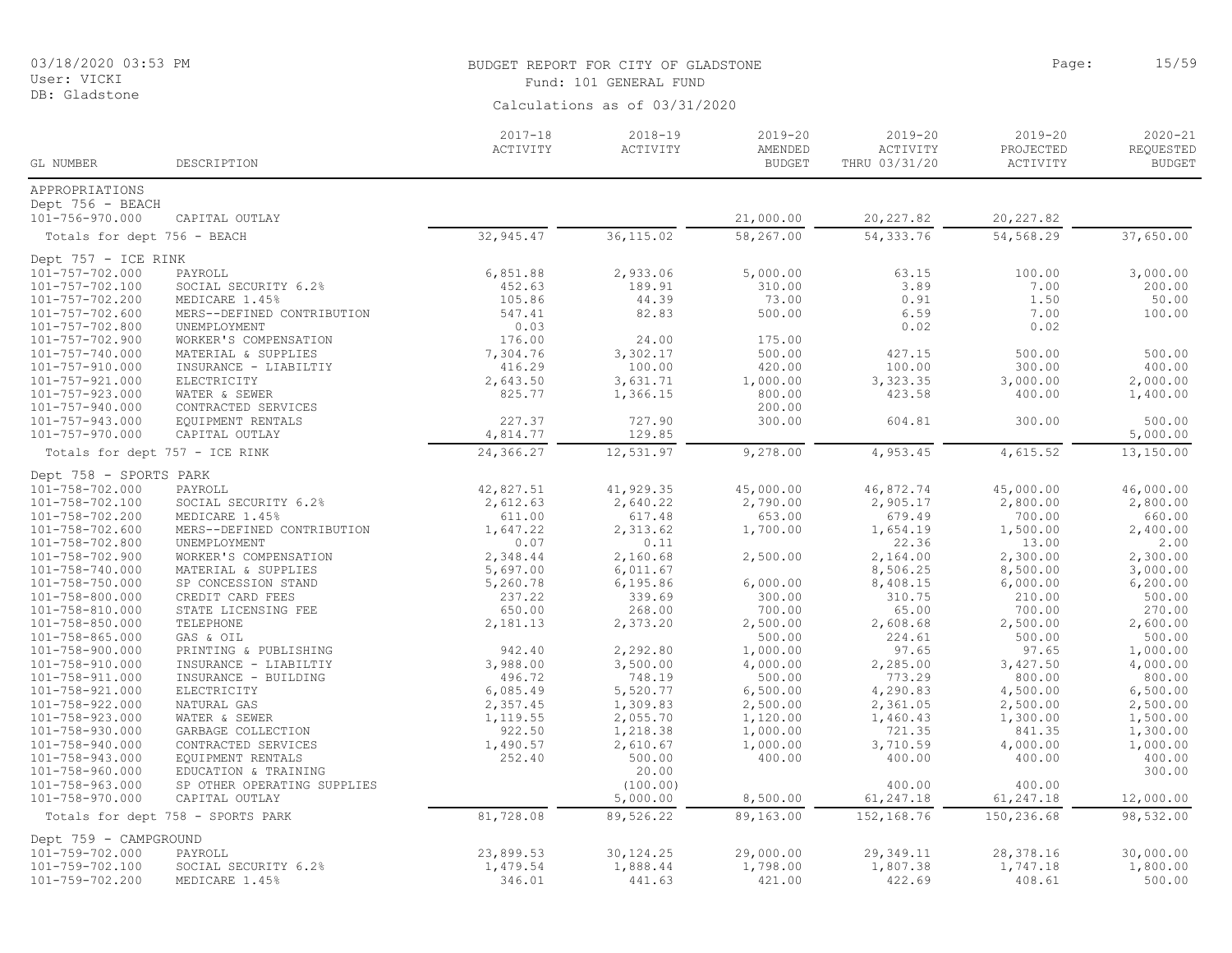DB: Gladstone

#### BUDGET REPORT FOR CITY OF GLADSTONE **Page:** 15/59 Fund: 101 GENERAL FUND

| GL NUMBER                      | DESCRIPTION                       | $2017 - 18$<br>ACTIVITY | $2018 - 19$<br>ACTIVITY | $2019 - 20$<br>AMENDED<br><b>BUDGET</b> | $2019 - 20$<br>ACTIVITY<br>THRU 03/31/20 | $2019 - 20$<br>PROJECTED<br>ACTIVITY | $2020 - 21$<br>REQUESTED<br><b>BUDGET</b> |
|--------------------------------|-----------------------------------|-------------------------|-------------------------|-----------------------------------------|------------------------------------------|--------------------------------------|-------------------------------------------|
| APPROPRIATIONS                 |                                   |                         |                         |                                         |                                          |                                      |                                           |
| Dept 756 - BEACH               |                                   |                         |                         |                                         |                                          |                                      |                                           |
| 101-756-970.000                | CAPITAL OUTLAY                    |                         |                         | 21,000.00                               | 20, 227.82                               | 20, 227.82                           |                                           |
|                                |                                   | 32,945.47               | 36, 115.02              | 58, 267.00                              | 54, 333.76                               | 54,568.29                            | 37,650.00                                 |
| Totals for dept 756 - BEACH    |                                   |                         |                         |                                         |                                          |                                      |                                           |
| Dept 757 - ICE RINK            |                                   |                         |                         |                                         |                                          |                                      |                                           |
| 101-757-702.000                | PAYROLL                           | 6,851.88                | 2,933.06                | 5,000.00                                | 63.15                                    | 100.00                               | 3,000.00                                  |
| 101-757-702.100                | SOCIAL SECURITY 6.2%              | 452.63                  | 189.91                  | 310.00                                  | 3.89                                     | 7.00                                 | 200.00                                    |
| 101-757-702.200                | MEDICARE 1.45%                    | 105.86                  | 44.39                   | 73.00                                   | 0.91                                     | 1.50                                 | 50.00                                     |
| $101 - 757 - 702.600$          | MERS--DEFINED CONTRIBUTION        | 547.41                  | 82.83                   | 500.00                                  | 6.59                                     | 7.00                                 | 100.00                                    |
| 101-757-702.800                | UNEMPLOYMENT                      | 0.03                    |                         |                                         | 0.02                                     | 0.02                                 |                                           |
| 101-757-702.900                | WORKER'S COMPENSATION             | 176.00                  | 24.00                   | 175.00                                  |                                          |                                      |                                           |
| 101-757-740.000                | MATERIAL & SUPPLIES               | 7,304.76                | 3,302.17                | 500.00                                  | 427.15                                   | 500.00                               | 500.00                                    |
| 101-757-910.000                | INSURANCE - LIABILTIY             | 416.29                  | 100.00                  | 420.00                                  | 100.00                                   | 300.00                               | 400.00                                    |
| 101-757-921.000                | ELECTRICITY                       | 2,643.50                | 3,631.71                | 1,000.00                                | 3,323.35                                 | 3,000.00                             | 2,000.00                                  |
| 101-757-923.000                | WATER & SEWER                     | 825.77                  | 1,366.15                | 800.00                                  | 423.58                                   | 400.00                               | 1,400.00                                  |
| 101-757-940.000                | CONTRACTED SERVICES               |                         |                         | 200.00                                  |                                          |                                      |                                           |
| 101-757-943.000                | EQUIPMENT RENTALS                 | 227.37                  | 727.90                  | 300.00                                  | 604.81                                   | 300.00                               | 500.00                                    |
| 101-757-970.000                | CAPITAL OUTLAY                    | 4,814.77                | 129.85                  |                                         |                                          |                                      | 5,000.00                                  |
| Totals for dept 757 - ICE RINK |                                   | 24,366.27               | 12,531.97               | 9,278.00                                | 4,953.45                                 | 4,615.52                             | 13,150.00                                 |
| Dept 758 - SPORTS PARK         |                                   |                         |                         |                                         |                                          |                                      |                                           |
| 101-758-702.000                | PAYROLL                           | 42,827.51               | 41,929.35               | 45,000.00                               | 46,872.74                                | 45,000.00                            | 46,000.00                                 |
| 101-758-702.100                | SOCIAL SECURITY 6.2%              | 2,612.63                | 2,640.22                | 2,790.00                                | 2,905.17                                 | 2,800.00                             | 2,800.00                                  |
| 101-758-702.200                | MEDICARE 1.45%                    | 611.00                  | 617.48                  | 653.00                                  | 679.49                                   | 700.00                               | 660.00                                    |
| 101-758-702.600                | MERS--DEFINED CONTRIBUTION        | 1,647.22                | 2,313.62                | 1,700.00                                | 1,654.19                                 | 1,500.00                             | 2,400.00                                  |
| 101-758-702.800                | UNEMPLOYMENT                      | 0.07                    | 0.11                    |                                         | 22.36                                    | 13.00                                | 2.00                                      |
| 101-758-702.900                | WORKER'S COMPENSATION             | 2,348.44                | 2,160.68                | 2,500.00                                | 2,164.00                                 | 2,300.00                             | 2,300.00                                  |
| 101-758-740.000                | MATERIAL & SUPPLIES               | 5,697.00                | 6,011.67                |                                         | 8,506.25                                 | 8,500.00                             | 3,000.00                                  |
| 101-758-750.000                | SP CONCESSION STAND               | 5,260.78                | 6,195.86                | 6,000.00                                | 8,408.15                                 | 6,000.00                             | 6, 200.00                                 |
| 101-758-800.000                | CREDIT CARD FEES                  | 237.22                  | 339.69                  | 300.00                                  | 310.75                                   | 210.00                               | 500.00                                    |
| $101 - 758 - 810.000$          | STATE LICENSING FEE               | 650.00                  | 268.00                  | 700.00                                  | 65.00                                    | 700.00                               | 270.00                                    |
| $101 - 758 - 850.000$          | TELEPHONE                         | 2,181.13                | 2,373.20                | 2,500.00                                | 2,608.68                                 | 2,500.00                             | 2,600.00                                  |
| 101-758-865.000                | GAS & OIL                         |                         |                         | 500.00                                  | 224.61                                   | 500.00                               | 500.00                                    |
| 101-758-900.000                | PRINTING & PUBLISHING             | 942.40                  | 2,292.80                | 1,000.00                                | 97.65                                    | 97.65                                | 1,000.00                                  |
| 101-758-910.000                | INSURANCE - LIABILTIY             | 3,988.00                | 3,500.00                | 4,000.00                                | 2,285.00                                 | 3,427.50                             | 4,000.00                                  |
| $101 - 758 - 911.000$          | INSURANCE - BUILDING              | 496.72                  | 748.19                  | 500.00                                  | 773.29                                   | 800.00                               | 800.00                                    |
| 101-758-921.000                | ELECTRICITY                       | 6,085.49                | 5,520.77                | 6,500.00                                | 4,290.83                                 | 4,500.00                             | 6,500.00                                  |
| 101-758-922.000                | NATURAL GAS                       | 2,357.45                | 1,309.83                | 2,500.00                                | 2,361.05                                 | 2,500.00                             | 2,500.00                                  |
| 101-758-923.000                | WATER & SEWER                     | 1,119.55                | 2,055.70                | 1,120.00                                | 1,460.43                                 | 1,300.00                             | 1,500.00                                  |
| 101-758-930.000                | GARBAGE COLLECTION                | 922.50                  | 1,218.38                | 1,000.00                                | 721.35                                   | 841.35                               | 1,300.00                                  |
| 101-758-940.000                | CONTRACTED SERVICES               | 1,490.57                | 2,610.67                | 1,000.00                                | 3,710.59                                 | 4,000.00                             | 1,000.00                                  |
| 101-758-943.000                | EQUIPMENT RENTALS                 | 252.40                  | 500.00                  | 400.00                                  | 400.00                                   | 400.00                               | 400.00                                    |
| 101-758-960.000                | EDUCATION & TRAINING              |                         | 20.00                   |                                         |                                          |                                      | 300.00                                    |
| 101-758-963.000                | SP OTHER OPERATING SUPPLIES       |                         | (100.00)                |                                         | 400.00                                   | 400.00                               |                                           |
| 101-758-970.000                | CAPITAL OUTLAY                    |                         | 5,000.00                | 8,500.00                                | 61, 247.18                               | 61,247.18                            | 12,000.00                                 |
|                                | Totals for dept 758 - SPORTS PARK | 81,728.08               | 89,526.22               | 89,163.00                               | 152, 168.76                              | 150,236.68                           | 98,532.00                                 |
| Dept 759 - CAMPGROUND          |                                   |                         |                         |                                         |                                          |                                      |                                           |
| 101-759-702.000                | PAYROLL                           | 23,899.53               | 30, 124.25              | 29,000.00                               | 29,349.11                                | 28,378.16                            | 30,000.00                                 |
| 101-759-702.100                | SOCIAL SECURITY 6.2%              | 1,479.54                | 1,888.44                | 1,798.00                                | 1,807.38                                 | 1,747.18                             | 1,800.00                                  |
| 101-759-702.200                | MEDICARE 1.45%                    | 346.01                  | 441.63                  | 421.00                                  | 422.69                                   | 408.61                               | 500.00                                    |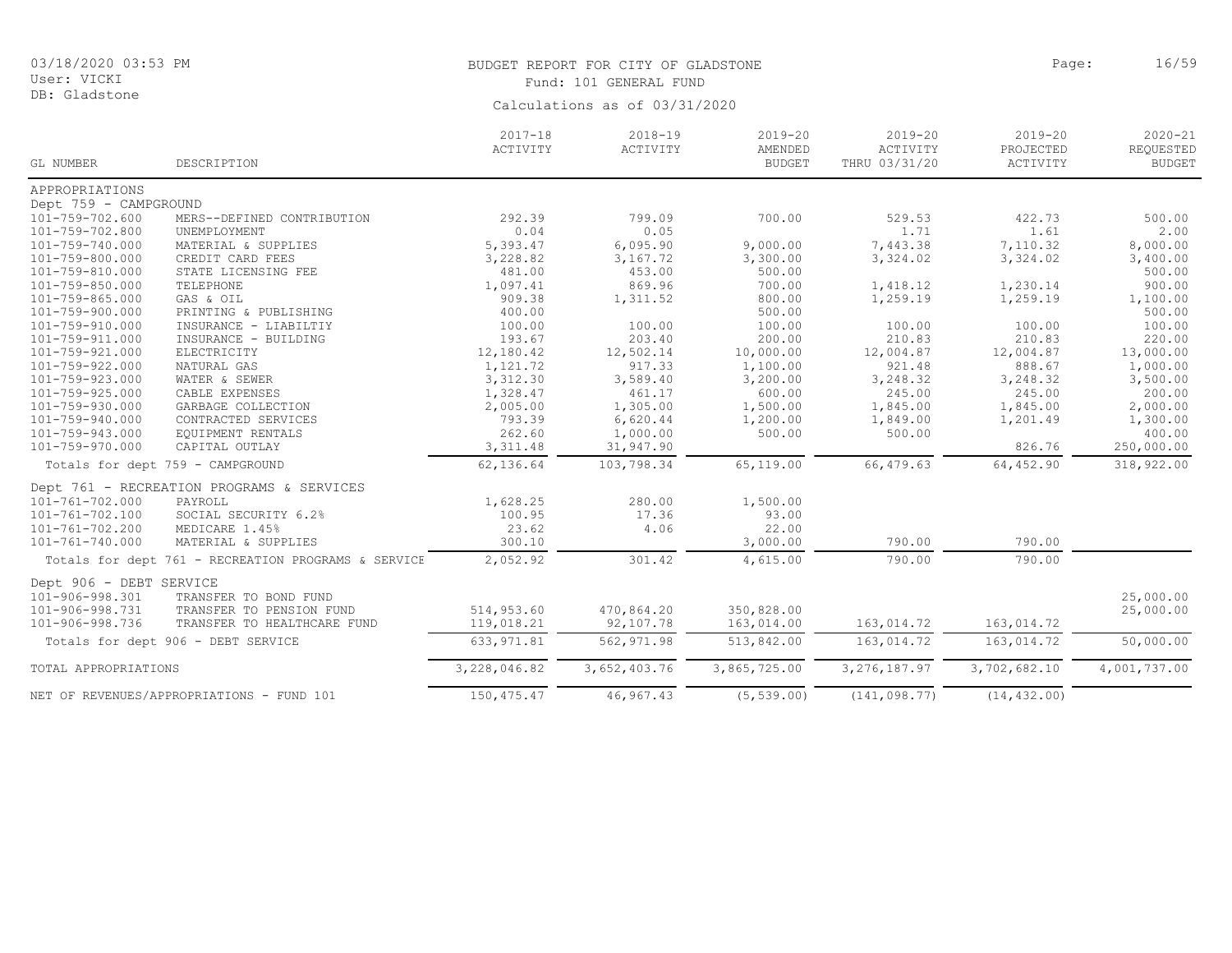DB: Gladstone

# BUDGET REPORT FOR CITY OF GLADSTONE **Page:** 16/59 Fund: 101 GENERAL FUND

|                         |                                                     | $2017 - 18$<br>ACTIVITY | $2018 - 19$<br>ACTIVITY | $2019 - 20$<br>AMENDED | $2019 - 20$<br>ACTIVITY | $2019 - 20$<br>PROJECTED | $2020 - 21$<br>REQUESTED |
|-------------------------|-----------------------------------------------------|-------------------------|-------------------------|------------------------|-------------------------|--------------------------|--------------------------|
| GL NUMBER               | DESCRIPTION                                         |                         |                         | <b>BUDGET</b>          | THRU 03/31/20           | ACTIVITY                 | <b>BUDGET</b>            |
| APPROPRIATIONS          |                                                     |                         |                         |                        |                         |                          |                          |
| Dept 759 - CAMPGROUND   |                                                     |                         |                         |                        |                         |                          |                          |
| 101-759-702.600         | MERS--DEFINED CONTRIBUTION                          | 292.39                  | 799.09                  | 700.00                 | 529.53                  | 422.73                   | 500.00                   |
| 101-759-702.800         | UNEMPLOYMENT                                        | 0.04                    | 0.05                    |                        | 1.71                    | 1.61                     | 2.00                     |
| 101-759-740.000         | MATERIAL & SUPPLIES                                 | 5,393.47                | 6,095.90                | 9,000.00               | 7,443.38                | 7,110.32                 | 8,000.00                 |
| 101-759-800.000         | CREDIT CARD FEES                                    | 3,228.82                | 3,167.72                | 3,300.00               | 3,324.02                | 3,324.02                 | 3,400.00                 |
| 101-759-810.000         | STATE LICENSING FEE                                 | 481.00                  | 453.00                  | 500.00                 |                         |                          | 500.00                   |
| 101-759-850.000         | TELEPHONE                                           | 1,097.41                | 869.96                  | 700.00                 | 1,418.12                | 1,230.14                 | 900.00                   |
| 101-759-865.000         | GAS & OIL                                           | 909.38                  | 1,311.52                | 800.00                 | 1,259.19                | 1,259.19                 | 1,100.00                 |
| 101-759-900.000         | PRINTING & PUBLISHING                               | 400.00                  |                         | 500.00                 |                         |                          | 500.00                   |
| 101-759-910.000         | INSURANCE - LIABILTIY                               | 100.00                  | 100.00                  | 100.00                 | 100.00                  | 100.00                   | 100.00                   |
| 101-759-911.000         | INSURANCE - BUILDING                                | 193.67                  | 203.40                  | 200.00                 | 210.83                  | 210.83                   | 220.00                   |
| 101-759-921.000         | ELECTRICITY                                         | 12,180.42               | 12,502.14               | 10,000.00              | 12,004.87               | 12,004.87                | 13,000.00                |
| 101-759-922.000         | NATURAL GAS                                         | 1,121.72                | 917.33                  | 1,100.00               | 921.48                  | 888.67                   | 1,000.00                 |
| 101-759-923.000         | WATER & SEWER                                       | 3,312.30                | 3,589.40                | 3,200.00               | 3,248.32                | 3,248.32                 | 3,500.00                 |
| 101-759-925.000         | CABLE EXPENSES                                      | 1,328.47                | 461.17                  | 600.00                 | 245.00                  | 245.00                   | 200.00                   |
| 101-759-930.000         | GARBAGE COLLECTION                                  | 2,005.00                | 1,305.00                | 1,500.00               | 1,845.00                | 1,845.00                 | 2,000.00                 |
| 101-759-940.000         | CONTRACTED SERVICES                                 | 793.39                  | 6,620.44                | 1,200.00               | 1,849.00                | 1,201.49                 | 1,300.00                 |
| 101-759-943.000         | EQUIPMENT RENTALS                                   | 262.60                  | 1,000.00                | 500.00                 | 500.00                  |                          | 400.00                   |
| 101-759-970.000         | CAPITAL OUTLAY                                      | 3, 311.48               | 31,947.90               |                        |                         | 826.76                   | 250,000.00               |
|                         | Totals for dept 759 - CAMPGROUND                    | 62,136.64               | 103,798.34              | 65,119.00              | 66, 479.63              | 64,452.90                | 318,922.00               |
|                         | Dept 761 - RECREATION PROGRAMS & SERVICES           |                         |                         |                        |                         |                          |                          |
| 101-761-702.000         | PAYROLL                                             | 1,628.25                | 280.00                  | 1,500.00               |                         |                          |                          |
| 101-761-702.100         | SOCIAL SECURITY 6.2%                                | 100.95                  | 17.36                   | 93.00                  |                         |                          |                          |
| 101-761-702.200         | MEDICARE 1.45%                                      | 23.62                   | 4.06                    | 22.00                  |                         |                          |                          |
| $101 - 761 - 740.000$   | MATERIAL & SUPPLIES                                 | 300.10                  |                         | 3,000.00               | 790.00                  | 790.00                   |                          |
|                         | Totals for dept 761 - RECREATION PROGRAMS & SERVICE | 2,052.92                | 301.42                  | 4,615.00               | 790.00                  | 790.00                   |                          |
| Dept 906 - DEBT SERVICE |                                                     |                         |                         |                        |                         |                          |                          |
| 101-906-998.301         | TRANSFER TO BOND FUND                               |                         |                         |                        |                         |                          | 25,000.00                |
| 101-906-998.731         | TRANSFER TO PENSION FUND                            | 514,953.60              | 470,864.20              | 350,828.00             |                         |                          | 25,000.00                |
| 101-906-998.736         | TRANSFER TO HEALTHCARE FUND                         | 119,018.21              | 92,107.78               | 163,014.00             |                         | 163,014.72               |                          |
|                         |                                                     |                         |                         |                        | 163,014.72              |                          |                          |
|                         | Totals for dept 906 - DEBT SERVICE                  | 633, 971.81             | 562, 971.98             | 513,842.00             | 163,014.72              | 163,014.72               | 50,000.00                |
| TOTAL APPROPRIATIONS    |                                                     | 3,228,046.82            | 3,652,403.76            | 3,865,725.00           | 3, 276, 187.97          | 3,702,682.10             | 4,001,737.00             |
|                         | NET OF REVENUES/APPROPRIATIONS - FUND 101           | 150, 475.47             | 46,967.43               | (5, 539.00)            | (141, 098.77)           | (14, 432, 00)            |                          |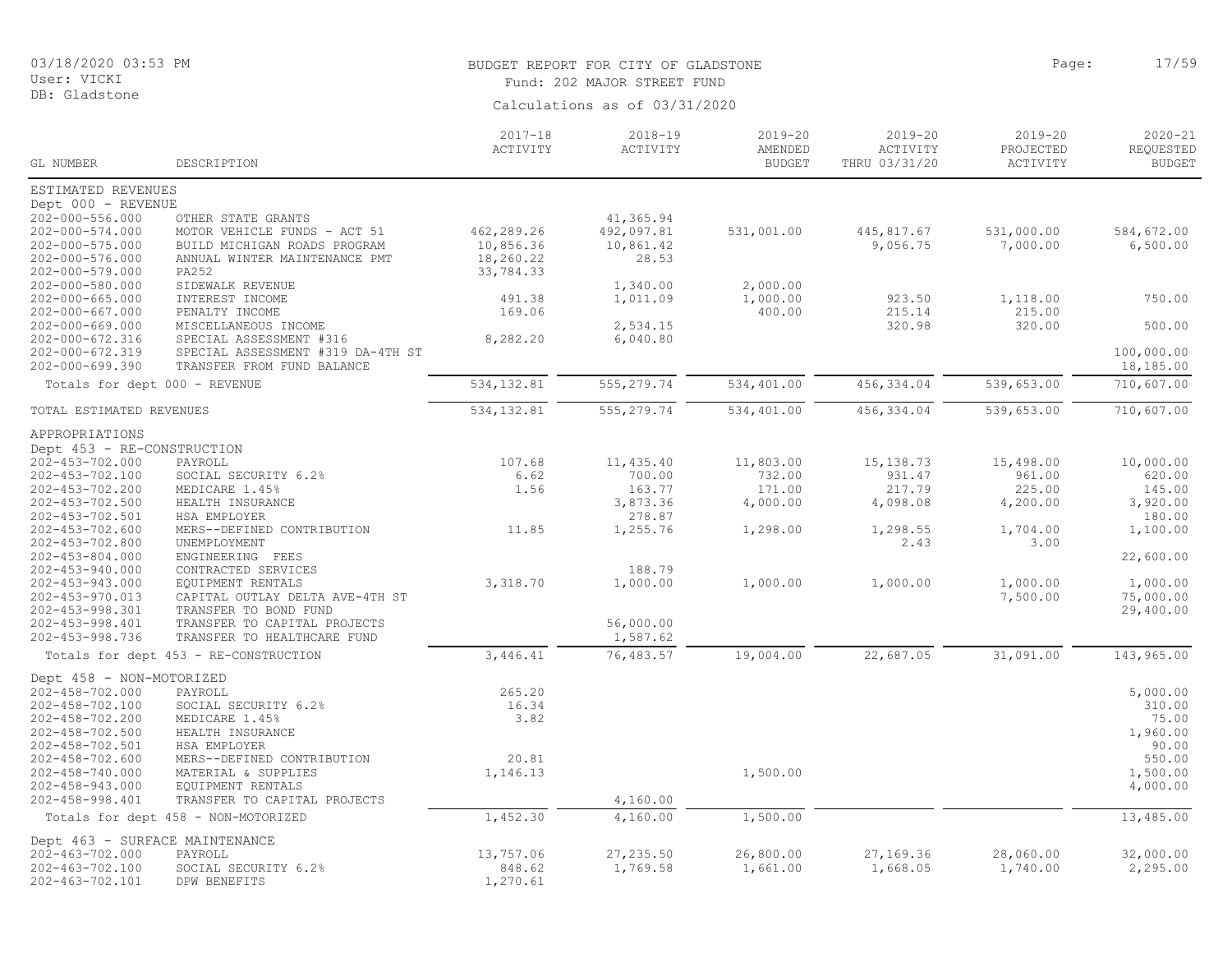# BUDGET REPORT FOR CITY OF GLADSTONE **Example 2018** Page: 17/59

Fund: 202 MAJOR STREET FUND

| Calculations as of 03/31/2020 |  |  |
|-------------------------------|--|--|

|                                                         |                                                                     | $2017 - 18$<br>ACTIVITY  | 2018-19<br>ACTIVITY  | 2019-20<br>AMENDED   | $2019 - 20$<br>ACTIVITY | $2019 - 20$<br>PROJECTED | $2020 - 21$<br>REQUESTED |
|---------------------------------------------------------|---------------------------------------------------------------------|--------------------------|----------------------|----------------------|-------------------------|--------------------------|--------------------------|
| GL NUMBER                                               | DESCRIPTION                                                         |                          |                      | <b>BUDGET</b>        | THRU 03/31/20           | ACTIVITY                 | <b>BUDGET</b>            |
| ESTIMATED REVENUES                                      |                                                                     |                          |                      |                      |                         |                          |                          |
| Dept 000 - REVENUE<br>202-000-556.000                   | OTHER STATE GRANTS                                                  |                          | 41,365.94            |                      |                         |                          |                          |
| 202-000-574.000                                         | MOTOR VEHICLE FUNDS - ACT 51                                        | 462,289.26               | 492,097.81           | 531,001.00           | 445,817.67              | 531,000.00               | 584,672.00               |
| 202-000-575.000                                         | BUILD MICHIGAN ROADS PROGRAM                                        | 10,856.36                | 10,861.42            |                      | 9,056.75                | 7,000.00                 | 6,500.00                 |
| 202-000-576.000                                         | ANNUAL WINTER MAINTENANCE PMT                                       | 18,260.22                | 28.53                |                      |                         |                          |                          |
| 202-000-579.000                                         | PA252                                                               | 33,784.33                |                      |                      |                         |                          |                          |
| 202-000-580.000<br>$202 - 000 - 665.000$                | SIDEWALK REVENUE<br>INTEREST INCOME                                 | 491.38                   | 1,340.00<br>1,011.09 | 2,000.00<br>1,000.00 | 923.50                  | 1,118.00                 | 750.00                   |
| $202 - 000 - 667.000$                                   | PENALTY INCOME                                                      | 169.06                   |                      | 400.00               | 215.14                  | 215.00                   |                          |
| 202-000-669.000                                         | MISCELLANEOUS INCOME                                                |                          | 2,534.15             |                      | 320.98                  | 320.00                   | 500.00                   |
| 202-000-672.316                                         | SPECIAL ASSESSMENT #316                                             | 8,282.20                 | 6,040.80             |                      |                         |                          |                          |
| 202-000-672.319                                         | SPECIAL ASSESSMENT #319 DA-4TH ST                                   |                          |                      |                      |                         |                          | 100,000.00               |
| 202-000-699.390                                         | TRANSFER FROM FUND BALANCE                                          |                          |                      |                      |                         |                          | 18,185.00                |
| Totals for dept 000 - REVENUE                           |                                                                     | 534,132.81               | 555, 279.74          | 534,401.00           | 456, 334.04             | 539,653.00               | 710,607.00               |
| TOTAL ESTIMATED REVENUES                                |                                                                     | $\overline{534, 132.81}$ | 555, 279.74          | 534,401.00           | 456, 334.04             | 539,653.00               | 710,607.00               |
| APPROPRIATIONS                                          |                                                                     |                          |                      |                      |                         |                          |                          |
| Dept 453 - RE-CONSTRUCTION                              |                                                                     |                          |                      |                      |                         |                          |                          |
| 202-453-702.000                                         | PAYROLL                                                             | 107.68                   | 11,435.40            | 11,803.00            | 15, 138.73              | 15,498.00                | 10,000.00                |
| 202-453-702.100<br>202-453-702.200                      | SOCIAL SECURITY 6.2%<br>MEDICARE 1.45%                              | 6.62<br>1.56             | 700.00<br>163.77     | 732.00<br>171.00     | 931.47<br>217.79        | 961.00<br>225.00         | 620.00<br>145.00         |
| 202-453-702.500                                         | HEALTH INSURANCE                                                    |                          | 3,873.36             | 4,000.00             | 4,098.08                | 4,200.00                 | 3,920.00                 |
| 202-453-702.501                                         | HSA EMPLOYER                                                        |                          | 278.87               |                      |                         |                          | 180.00                   |
| 202-453-702.600                                         | MERS--DEFINED CONTRIBUTION                                          | 11.85                    | 1,255.76             | 1,298.00             | 1,298.55                | 1,704.00                 | 1,100.00                 |
| 202-453-702.800                                         | UNEMPLOYMENT                                                        |                          |                      |                      | 2.43                    | 3.00                     |                          |
| 202-453-804.000                                         | ENGINEERING FEES                                                    |                          |                      |                      |                         |                          | 22,600.00                |
| 202-453-940.000<br>202-453-943.000                      | CONTRACTED SERVICES<br>EQUIPMENT RENTALS                            | 3,318.70                 | 188.79<br>1,000.00   | 1,000.00             | 1,000.00                | 1,000.00                 | 1,000.00                 |
| 202-453-970.013                                         | CAPITAL OUTLAY DELTA AVE-4TH ST                                     |                          |                      |                      |                         | 7,500.00                 | 75,000.00                |
| 202-453-998.301                                         | TRANSFER TO BOND FUND                                               |                          |                      |                      |                         |                          | 29,400.00                |
| 202-453-998.401                                         | TRANSFER TO CAPITAL PROJECTS                                        |                          | 56,000.00            |                      |                         |                          |                          |
| 202-453-998.736                                         | TRANSFER TO HEALTHCARE FUND                                         |                          | 1,587.62             |                      |                         |                          |                          |
|                                                         | Totals for dept 453 - RE-CONSTRUCTION                               | 3,446.41                 | 76,483.57            | 19,004.00            | 22,687.05               | 31,091.00                | 143,965.00               |
| Dept 458 - NON-MOTORIZED                                |                                                                     |                          |                      |                      |                         |                          |                          |
| 202-458-702.000                                         | PAYROLL                                                             | 265.20                   |                      |                      |                         |                          | 5,000.00                 |
| 202-458-702.100<br>202-458-702.200                      | SOCIAL SECURITY 6.2%<br>MEDICARE 1.45%                              | 16.34<br>3.82            |                      |                      |                         |                          | 310.00<br>75.00          |
| 202-458-702.500                                         | HEALTH INSURANCE                                                    |                          |                      |                      |                         |                          | 1,960.00                 |
| 202-458-702.501                                         | HSA EMPLOYER                                                        |                          |                      |                      |                         |                          | 90.00                    |
| 202-458-702.600                                         | MERS--DEFINED CONTRIBUTION                                          | 20.81                    |                      |                      |                         |                          | 550.00                   |
| 202-458-740.000                                         | MATERIAL & SUPPLIES                                                 | 1,146.13                 |                      | 1,500.00             |                         |                          | 1,500.00                 |
| 202-458-943.000<br>202-458-998.401                      | EQUIPMENT RENTALS                                                   |                          | 4,160.00             |                      |                         |                          | 4,000.00                 |
|                                                         | TRANSFER TO CAPITAL PROJECTS<br>Totals for dept 458 - NON-MOTORIZED | 1,452.30                 | 4,160.00             | 1,500.00             |                         |                          | 13,485.00                |
|                                                         |                                                                     |                          |                      |                      |                         |                          |                          |
| Dept 463 - SURFACE MAINTENANCE<br>$202 - 463 - 702.000$ | PAYROLL                                                             | 13,757.06                | 27, 235.50           | 26,800.00            | 27,169.36               | 28,060.00                | 32,000.00                |
| 202-463-702.100                                         | SOCIAL SECURITY 6.2%                                                | 848.62                   | 1,769.58             | 1,661.00             | 1,668.05                | 1,740.00                 | 2,295.00                 |
| 202-463-702.101                                         | DPW BENEFITS                                                        | 1,270.61                 |                      |                      |                         |                          |                          |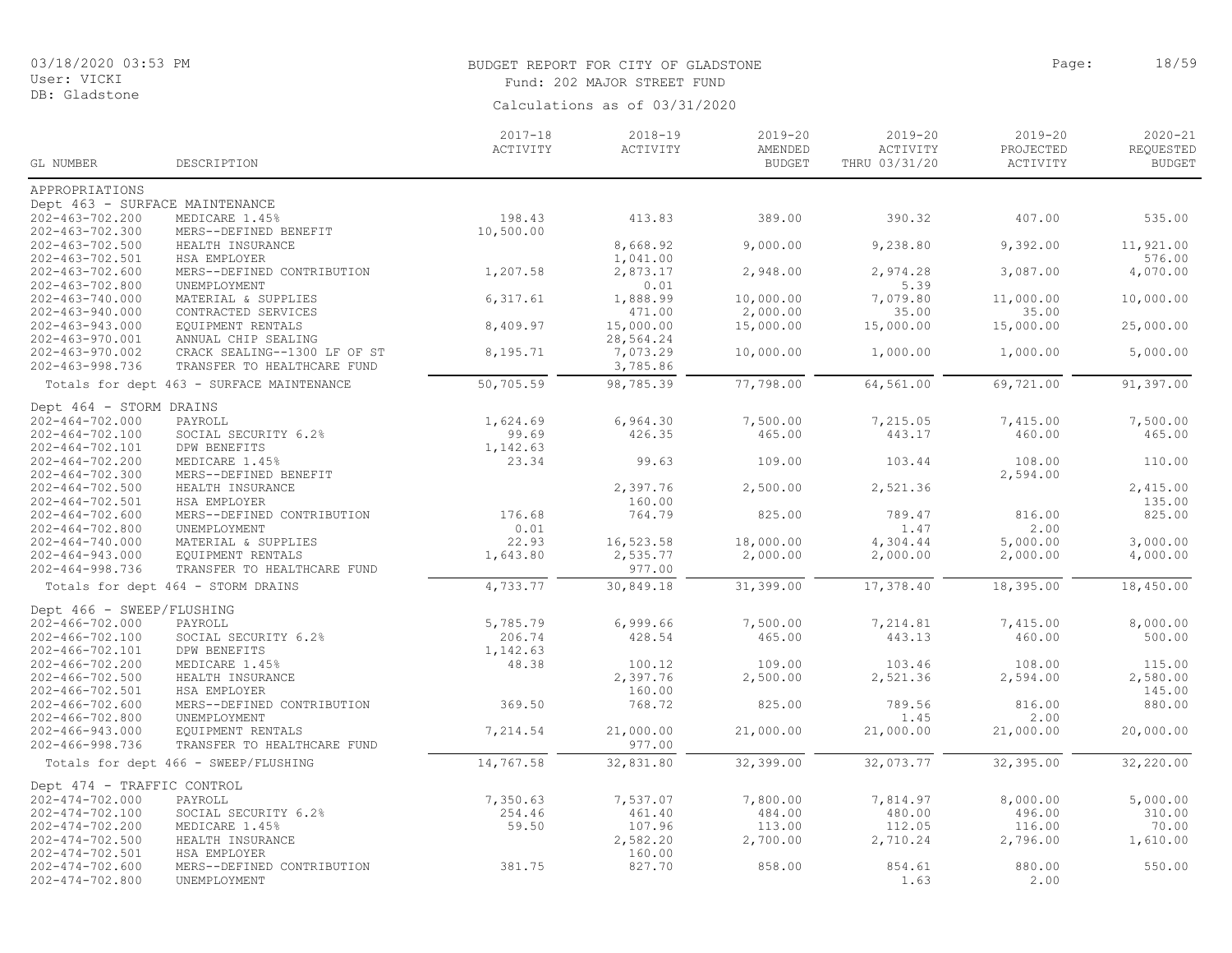# BUDGET REPORT FOR CITY OF GLADSTONE **Page:** 18/59

Fund: 202 MAJOR STREET FUND

| GL NUMBER                      | DESCRIPTION                               | $2017 - 18$<br>ACTIVITY | $2018 - 19$<br>ACTIVITY | $2019 - 20$<br>AMENDED<br><b>BUDGET</b> | $2019 - 20$<br>ACTIVITY<br>THRU 03/31/20 | $2019 - 20$<br>PROJECTED<br>ACTIVITY | $2020 - 21$<br>REQUESTED<br><b>BUDGET</b> |
|--------------------------------|-------------------------------------------|-------------------------|-------------------------|-----------------------------------------|------------------------------------------|--------------------------------------|-------------------------------------------|
| APPROPRIATIONS                 |                                           |                         |                         |                                         |                                          |                                      |                                           |
| Dept 463 - SURFACE MAINTENANCE |                                           |                         |                         |                                         |                                          |                                      |                                           |
| 202-463-702.200                | MEDICARE 1.45%                            | 198.43                  | 413.83                  | 389.00                                  | 390.32                                   | 407.00                               | 535.00                                    |
| 202-463-702.300                | MERS--DEFINED BENEFIT                     | 10,500.00               |                         |                                         |                                          |                                      |                                           |
| $202 - 463 - 702.500$          | HEALTH INSURANCE                          |                         | 8,668.92                | 9,000.00                                | 9,238.80                                 | 9,392.00                             | 11,921.00                                 |
| 202-463-702.501                | HSA EMPLOYER                              |                         | 1,041.00                |                                         |                                          |                                      | 576.00                                    |
| $202 - 463 - 702.600$          | MERS--DEFINED CONTRIBUTION                | 1,207.58                | 2,873.17                | 2,948.00                                | 2,974.28                                 | 3,087.00                             | 4,070.00                                  |
| $202 - 463 - 702.800$          | UNEMPLOYMENT                              |                         | 0.01                    |                                         | 5.39                                     |                                      |                                           |
| 202-463-740.000                | MATERIAL & SUPPLIES                       | 6,317.61                | 1,888.99                | 10,000.00                               | 7,079.80                                 | 11,000.00                            | 10,000.00                                 |
| $202 - 463 - 940.000$          | CONTRACTED SERVICES                       |                         | 471.00                  | 2,000.00                                | 35.00                                    | 35.00                                |                                           |
| $202 - 463 - 943.000$          | EQUIPMENT RENTALS                         | 8,409.97                | 15,000.00               | 15,000.00                               | 15,000.00                                | 15,000.00                            | 25,000.00                                 |
| 202-463-970.001                | ANNUAL CHIP SEALING                       |                         | 28,564.24               |                                         |                                          |                                      |                                           |
| $202 - 463 - 970.002$          | CRACK SEALING--1300 LF OF ST              | 8,195.71                | 7,073.29                | 10,000.00                               | 1,000.00                                 | 1,000.00                             | 5,000.00                                  |
| 202-463-998.736                | TRANSFER TO HEALTHCARE FUND               |                         | 3,785.86                |                                         |                                          |                                      |                                           |
|                                | Totals for dept 463 - SURFACE MAINTENANCE | 50,705.59               | 98,785.39               | 77,798.00                               | 64,561.00                                | 69,721.00                            | 91,397.00                                 |
| Dept 464 - STORM DRAINS        |                                           |                         |                         |                                         |                                          |                                      |                                           |
| $202 - 464 - 702.000$          | PAYROLL                                   | 1,624.69                | 6,964.30                | 7,500.00                                | 7,215.05                                 | 7,415.00                             | 7,500.00                                  |
| $202 - 464 - 702.100$          | SOCIAL SECURITY 6.2%                      | 99.69                   | 426.35                  | 465.00                                  | 443.17                                   | 460.00                               | 465.00                                    |
| 202-464-702.101                | DPW BENEFITS                              | 1,142.63                |                         |                                         |                                          |                                      |                                           |
| $202 - 464 - 702.200$          | MEDICARE 1.45%                            | 23.34                   | 99.63                   | 109.00                                  | 103.44                                   | 108.00                               | 110.00                                    |
| $202 - 464 - 702.300$          | MERS--DEFINED BENEFIT                     |                         |                         |                                         |                                          | 2,594.00                             |                                           |
| $202 - 464 - 702.500$          | HEALTH INSURANCE                          |                         | 2,397.76                | 2,500.00                                | 2,521.36                                 |                                      | 2,415.00                                  |
| $202 - 464 - 702.501$          | HSA EMPLOYER                              |                         | 160.00                  |                                         |                                          |                                      | 135.00                                    |
| $202 - 464 - 702.600$          | MERS--DEFINED CONTRIBUTION                | 176.68                  | 764.79                  | 825.00                                  | 789.47                                   | 816.00                               | 825.00                                    |
| $202 - 464 - 702.800$          | UNEMPLOYMENT                              | 0.01                    |                         |                                         | 1.47                                     | 2.00                                 |                                           |
| $202 - 464 - 740.000$          | MATERIAL & SUPPLIES                       | 22.93                   | 16,523.58               | 18,000.00                               | 4,304.44                                 | 5,000.00                             | 3,000.00                                  |
| $202 - 464 - 943.000$          | EQUIPMENT RENTALS                         | 1,643.80                | 2,535.77                | 2,000.00                                | 2,000.00                                 | 2,000.00                             | 4,000.00                                  |
| $202 - 464 - 998.736$          | TRANSFER TO HEALTHCARE FUND               |                         | 977.00                  |                                         |                                          |                                      |                                           |
|                                | Totals for dept 464 - STORM DRAINS        | 4,733.77                | 30,849.18               | 31,399.00                               | 17,378.40                                | 18,395.00                            | 18,450.00                                 |
| Dept 466 - SWEEP/FLUSHING      |                                           |                         |                         |                                         |                                          |                                      |                                           |
| 202-466-702.000                | PAYROLL                                   | 5,785.79                | 6,999.66                | 7,500.00                                | 7,214.81                                 | 7,415.00                             | 8,000.00                                  |
| 202-466-702.100                | SOCIAL SECURITY 6.2%                      | 206.74                  | 428.54                  | 465.00                                  | 443.13                                   | 460.00                               | 500.00                                    |
| 202-466-702.101                | DPW BENEFITS                              | 1,142.63                |                         |                                         |                                          |                                      |                                           |
| 202-466-702.200                | MEDICARE 1.45%                            | 48.38                   | 100.12                  | 109.00                                  | 103.46                                   | 108.00                               | 115.00                                    |
| $202 - 466 - 702.500$          | HEALTH INSURANCE                          |                         | 2,397.76                | 2,500.00                                | 2,521.36                                 | 2,594.00                             | 2,580.00                                  |
| 202-466-702.501                | HSA EMPLOYER                              |                         | 160.00                  |                                         |                                          |                                      | 145.00                                    |
| $202 - 466 - 702.600$          | MERS--DEFINED CONTRIBUTION                | 369.50                  | 768.72                  | 825.00                                  | 789.56                                   | 816.00                               | 880.00                                    |
| $202 - 466 - 702.800$          | UNEMPLOYMENT                              |                         |                         |                                         | 1.45                                     | 2.00                                 |                                           |
| $202 - 466 - 943.000$          | EQUIPMENT RENTALS                         | 7,214.54                | 21,000.00               | 21,000.00                               | 21,000.00                                | 21,000.00                            | 20,000.00                                 |
| $202 - 466 - 998.736$          | TRANSFER TO HEALTHCARE FUND               |                         | 977.00                  |                                         |                                          |                                      |                                           |
|                                | Totals for dept 466 - SWEEP/FLUSHING      | 14,767.58               | 32,831.80               | 32,399.00                               | 32,073.77                                | 32,395.00                            | 32,220.00                                 |
| Dept 474 - TRAFFIC CONTROL     |                                           |                         |                         |                                         |                                          |                                      |                                           |
| $202 - 474 - 702.000$          | PAYROLL                                   | 7,350.63                | 7,537.07                | 7,800.00                                | 7,814.97                                 | 8,000.00                             | 5,000.00                                  |
| 202-474-702.100                | SOCIAL SECURITY 6.2%                      | 254.46                  | 461.40                  | 484.00                                  | 480.00                                   | 496.00                               | 310.00                                    |
| 202-474-702.200                | MEDICARE 1.45%                            | 59.50                   | 107.96                  | 113.00                                  | 112.05                                   | 116.00                               | 70.00                                     |
| $202 - 474 - 702.500$          | HEALTH INSURANCE                          |                         | 2,582.20                | 2,700.00                                | 2,710.24                                 | 2,796.00                             | 1,610.00                                  |
| 202-474-702.501                | HSA EMPLOYER                              |                         | 160.00                  |                                         |                                          |                                      |                                           |
| $202 - 474 - 702.600$          | MERS--DEFINED CONTRIBUTION                | 381.75                  | 827.70                  | 858.00                                  | 854.61                                   | 880.00                               | 550.00                                    |
| $202 - 474 - 702.800$          | UNEMPLOYMENT                              |                         |                         |                                         | 1.63                                     | 2.00                                 |                                           |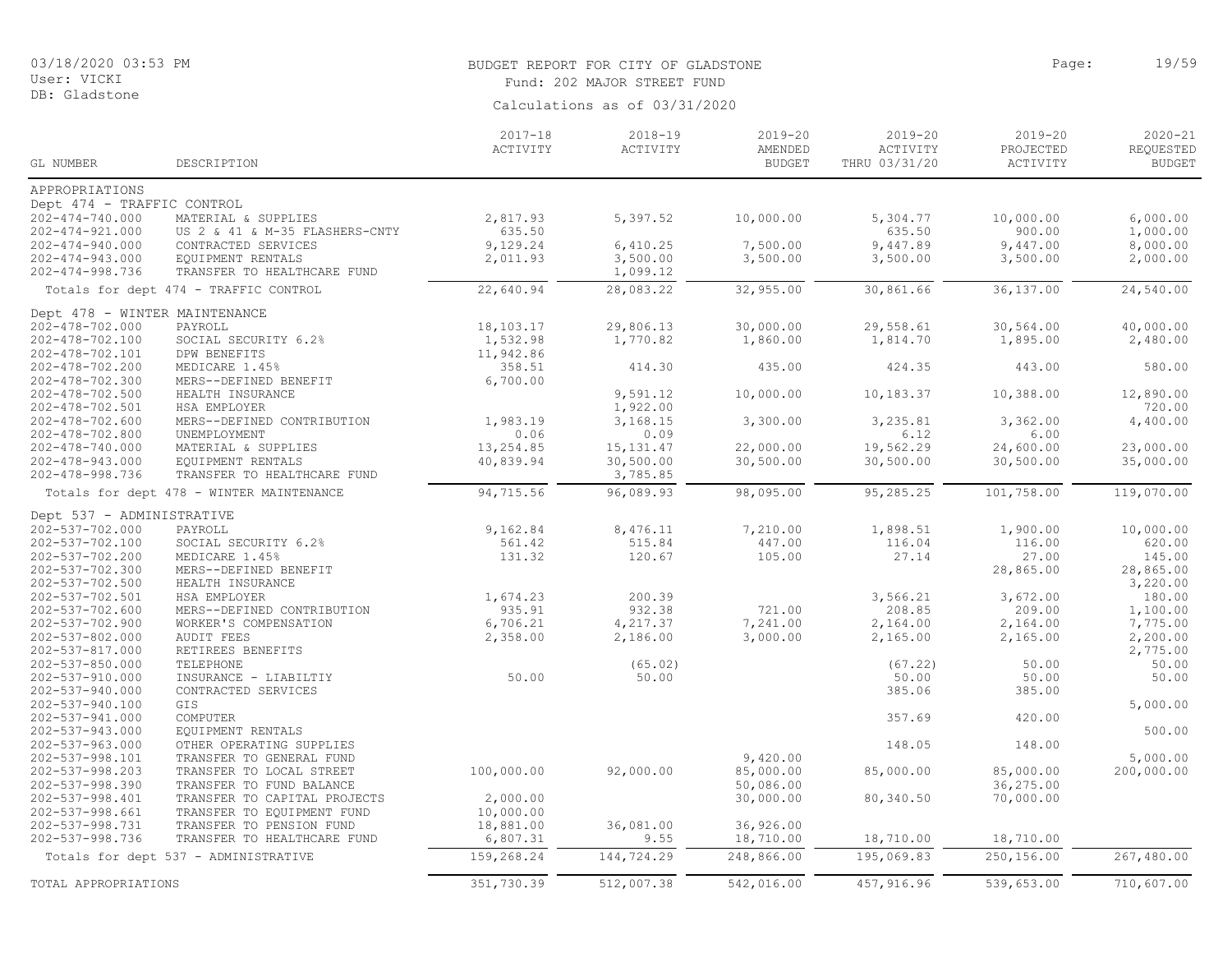# BUDGET REPORT FOR CITY OF GLADSTONE **Example 2018** Page: 19/59

Fund: 202 MAJOR STREET FUND

| Calculations as of 03/31/2020 |  |  |
|-------------------------------|--|--|

|                                    |                                          | $2017 - 18$ | $2018 - 19$ | $2019 - 20$   | $2019 - 20$     | $2019 - 20$ | $2020 - 21$   |
|------------------------------------|------------------------------------------|-------------|-------------|---------------|-----------------|-------------|---------------|
|                                    |                                          | ACTIVITY    | ACTIVITY    | AMENDED       | ACTIVITY        | PROJECTED   | REQUESTED     |
| GL NUMBER                          | DESCRIPTION                              |             |             | <b>BUDGET</b> | THRU 03/31/20   | ACTIVITY    | <b>BUDGET</b> |
| APPROPRIATIONS                     |                                          |             |             |               |                 |             |               |
| Dept 474 - TRAFFIC CONTROL         |                                          |             |             |               |                 |             |               |
| $202 - 474 - 740.000$              | MATERIAL & SUPPLIES                      | 2,817.93    | 5,397.52    | 10,000.00     | 5,304.77        | 10,000.00   | 6,000.00      |
| $202 - 474 - 921.000$              | US 2 & 41 & M-35 FLASHERS-CNTY           | 635.50      |             |               | 635.50          | 900.00      | 1,000.00      |
| $202 - 474 - 940.000$              | CONTRACTED SERVICES                      | 9,129.24    | 6,410.25    | 7,500.00      | 9,447.89        | 9,447.00    | 8,000.00      |
| $202 - 474 - 943.000$              | EQUIPMENT RENTALS                        | 2,011.93    | 3,500.00    | 3,500.00      | 3,500.00        | 3,500.00    | 2,000.00      |
| $202 - 474 - 998.736$              | TRANSFER TO HEALTHCARE FUND              |             | 1,099.12    |               |                 |             |               |
|                                    | Totals for dept 474 - TRAFFIC CONTROL    | 22,640.94   | 28,083.22   | 32,955.00     | 30,861.66       | 36,137.00   | 24,540.00     |
| Dept 478 - WINTER MAINTENANCE      |                                          |             |             |               |                 |             |               |
| 202-478-702.000                    | PAYROLL                                  | 18,103.17   | 29,806.13   | 30,000.00     | 29,558.61       | 30,564.00   | 40,000.00     |
| 202-478-702.100                    | SOCIAL SECURITY 6.2%                     | 1,532.98    | 1,770.82    | 1,860.00      | 1,814.70        | 1,895.00    | 2,480.00      |
| 202-478-702.101                    | DPW BENEFITS                             | 11,942.86   |             |               |                 |             |               |
| 202-478-702.200                    | MEDICARE 1.45%                           | 358.51      | 414.30      | 435.00        | 424.35          | 443.00      | 580.00        |
| 202-478-702.300                    | MERS--DEFINED BENEFIT                    | 6,700.00    |             |               |                 |             |               |
| 202-478-702.500                    | HEALTH INSURANCE                         |             | 9,591.12    | 10,000.00     | 10,183.37       | 10,388.00   | 12,890.00     |
| 202-478-702.501                    | HSA EMPLOYER                             |             | 1,922.00    |               |                 |             | 720.00        |
| 202-478-702.600                    | MERS--DEFINED CONTRIBUTION               | 1,983.19    | 3,168.15    | 3,300.00      | 3,235.81        | 3,362.00    | 4,400.00      |
| 202-478-702.800                    | UNEMPLOYMENT                             | 0.06        | 0.09        |               | 6.12            | 6.00        |               |
| $202 - 478 - 740.000$              | MATERIAL & SUPPLIES                      | 13,254.85   | 15, 131.47  | 22,000.00     | 19,562.29       | 24,600.00   | 23,000.00     |
| $202 - 478 - 943.000$              | EQUIPMENT RENTALS                        | 40,839.94   | 30,500.00   | 30,500.00     | 30,500.00       | 30,500.00   | 35,000.00     |
| 202-478-998.736                    | TRANSFER TO HEALTHCARE FUND              |             | 3,785.85    |               |                 |             |               |
|                                    | Totals for dept 478 - WINTER MAINTENANCE | 94,715.56   | 96,089.93   | 98,095.00     | 95,285.25       | 101,758.00  | 119,070.00    |
| Dept 537 - ADMINISTRATIVE          |                                          |             |             |               |                 |             |               |
| 202-537-702.000                    | PAYROLL                                  | 9,162.84    | 8,476.11    | 7,210.00      | 1,898.51        | 1,900.00    | 10,000.00     |
| 202-537-702.100                    | SOCIAL SECURITY 6.2%                     | 561.42      | 515.84      | 447.00        | 116.04          | 116.00      | 620.00        |
| 202-537-702.200                    | MEDICARE 1.45%                           | 131.32      | 120.67      | 105.00        | 27.14           | 27.00       | 145.00        |
| 202-537-702.300                    | MERS--DEFINED BENEFIT                    |             |             |               |                 | 28,865.00   | 28,865.00     |
| 202-537-702.500                    | HEALTH INSURANCE                         |             |             |               |                 |             | 3,220.00      |
| 202-537-702.501                    | HSA EMPLOYER                             | 1,674.23    | 200.39      |               | 3,566.21        | 3,672.00    | 180.00        |
| 202-537-702.600                    | MERS--DEFINED CONTRIBUTION               | 935.91      | 932.38      | 721.00        | 208.85          | 209.00      | 1,100.00      |
| 202-537-702.900                    | WORKER'S COMPENSATION                    | 6,706.21    | 4,217.37    | 7,241.00      | 2,164.00        | 2,164.00    | 7,775.00      |
| 202-537-802.000                    | <b>AUDIT FEES</b>                        | 2,358.00    | 2,186.00    | 3,000.00      | 2,165.00        | 2,165.00    | 2,200.00      |
| 202-537-817.000                    | RETIREES BENEFITS                        |             |             |               |                 |             | 2,775.00      |
| $202 - 537 - 850.000$              | TELEPHONE                                |             | (65.02)     |               | (67.22)         | 50.00       | 50.00         |
| 202-537-910.000                    | INSURANCE - LIABILTIY                    | 50.00       | 50.00       |               | 50.00<br>385.06 | 50.00       | 50.00         |
| 202-537-940.000<br>202-537-940.100 | CONTRACTED SERVICES<br>GIS               |             |             |               |                 | 385.00      | 5,000.00      |
| 202-537-941.000                    | COMPUTER                                 |             |             |               | 357.69          | 420.00      |               |
| 202-537-943.000                    | EQUIPMENT RENTALS                        |             |             |               |                 |             | 500.00        |
| $202 - 537 - 963.000$              | OTHER OPERATING SUPPLIES                 |             |             |               | 148.05          | 148.00      |               |
| 202-537-998.101                    | TRANSFER TO GENERAL FUND                 |             |             | 9,420.00      |                 |             | 5,000.00      |
| 202-537-998.203                    | TRANSFER TO LOCAL STREET                 | 100,000.00  | 92,000.00   | 85,000.00     | 85,000.00       | 85,000.00   | 200,000.00    |
| 202-537-998.390                    | TRANSFER TO FUND BALANCE                 |             |             | 50,086.00     |                 | 36,275.00   |               |
| 202-537-998.401                    | TRANSFER TO CAPITAL PROJECTS             | 2,000.00    |             | 30,000.00     | 80,340.50       | 70,000.00   |               |
| 202-537-998.661                    | TRANSFER TO EQUIPMENT FUND               | 10,000.00   |             |               |                 |             |               |
| 202-537-998.731                    | TRANSFER TO PENSION FUND                 | 18,881.00   | 36,081.00   | 36,926.00     |                 |             |               |
| 202-537-998.736                    | TRANSFER TO HEALTHCARE FUND              | 6,807.31    | 9.55        | 18,710.00     | 18,710.00       | 18,710.00   |               |
|                                    | Totals for dept 537 - ADMINISTRATIVE     | 159,268.24  | 144,724.29  | 248,866.00    | 195,069.83      | 250,156.00  | 267,480.00    |
|                                    |                                          |             |             |               |                 |             |               |
| TOTAL APPROPRIATIONS               |                                          | 351,730.39  | 512,007.38  | 542,016.00    | 457, 916.96     | 539,653.00  | 710,607.00    |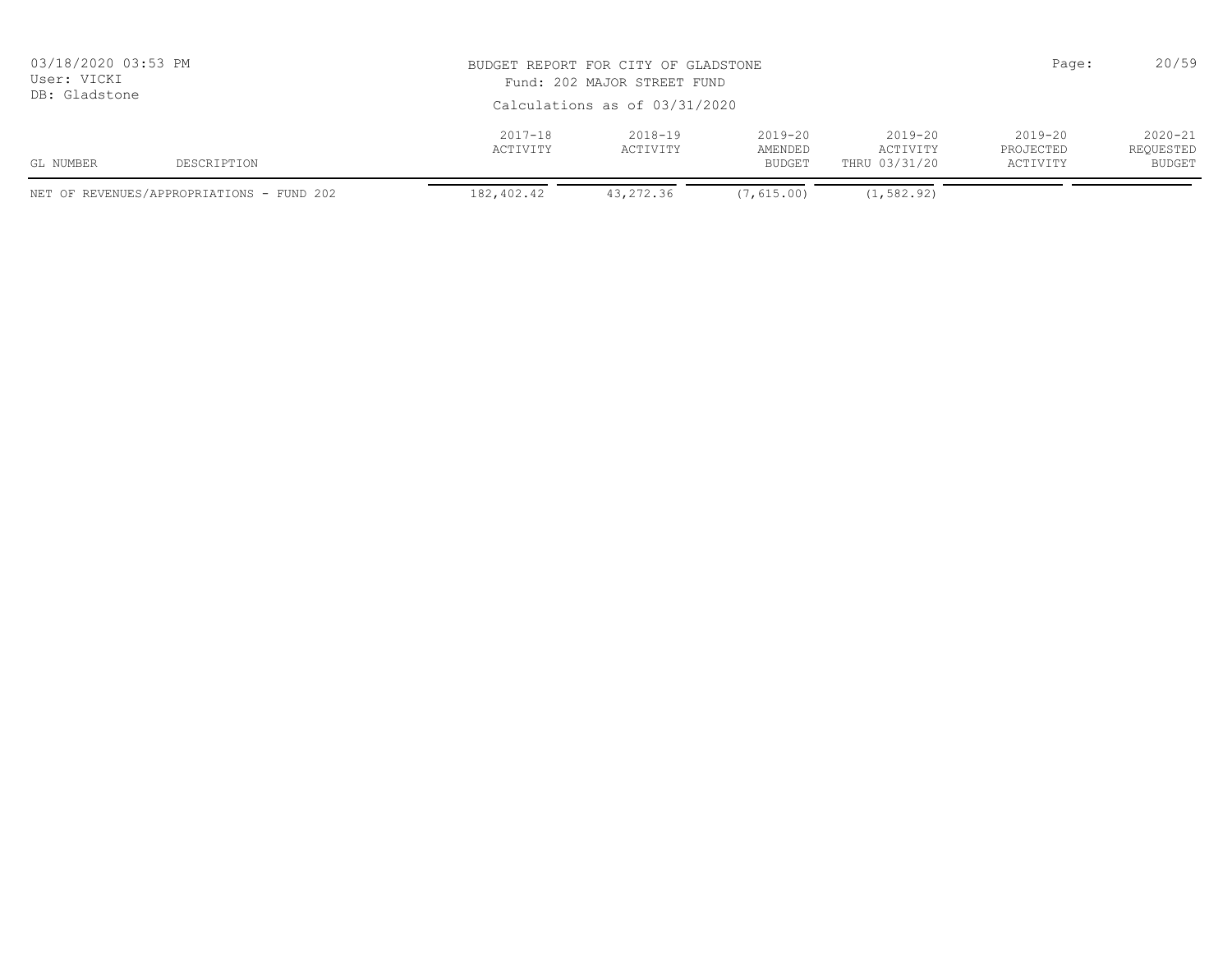| 03/18/2020 03:53 PM<br>User: VICKI<br>DB: Gladstone |                                           |                         | Page:<br>BUDGET REPORT FOR CITY OF GLADSTONE<br>Fund: 202 MAJOR STREET FUND<br>Calculations as of 03/31/2020 |                                         |                                          |                                      |                                    |  |
|-----------------------------------------------------|-------------------------------------------|-------------------------|--------------------------------------------------------------------------------------------------------------|-----------------------------------------|------------------------------------------|--------------------------------------|------------------------------------|--|
| GL NUMBER                                           | DESCRIPTION                               | $2017 - 18$<br>ACTIVITY | $2018 - 19$<br>ACTIVITY                                                                                      | $2019 - 20$<br>AMENDED<br><b>BUDGET</b> | $2019 - 20$<br>ACTIVITY<br>THRU 03/31/20 | $2019 - 20$<br>PROJECTED<br>ACTIVITY | $2020 - 21$<br>REQUESTED<br>BUDGET |  |
|                                                     | NET OF REVENUES/APPROPRIATIONS - FUND 202 | 182,402.42              | 43,272.36                                                                                                    | (7, 615, 00)                            | (1, 582, 92)                             |                                      |                                    |  |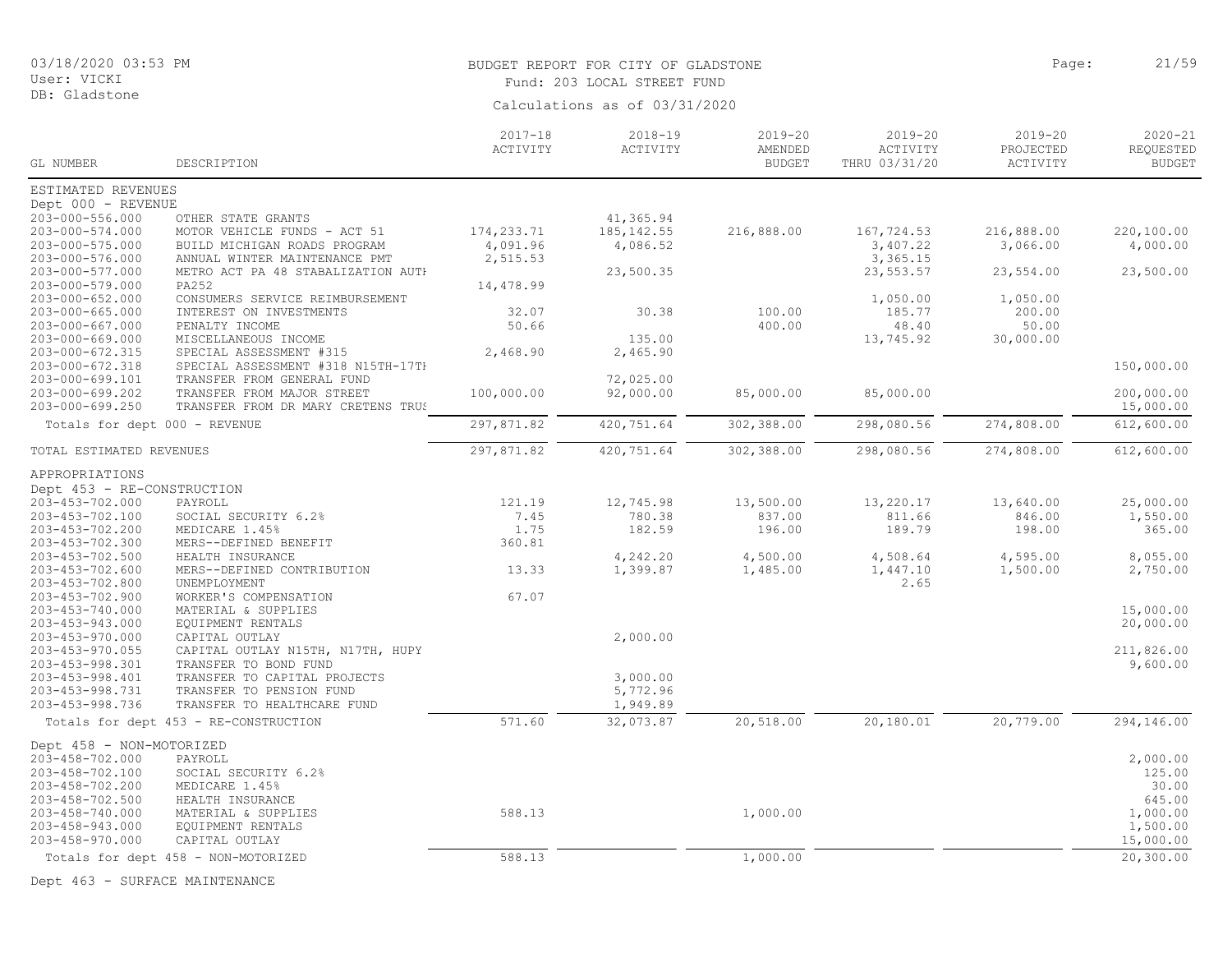# BUDGET REPORT FOR CITY OF GLADSTONE **Page:** 21/59

Fund: 203 LOCAL STREET FUND

Calculations as of 03/31/2020

| GL NUMBER                     | DESCRIPTION                           | $2017 - 18$<br>ACTIVITY | $2018 - 19$<br>ACTIVITY | $2019 - 20$<br>AMENDED<br><b>BUDGET</b> | 2019-20<br>ACTIVITY<br>THRU 03/31/20 | $2019 - 20$<br>PROJECTED<br>ACTIVITY | 2020-21<br>REQUESTED<br><b>BUDGET</b> |
|-------------------------------|---------------------------------------|-------------------------|-------------------------|-----------------------------------------|--------------------------------------|--------------------------------------|---------------------------------------|
| ESTIMATED REVENUES            |                                       |                         |                         |                                         |                                      |                                      |                                       |
| Dept 000 - REVENUE            |                                       |                         |                         |                                         |                                      |                                      |                                       |
| 203-000-556.000               | OTHER STATE GRANTS                    |                         | 41,365.94               |                                         |                                      |                                      |                                       |
| 203-000-574.000               | MOTOR VEHICLE FUNDS - ACT 51          | 174,233.71              | 185, 142.55             | 216,888.00                              | 167,724.53                           | 216,888.00                           | 220,100.00                            |
| 203-000-575.000               | BUILD MICHIGAN ROADS PROGRAM          | 4,091.96                | 4,086.52                |                                         | 3,407.22                             | 3,066.00                             | 4,000.00                              |
| 203-000-576.000               | ANNUAL WINTER MAINTENANCE PMT         | 2,515.53                |                         |                                         | 3,365.15                             |                                      |                                       |
| 203-000-577.000               | METRO ACT PA 48 STABALIZATION AUTH    |                         | 23,500.35               |                                         | 23,553.57                            | 23,554.00                            | 23,500.00                             |
| 203-000-579.000               | PA252                                 | 14,478.99               |                         |                                         |                                      |                                      |                                       |
| 203-000-652.000               | CONSUMERS SERVICE REIMBURSEMENT       |                         |                         |                                         | 1,050.00                             | 1,050.00                             |                                       |
| $203 - 000 - 665.000$         | INTEREST ON INVESTMENTS               | 32.07                   | 30.38                   | 100.00                                  | 185.77                               | 200.00                               |                                       |
| 203-000-667.000               | PENALTY INCOME                        | 50.66                   |                         | 400.00                                  | 48.40                                | 50.00                                |                                       |
| $203 - 000 - 669.000$         | MISCELLANEOUS INCOME                  |                         | 135.00                  |                                         | 13,745.92                            | 30,000.00                            |                                       |
| 203-000-672.315               | SPECIAL ASSESSMENT #315               | 2,468.90                | 2,465.90                |                                         |                                      |                                      |                                       |
| 203-000-672.318               | SPECIAL ASSESSMENT #318 N15TH-17TH    |                         |                         |                                         |                                      |                                      | 150,000.00                            |
| 203-000-699.101               | TRANSFER FROM GENERAL FUND            |                         | 72,025.00               |                                         |                                      |                                      |                                       |
| 203-000-699.202               | TRANSFER FROM MAJOR STREET            | 100,000.00              | 92,000.00               | 85,000.00                               | 85,000.00                            |                                      | 200,000.00                            |
| 203-000-699.250               | TRANSFER FROM DR MARY CRETENS TRUS    |                         |                         |                                         |                                      |                                      | 15,000.00                             |
| Totals for dept 000 - REVENUE |                                       | 297,871.82              | 420,751.64              | 302,388.00                              | 298,080.56                           | 274,808.00                           | 612,600.00                            |
| TOTAL ESTIMATED REVENUES      |                                       | 297,871.82              | 420,751.64              | 302,388.00                              | 298,080.56                           | 274,808.00                           | 612,600.00                            |
|                               |                                       |                         |                         |                                         |                                      |                                      |                                       |
| APPROPRIATIONS                |                                       |                         |                         |                                         |                                      |                                      |                                       |
| Dept 453 - RE-CONSTRUCTION    |                                       |                         |                         |                                         |                                      |                                      |                                       |
| 203-453-702.000               | PAYROLL                               | 121.19                  | 12,745.98               | 13,500.00                               | 13,220.17                            | 13,640.00                            | 25,000.00                             |
| 203-453-702.100               | SOCIAL SECURITY 6.2%                  | 7.45                    | 780.38                  | 837.00                                  | 811.66                               | 846.00                               | 1,550.00                              |
| 203-453-702.200               | MEDICARE 1.45%                        | 1.75                    | 182.59                  | 196.00                                  | 189.79                               | 198.00                               | 365.00                                |
| 203-453-702.300               | MERS--DEFINED BENEFIT                 | 360.81                  |                         |                                         |                                      |                                      |                                       |
| 203-453-702.500               | HEALTH INSURANCE                      |                         | 4,242.20                | 4,500.00                                | 4,508.64                             | 4,595.00                             | 8,055.00                              |
| 203-453-702.600               | MERS--DEFINED CONTRIBUTION            | 13.33                   | 1,399.87                | 1,485.00                                | 1,447.10                             | 1,500.00                             | 2,750.00                              |
| 203-453-702.800               | UNEMPLOYMENT                          |                         |                         |                                         | 2.65                                 |                                      |                                       |
| 203-453-702.900               | WORKER'S COMPENSATION                 | 67.07                   |                         |                                         |                                      |                                      |                                       |
| 203-453-740.000               | MATERIAL & SUPPLIES                   |                         |                         |                                         |                                      |                                      | 15,000.00                             |
| 203-453-943.000               | EQUIPMENT RENTALS                     |                         |                         |                                         |                                      |                                      | 20,000.00                             |
| 203-453-970.000               | CAPITAL OUTLAY                        |                         | 2,000.00                |                                         |                                      |                                      |                                       |
| $203 - 453 - 970.055$         | CAPITAL OUTLAY N15TH, N17TH, HUPY     |                         |                         |                                         |                                      |                                      | 211,826.00                            |
| 203-453-998.301               | TRANSFER TO BOND FUND                 |                         |                         |                                         |                                      |                                      | 9,600.00                              |
| 203-453-998.401               | TRANSFER TO CAPITAL PROJECTS          |                         | 3,000.00                |                                         |                                      |                                      |                                       |
| 203-453-998.731               | TRANSFER TO PENSION FUND              |                         | 5,772.96                |                                         |                                      |                                      |                                       |
| 203-453-998.736               | TRANSFER TO HEALTHCARE FUND           |                         | 1,949.89                |                                         |                                      |                                      |                                       |
|                               | Totals for dept 453 - RE-CONSTRUCTION | 571.60                  | 32,073.87               | 20,518.00                               | 20,180.01                            | 20,779.00                            | 294,146.00                            |
|                               |                                       |                         |                         |                                         |                                      |                                      |                                       |
| Dept 458 - NON-MOTORIZED      |                                       |                         |                         |                                         |                                      |                                      |                                       |
| 203-458-702.000               | PAYROLL                               |                         |                         |                                         |                                      |                                      | 2,000.00                              |
| 203-458-702.100               | SOCIAL SECURITY 6.2%                  |                         |                         |                                         |                                      |                                      | 125.00                                |
| 203-458-702.200               | MEDICARE 1.45%                        |                         |                         |                                         |                                      |                                      | 30.00                                 |
| 203-458-702.500               | HEALTH INSURANCE                      |                         |                         |                                         |                                      |                                      | 645.00                                |
| 203-458-740.000               | MATERIAL & SUPPLIES                   | 588.13                  |                         | 1,000.00                                |                                      |                                      | 1,000.00                              |
| 203-458-943.000               | EQUIPMENT RENTALS                     |                         |                         |                                         |                                      |                                      | 1,500.00                              |
| 203-458-970.000               | CAPITAL OUTLAY                        |                         |                         |                                         |                                      |                                      | 15,000.00                             |
|                               | Totals for dept 458 - NON-MOTORIZED   | 588.13                  |                         | 1,000.00                                |                                      |                                      | 20,300.00                             |
|                               |                                       |                         |                         |                                         |                                      |                                      |                                       |

Dept 463 - SURFACE MAINTENANCE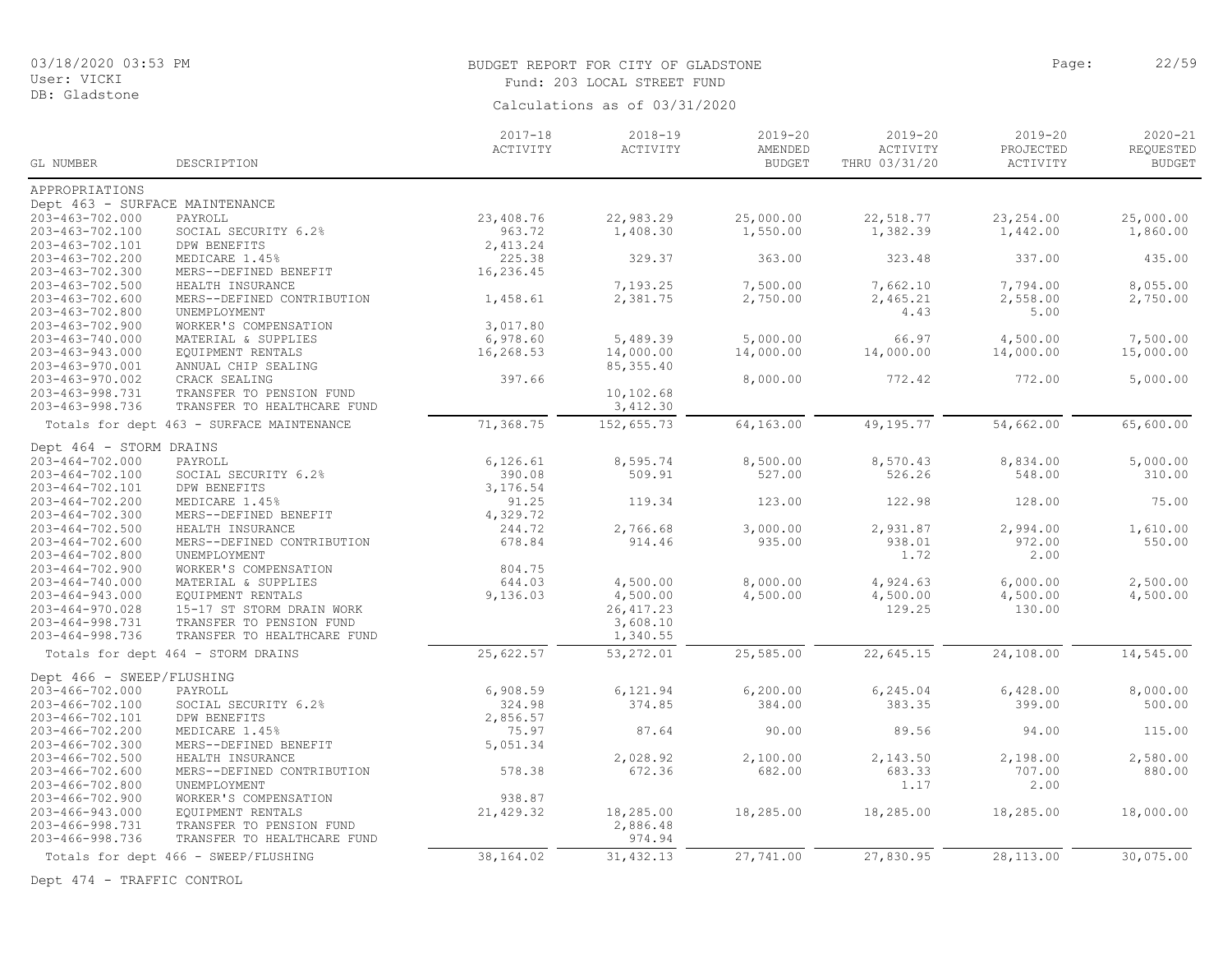DB: Gladstone

# BUDGET REPORT FOR CITY OF GLADSTONE **Page:** 22/59

Fund: 203 LOCAL STREET FUND

Calculations as of 03/31/2020

|                                |                                           | $2017 - 18$<br>ACTIVITY | $2018 - 19$<br>ACTIVITY | $2019 - 20$<br>AMENDED | $2019 - 20$<br>ACTIVITY | $2019 - 20$<br>PROJECTED | $2020 - 21$<br>REQUESTED |
|--------------------------------|-------------------------------------------|-------------------------|-------------------------|------------------------|-------------------------|--------------------------|--------------------------|
| GL NUMBER                      | DESCRIPTION                               |                         |                         | <b>BUDGET</b>          | THRU 03/31/20           | ACTIVITY                 | <b>BUDGET</b>            |
| APPROPRIATIONS                 |                                           |                         |                         |                        |                         |                          |                          |
| Dept 463 - SURFACE MAINTENANCE |                                           |                         |                         |                        |                         |                          |                          |
| $203 - 463 - 702.000$          | PAYROLL                                   | 23,408.76               | 22,983.29               | 25,000.00              | 22,518.77               | 23, 254.00               | 25,000.00                |
| 203-463-702.100                | SOCIAL SECURITY 6.2%                      | 963.72                  | 1,408.30                | 1,550.00               | 1,382.39                | 1,442.00                 | 1,860.00                 |
| 203-463-702.101                | DPW BENEFITS                              | 2,413.24                |                         |                        |                         |                          |                          |
| 203-463-702.200                | MEDICARE 1.45%                            | 225.38                  | 329.37                  | 363.00                 | 323.48                  | 337.00                   | 435.00                   |
| 203-463-702.300                | MERS--DEFINED BENEFIT                     | 16,236.45               |                         |                        |                         |                          |                          |
| $203 - 463 - 702.500$          | HEALTH INSURANCE                          |                         | 7,193.25                | 7,500.00               | 7,662.10                | 7,794.00                 | 8,055.00                 |
| $203 - 463 - 702.600$          | MERS--DEFINED CONTRIBUTION                | 1,458.61                | 2,381.75                | 2,750.00               | 2,465.21                | 2,558.00                 | 2,750.00                 |
| 203-463-702.800                | UNEMPLOYMENT                              |                         |                         |                        | 4.43                    | 5.00                     |                          |
| 203-463-702.900                | WORKER'S COMPENSATION                     | 3,017.80                |                         |                        |                         |                          |                          |
| $203 - 463 - 740.000$          | MATERIAL & SUPPLIES                       | 6,978.60                | 5,489.39                | 5,000.00               | 66.97                   | 4,500.00                 | 7,500.00                 |
| 203-463-943.000                | EQUIPMENT RENTALS                         | 16,268.53               | 14,000.00               | 14,000.00              | 14,000.00               | 14,000.00                | 15,000.00                |
| 203-463-970.001                | ANNUAL CHIP SEALING                       |                         | 85, 355.40              |                        |                         |                          |                          |
| 203-463-970.002                | CRACK SEALING                             | 397.66                  |                         | 8,000.00               | 772.42                  | 772.00                   | 5,000.00                 |
| 203-463-998.731                | TRANSFER TO PENSION FUND                  |                         | 10,102.68               |                        |                         |                          |                          |
| 203-463-998.736                | TRANSFER TO HEALTHCARE FUND               |                         | 3,412.30                |                        |                         |                          |                          |
|                                | Totals for dept 463 - SURFACE MAINTENANCE | 71,368.75               | 152,655.73              | 64,163.00              | 49,195.77               | 54,662.00                | 65,600.00                |
| Dept 464 - STORM DRAINS        |                                           |                         |                         |                        |                         |                          |                          |
| $203 - 464 - 702.000$          | PAYROLL                                   | 6, 126.61               | 8,595.74                | 8,500.00               | 8,570.43                | 8,834.00                 | 5,000.00                 |
| $203 - 464 - 702.100$          | SOCIAL SECURITY 6.2%                      | 390.08                  | 509.91                  | 527.00                 | 526.26                  | 548.00                   | 310.00                   |
| 203-464-702.101                | DPW BENEFITS                              | 3,176.54                |                         |                        |                         |                          |                          |
| 203-464-702.200                | MEDICARE 1.45%                            | 91.25                   | 119.34                  | 123.00                 | 122.98                  | 128.00                   | 75.00                    |
| $203 - 464 - 702.300$          | MERS--DEFINED BENEFIT                     | 4,329.72                |                         |                        |                         |                          |                          |
| $203 - 464 - 702.500$          | HEALTH INSURANCE                          | 244.72                  | 2,766.68                | 3,000.00               | 2,931.87                | 2,994.00                 | 1,610.00                 |
| $203 - 464 - 702.600$          | MERS--DEFINED CONTRIBUTION                | 678.84                  | 914.46                  | 935.00                 | 938.01                  | 972.00                   | 550.00                   |
| $203 - 464 - 702.800$          | UNEMPLOYMENT                              |                         |                         |                        | 1.72                    | 2.00                     |                          |
| $203 - 464 - 702.900$          | WORKER'S COMPENSATION                     | 804.75                  |                         |                        |                         |                          |                          |
| $203 - 464 - 740.000$          | MATERIAL & SUPPLIES                       | 644.03                  | 4,500.00                | 8,000.00               | 4,924.63                | 6,000.00                 | 2,500.00                 |
| $203 - 464 - 943.000$          | EQUIPMENT RENTALS                         | 9,136.03                | 4,500.00                | 4,500.00               | 4,500.00                | 4,500.00                 | 4,500.00                 |
| $203 - 464 - 970.028$          | 15-17 ST STORM DRAIN WORK                 |                         | 26, 417.23              |                        | 129.25                  | 130.00                   |                          |
| 203-464-998.731                | TRANSFER TO PENSION FUND                  |                         | 3,608.10                |                        |                         |                          |                          |
| $203 - 464 - 998.736$          | TRANSFER TO HEALTHCARE FUND               |                         | 1,340.55                |                        |                         |                          |                          |
|                                | Totals for dept 464 - STORM DRAINS        | 25,622.57               | 53,272.01               | 25,585.00              | 22,645.15               | 24,108.00                | 14,545.00                |
| Dept 466 - SWEEP/FLUSHING      |                                           |                         |                         |                        |                         |                          |                          |
| $203 - 466 - 702.000$          | PAYROLL                                   | 6,908.59                | 6,121.94                | 6, 200.00              | 6,245.04                | 6,428.00                 | 8,000.00                 |
| 203-466-702.100                | SOCIAL SECURITY 6.2%                      | 324.98                  | 374.85                  | 384.00                 | 383.35                  | 399.00                   | 500.00                   |
| 203-466-702.101                | DPW BENEFITS                              | 2,856.57                |                         |                        |                         |                          |                          |
| 203-466-702.200                | MEDICARE 1.45%                            | 75.97                   | 87.64                   | 90.00                  | 89.56                   | 94.00                    | 115.00                   |
| 203-466-702.300                | MERS--DEFINED BENEFIT                     | 5,051.34                |                         |                        |                         |                          |                          |
| 203-466-702.500                | HEALTH INSURANCE                          |                         | 2,028.92                | 2,100.00               | 2,143.50                | 2,198.00                 | 2,580.00                 |
| 203-466-702.600                | MERS--DEFINED CONTRIBUTION                | 578.38                  | 672.36                  | 682.00                 | 683.33                  | 707.00                   | 880.00                   |
| 203-466-702.800                | UNEMPLOYMENT                              |                         |                         |                        | 1.17                    | 2.00                     |                          |
| 203-466-702.900                | WORKER'S COMPENSATION                     | 938.87                  |                         |                        |                         |                          |                          |
| 203-466-943.000                | EQUIPMENT RENTALS                         | 21,429.32               | 18,285.00               | 18,285.00              | 18,285.00               | 18,285.00                | 18,000.00                |
| 203-466-998.731                | TRANSFER TO PENSION FUND                  |                         | 2,886.48                |                        |                         |                          |                          |
| 203-466-998.736                | TRANSFER TO HEALTHCARE FUND               |                         | 974.94                  |                        |                         |                          |                          |
|                                | Totals for dept 466 - SWEEP/FLUSHING      | 38,164.02               | 31, 432.13              | 27,741.00              | 27,830.95               | 28,113.00                | 30,075.00                |

Dept 474 - TRAFFIC CONTROL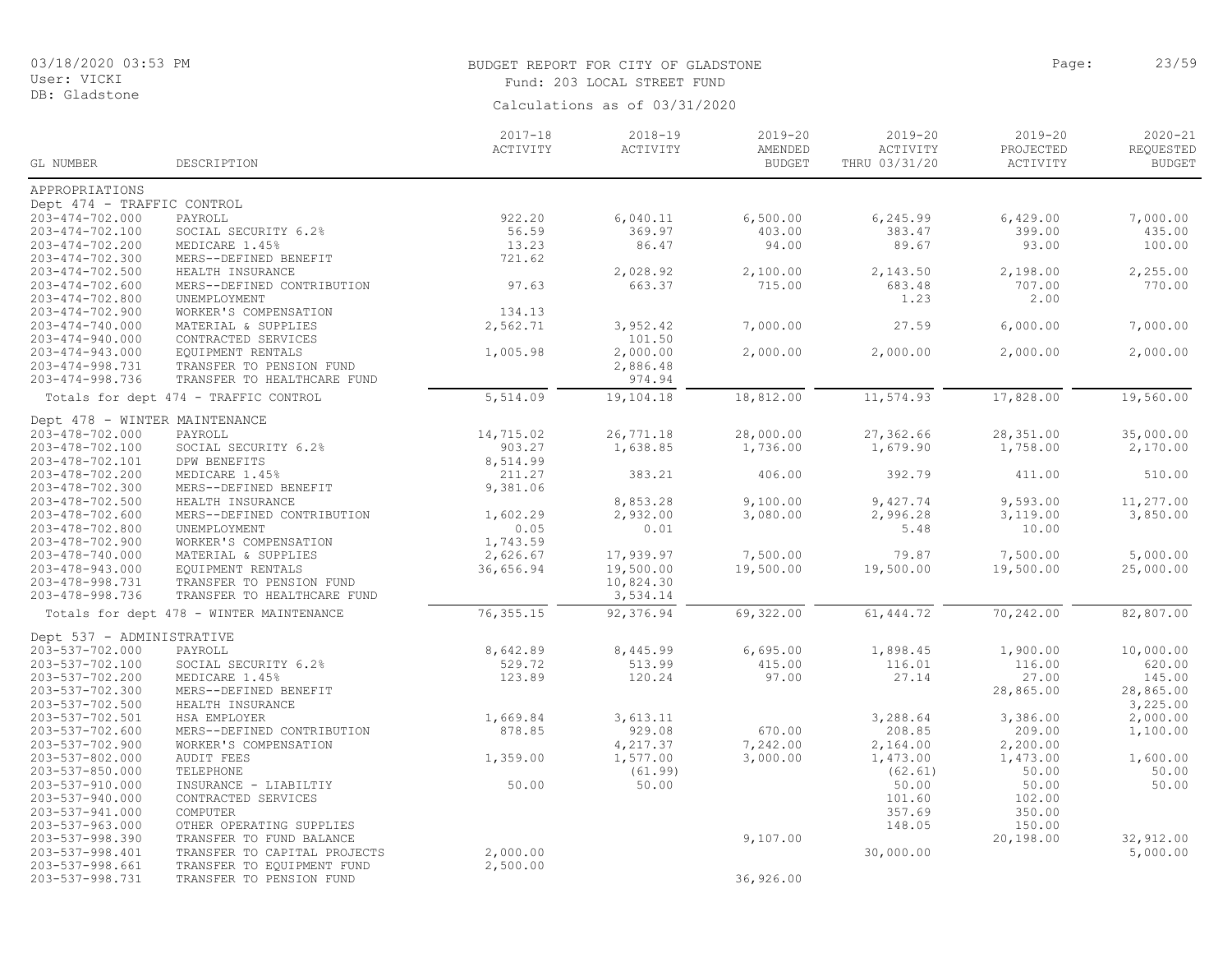# BUDGET REPORT FOR CITY OF GLADSTONE **Page:** 23/59

Fund: 203 LOCAL STREET FUND

|                               |                                          | $2017 - 18$ | $2018 - 19$ | $2019 - 20$   | $2019 - 20$   | $2019 - 20$ | $2020 - 21$   |
|-------------------------------|------------------------------------------|-------------|-------------|---------------|---------------|-------------|---------------|
|                               |                                          | ACTIVITY    | ACTIVITY    | AMENDED       | ACTIVITY      | PROJECTED   | REQUESTED     |
| GL NUMBER                     | DESCRIPTION                              |             |             | <b>BUDGET</b> | THRU 03/31/20 | ACTIVITY    | <b>BUDGET</b> |
| APPROPRIATIONS                |                                          |             |             |               |               |             |               |
| Dept 474 - TRAFFIC CONTROL    |                                          |             |             |               |               |             |               |
| $203 - 474 - 702.000$         | PAYROLL                                  | 922.20      | 6,040.11    | 6,500.00      | 6,245.99      | 6,429.00    | 7,000.00      |
| 203-474-702.100               | SOCIAL SECURITY 6.2%                     | 56.59       | 369.97      | 403.00        | 383.47        | 399.00      | 435.00        |
| 203-474-702.200               | MEDICARE 1.45%                           | 13.23       | 86.47       | 94.00         | 89.67         | 93.00       | 100.00        |
| 203-474-702.300               | MERS--DEFINED BENEFIT                    | 721.62      |             |               |               |             |               |
| $203 - 474 - 702.500$         | HEALTH INSURANCE                         |             | 2,028.92    | 2,100.00      | 2,143.50      | 2,198.00    | 2,255.00      |
| $203 - 474 - 702.600$         | MERS--DEFINED CONTRIBUTION               | 97.63       | 663.37      | 715.00        | 683.48        | 707.00      | 770.00        |
| $203 - 474 - 702.800$         | UNEMPLOYMENT                             |             |             |               | 1.23          | 2.00        |               |
| 203-474-702.900               | WORKER'S COMPENSATION                    | 134.13      |             |               |               |             |               |
| $203 - 474 - 740.000$         | MATERIAL & SUPPLIES                      | 2,562.71    | 3,952.42    | 7,000.00      | 27.59         | 6,000.00    | 7,000.00      |
| $203 - 474 - 940.000$         | CONTRACTED SERVICES                      |             | 101.50      |               |               |             |               |
| $203 - 474 - 943.000$         | EQUIPMENT RENTALS                        | 1,005.98    | 2,000.00    | 2,000.00      | 2,000.00      | 2,000.00    | 2,000.00      |
| 203-474-998.731               | TRANSFER TO PENSION FUND                 |             | 2,886.48    |               |               |             |               |
| 203-474-998.736               | TRANSFER TO HEALTHCARE FUND              |             | 974.94      |               |               |             |               |
|                               | Totals for dept 474 - TRAFFIC CONTROL    | 5,514.09    | 19,104.18   | 18,812.00     | 11,574.93     | 17,828.00   | 19,560.00     |
| Dept 478 - WINTER MAINTENANCE |                                          |             |             |               |               |             |               |
| 203-478-702.000               | PAYROLL                                  | 14,715.02   | 26,771.18   | 28,000.00     | 27,362.66     | 28,351.00   | 35,000.00     |
| 203-478-702.100               | SOCIAL SECURITY 6.2%                     | 903.27      | 1,638.85    | 1,736.00      | 1,679.90      | 1,758.00    | 2,170.00      |
| 203-478-702.101               | DPW BENEFITS                             | 8,514.99    |             |               |               |             |               |
| 203-478-702.200               | MEDICARE 1.45%                           | 211.27      | 383.21      | 406.00        | 392.79        | 411.00      | 510.00        |
| 203-478-702.300               | MERS--DEFINED BENEFIT                    | 9,381.06    |             |               |               |             |               |
| 203-478-702.500               | HEALTH INSURANCE                         |             | 8,853.28    | 9,100.00      | 9,427.74      | 9,593.00    | 11,277.00     |
| 203-478-702.600               | MERS--DEFINED CONTRIBUTION               | 1,602.29    | 2,932.00    | 3,080.00      | 2,996.28      | 3,119.00    | 3,850.00      |
| 203-478-702.800               | UNEMPLOYMENT                             | 0.05        | 0.01        |               | 5.48          | 10.00       |               |
| 203-478-702.900               | WORKER'S COMPENSATION                    | 1,743.59    |             |               |               |             |               |
| 203-478-740.000               | MATERIAL & SUPPLIES                      | 2,626.67    | 17,939.97   | 7,500.00      | 79.87         | 7,500.00    | 5,000.00      |
| 203-478-943.000               | EQUIPMENT RENTALS                        | 36,656.94   | 19,500.00   | 19,500.00     | 19,500.00     | 19,500.00   | 25,000.00     |
| 203-478-998.731               | TRANSFER TO PENSION FUND                 |             | 10,824.30   |               |               |             |               |
| 203-478-998.736               | TRANSFER TO HEALTHCARE FUND              |             | 3,534.14    |               |               |             |               |
|                               | Totals for dept 478 - WINTER MAINTENANCE | 76, 355.15  | 92,376.94   | 69,322.00     | 61, 444.72    | 70,242.00   | 82,807.00     |
| Dept 537 - ADMINISTRATIVE     |                                          |             |             |               |               |             |               |
| 203-537-702.000               | PAYROLL                                  | 8,642.89    | 8,445.99    | 6,695.00      | 1,898.45      | 1,900.00    | 10,000.00     |
| 203-537-702.100               | SOCIAL SECURITY 6.2%                     | 529.72      | 513.99      | 415.00        | 116.01        | 116.00      | 620.00        |
| 203-537-702.200               | MEDICARE 1.45%                           | 123.89      | 120.24      | 97.00         | 27.14         | 27.00       | 145.00        |
| 203-537-702.300               | MERS--DEFINED BENEFIT                    |             |             |               |               | 28,865.00   | 28,865.00     |
| 203-537-702.500               | HEALTH INSURANCE                         |             |             |               |               |             | 3,225.00      |
| 203-537-702.501               | HSA EMPLOYER                             | 1,669.84    | 3,613.11    |               | 3,288.64      | 3,386.00    | 2,000.00      |
| 203-537-702.600               | MERS--DEFINED CONTRIBUTION               | 878.85      | 929.08      | 670.00        | 208.85        | 209.00      | 1,100.00      |
| 203-537-702.900               | WORKER'S COMPENSATION                    |             | 4,217.37    | 7,242.00      | 2,164.00      | 2,200.00    |               |
| 203-537-802.000               | <b>AUDIT FEES</b>                        | 1,359.00    | 1,577.00    | 3,000.00      | 1,473.00      | 1,473.00    | 1,600.00      |
| 203-537-850.000               | TELEPHONE                                |             | (61.99)     |               | (62.61)       | 50.00       | 50.00         |
| 203-537-910.000               | INSURANCE - LIABILTIY                    | 50.00       | 50.00       |               | 50.00         | 50.00       | 50.00         |
| 203-537-940.000               | CONTRACTED SERVICES                      |             |             |               | 101.60        | 102.00      |               |
| 203-537-941.000               | COMPUTER                                 |             |             |               | 357.69        | 350.00      |               |
| 203-537-963.000               | OTHER OPERATING SUPPLIES                 |             |             |               | 148.05        | 150.00      |               |
| 203-537-998.390               | TRANSFER TO FUND BALANCE                 |             |             | 9,107.00      |               | 20,198.00   | 32,912.00     |
| 203-537-998.401               | TRANSFER TO CAPITAL PROJECTS             | 2,000.00    |             |               | 30,000.00     |             | 5,000.00      |
| $203 - 537 - 998.661$         | TRANSFER TO EQUIPMENT FUND               | 2,500.00    |             |               |               |             |               |
| 203-537-998.731               | TRANSFER TO PENSION FUND                 |             |             | 36,926.00     |               |             |               |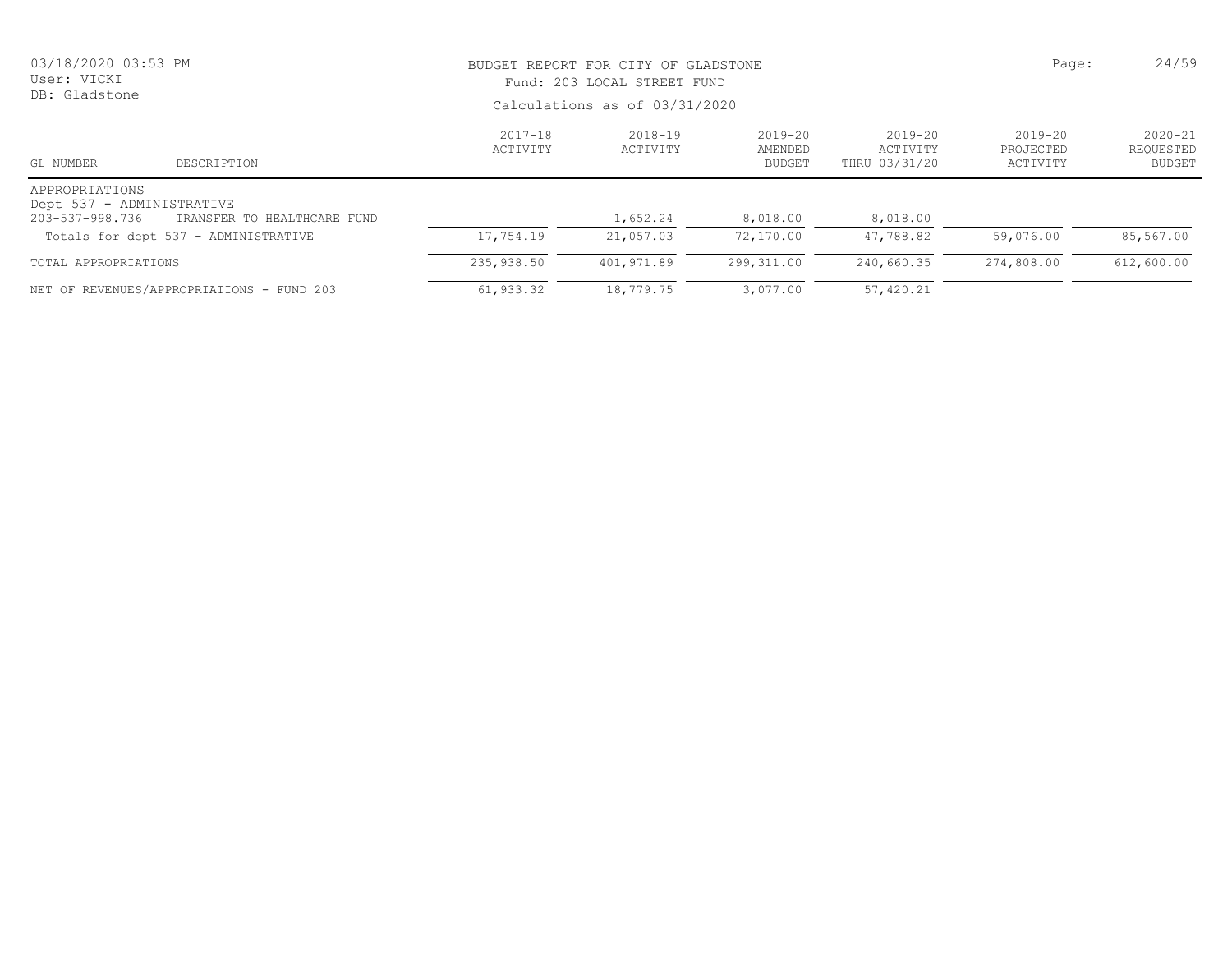| 03/18/2020 03:53 PM<br>User: VICKI<br>DB: Gladstone            |                                           | BUDGET REPORT FOR CITY OF GLADSTONE<br>Fund: 203 LOCAL STREET FUND<br>Calculations as of 03/31/2020 | Page:                   | 24/59                                   |                                          |                                      |                                           |
|----------------------------------------------------------------|-------------------------------------------|-----------------------------------------------------------------------------------------------------|-------------------------|-----------------------------------------|------------------------------------------|--------------------------------------|-------------------------------------------|
| GL NUMBER                                                      | DESCRIPTION                               | 2017-18<br>ACTIVITY                                                                                 | $2018 - 19$<br>ACTIVITY | $2019 - 20$<br>AMENDED<br><b>BUDGET</b> | $2019 - 20$<br>ACTIVITY<br>THRU 03/31/20 | $2019 - 20$<br>PROJECTED<br>ACTIVITY | $2020 - 21$<br>REQUESTED<br><b>BUDGET</b> |
| APPROPRIATIONS<br>Dept 537 - ADMINISTRATIVE<br>203-537-998.736 | TRANSFER TO HEALTHCARE FUND               |                                                                                                     | 1,652.24                | 8,018.00                                | 8,018.00                                 |                                      |                                           |
|                                                                | Totals for dept 537 - ADMINISTRATIVE      | 17,754.19                                                                                           | 21,057.03               | 72,170.00                               | 47,788.82                                | 59,076.00                            | 85,567.00                                 |
| TOTAL APPROPRIATIONS                                           |                                           | 235,938.50                                                                                          | 401,971.89              | 299,311.00                              | 240,660.35                               | 274,808.00                           | 612,600.00                                |
|                                                                | NET OF REVENUES/APPROPRIATIONS - FUND 203 | 61,933.32                                                                                           | 18,779.75               | 3,077.00                                | 57,420.21                                |                                      |                                           |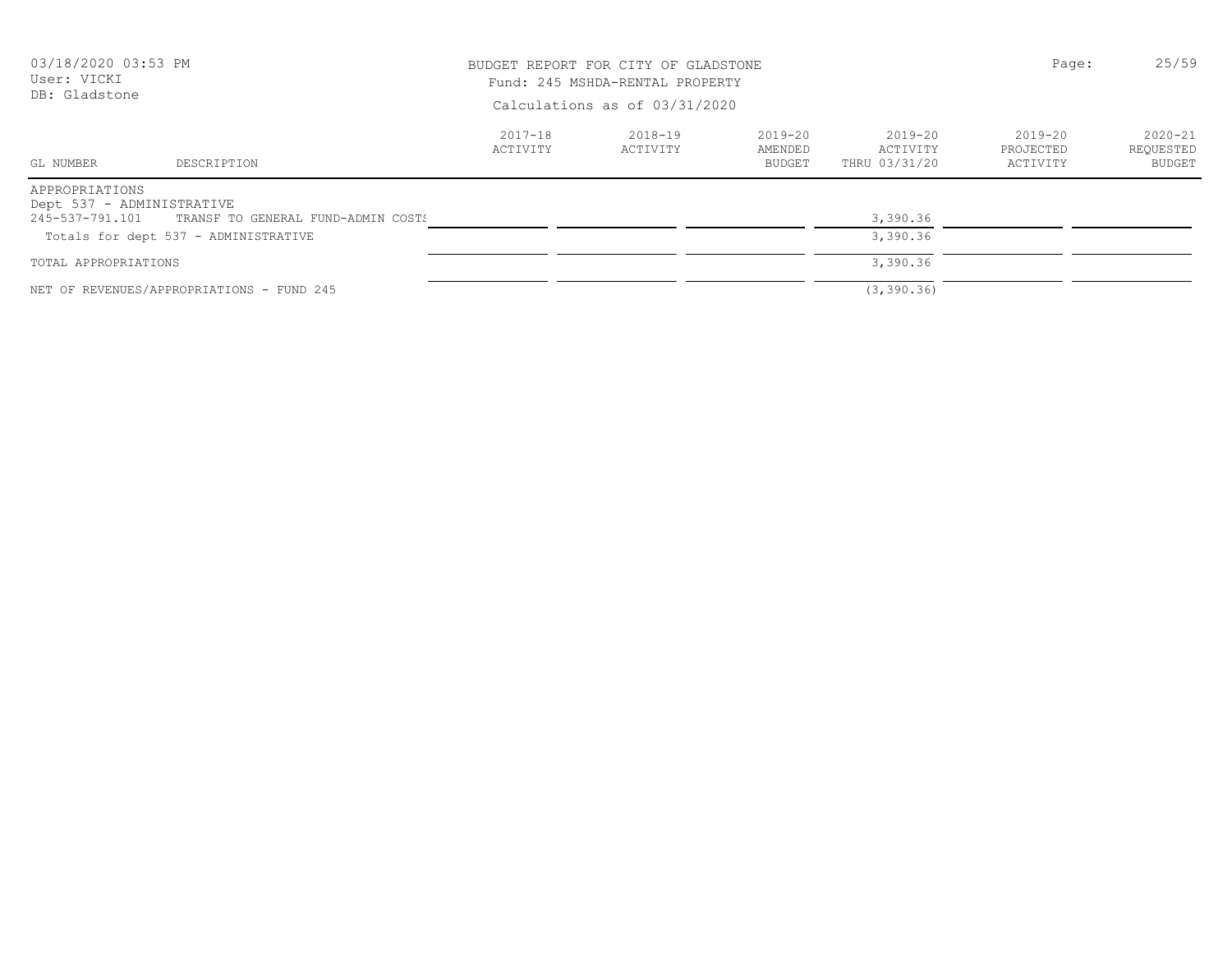| 03/18/2020 03:53 PM<br>User: VICKI<br>DB: Gladstone |                                                                                            | BUDGET REPORT FOR CITY OF GLADSTONE<br>Fund: 245 MSHDA-RENTAL PROPERTY<br>Calculations as of 03/31/2020 | Page:               | 25/59                        |                                      |                                      |                                    |
|-----------------------------------------------------|--------------------------------------------------------------------------------------------|---------------------------------------------------------------------------------------------------------|---------------------|------------------------------|--------------------------------------|--------------------------------------|------------------------------------|
| GL NUMBER                                           | DESCRIPTION                                                                                | 2017-18<br>ACTIVITY                                                                                     | 2018-19<br>ACTIVITY | 2019-20<br>AMENDED<br>BUDGET | 2019-20<br>ACTIVITY<br>THRU 03/31/20 | $2019 - 20$<br>PROJECTED<br>ACTIVITY | $2020 - 21$<br>REOUESTED<br>BUDGET |
| APPROPRIATIONS<br>Dept 537 - ADMINISTRATIVE         | 245-537-791.101 TRANSF TO GENERAL FUND-ADMIN COSTS<br>Totals for dept 537 - ADMINISTRATIVE |                                                                                                         |                     |                              | 3,390.36<br>3,390.36                 |                                      |                                    |
| TOTAL APPROPRIATIONS                                |                                                                                            |                                                                                                         |                     |                              | 3,390.36                             |                                      |                                    |
|                                                     | NET OF REVENUES/APPROPRIATIONS - FUND 245                                                  |                                                                                                         |                     |                              | (3, 390.36)                          |                                      |                                    |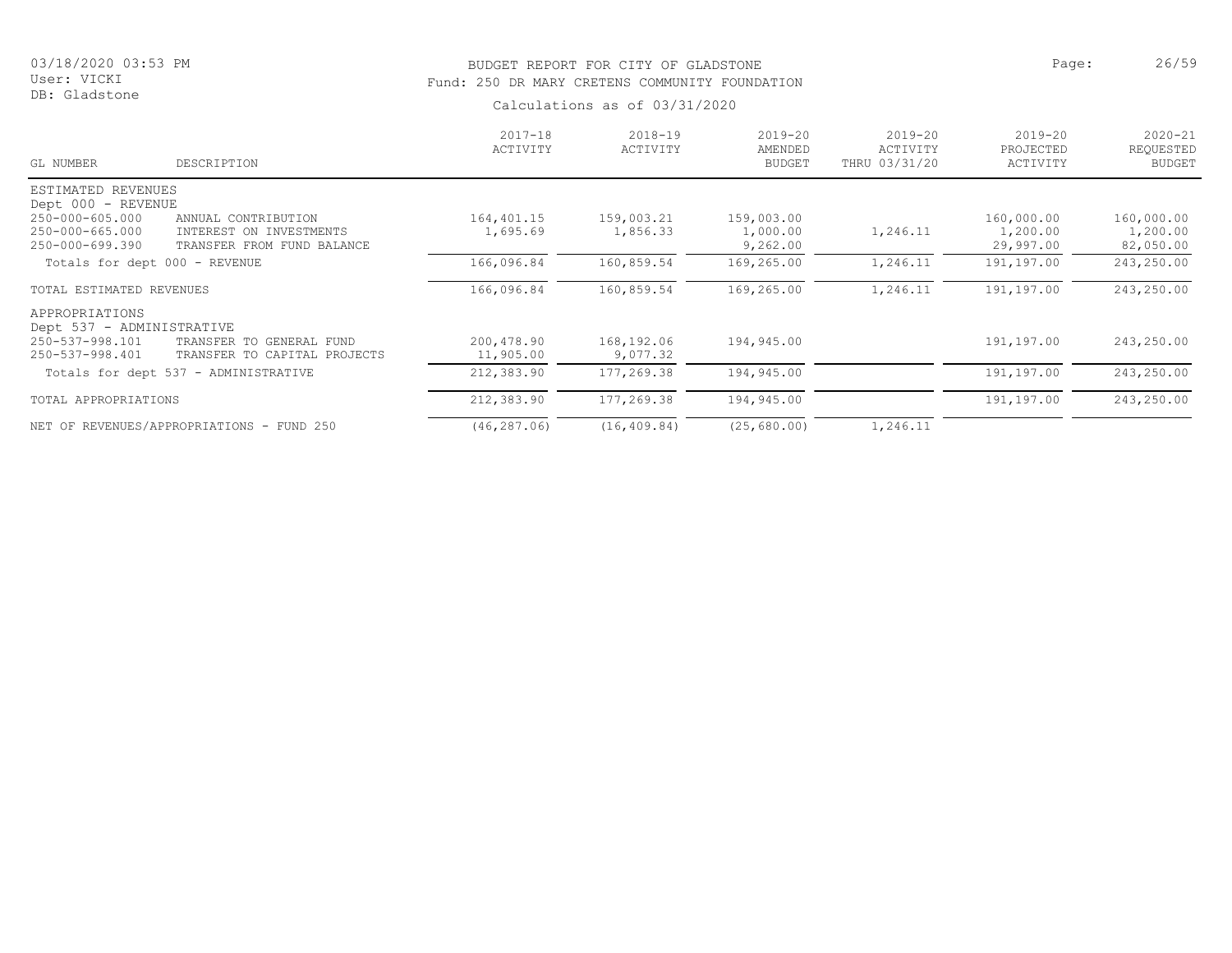# BUDGET REPORT FOR CITY OF GLADSTONE **Page:** 26/59 Fund: 250 DR MARY CRETENS COMMUNITY FOUNDATION

| $2017 - 18$<br>ACTIVITY | $2018 - 19$<br>ACTIVITY | $2019 - 20$<br>AMENDED<br><b>BUDGET</b> | $2019 - 20$<br>ACTIVITY<br>THRU 03/31/20 | $2019 - 20$<br>PROJECTED<br>ACTIVITY | $2020 - 21$<br>REQUESTED<br><b>BUDGET</b> |
|-------------------------|-------------------------|-----------------------------------------|------------------------------------------|--------------------------------------|-------------------------------------------|
|                         |                         |                                         |                                          |                                      |                                           |
|                         |                         |                                         |                                          |                                      |                                           |
| 164,401.15              | 159,003.21              | 159,003.00                              |                                          | 160,000.00                           | 160,000.00                                |
| 1,695.69                | 1,856.33                | 1,000.00                                | 1,246.11                                 | 1,200.00                             | 1,200.00                                  |
|                         |                         | 9,262.00                                |                                          | 29,997.00                            | 82,050.00                                 |
| 166,096.84              | 160,859.54              | 169,265.00                              | 1,246.11                                 | 191,197.00                           | 243,250.00                                |
| 166,096.84              | 160,859.54              | 169,265.00                              | 1,246.11                                 | 191,197.00                           | 243,250.00                                |
|                         |                         |                                         |                                          |                                      |                                           |
|                         |                         |                                         |                                          |                                      |                                           |
| 200,478.90              | 168,192.06              | 194,945.00                              |                                          | 191,197.00                           | 243,250.00                                |
| 11,905.00               | 9,077.32                |                                         |                                          |                                      |                                           |
| 212,383.90              | 177,269.38              | 194,945.00                              |                                          | 191,197.00                           | 243,250.00                                |
| 212,383.90              | 177,269.38              | 194,945.00                              |                                          | 191,197.00                           | 243,250.00                                |
|                         |                         |                                         |                                          |                                      |                                           |
|                         | (46, 287, 06)           | (16, 409.84)                            | (25, 680, 00)                            | 1,246.11                             |                                           |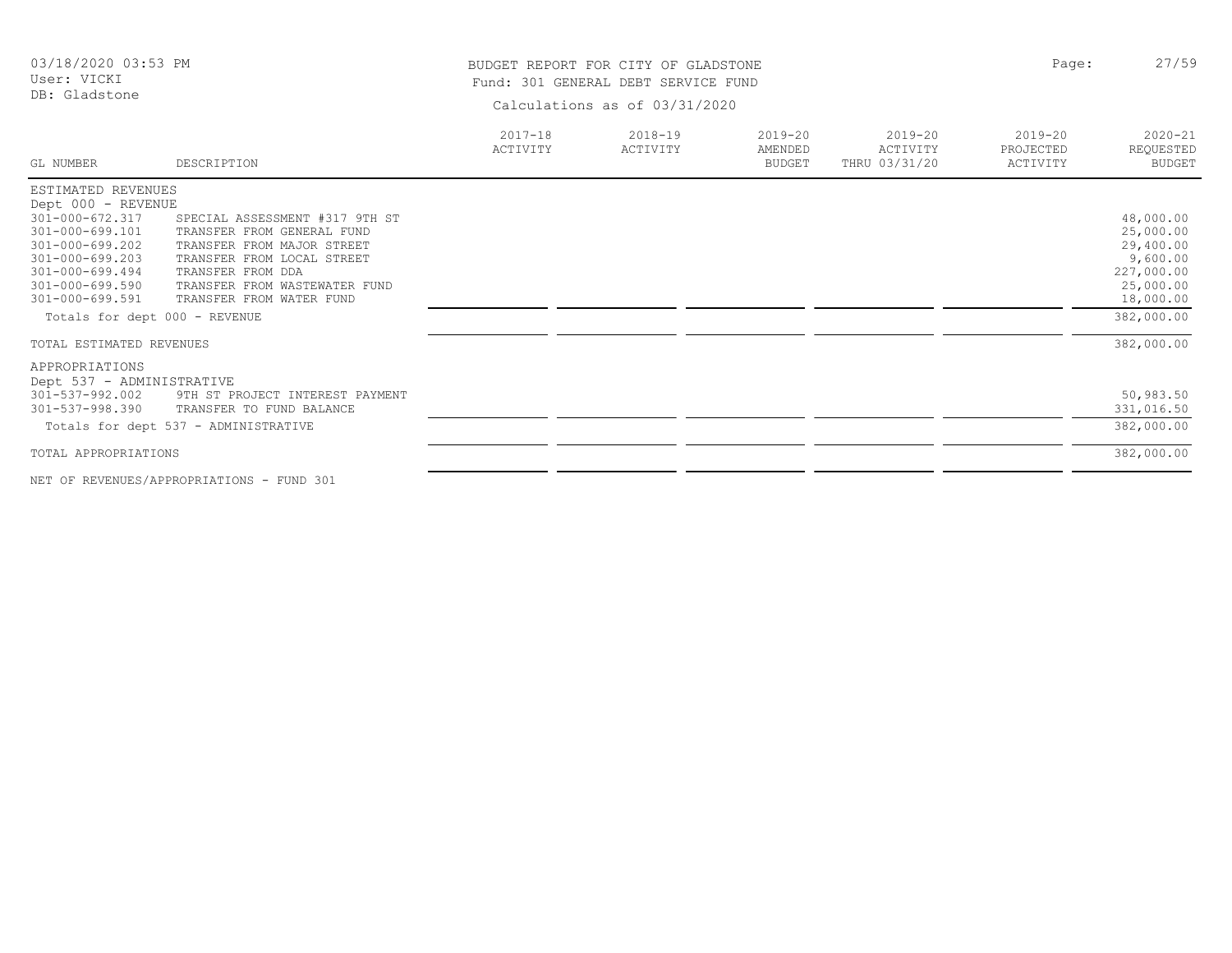# BUDGET REPORT FOR CITY OF GLADSTONE **Page:** 27/59 Fund: 301 GENERAL DEBT SERVICE FUND

Calculations as of 03/31/2020

| GL NUMBER                     | DESCRIPTION                          | $2017 - 18$<br>ACTIVITY | $2018 - 19$<br>ACTIVITY | $2019 - 20$<br>AMENDED<br><b>BUDGET</b> | 2019-20<br>ACTIVITY<br>THRU 03/31/20 | $2019 - 20$<br>PROJECTED<br>ACTIVITY | $2020 - 21$<br>REQUESTED<br><b>BUDGET</b> |
|-------------------------------|--------------------------------------|-------------------------|-------------------------|-----------------------------------------|--------------------------------------|--------------------------------------|-------------------------------------------|
| ESTIMATED REVENUES            |                                      |                         |                         |                                         |                                      |                                      |                                           |
| Dept 000 - REVENUE            |                                      |                         |                         |                                         |                                      |                                      |                                           |
| 301-000-672.317               | SPECIAL ASSESSMENT #317 9TH ST       |                         |                         |                                         |                                      |                                      | 48,000.00                                 |
| $301 - 000 - 699.101$         | TRANSFER FROM GENERAL FUND           |                         |                         |                                         |                                      |                                      | 25,000.00                                 |
| 301-000-699.202               | TRANSFER FROM MAJOR STREET           |                         |                         |                                         |                                      |                                      | 29,400.00                                 |
| $301 - 000 - 699.203$         | TRANSFER FROM LOCAL STREET           |                         |                         |                                         |                                      |                                      | 9,600.00                                  |
| $301 - 000 - 699.494$         | TRANSFER FROM DDA                    |                         |                         |                                         |                                      |                                      | 227,000.00                                |
| 301-000-699.590               | TRANSFER FROM WASTEWATER FUND        |                         |                         |                                         |                                      |                                      | 25,000.00                                 |
| $301 - 000 - 699.591$         | TRANSFER FROM WATER FUND             |                         |                         |                                         |                                      |                                      | 18,000.00                                 |
| Totals for dept 000 - REVENUE |                                      |                         |                         |                                         |                                      |                                      | 382,000.00                                |
| TOTAL ESTIMATED REVENUES      |                                      |                         |                         |                                         |                                      |                                      | 382,000.00                                |
| APPROPRIATIONS                |                                      |                         |                         |                                         |                                      |                                      |                                           |
| Dept 537 - ADMINISTRATIVE     |                                      |                         |                         |                                         |                                      |                                      |                                           |
| 301-537-992.002               | 9TH ST PROJECT INTEREST PAYMENT      |                         |                         |                                         |                                      |                                      | 50,983.50                                 |
| 301-537-998.390               | TRANSFER TO FUND BALANCE             |                         |                         |                                         |                                      |                                      | 331,016.50                                |
|                               | Totals for dept 537 - ADMINISTRATIVE |                         |                         |                                         |                                      |                                      | 382,000.00                                |
|                               |                                      |                         |                         |                                         |                                      |                                      |                                           |
| TOTAL APPROPRIATIONS          |                                      |                         |                         |                                         |                                      |                                      | 382,000.00                                |
|                               |                                      |                         |                         |                                         |                                      |                                      |                                           |

NET OF REVENUES/APPROPRIATIONS - FUND 301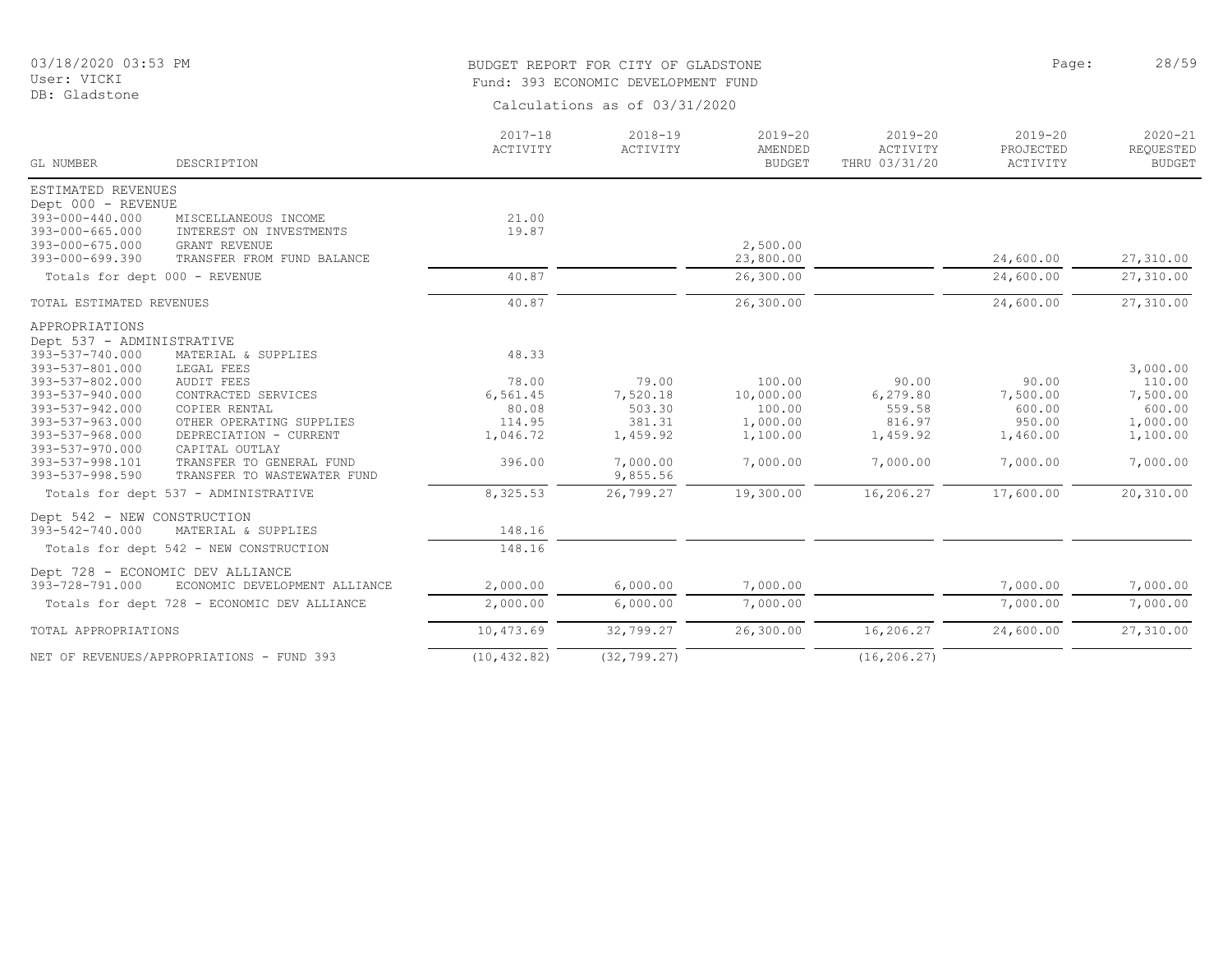# BUDGET REPORT FOR CITY OF GLADSTONE **Page:** 28/59 Fund: 393 ECONOMIC DEVELOPMENT FUND

| GL NUMBER                     | DESCRIPTION                                 | $2017 - 18$<br>ACTIVITY | $2018 - 19$<br>ACTIVITY | $2019 - 20$<br>AMENDED<br><b>BUDGET</b> | $2019 - 20$<br>ACTIVITY<br>THRU 03/31/20 | $2019 - 20$<br>PROJECTED<br>ACTIVITY | $2020 - 21$<br>REQUESTED<br><b>BUDGET</b> |
|-------------------------------|---------------------------------------------|-------------------------|-------------------------|-----------------------------------------|------------------------------------------|--------------------------------------|-------------------------------------------|
| ESTIMATED REVENUES            |                                             |                         |                         |                                         |                                          |                                      |                                           |
| Dept 000 - REVENUE            |                                             |                         |                         |                                         |                                          |                                      |                                           |
| 393-000-440.000               | MISCELLANEOUS INCOME                        | 21.00                   |                         |                                         |                                          |                                      |                                           |
| $393 - 000 - 665.000$         | INTEREST ON INVESTMENTS                     | 19.87                   |                         |                                         |                                          |                                      |                                           |
| 393-000-675.000               | <b>GRANT REVENUE</b>                        |                         |                         | 2,500.00                                |                                          |                                      |                                           |
| 393-000-699.390               | TRANSFER FROM FUND BALANCE                  |                         |                         | 23,800.00                               |                                          | 24,600.00                            | 27,310.00                                 |
| Totals for dept 000 - REVENUE |                                             | 40.87                   |                         | 26,300.00                               |                                          | 24,600.00                            | 27,310.00                                 |
| TOTAL ESTIMATED REVENUES      |                                             | 40.87                   |                         | 26,300.00                               |                                          | 24,600.00                            | 27,310.00                                 |
| APPROPRIATIONS                |                                             |                         |                         |                                         |                                          |                                      |                                           |
| Dept 537 - ADMINISTRATIVE     |                                             |                         |                         |                                         |                                          |                                      |                                           |
| 393-537-740.000               | MATERIAL & SUPPLIES                         | 48.33                   |                         |                                         |                                          |                                      |                                           |
| 393-537-801.000               | LEGAL FEES                                  |                         |                         |                                         |                                          |                                      | 3,000.00                                  |
| 393-537-802.000               | <b>AUDIT FEES</b>                           | 78.00                   | 79.00                   | 100.00                                  | 90.00                                    | 90.00                                | 110.00                                    |
| 393-537-940.000               | CONTRACTED SERVICES                         | 6,561.45                | 7,520.18                | 10,000.00                               | 6,279.80                                 | 7,500.00                             | 7,500.00                                  |
| 393-537-942.000               | COPIER RENTAL                               | 80.08                   | 503.30                  | 100.00                                  | 559.58                                   | 600.00                               | 600.00                                    |
| 393-537-963.000               | OTHER OPERATING SUPPLIES                    | 114.95                  | 381.31                  | 1,000.00                                | 816.97                                   | 950.00                               | 1,000.00                                  |
| 393-537-968.000               | DEPRECIATION - CURRENT                      | 1,046.72                | 1,459.92                | 1,100.00                                | 1,459.92                                 | 1,460.00                             | 1,100.00                                  |
| 393-537-970.000               | CAPITAL OUTLAY                              |                         |                         |                                         |                                          |                                      |                                           |
| 393-537-998.101               | TRANSFER TO GENERAL FUND                    | 396.00                  | 7,000.00                | 7,000.00                                | 7,000.00                                 | 7,000.00                             | 7,000.00                                  |
| 393-537-998.590               | TRANSFER TO WASTEWATER FUND                 |                         | 9,855.56                |                                         |                                          |                                      |                                           |
|                               | Totals for dept 537 - ADMINISTRATIVE        | 8,325.53                | 26,799.27               | 19,300.00                               | 16,206.27                                | 17,600.00                            | 20,310.00                                 |
| Dept 542 - NEW CONSTRUCTION   |                                             |                         |                         |                                         |                                          |                                      |                                           |
| 393-542-740.000               | MATERIAL & SUPPLIES                         | 148.16                  |                         |                                         |                                          |                                      |                                           |
|                               | Totals for dept 542 - NEW CONSTRUCTION      | 148.16                  |                         |                                         |                                          |                                      |                                           |
|                               | Dept 728 - ECONOMIC DEV ALLIANCE            |                         |                         |                                         |                                          |                                      |                                           |
| 393-728-791.000               | ECONOMIC DEVELOPMENT ALLIANCE               | 2,000.00                | 6,000.00                | 7,000.00                                |                                          | 7,000.00                             | 7,000.00                                  |
|                               |                                             |                         |                         |                                         |                                          |                                      |                                           |
|                               | Totals for dept 728 - ECONOMIC DEV ALLIANCE | 2,000.00                | 6,000.00                | 7,000.00                                |                                          | 7,000.00                             | 7,000.00                                  |
| TOTAL APPROPRIATIONS          |                                             | 10,473.69               | 32,799.27               | 26,300.00                               | 16,206.27                                | 24,600.00                            | 27,310.00                                 |
|                               | NET OF REVENUES/APPROPRIATIONS - FUND 393   | (10, 432.82)            | (32, 799.27)            |                                         | (16, 206.27)                             |                                      |                                           |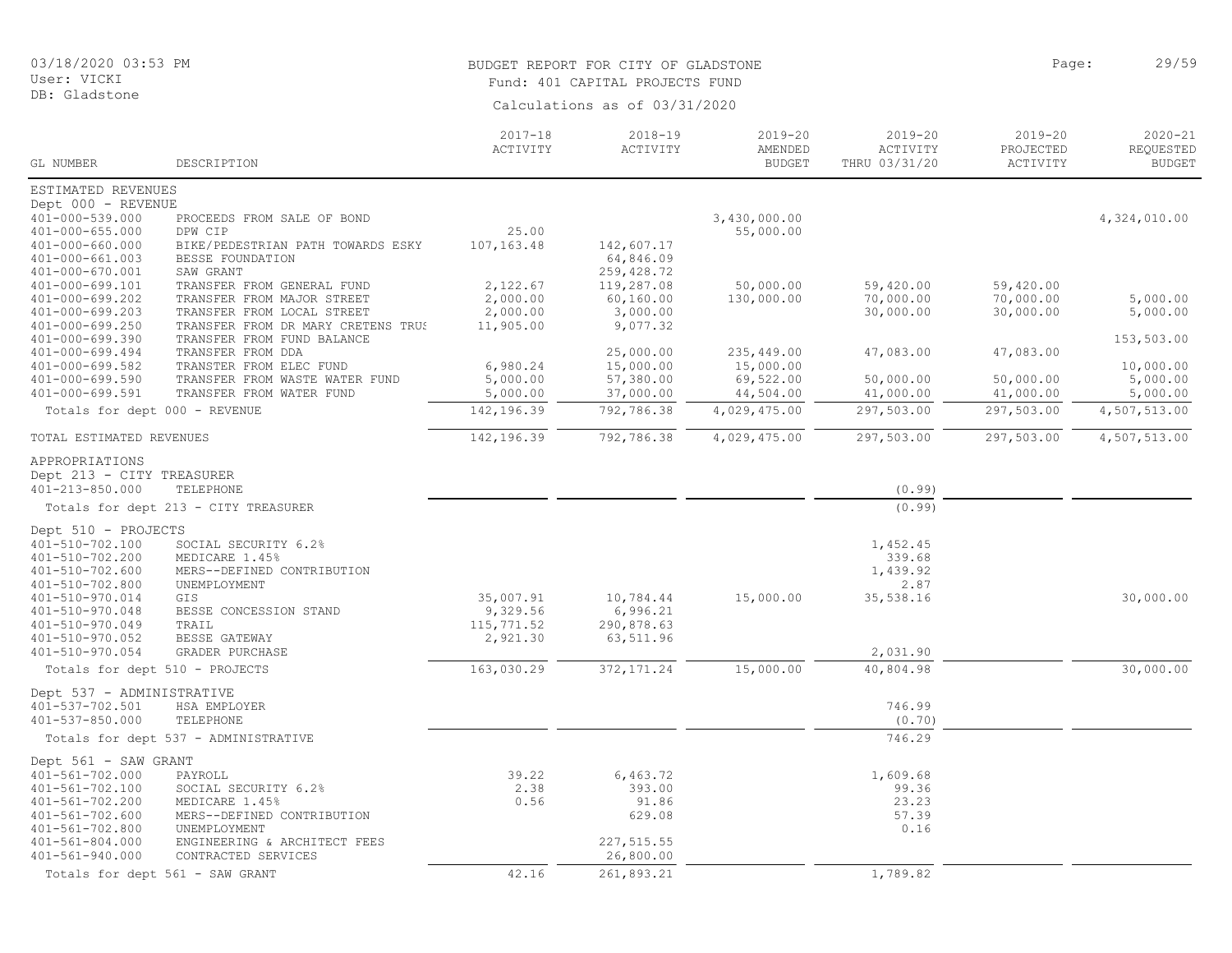DB: Gladstone

# BUDGET REPORT FOR CITY OF GLADSTONE **Page:** 29/59 Fund: 401 CAPITAL PROJECTS FUND

| GL NUMBER                                | DESCRIPTION                          | $2017 - 18$<br>ACTIVITY | $2018 - 19$<br>ACTIVITY  | $2019 - 20$<br>AMENDED<br><b>BUDGET</b> | $2019 - 20$<br>ACTIVITY<br>THRU 03/31/20 | $2019 - 20$<br>PROJECTED | $2020 - 21$<br>REQUESTED |
|------------------------------------------|--------------------------------------|-------------------------|--------------------------|-----------------------------------------|------------------------------------------|--------------------------|--------------------------|
|                                          |                                      |                         |                          |                                         |                                          | ACTIVITY                 | <b>BUDGET</b>            |
| ESTIMATED REVENUES                       |                                      |                         |                          |                                         |                                          |                          |                          |
| Dept 000 - REVENUE                       |                                      |                         |                          |                                         |                                          |                          |                          |
| $401 - 000 - 539.000$                    | PROCEEDS FROM SALE OF BOND           |                         |                          | 3,430,000.00                            |                                          |                          | 4,324,010.00             |
| $401 - 000 - 655.000$                    | DPW CIP                              | 25.00                   |                          | 55,000.00                               |                                          |                          |                          |
| $401 - 000 - 660.000$                    | BIKE/PEDESTRIAN PATH TOWARDS ESKY    | 107, 163.48             | 142,607.17               |                                         |                                          |                          |                          |
| $401 - 000 - 661.003$<br>401-000-670.001 | BESSE FOUNDATION<br>SAW GRANT        |                         | 64,846.09<br>259, 428.72 |                                         |                                          |                          |                          |
| 401-000-699.101                          | TRANSFER FROM GENERAL FUND           | 2,122.67                | 119,287.08               | 50,000.00                               | 59,420.00                                | 59,420.00                |                          |
| 401-000-699.202                          | TRANSFER FROM MAJOR STREET           | 2,000.00                | 60, 160.00               | 130,000.00                              | 70,000.00                                | 70,000.00                | 5,000.00                 |
| 401-000-699.203                          | TRANSFER FROM LOCAL STREET           | 2,000.00                | 3,000.00                 |                                         | 30,000.00                                | 30,000.00                | 5,000.00                 |
| $401 - 000 - 699.250$                    | TRANSFER FROM DR MARY CRETENS TRUS   | 11,905.00               | 9,077.32                 |                                         |                                          |                          |                          |
| 401-000-699.390                          | TRANSFER FROM FUND BALANCE           |                         |                          |                                         |                                          |                          | 153,503.00               |
| 401-000-699.494                          | TRANSFER FROM DDA                    |                         | 25,000.00                | 235,449.00                              | 47,083.00                                | 47,083.00                |                          |
| $401 - 000 - 699.582$                    | TRANSTER FROM ELEC FUND              | 6,980.24                | 15,000.00                | 15,000.00                               |                                          |                          | 10,000.00                |
| 401-000-699.590                          | TRANSFER FROM WASTE WATER FUND       | 5,000.00                | 57,380.00                | 69,522.00                               | 50,000.00                                | 50,000.00                | 5,000.00                 |
| 401-000-699.591                          | TRANSFER FROM WATER FUND             | 5,000.00                | 37,000.00                | 44,504.00                               | 41,000.00                                | 41,000.00                | 5,000.00                 |
| Totals for dept 000 - REVENUE            |                                      | 142,196.39              | 792,786.38               | 4,029,475.00                            | 297,503.00                               | 297,503.00               | 4,507,513.00             |
| TOTAL ESTIMATED REVENUES                 |                                      | 142,196.39              | 792,786.38               | 4,029,475.00                            | 297,503.00                               | 297,503.00               | 4,507,513.00             |
| APPROPRIATIONS                           |                                      |                         |                          |                                         |                                          |                          |                          |
| Dept 213 - CITY TREASURER                |                                      |                         |                          |                                         |                                          |                          |                          |
| 401-213-850.000                          | TELEPHONE                            |                         |                          |                                         | (0.99)                                   |                          |                          |
|                                          | Totals for dept 213 - CITY TREASURER |                         |                          |                                         | (0.99)                                   |                          |                          |
| Dept 510 - PROJECTS                      |                                      |                         |                          |                                         |                                          |                          |                          |
| 401-510-702.100                          | SOCIAL SECURITY 6.2%                 |                         |                          |                                         | 1,452.45                                 |                          |                          |
| 401-510-702.200                          | MEDICARE 1.45%                       |                         |                          |                                         | 339.68                                   |                          |                          |
| $401 - 510 - 702.600$                    | MERS--DEFINED CONTRIBUTION           |                         |                          |                                         | 1,439.92                                 |                          |                          |
| 401-510-702.800                          | UNEMPLOYMENT                         |                         |                          |                                         | 2.87                                     |                          |                          |
| 401-510-970.014                          | GIS                                  | 35,007.91               | 10,784.44                | 15,000.00                               | 35,538.16                                |                          | 30,000.00                |
| 401-510-970.048                          | BESSE CONCESSION STAND               | 9,329.56                | 6,996.21                 |                                         |                                          |                          |                          |
| 401-510-970.049                          | TRAIL                                | 115,771.52              | 290,878.63               |                                         |                                          |                          |                          |
| 401-510-970.052                          | BESSE GATEWAY                        | 2,921.30                | 63,511.96                |                                         |                                          |                          |                          |
| 401-510-970.054                          | GRADER PURCHASE                      |                         |                          |                                         | 2,031.90                                 |                          |                          |
| Totals for dept 510 - PROJECTS           |                                      | 163,030.29              | 372, 171.24              | 15,000.00                               | 40,804.98                                |                          | 30,000.00                |
| Dept 537 - ADMINISTRATIVE                |                                      |                         |                          |                                         |                                          |                          |                          |
| 401-537-702.501                          | HSA EMPLOYER                         |                         |                          |                                         | 746.99                                   |                          |                          |
| 401-537-850.000                          | TELEPHONE                            |                         |                          |                                         | (0.70)                                   |                          |                          |
|                                          | Totals for dept 537 - ADMINISTRATIVE |                         |                          |                                         | 746.29                                   |                          |                          |
| Dept 561 - SAW GRANT                     |                                      |                         |                          |                                         |                                          |                          |                          |
| $401 - 561 - 702.000$                    | PAYROLL                              | 39.22                   | 6,463.72                 |                                         | 1,609.68                                 |                          |                          |
| $401 - 561 - 702.100$                    | SOCIAL SECURITY 6.2%                 | 2.38                    | 393.00                   |                                         | 99.36                                    |                          |                          |
| $401 - 561 - 702.200$                    | MEDICARE 1.45%                       | 0.56                    | 91.86                    |                                         | 23.23                                    |                          |                          |
| 401-561-702.600                          | MERS--DEFINED CONTRIBUTION           |                         | 629.08                   |                                         | 57.39                                    |                          |                          |
| 401-561-702.800                          | UNEMPLOYMENT                         |                         |                          |                                         | 0.16                                     |                          |                          |
| 401-561-804.000                          | ENGINEERING & ARCHITECT FEES         |                         | 227, 515.55              |                                         |                                          |                          |                          |
| 401-561-940.000                          | CONTRACTED SERVICES                  |                         | 26,800.00                |                                         |                                          |                          |                          |
|                                          | Totals for dept 561 - SAW GRANT      | 42.16                   | 261,893.21               |                                         | 1,789.82                                 |                          |                          |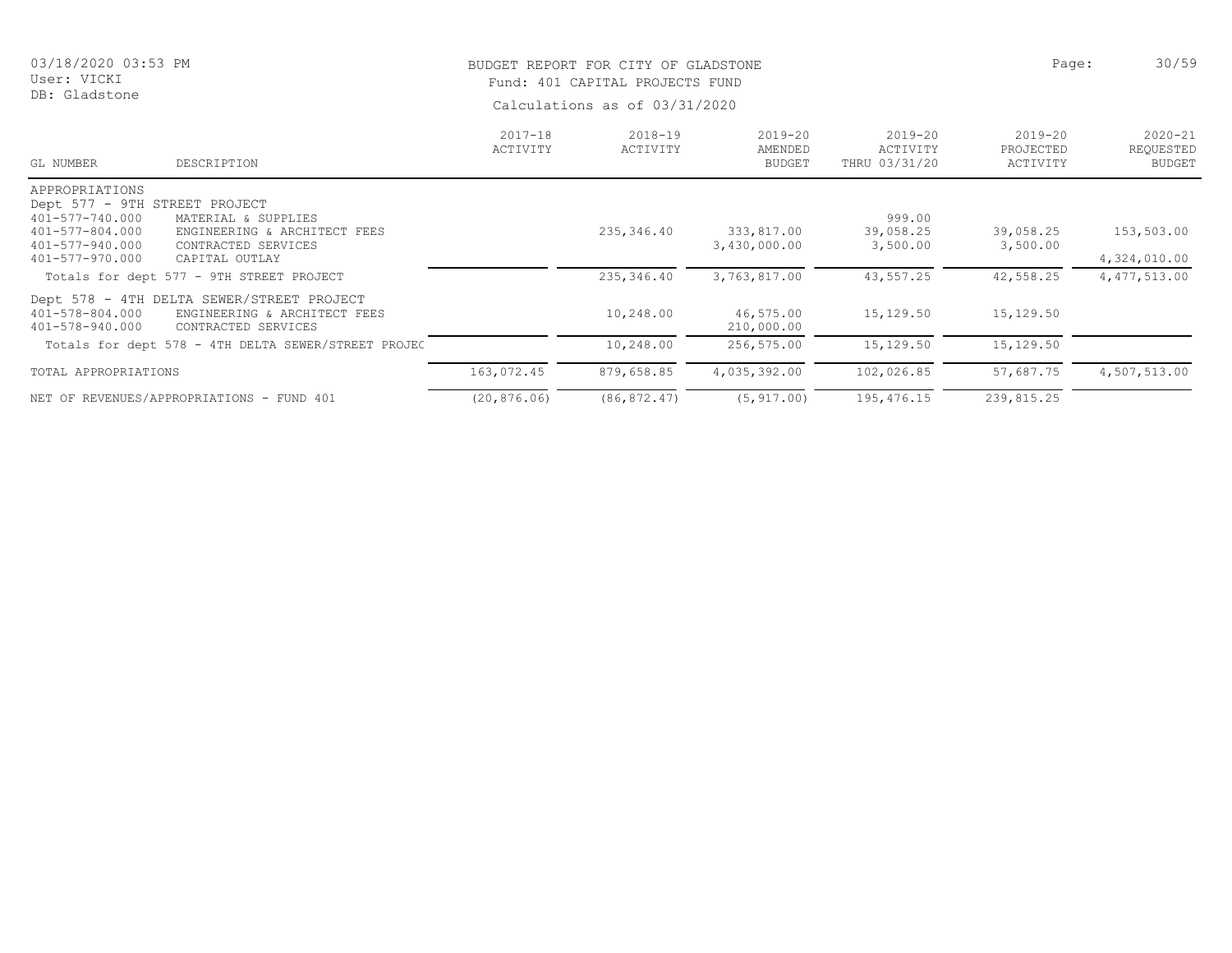#### DB: Gladstone

# BUDGET REPORT FOR CITY OF GLADSTONE **Page:** 30/59 Fund: 401 CAPITAL PROJECTS FUND

| GL NUMBER                          | DESCRIPTION                                                                                      | $2017 - 18$<br>ACTIVITY | $2018 - 19$<br>ACTIVITY | $2019 - 20$<br>AMENDED<br><b>BUDGET</b> | 2019-20<br>ACTIVITY<br>THRU 03/31/20 | $2019 - 20$<br>PROJECTED<br>ACTIVITY | $2020 - 21$<br>REQUESTED<br><b>BUDGET</b> |
|------------------------------------|--------------------------------------------------------------------------------------------------|-------------------------|-------------------------|-----------------------------------------|--------------------------------------|--------------------------------------|-------------------------------------------|
| APPROPRIATIONS                     |                                                                                                  |                         |                         |                                         |                                      |                                      |                                           |
| Dept 577 - 9TH STREET PROJECT      |                                                                                                  |                         |                         |                                         |                                      |                                      |                                           |
| 401-577-740.000                    | MATERIAL & SUPPLIES                                                                              |                         |                         |                                         | 999.00                               |                                      |                                           |
| 401-577-804.000<br>401-577-940.000 | ENGINEERING & ARCHITECT FEES<br>CONTRACTED SERVICES                                              |                         | 235,346.40              | 333,817.00<br>3,430,000.00              | 39,058.25<br>3,500.00                | 39,058.25<br>3,500.00                | 153,503.00                                |
| 401-577-970.000                    | CAPITAL OUTLAY                                                                                   |                         |                         |                                         |                                      |                                      | 4,324,010.00                              |
|                                    | Totals for dept 577 - 9TH STREET PROJECT                                                         |                         | 235,346.40              | 3,763,817.00                            | 43,557.25                            | 42,558.25                            | 4, 477, 513, 00                           |
| 401-578-804.000<br>401-578-940.000 | Dept 578 - 4TH DELTA SEWER/STREET PROJECT<br>ENGINEERING & ARCHITECT FEES<br>CONTRACTED SERVICES |                         | 10,248.00               | 46,575.00<br>210,000.00                 | 15,129.50                            | 15,129.50                            |                                           |
|                                    | Totals for dept 578 - 4TH DELTA SEWER/STREET PROJEC                                              |                         | 10,248.00               | 256,575.00                              | 15,129.50                            | 15,129.50                            |                                           |
| TOTAL APPROPRIATIONS               |                                                                                                  | 163,072.45              | 879,658.85              | 4,035,392.00                            | 102,026.85                           | 57,687.75                            | 4,507,513.00                              |
|                                    | NET OF REVENUES/APPROPRIATIONS - FUND 401                                                        | (20, 876, 06)           | (86, 872, 47)           | (5, 917, 00)                            | 195, 476.15                          | 239,815.25                           |                                           |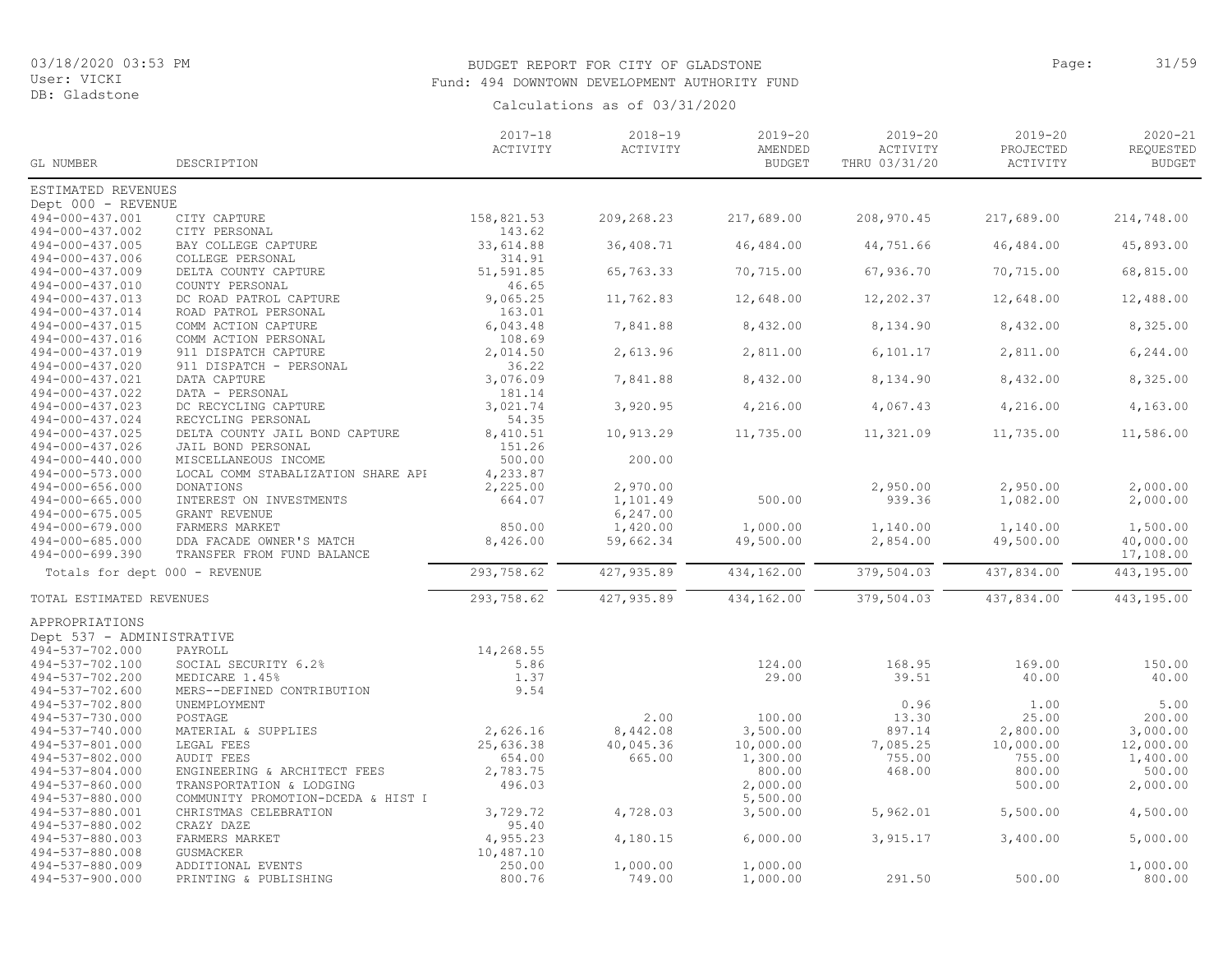# BUDGET REPORT FOR CITY OF GLADSTONE **Example 2014** Page: 31/59 Fund: 494 DOWNTOWN DEVELOPMENT AUTHORITY FUND

| GL NUMBER                          | DESCRIPTION                                 | $2017 - 18$<br>ACTIVITY | $2018 - 19$<br>ACTIVITY | $2019 - 20$<br>AMENDED<br><b>BUDGET</b> | $2019 - 20$<br>ACTIVITY<br>THRU 03/31/20 | $2019 - 20$<br>PROJECTED<br>ACTIVITY | $2020 - 21$<br>REQUESTED<br><b>BUDGET</b> |
|------------------------------------|---------------------------------------------|-------------------------|-------------------------|-----------------------------------------|------------------------------------------|--------------------------------------|-------------------------------------------|
|                                    |                                             |                         |                         |                                         |                                          |                                      |                                           |
| ESTIMATED REVENUES                 |                                             |                         |                         |                                         |                                          |                                      |                                           |
| Dept 000 - REVENUE                 |                                             |                         |                         |                                         |                                          |                                      |                                           |
| 494-000-437.001                    | CITY CAPTURE                                | 158,821.53              | 209,268.23              | 217,689.00                              | 208,970.45                               | 217,689.00                           | 214,748.00                                |
| 494-000-437.002                    | CITY PERSONAL                               | 143.62                  |                         |                                         |                                          |                                      |                                           |
| 494-000-437.005                    | BAY COLLEGE CAPTURE                         | 33,614.88               | 36,408.71               | 46,484.00                               | 44,751.66                                | 46,484.00                            | 45,893.00                                 |
| 494-000-437.006                    | COLLEGE PERSONAL                            | 314.91                  |                         |                                         |                                          |                                      |                                           |
| 494-000-437.009                    | DELTA COUNTY CAPTURE                        | 51,591.85               | 65,763.33               | 70,715.00                               | 67,936.70                                | 70,715.00                            | 68,815.00                                 |
| 494-000-437.010                    | COUNTY PERSONAL                             | 46.65                   |                         |                                         |                                          |                                      |                                           |
| 494-000-437.013<br>494-000-437.014 | DC ROAD PATROL CAPTURE                      | 9,065.25<br>163.01      | 11,762.83               | 12,648.00                               | 12,202.37                                | 12,648.00                            | 12,488.00                                 |
| 494-000-437.015                    | ROAD PATROL PERSONAL<br>COMM ACTION CAPTURE | 6,043.48                | 7,841.88                | 8,432.00                                | 8,134.90                                 | 8,432.00                             | 8,325.00                                  |
| 494-000-437.016                    | COMM ACTION PERSONAL                        | 108.69                  |                         |                                         |                                          |                                      |                                           |
| 494-000-437.019                    | 911 DISPATCH CAPTURE                        | 2,014.50                | 2,613.96                | 2,811.00                                | 6, 101.17                                | 2,811.00                             | 6, 244.00                                 |
| 494-000-437.020                    | 911 DISPATCH - PERSONAL                     | 36.22                   |                         |                                         |                                          |                                      |                                           |
| 494-000-437.021                    | DATA CAPTURE                                | 3,076.09                | 7,841.88                | 8,432.00                                | 8,134.90                                 | 8,432.00                             | 8,325.00                                  |
| 494-000-437.022                    | DATA - PERSONAL                             | 181.14                  |                         |                                         |                                          |                                      |                                           |
| 494-000-437.023                    | DC RECYCLING CAPTURE                        | 3,021.74                | 3,920.95                | 4,216.00                                | 4,067.43                                 | 4,216.00                             | 4,163.00                                  |
| 494-000-437.024                    | RECYCLING PERSONAL                          | 54.35                   |                         |                                         |                                          |                                      |                                           |
| 494-000-437.025                    | DELTA COUNTY JAIL BOND CAPTURE              | 8,410.51                | 10,913.29               | 11,735.00                               | 11,321.09                                | 11,735.00                            | 11,586.00                                 |
| 494-000-437.026                    | JAIL BOND PERSONAL                          | 151.26                  |                         |                                         |                                          |                                      |                                           |
| 494-000-440.000                    | MISCELLANEOUS INCOME                        | 500.00                  | 200.00                  |                                         |                                          |                                      |                                           |
| 494-000-573.000                    | LOCAL COMM STABALIZATION SHARE API          | 4,233.87                |                         |                                         |                                          |                                      |                                           |
| $494 - 000 - 656.000$              | DONATIONS                                   | 2,225.00                | 2,970.00                |                                         | 2,950.00                                 | 2,950.00                             | 2,000.00                                  |
| 494-000-665.000                    | INTEREST ON INVESTMENTS                     | 664.07                  | 1,101.49                | 500.00                                  | 939.36                                   | 1,082.00                             | 2,000.00                                  |
| 494-000-675.005                    | GRANT REVENUE                               |                         | 6,247.00                |                                         |                                          |                                      |                                           |
| 494-000-679.000                    | FARMERS MARKET                              | 850.00                  | 1,420.00                | 1,000.00                                | 1,140.00                                 | 1,140.00                             | 1,500.00                                  |
| 494-000-685.000                    | DDA FACADE OWNER'S MATCH                    | 8,426.00                | 59,662.34               | 49,500.00                               | 2,854.00                                 | 49,500.00                            | 40,000.00                                 |
| 494-000-699.390                    | TRANSFER FROM FUND BALANCE                  |                         |                         |                                         |                                          |                                      | 17,108.00                                 |
| Totals for dept 000 - REVENUE      |                                             | 293,758.62              | 427, 935.89             | 434,162.00                              | 379,504.03                               | 437,834.00                           | 443,195.00                                |
| TOTAL ESTIMATED REVENUES           |                                             | 293,758.62              | 427, 935.89             | 434,162.00                              | 379,504.03                               | 437,834.00                           | 443,195.00                                |
| APPROPRIATIONS                     |                                             |                         |                         |                                         |                                          |                                      |                                           |
| Dept 537 - ADMINISTRATIVE          |                                             |                         |                         |                                         |                                          |                                      |                                           |
| 494-537-702.000                    | PAYROLL                                     | 14,268.55               |                         |                                         |                                          |                                      |                                           |
| 494-537-702.100                    | SOCIAL SECURITY 6.2%                        | 5.86                    |                         | 124.00                                  | 168.95                                   | 169.00                               | 150.00                                    |
| 494-537-702.200                    | MEDICARE 1.45%                              | 1.37                    |                         | 29.00                                   | 39.51                                    | 40.00                                | 40.00                                     |
| 494-537-702.600                    | MERS--DEFINED CONTRIBUTION                  | 9.54                    |                         |                                         |                                          |                                      |                                           |
| 494-537-702.800                    | UNEMPLOYMENT                                |                         |                         |                                         | 0.96                                     | 1.00                                 | 5.00                                      |
| 494-537-730.000                    | POSTAGE                                     |                         | 2.00                    | 100.00                                  | 13.30                                    | 25.00                                | 200.00                                    |
| 494-537-740.000                    | MATERIAL & SUPPLIES                         | 2,626.16                | 8,442.08                | 3,500.00                                | 897.14                                   | 2,800.00                             | 3,000.00                                  |
| 494-537-801.000                    | LEGAL FEES                                  | 25,636.38               | 40,045.36               | 10,000.00                               | 7,085.25                                 | 10,000.00                            | 12,000.00                                 |
| 494-537-802.000                    | <b>AUDIT FEES</b>                           | 654.00                  | 665.00                  | 1,300.00                                | 755.00                                   | 755.00                               | 1,400.00                                  |
| 494-537-804.000                    | ENGINEERING & ARCHITECT FEES                | 2,783.75                |                         | 800.00                                  | 468.00                                   | 800.00                               | 500.00                                    |
| 494-537-860.000                    | TRANSPORTATION & LODGING                    | 496.03                  |                         | 2,000.00                                |                                          | 500.00                               | 2,000.00                                  |
| 494-537-880.000                    | COMMUNITY PROMOTION-DCEDA & HIST I          |                         |                         | 5,500.00                                |                                          |                                      |                                           |
| 494-537-880.001                    | CHRISTMAS CELEBRATION                       | 3,729.72                | 4,728.03                | 3,500.00                                | 5,962.01                                 | 5,500.00                             | 4,500.00                                  |
| 494-537-880.002                    | CRAZY DAZE                                  | 95.40                   |                         |                                         |                                          |                                      |                                           |
| 494-537-880.003                    | FARMERS MARKET                              | 4,955.23                | 4,180.15                | 6,000.00                                | 3,915.17                                 | 3,400.00                             | 5,000.00                                  |
| 494-537-880.008                    | <b>GUSMACKER</b>                            | 10,487.10               |                         |                                         |                                          |                                      |                                           |
| 494-537-880.009                    | ADDITIONAL EVENTS                           | 250.00                  | 1,000.00                | 1,000.00                                |                                          |                                      | 1,000.00                                  |
| 494-537-900.000                    | PRINTING & PUBLISHING                       | 800.76                  | 749.00                  | 1,000.00                                | 291.50                                   | 500.00                               | 800.00                                    |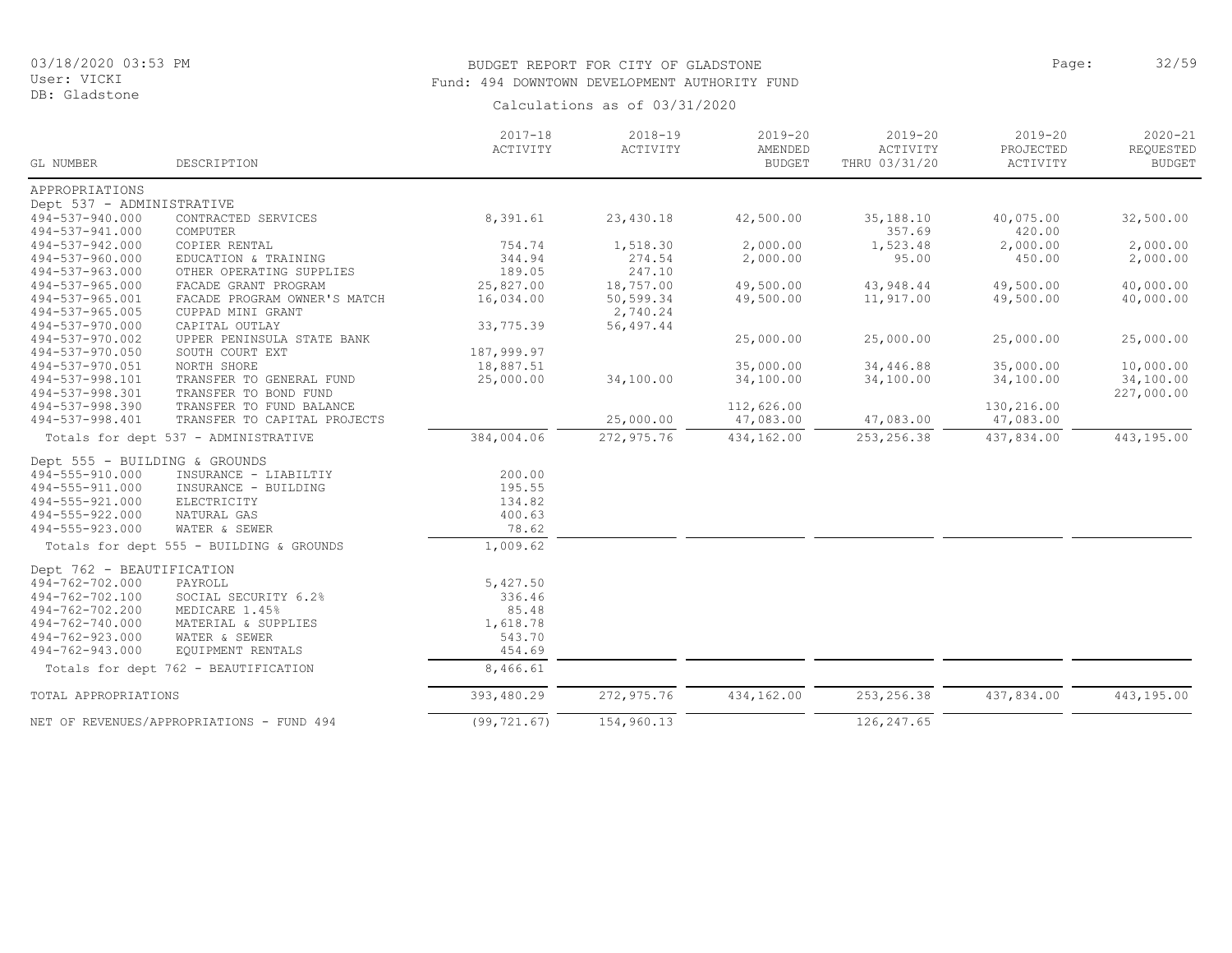DB: Gladstone

# BUDGET REPORT FOR CITY OF GLADSTONE **Page:** 32/59 Fund: 494 DOWNTOWN DEVELOPMENT AUTHORITY FUND

|                                    |                                           | $2017 - 18$        | $2018 - 19$ | $2019 - 20$              | $2019 - 20$               | $2019 - 20$           | $2020 - 21$                |
|------------------------------------|-------------------------------------------|--------------------|-------------|--------------------------|---------------------------|-----------------------|----------------------------|
| GL NUMBER                          | DESCRIPTION                               | ACTIVITY           | ACTIVITY    | AMENDED<br><b>BUDGET</b> | ACTIVITY<br>THRU 03/31/20 | PROJECTED<br>ACTIVITY | REQUESTED<br><b>BUDGET</b> |
| APPROPRIATIONS                     |                                           |                    |             |                          |                           |                       |                            |
| Dept 537 - ADMINISTRATIVE          |                                           |                    |             |                          |                           |                       |                            |
| 494-537-940.000                    | CONTRACTED SERVICES                       | 8,391.61           | 23,430.18   | 42,500.00                | 35,188.10                 | 40,075.00             | 32,500.00                  |
| 494-537-941.000                    | COMPUTER                                  |                    |             |                          | 357.69                    | 420.00                |                            |
| 494-537-942.000                    | COPIER RENTAL                             | 754.74             | 1,518.30    | 2,000.00                 | 1,523.48                  | 2,000.00              | 2,000.00                   |
| 494-537-960.000                    | EDUCATION & TRAINING                      | 344.94             | 274.54      | 2,000.00                 | 95.00                     | 450.00                | 2,000.00                   |
| 494-537-963.000                    | OTHER OPERATING SUPPLIES                  | 189.05             | 247.10      |                          |                           |                       |                            |
| 494-537-965.000                    | FACADE GRANT PROGRAM                      | 25,827.00          | 18,757.00   | 49,500.00                | 43,948.44                 | 49,500.00             | 40,000.00                  |
| 494-537-965.001                    | FACADE PROGRAM OWNER'S MATCH              | 16,034.00          | 50,599.34   | 49,500.00                | 11,917.00                 | 49,500.00             | 40,000.00                  |
| 494-537-965.005                    | CUPPAD MINI GRANT                         |                    | 2,740.24    |                          |                           |                       |                            |
| 494-537-970.000                    | CAPITAL OUTLAY                            | 33,775.39          | 56, 497.44  |                          |                           |                       |                            |
| 494-537-970.002                    | UPPER PENINSULA STATE BANK                |                    |             | 25,000.00                | 25,000.00                 | 25,000.00             | 25,000.00                  |
| 494-537-970.050                    | SOUTH COURT EXT                           | 187,999.97         |             |                          |                           |                       |                            |
| 494-537-970.051                    | NORTH SHORE                               | 18,887.51          |             | 35,000.00                | 34,446.88                 | 35,000.00             | 10,000.00                  |
| 494-537-998.101                    | TRANSFER TO GENERAL FUND                  | 25,000.00          | 34,100.00   | 34,100.00                | 34,100.00                 | 34,100.00             | 34,100.00                  |
| 494-537-998.301                    | TRANSFER TO BOND FUND                     |                    |             |                          |                           |                       | 227,000.00                 |
| 494-537-998.390                    | TRANSFER TO FUND BALANCE                  |                    |             | 112,626.00               |                           | 130,216.00            |                            |
| 494-537-998.401                    | TRANSFER TO CAPITAL PROJECTS              |                    | 25,000.00   | 47,083.00                | 47,083.00                 | 47,083.00             |                            |
|                                    | Totals for dept 537 - ADMINISTRATIVE      | 384,004.06         | 272, 975.76 | 434,162.00               | 253, 256.38               | 437,834.00            | 443,195.00                 |
| Dept 555 - BUILDING & GROUNDS      |                                           |                    |             |                          |                           |                       |                            |
| 494-555-910.000                    | INSURANCE - LIABILTIY                     | 200.00             |             |                          |                           |                       |                            |
| 494-555-911.000                    | INSURANCE - BUILDING                      | 195.55             |             |                          |                           |                       |                            |
| 494-555-921.000                    | ELECTRICITY                               | 134.82             |             |                          |                           |                       |                            |
| 494-555-922.000                    | NATURAL GAS                               | 400.63             |             |                          |                           |                       |                            |
| 494-555-923.000                    | WATER & SEWER                             | 78.62              |             |                          |                           |                       |                            |
|                                    | Totals for dept 555 - BUILDING & GROUNDS  | 1,009.62           |             |                          |                           |                       |                            |
| Dept 762 - BEAUTIFICATION          |                                           |                    |             |                          |                           |                       |                            |
|                                    |                                           |                    |             |                          |                           |                       |                            |
| 494-762-702.000<br>494-762-702.100 | PAYROLL<br>SOCIAL SECURITY 6.2%           | 5,427.50<br>336.46 |             |                          |                           |                       |                            |
| 494-762-702.200                    | MEDICARE 1.45%                            | 85.48              |             |                          |                           |                       |                            |
| 494-762-740.000                    | MATERIAL & SUPPLIES                       | 1,618.78           |             |                          |                           |                       |                            |
| 494-762-923.000                    | WATER & SEWER                             | 543.70             |             |                          |                           |                       |                            |
| 494-762-943.000                    | EQUIPMENT RENTALS                         | 454.69             |             |                          |                           |                       |                            |
|                                    |                                           | 8,466.61           |             |                          |                           |                       |                            |
|                                    | Totals for dept 762 - BEAUTIFICATION      |                    |             |                          |                           |                       |                            |
| TOTAL APPROPRIATIONS               |                                           | 393,480.29         | 272,975.76  | 434,162.00               | 253, 256.38               | 437,834.00            | 443,195.00                 |
|                                    | NET OF REVENUES/APPROPRIATIONS - FUND 494 | (99, 721, 67)      | 154,960.13  |                          | 126, 247.65               |                       |                            |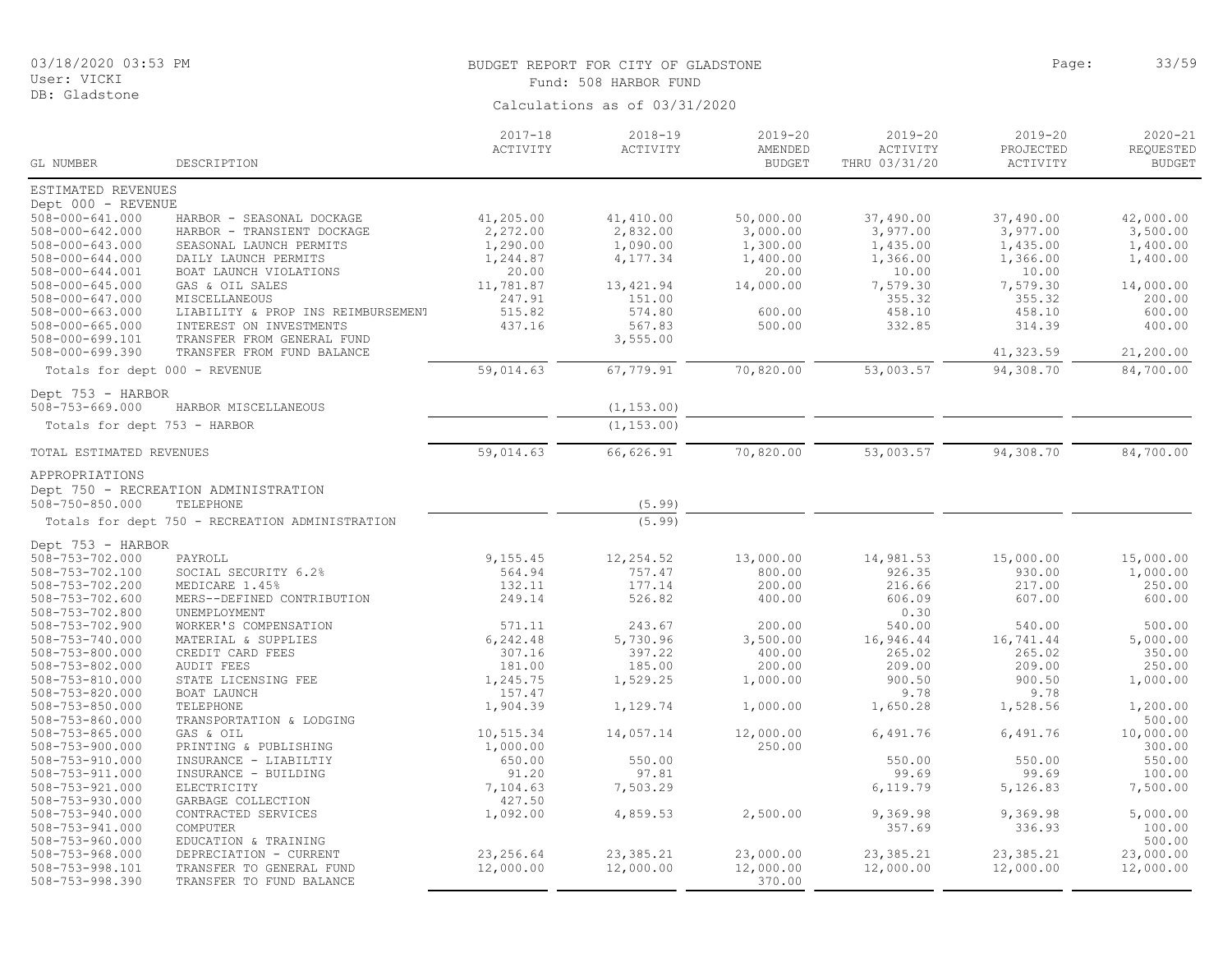DB: Gladstone

# BUDGET REPORT FOR CITY OF GLADSTONE **Page:** 33/59 Fund: 508 HARBOR FUND

|                                                |                                                 | $2017 - 18$<br>ACTIVITY | $2018 - 19$<br>ACTIVITY | $2019 - 20$<br>AMENDED | $2019 - 20$<br>ACTIVITY | $2019 - 20$<br>PROJECTED | $2020 - 21$<br>REQUESTED |
|------------------------------------------------|-------------------------------------------------|-------------------------|-------------------------|------------------------|-------------------------|--------------------------|--------------------------|
| GL NUMBER                                      | DESCRIPTION                                     |                         |                         | <b>BUDGET</b>          | THRU 03/31/20           | ACTIVITY                 | <b>BUDGET</b>            |
| ESTIMATED REVENUES                             |                                                 |                         |                         |                        |                         |                          |                          |
| Dept 000 - REVENUE                             |                                                 |                         |                         |                        |                         |                          |                          |
| $508 - 000 - 641.000$                          | HARBOR - SEASONAL DOCKAGE                       | 41,205.00               | 41, 410.00              | 50,000.00              | 37,490.00               | 37,490.00                | 42,000.00                |
| $508 - 000 - 642.000$                          | HARBOR - TRANSIENT DOCKAGE                      | 2,272.00                | 2,832.00                | 3,000.00               | 3,977.00                | 3,977.00                 | 3,500.00                 |
| $508 - 000 - 643.000$<br>$508 - 000 - 644.000$ | SEASONAL LAUNCH PERMITS<br>DAILY LAUNCH PERMITS | 1,290.00                | 1,090.00                | 1,300.00               | 1,435.00<br>1,366.00    | 1,435.00<br>1,366.00     | 1,400.00<br>1,400.00     |
| $508 - 000 - 644.001$                          | BOAT LAUNCH VIOLATIONS                          | 1,244.87<br>20.00       | 4,177.34                | 1,400.00<br>20.00      | 10.00                   | 10.00                    |                          |
| $508 - 000 - 645.000$                          | GAS & OIL SALES                                 | 11,781.87               | 13,421.94               | 14,000.00              | 7,579.30                | 7,579.30                 | 14,000.00                |
| 508-000-647.000                                | MISCELLANEOUS                                   | 247.91                  | 151.00                  |                        | 355.32                  | 355.32                   | 200.00                   |
| $508 - 000 - 663.000$                          | LIABILITY & PROP INS REIMBURSEMENT              | 515.82                  | 574.80                  | 600.00                 | 458.10                  | 458.10                   | 600.00                   |
| $508 - 000 - 665.000$                          | INTEREST ON INVESTMENTS                         | 437.16                  | 567.83                  | 500.00                 | 332.85                  | 314.39                   | 400.00                   |
| 508-000-699.101                                | TRANSFER FROM GENERAL FUND                      |                         | 3,555.00                |                        |                         |                          |                          |
| $508 - 000 - 699.390$                          | TRANSFER FROM FUND BALANCE                      |                         |                         |                        |                         | 41,323.59                | 21,200.00                |
| Totals for dept 000 - REVENUE                  |                                                 | 59,014.63               | 67,779.91               | 70,820.00              | 53,003.57               | 94,308.70                | 84,700.00                |
| Dept 753 - HARBOR                              |                                                 |                         |                         |                        |                         |                          |                          |
| $508 - 753 - 669.000$                          | HARBOR MISCELLANEOUS                            |                         | (1, 153.00)             |                        |                         |                          |                          |
| Totals for dept 753 - HARBOR                   |                                                 |                         | (1, 153.00)             |                        |                         |                          |                          |
| TOTAL ESTIMATED REVENUES                       |                                                 | 59,014.63               | 66,626.91               | 70,820.00              | 53,003.57               | 94,308.70                | 84,700.00                |
| APPROPRIATIONS                                 |                                                 |                         |                         |                        |                         |                          |                          |
|                                                | Dept 750 - RECREATION ADMINISTRATION            |                         |                         |                        |                         |                          |                          |
| $508 - 750 - 850.000$                          | TELEPHONE                                       |                         | (5.99)                  |                        |                         |                          |                          |
|                                                | Totals for dept 750 - RECREATION ADMINISTRATION |                         | (5.99)                  |                        |                         |                          |                          |
| Dept 753 - HARBOR                              |                                                 |                         |                         |                        |                         |                          |                          |
| 508-753-702.000                                | PAYROLL                                         | 9,155.45                | 12,254.52               | 13,000.00              | 14,981.53               | 15,000.00                | 15,000.00                |
| 508-753-702.100                                | SOCIAL SECURITY 6.2%                            | 564.94                  | 757.47                  | 800.00                 | 926.35                  | 930.00                   | 1,000.00                 |
| 508-753-702.200                                | MEDICARE 1.45%                                  | 132.11                  | 177.14                  | 200.00                 | 216.66                  | 217.00                   | 250.00                   |
| 508-753-702.600                                | MERS--DEFINED CONTRIBUTION                      | 249.14                  | 526.82                  | 400.00                 | 606.09                  | 607.00                   | 600.00                   |
| 508-753-702.800                                | UNEMPLOYMENT                                    |                         |                         |                        | 0.30                    |                          |                          |
| 508-753-702.900<br>508-753-740.000             | WORKER'S COMPENSATION<br>MATERIAL & SUPPLIES    | 571.11<br>6,242.48      | 243.67<br>5,730.96      | 200.00<br>3,500.00     | 540.00<br>16,946.44     | 540.00<br>16,741.44      | 500.00<br>5,000.00       |
| $508 - 753 - 800.000$                          | CREDIT CARD FEES                                | 307.16                  | 397.22                  | 400.00                 | 265.02                  | 265.02                   | 350.00                   |
| 508-753-802.000                                | <b>AUDIT FEES</b>                               | 181.00                  | 185.00                  | 200.00                 | 209.00                  | 209.00                   | 250.00                   |
| $508 - 753 - 810.000$                          | STATE LICENSING FEE                             | 1,245.75                | 1,529.25                | 1,000.00               | 900.50                  | 900.50                   | 1,000.00                 |
| $508 - 753 - 820.000$                          | BOAT LAUNCH                                     | 157.47                  |                         |                        | 9.78                    | 9.78                     |                          |
| $508 - 753 - 850.000$                          | TELEPHONE                                       | 1,904.39                | 1,129.74                | 1,000.00               | 1,650.28                | 1,528.56                 | 1,200.00                 |
| $508 - 753 - 860.000$                          | TRANSPORTATION & LODGING                        |                         |                         |                        |                         |                          | 500.00                   |
| $508 - 753 - 865.000$                          | GAS & OIL                                       | 10,515.34               | 14,057.14               | 12,000.00              | 6,491.76                | 6,491.76                 | 10,000.00                |
| $508 - 753 - 900.000$<br>508-753-910.000       | PRINTING & PUBLISHING<br>INSURANCE - LIABILTIY  | 1,000.00<br>650.00      | 550.00                  | 250.00                 | 550.00                  | 550.00                   | 300.00<br>550.00         |
| 508-753-911.000                                | INSURANCE - BUILDING                            | 91.20                   | 97.81                   |                        | 99.69                   | 99.69                    | 100.00                   |
| $508 - 753 - 921.000$                          | ELECTRICITY                                     | 7,104.63                | 7,503.29                |                        | 6,119.79                | 5,126.83                 | 7,500.00                 |
| $508 - 753 - 930.000$                          | GARBAGE COLLECTION                              | 427.50                  |                         |                        |                         |                          |                          |
| $508 - 753 - 940.000$                          | CONTRACTED SERVICES                             | 1,092.00                | 4,859.53                | 2,500.00               | 9,369.98                | 9,369.98                 | 5,000.00                 |
| 508-753-941.000                                | COMPUTER                                        |                         |                         |                        | 357.69                  | 336.93                   | 100.00                   |
| $508 - 753 - 960.000$                          | EDUCATION & TRAINING                            |                         |                         |                        |                         |                          | 500.00                   |
| 508-753-968.000                                | DEPRECIATION - CURRENT                          | 23, 256.64              | 23, 385.21              | 23,000.00              | 23, 385.21              | 23, 385.21               | 23,000.00                |
| 508-753-998.101                                | TRANSFER TO GENERAL FUND                        | 12,000.00               | 12,000.00               | 12,000.00              | 12,000.00               | 12,000.00                | 12,000.00                |
| $508 - 753 - 998.390$                          | TRANSFER TO FUND BALANCE                        |                         |                         | 370.00                 |                         |                          |                          |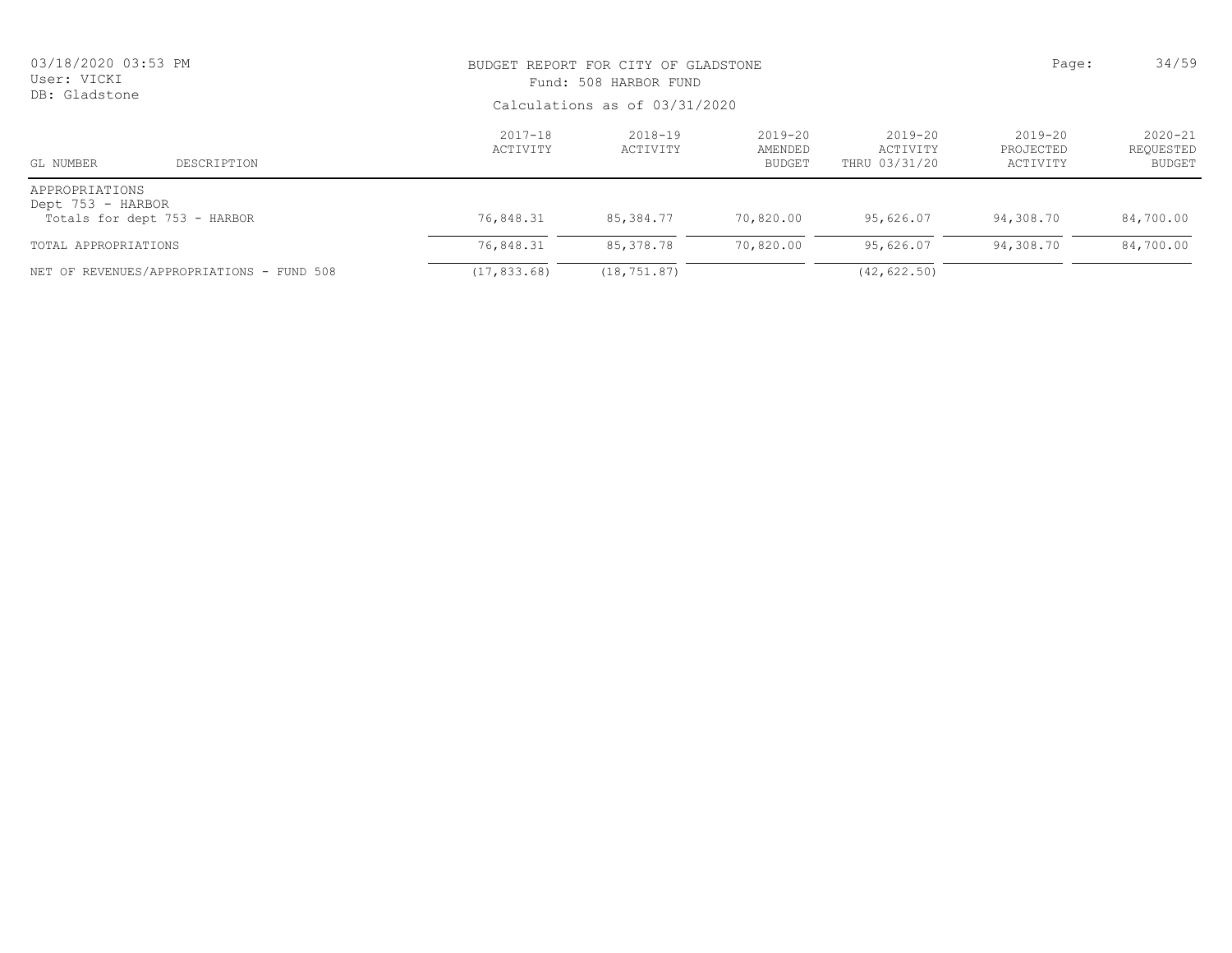| 03/18/2020 03:53 PM<br>User: VICKI<br>DB: Gladstone                 |                                           | BUDGET REPORT FOR CITY OF GLADSTONE<br>Fund: 508 HARBOR FUND<br>Calculations as of 03/31/2020 | Page:               | 34/59                            |                                          |                                      |                                    |
|---------------------------------------------------------------------|-------------------------------------------|-----------------------------------------------------------------------------------------------|---------------------|----------------------------------|------------------------------------------|--------------------------------------|------------------------------------|
| GL NUMBER                                                           | DESCRIPTION                               | $2017 - 18$<br>ACTIVITY                                                                       | 2018-19<br>ACTIVITY | $2019 - 20$<br>AMENDED<br>BUDGET | $2019 - 20$<br>ACTIVITY<br>THRU 03/31/20 | $2019 - 20$<br>PROJECTED<br>ACTIVITY | $2020 - 21$<br>REQUESTED<br>BUDGET |
| APPROPRIATIONS<br>Dept 753 - HARBOR<br>Totals for dept 753 - HARBOR |                                           | 76,848.31                                                                                     | 85,384.77           | 70,820.00                        | 95,626.07                                | 94,308.70                            | 84,700.00                          |
| TOTAL APPROPRIATIONS                                                |                                           | 76,848.31                                                                                     | 85,378.78           | 70,820.00                        | 95,626.07                                | 94,308.70                            | 84,700.00                          |
|                                                                     | NET OF REVENUES/APPROPRIATIONS - FUND 508 | (17, 833, 68)                                                                                 | (18, 751, 87)       |                                  | (42, 622, 50)                            |                                      |                                    |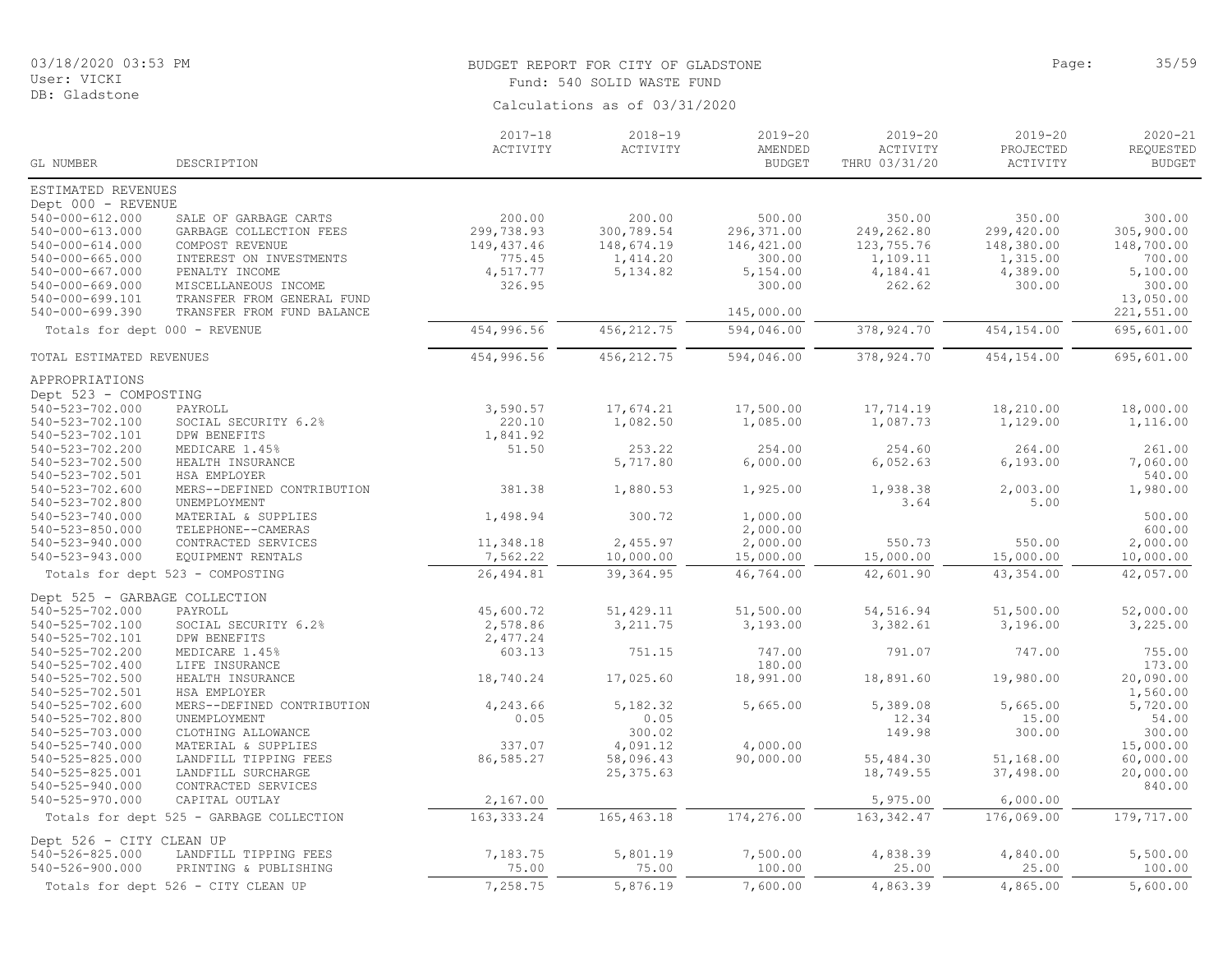# BUDGET REPORT FOR CITY OF GLADSTONE **Example 20** and the page: 35/59 Fund: 540 SOLID WASTE FUND

| Calculations as of 03/31/2020 |  |  |
|-------------------------------|--|--|
|                               |  |  |

| GL NUMBER                                        | DESCRIPTION                                | $2017 - 18$<br>ACTIVITY | $2018 - 19$<br>ACTIVITY | $2019 - 20$<br>AMENDED<br><b>BUDGET</b> | $2019 - 20$<br>ACTIVITY<br>THRU 03/31/20 | 2019-20<br>PROJECTED<br>ACTIVITY | $2020 - 21$<br>REQUESTED<br><b>BUDGET</b> |
|--------------------------------------------------|--------------------------------------------|-------------------------|-------------------------|-----------------------------------------|------------------------------------------|----------------------------------|-------------------------------------------|
| ESTIMATED REVENUES                               |                                            |                         |                         |                                         |                                          |                                  |                                           |
| Dept 000 - REVENUE                               |                                            |                         |                         |                                         |                                          |                                  |                                           |
| 540-000-612.000                                  | SALE OF GARBAGE CARTS                      | 200.00                  | 200.00                  | 500.00                                  | 350.00                                   | 350.00                           | 300.00                                    |
| 540-000-613.000                                  | GARBAGE COLLECTION FEES                    | 299,738.93              | 300,789.54              | 296,371.00                              | 249,262.80                               | 299,420.00                       | 305,900.00                                |
| 540-000-614.000                                  | COMPOST REVENUE                            | 149, 437.46             | 148,674.19              | 146,421.00                              | 123,755.76                               | 148,380.00                       | 148,700.00                                |
| $540 - 000 - 665.000$                            | INTEREST ON INVESTMENTS                    | 775.45                  | 1,414.20                | 300.00                                  | 1,109.11                                 | 1,315.00                         | 700.00                                    |
| $540 - 000 - 667.000$<br>$540 - 000 - 669.000$   | PENALTY INCOME<br>MISCELLANEOUS INCOME     | 4,517.77<br>326.95      | 5, 134.82               | 5,154.00<br>300.00                      | 4,184.41<br>262.62                       | 4,389.00<br>300.00               | 5,100.00<br>300.00                        |
| 540-000-699.101                                  | TRANSFER FROM GENERAL FUND                 |                         |                         |                                         |                                          |                                  | 13,050.00                                 |
| 540-000-699.390                                  | TRANSFER FROM FUND BALANCE                 |                         |                         | 145,000.00                              |                                          |                                  | 221,551.00                                |
| Totals for dept 000 - REVENUE                    |                                            | 454,996.56              | 456, 212.75             | 594,046.00                              | 378, 924.70                              | 454,154.00                       | 695,601.00                                |
| TOTAL ESTIMATED REVENUES                         |                                            | 454,996.56              | 456, 212.75             | 594,046.00                              | 378, 924.70                              | 454,154.00                       | 695,601.00                                |
| APPROPRIATIONS                                   |                                            |                         |                         |                                         |                                          |                                  |                                           |
| Dept 523 - COMPOSTING                            |                                            |                         |                         |                                         |                                          |                                  |                                           |
| 540-523-702.000                                  | PAYROLL                                    | 3,590.57                | 17,674.21               | 17,500.00                               | 17,714.19                                | 18,210.00                        | 18,000.00                                 |
| 540-523-702.100                                  | SOCIAL SECURITY 6.2%                       | 220.10                  | 1,082.50                | 1,085.00                                | 1,087.73                                 | 1,129.00                         | 1,116.00                                  |
| 540-523-702.101<br>540-523-702.200               | DPW BENEFITS<br>MEDICARE 1.45%             | 1,841.92<br>51.50       | 253.22                  | 254.00                                  | 254.60                                   | 264.00                           | 261.00                                    |
| 540-523-702.500                                  | HEALTH INSURANCE                           |                         | 5,717.80                | 6,000.00                                | 6,052.63                                 | 6, 193.00                        | 7,060.00                                  |
| 540-523-702.501                                  | HSA EMPLOYER                               |                         |                         |                                         |                                          |                                  | 540.00                                    |
| 540-523-702.600                                  | MERS--DEFINED CONTRIBUTION                 | 381.38                  | 1,880.53                | 1,925.00                                | 1,938.38                                 | 2,003.00                         | 1,980.00                                  |
| 540-523-702.800                                  | UNEMPLOYMENT                               |                         |                         |                                         | 3.64                                     | 5.00                             |                                           |
| $540 - 523 - 740.000$                            | MATERIAL & SUPPLIES                        | 1,498.94                | 300.72                  | 1,000.00                                |                                          |                                  | 500.00                                    |
| 540-523-850.000                                  | TELEPHONE--CAMERAS                         |                         |                         | 2,000.00                                |                                          |                                  | 600.00                                    |
| 540-523-940.000<br>540-523-943.000               | CONTRACTED SERVICES<br>EQUIPMENT RENTALS   | 11,348.18<br>7,562.22   | 2,455.97<br>10,000.00   | 2,000.00<br>15,000.00                   | 550.73<br>15,000.00                      | 550.00<br>15,000.00              | 2,000.00<br>10,000.00                     |
|                                                  | Totals for dept 523 - COMPOSTING           | 26,494.81               | 39, 364.95              | 46,764.00                               | 42,601.90                                | 43, 354.00                       | 42,057.00                                 |
|                                                  |                                            |                         |                         |                                         |                                          |                                  |                                           |
| Dept 525 - GARBAGE COLLECTION<br>540-525-702.000 |                                            |                         | 51,429.11               |                                         | 54, 516.94                               | 51,500.00                        |                                           |
| 540-525-702.100                                  | PAYROLL<br>SOCIAL SECURITY 6.2%            | 45,600.72<br>2,578.86   | 3, 211.75               | 51,500.00<br>3,193.00                   | 3,382.61                                 | 3,196.00                         | 52,000.00<br>3,225.00                     |
| 540-525-702.101                                  | DPW BENEFITS                               | 2,477.24                |                         |                                         |                                          |                                  |                                           |
| 540-525-702.200                                  | MEDICARE 1.45%                             | 603.13                  | 751.15                  | 747.00                                  | 791.07                                   | 747.00                           | 755.00                                    |
| 540-525-702.400                                  | LIFE INSURANCE                             |                         |                         | 180.00                                  |                                          |                                  | 173.00                                    |
| 540-525-702.500                                  | HEALTH INSURANCE                           | 18,740.24               | 17,025.60               | 18,991.00                               | 18,891.60                                | 19,980.00                        | 20,090.00                                 |
| 540-525-702.501                                  | HSA EMPLOYER                               |                         |                         |                                         |                                          |                                  | 1,560.00                                  |
| 540-525-702.600<br>540-525-702.800               | MERS--DEFINED CONTRIBUTION<br>UNEMPLOYMENT | 4,243.66<br>0.05        | 5,182.32<br>0.05        | 5,665.00                                | 5,389.08<br>12.34                        | 5,665.00<br>15.00                | 5,720.00<br>54.00                         |
| 540-525-703.000                                  | CLOTHING ALLOWANCE                         |                         | 300.02                  |                                         | 149.98                                   | 300.00                           | 300.00                                    |
| 540-525-740.000                                  | MATERIAL & SUPPLIES                        | 337.07                  | 4,091.12                | 4,000.00                                |                                          |                                  | 15,000.00                                 |
| 540-525-825.000                                  | LANDFILL TIPPING FEES                      | 86,585.27               | 58,096.43               | 90,000.00                               | 55,484.30                                | 51,168.00                        | 60,000.00                                 |
| 540-525-825.001                                  | LANDFILL SURCHARGE                         |                         | 25, 375.63              |                                         | 18,749.55                                | 37,498.00                        | 20,000.00                                 |
| 540-525-940.000                                  | CONTRACTED SERVICES                        |                         |                         |                                         |                                          |                                  | 840.00                                    |
| 540-525-970.000                                  | CAPITAL OUTLAY                             | 2,167.00                |                         |                                         | 5,975.00                                 | 6,000.00                         |                                           |
|                                                  | Totals for dept 525 - GARBAGE COLLECTION   | 163, 333.24             | 165, 463.18             | 174,276.00                              | 163, 342.47                              | 176,069.00                       | 179,717.00                                |
| Dept 526 - CITY CLEAN UP                         |                                            |                         |                         |                                         |                                          |                                  |                                           |
| 540-526-825.000                                  | LANDFILL TIPPING FEES                      | 7,183.75                | 5,801.19                | 7,500.00                                | 4,838.39                                 | 4,840.00                         | 5,500.00                                  |
| 540-526-900.000                                  | PRINTING & PUBLISHING                      | 75.00                   | 75.00                   | 100.00                                  | 25.00                                    | 25.00                            | 100.00                                    |
|                                                  | Totals for dept 526 - CITY CLEAN UP        | 7,258.75                | 5,876.19                | 7,600.00                                | 4,863.39                                 | 4,865.00                         | 5,600.00                                  |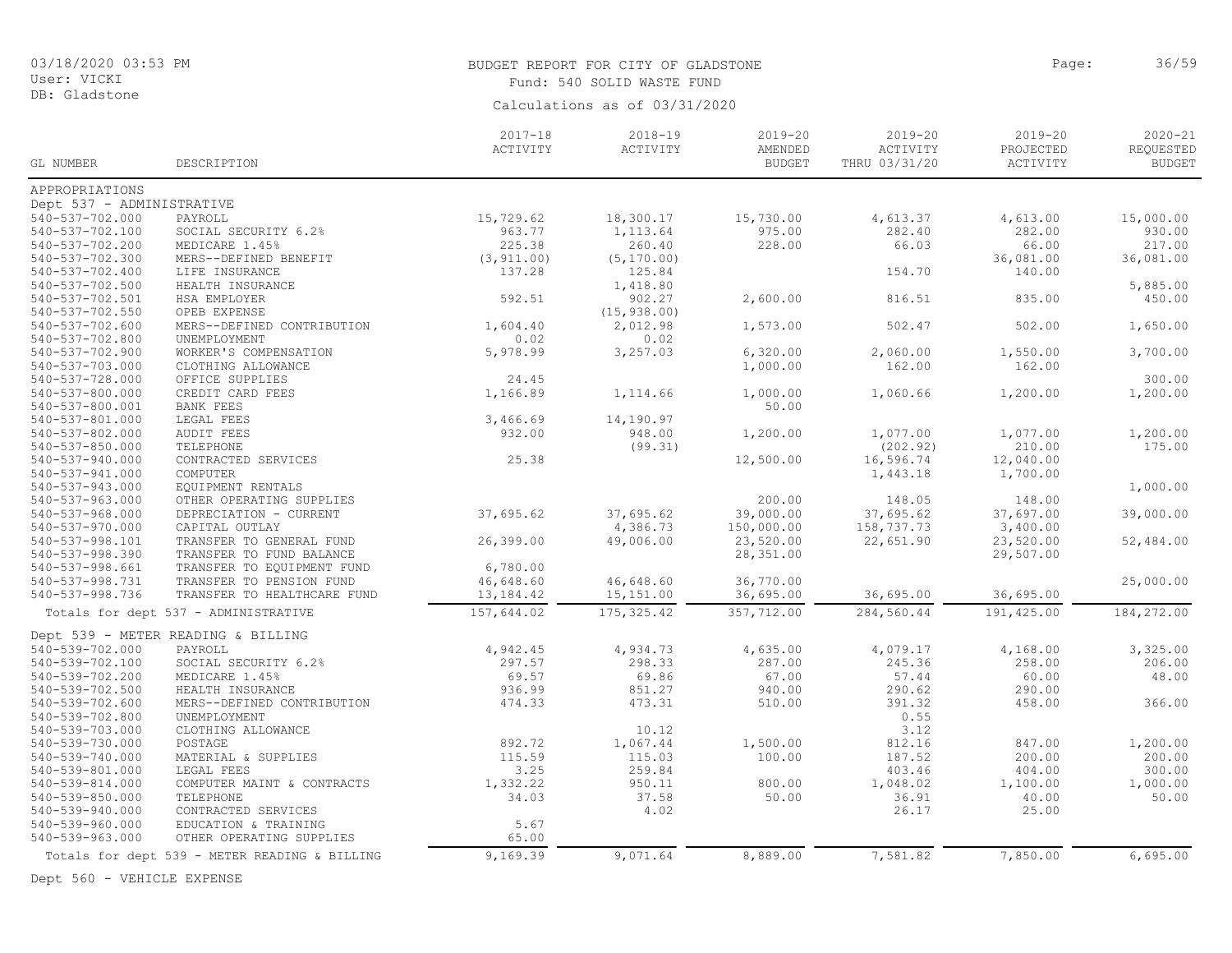DB: Gladstone

# BUDGET REPORT FOR CITY OF GLADSTONE **Page:** 36/59 Fund: 540 SOLID WASTE FUND

Calculations as of 03/31/2020

|                           |                                               | $2017 - 18$<br>ACTIVITY | $2018 - 19$<br>ACTIVITY | 2019-20<br>AMENDED | $2019 - 20$<br>ACTIVITY | $2019 - 20$<br>PROJECTED | 2020-21<br>REQUESTED |
|---------------------------|-----------------------------------------------|-------------------------|-------------------------|--------------------|-------------------------|--------------------------|----------------------|
| GL NUMBER                 | DESCRIPTION                                   |                         |                         | <b>BUDGET</b>      | THRU 03/31/20           | ACTIVITY                 | <b>BUDGET</b>        |
| APPROPRIATIONS            |                                               |                         |                         |                    |                         |                          |                      |
| Dept 537 - ADMINISTRATIVE |                                               |                         |                         |                    |                         |                          |                      |
| 540-537-702.000           | PAYROLL                                       | 15,729.62               | 18,300.17               | 15,730.00          | 4,613.37                | 4,613.00                 | 15,000.00            |
| 540-537-702.100           | SOCIAL SECURITY 6.2%                          | 963.77                  | 1,113.64                | 975.00             | 282.40                  | 282.00                   | 930.00               |
| 540-537-702.200           | MEDICARE 1.45%                                | 225.38                  | 260.40                  | 228.00             | 66.03                   | 66.00                    | 217.00               |
| 540-537-702.300           | MERS--DEFINED BENEFIT                         | (3, 911.00)             | (5, 170.00)             |                    |                         | 36,081.00                | 36,081.00            |
| 540-537-702.400           | LIFE INSURANCE                                | 137.28                  | 125.84                  |                    | 154.70                  | 140.00                   |                      |
| 540-537-702.500           | HEALTH INSURANCE                              |                         | 1,418.80                |                    |                         |                          | 5,885.00             |
| 540-537-702.501           | HSA EMPLOYER                                  | 592.51                  | 902.27                  | 2,600.00           | 816.51                  | 835.00                   | 450.00               |
| 540-537-702.550           | OPEB EXPENSE                                  |                         | (15, 938.00)            |                    |                         |                          |                      |
| 540-537-702.600           | MERS--DEFINED CONTRIBUTION                    | 1,604.40                | 2,012.98                | 1,573.00           | 502.47                  | 502.00                   | 1,650.00             |
| 540-537-702.800           | UNEMPLOYMENT                                  | 0.02                    | 0.02                    |                    |                         |                          |                      |
| 540-537-702.900           | WORKER'S COMPENSATION                         | 5,978.99                | 3,257.03                | 6,320.00           | 2,060.00                | 1,550.00                 | 3,700.00             |
| 540-537-703.000           | CLOTHING ALLOWANCE                            |                         |                         | 1,000.00           | 162.00                  | 162.00                   |                      |
| 540-537-728.000           | OFFICE SUPPLIES                               | 24.45                   |                         |                    |                         |                          | 300.00               |
| $540 - 537 - 800.000$     | CREDIT CARD FEES                              | 1,166.89                | 1,114.66                | 1,000.00           | 1,060.66                | 1,200.00                 | 1,200.00             |
| 540-537-800.001           | BANK FEES                                     |                         |                         | 50.00              |                         |                          |                      |
| 540-537-801.000           | LEGAL FEES                                    | 3,466.69                | 14,190.97               |                    |                         |                          |                      |
| 540-537-802.000           | <b>AUDIT FEES</b>                             | 932.00                  | 948.00                  | 1,200.00           | 1,077.00                | 1,077.00                 | 1,200.00             |
| 540-537-850.000           | TELEPHONE                                     |                         | (99.31)                 |                    | (202.92)                | 210.00                   | 175.00               |
| 540-537-940.000           | CONTRACTED SERVICES                           | 25.38                   |                         | 12,500.00          | 16,596.74               | 12,040.00                |                      |
| 540-537-941.000           | COMPUTER                                      |                         |                         |                    | 1,443.18                | 1,700.00                 |                      |
| 540-537-943.000           | EQUIPMENT RENTALS                             |                         |                         |                    |                         |                          | 1,000.00             |
| 540-537-963.000           | OTHER OPERATING SUPPLIES                      |                         |                         | 200.00             | 148.05                  | 148.00                   |                      |
| 540-537-968.000           | DEPRECIATION - CURRENT                        | 37,695.62               | 37,695.62               | 39,000.00          | 37,695.62               | 37,697.00                | 39,000.00            |
| 540-537-970.000           | CAPITAL OUTLAY                                |                         | 4,386.73                | 150,000.00         | 158,737.73              | 3,400.00                 |                      |
| 540-537-998.101           | TRANSFER TO GENERAL FUND                      | 26,399.00               | 49,006.00               | 23,520.00          | 22,651.90               | 23,520.00                | 52,484.00            |
| 540-537-998.390           | TRANSFER TO FUND BALANCE                      |                         |                         | 28,351.00          |                         | 29,507.00                |                      |
| 540-537-998.661           | TRANSFER TO EQUIPMENT FUND                    | 6,780.00                |                         |                    |                         |                          |                      |
| 540-537-998.731           | TRANSFER TO PENSION FUND                      | 46,648.60               | 46,648.60               | 36,770.00          |                         |                          | 25,000.00            |
| 540-537-998.736           | TRANSFER TO HEALTHCARE FUND                   | 13,184.42               | 15, 151.00              | 36,695.00          | 36,695.00               | 36,695.00                |                      |
|                           | Totals for dept 537 - ADMINISTRATIVE          | 157,644.02              | 175, 325.42             | 357,712.00         | 284,560.44              | 191,425.00               | 184,272.00           |
|                           |                                               |                         |                         |                    |                         |                          |                      |
|                           | Dept 539 - METER READING & BILLING            |                         |                         |                    |                         |                          |                      |
| 540-539-702.000           | PAYROLL                                       | 4,942.45                | 4,934.73                | 4,635.00           | 4,079.17                | 4,168.00                 | 3,325.00             |
| 540-539-702.100           | SOCIAL SECURITY 6.2%                          | 297.57                  | 298.33                  | 287.00             | 245.36                  | 258.00                   | 206.00               |
| 540-539-702.200           | MEDICARE 1.45%                                | 69.57                   | 69.86                   | 67.00              | 57.44                   | 60.00                    | 48.00                |
| 540-539-702.500           | HEALTH INSURANCE                              | 936.99                  | 851.27                  | 940.00             | 290.62                  | 290.00                   |                      |
| 540-539-702.600           | MERS--DEFINED CONTRIBUTION                    | 474.33                  | 473.31                  | 510.00             | 391.32                  | 458.00                   | 366.00               |
| 540-539-702.800           | UNEMPLOYMENT                                  |                         |                         |                    | 0.55                    |                          |                      |
| 540-539-703.000           | CLOTHING ALLOWANCE                            |                         | 10.12                   |                    | 3.12                    |                          |                      |
| 540-539-730.000           | POSTAGE                                       | 892.72                  | 1,067.44                | 1,500.00           | 812.16                  | 847.00                   | 1,200.00             |
| 540-539-740.000           | MATERIAL & SUPPLIES                           | 115.59                  | 115.03                  | 100.00             | 187.52                  | 200.00                   | 200.00               |
| 540-539-801.000           | LEGAL FEES                                    | 3.25                    | 259.84                  |                    | 403.46                  | 404.00                   | 300.00               |
| 540-539-814.000           | COMPUTER MAINT & CONTRACTS                    | 1,332.22                | 950.11                  | 800.00             | 1,048.02                | 1,100.00                 | 1,000.00             |
| 540-539-850.000           | TELEPHONE                                     | 34.03                   | 37.58                   | 50.00              | 36.91                   | 40.00                    | 50.00                |
| 540-539-940.000           | CONTRACTED SERVICES                           |                         | 4.02                    |                    | 26.17                   | 25.00                    |                      |
| 540-539-960.000           | EDUCATION & TRAINING                          | 5.67                    |                         |                    |                         |                          |                      |
| 540-539-963.000           | OTHER OPERATING SUPPLIES                      | 65.00                   |                         |                    |                         |                          |                      |
|                           | Totals for dept 539 - METER READING & BILLING | 9,169.39                | 9,071.64                | 8,889.00           | 7,581.82                | 7,850.00                 | 6,695.00             |

Dept 560 - VEHICLE EXPENSE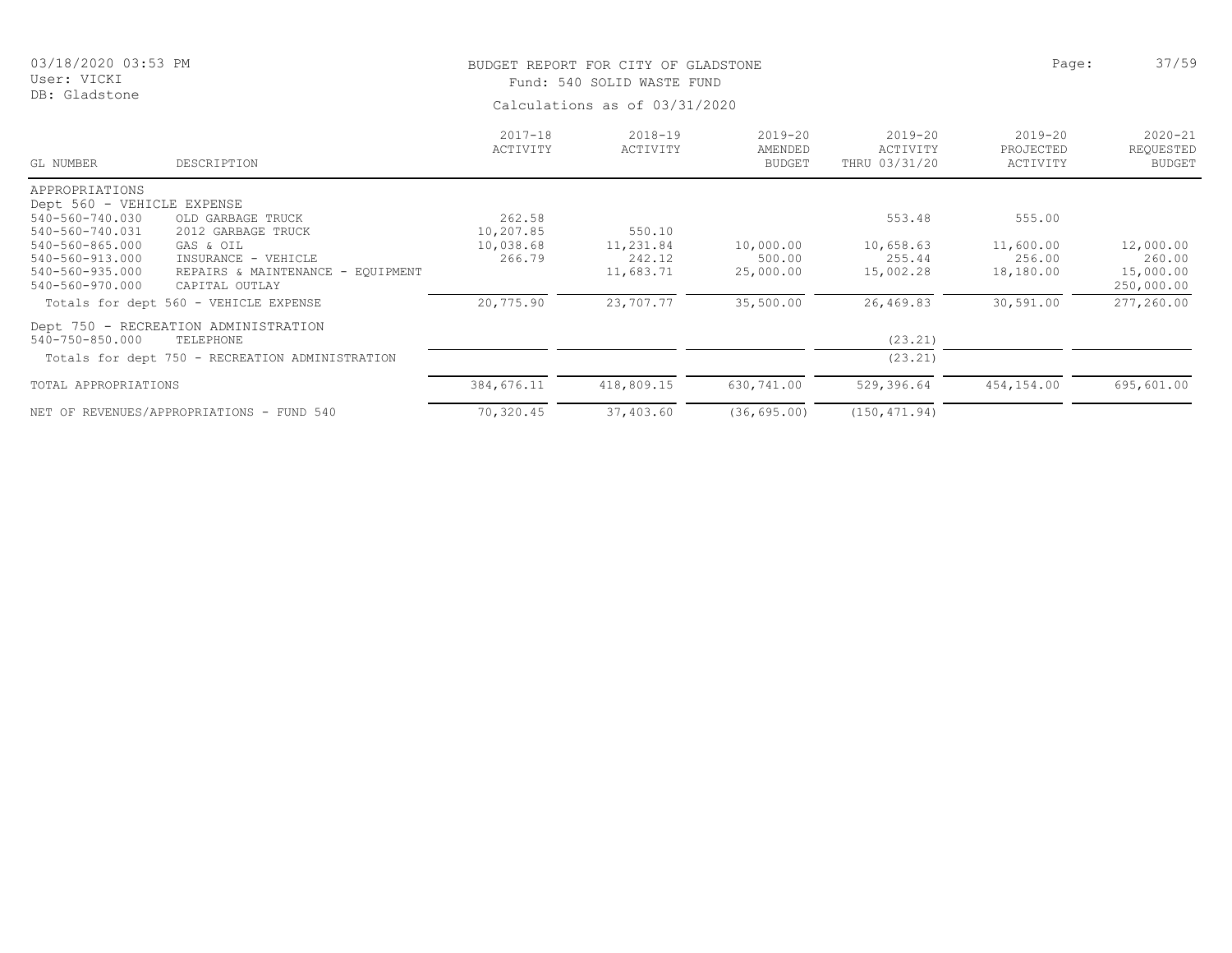DB: Gladstone

# BUDGET REPORT FOR CITY OF GLADSTONE **Page:** 37/59 Fund: 540 SOLID WASTE FUND

| GL NUMBER                  | DESCRIPTION                                     | $2017 - 18$<br>ACTIVITY | $2018 - 19$<br>ACTIVITY | $2019 - 20$<br>AMENDED<br><b>BUDGET</b> | $2019 - 20$<br>ACTIVITY<br>THRU 03/31/20 | 2019-20<br>PROJECTED<br>ACTIVITY | $2020 - 21$<br>REQUESTED<br><b>BUDGET</b> |
|----------------------------|-------------------------------------------------|-------------------------|-------------------------|-----------------------------------------|------------------------------------------|----------------------------------|-------------------------------------------|
| APPROPRIATIONS             |                                                 |                         |                         |                                         |                                          |                                  |                                           |
| Dept 560 - VEHICLE EXPENSE |                                                 |                         |                         |                                         |                                          |                                  |                                           |
| 540-560-740.030            | OLD GARBAGE TRUCK                               | 262.58                  |                         |                                         | 553.48                                   | 555.00                           |                                           |
| 540-560-740.031            | 2012 GARBAGE TRUCK                              | 10,207.85               | 550.10                  |                                         |                                          |                                  |                                           |
| 540-560-865.000            | GAS & OIL                                       | 10,038.68               | 11,231.84               | 10,000.00                               | 10,658.63                                | 11,600.00                        | 12,000.00                                 |
| 540-560-913.000            | INSURANCE - VEHICLE                             | 266.79                  | 242.12                  | 500.00                                  | 255.44                                   | 256.00                           | 260.00                                    |
| 540-560-935.000            | REPAIRS & MAINTENANCE - EQUIPMENT               |                         | 11,683.71               | 25,000.00                               | 15,002.28                                | 18,180.00                        | 15,000.00                                 |
| 540-560-970.000            | CAPITAL OUTLAY                                  |                         |                         |                                         |                                          |                                  | 250,000.00                                |
|                            | Totals for dept 560 - VEHICLE EXPENSE           | 20,775.90               | 23,707.77               | 35,500.00                               | 26,469.83                                | 30,591.00                        | 277,260.00                                |
|                            | Dept 750 - RECREATION ADMINISTRATION            |                         |                         |                                         |                                          |                                  |                                           |
| $540 - 750 - 850.000$      | TELEPHONE                                       |                         |                         |                                         | (23.21)                                  |                                  |                                           |
|                            | Totals for dept 750 - RECREATION ADMINISTRATION |                         |                         |                                         | (23.21)                                  |                                  |                                           |
| TOTAL APPROPRIATIONS       |                                                 | 384,676.11              | 418,809.15              | 630,741.00                              | 529,396.64                               | 454,154.00                       | 695,601.00                                |
|                            | NET OF REVENUES/APPROPRIATIONS - FUND 540       | 70,320.45               | 37,403.60               | (36, 695.00)                            | (150, 471.94)                            |                                  |                                           |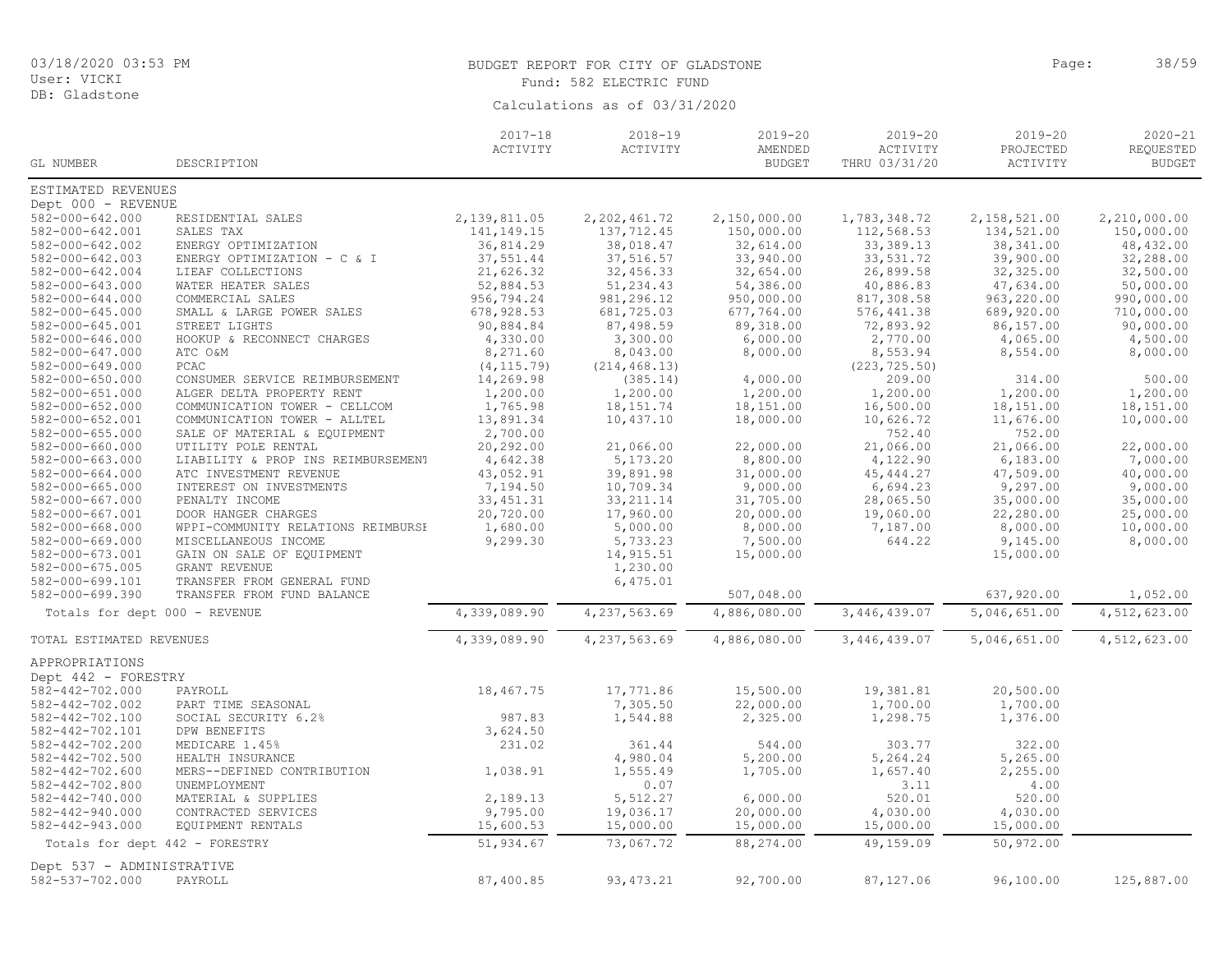| User: VICKI                        |                                            |                         | Fund: 582 ELECTRIC FUND       |                                         |                                          |                                      |                                           |
|------------------------------------|--------------------------------------------|-------------------------|-------------------------------|-----------------------------------------|------------------------------------------|--------------------------------------|-------------------------------------------|
| DB: Gladstone                      |                                            |                         | Calculations as of 03/31/2020 |                                         |                                          |                                      |                                           |
| GL NUMBER                          | DESCRIPTION                                | $2017 - 18$<br>ACTIVITY | $2018 - 19$<br>ACTIVITY       | $2019 - 20$<br>AMENDED<br><b>BUDGET</b> | $2019 - 20$<br>ACTIVITY<br>THRU 03/31/20 | $2019 - 20$<br>PROJECTED<br>ACTIVITY | $2020 - 21$<br>REQUESTED<br><b>BUDGET</b> |
| ESTIMATED REVENUES                 |                                            |                         |                               |                                         |                                          |                                      |                                           |
| Dept 000 - REVENUE                 |                                            |                         |                               |                                         |                                          |                                      |                                           |
| 582-000-642.000                    | RESIDENTIAL SALES                          | 2, 139, 811.05          | 2, 202, 461.72                | 2,150,000.00                            | 1,783,348.72                             | 2,158,521.00                         | 2,210,000.00                              |
| 582-000-642.001                    | SALES TAX                                  | 141, 149. 15            | 137,712.45                    | 150,000.00                              | 112,568.53                               | 134,521.00                           | 150,000.00                                |
| 582-000-642.002                    | ENERGY OPTIMIZATION                        | 36,814.29               | 38,018.47                     | 32,614.00                               | 33, 389.13                               | 38, 341.00                           | 48,432.00                                 |
| 582-000-642.003                    | ENERGY OPTIMIZATION - C & I                | 37,551.44               | 37,516.57                     | 33,940.00                               | 33,531.72                                | 39,900.00                            | 32,288.00                                 |
| 582-000-642.004                    | LIEAF COLLECTIONS                          | 21,626.32               | 32,456.33                     | 32,654.00                               | 26,899.58                                | 32, 325.00                           | 32,500.00                                 |
| 582-000-643.000                    | WATER HEATER SALES                         | 52,884.53               | 51,234.43                     | 54,386.00                               | 40,886.83                                | 47,634.00                            | 50,000.00                                 |
| 582-000-644.000                    | COMMERCIAL SALES                           | 956,794.24              | 981, 296.12                   | 950,000.00                              | 817,308.58                               | 963,220.00                           | 990,000.00                                |
| 582-000-645.000<br>582-000-645.001 | SMALL & LARGE POWER SALES<br>STREET LIGHTS | 678,928.53<br>90,884.84 | 681,725.03<br>87,498.59       | 677,764.00<br>89,318.00                 | 576, 441.38<br>72,893.92                 | 689,920.00<br>86,157.00              | 710,000.00<br>90,000.00                   |
| 582-000-646.000                    | HOOKUP & RECONNECT CHARGES                 | 4,330.00                | 3,300.00                      | 6,000.00                                | 2,770.00                                 | 4,065.00                             | 4,500.00                                  |
| 582-000-647.000                    | ATC O&M                                    | 8,271.60                | 8,043.00                      | 8,000.00                                | 8,553.94                                 | 8,554.00                             | 8,000.00                                  |
| 582-000-649.000                    | PCAC                                       | (4, 115.79)             | (214, 468.13)                 |                                         | (223, 725.50)                            |                                      |                                           |
| 582-000-650.000                    | CONSUMER SERVICE REIMBURSEMENT             | 14,269.98               | (385.14)                      | 4,000.00                                | 209.00                                   | 314.00                               | 500.00                                    |
| 582-000-651.000                    | ALGER DELTA PROPERTY RENT                  | 1,200.00                | 1,200.00                      | 1,200.00                                | 1,200.00                                 | 1,200.00                             | 1,200.00                                  |
| 582-000-652.000                    | COMMUNICATION TOWER - CELLCOM              | 1,765.98                | 18, 151.74                    | 18,151.00                               | 16,500.00                                | 18,151.00                            | 18,151.00                                 |
| 582-000-652.001                    | COMMUNICATION TOWER - ALLTEL               | 13,891.34               | 10,437.10                     | 18,000.00                               | 10,626.72                                | 11,676.00                            | 10,000.00                                 |
| 582-000-655.000                    | SALE OF MATERIAL & EQUIPMENT               | 2,700.00                |                               |                                         | 752.40                                   | 752.00                               |                                           |
| 582-000-660.000                    | UTILITY POLE RENTAL                        | 20,292.00               | 21,066.00                     | 22,000.00                               | 21,066.00                                | 21,066.00                            | 22,000.00                                 |
| 582-000-663.000                    | LIABILITY & PROP INS REIMBURSEMENT         | 4,642.38                | 5,173.20                      | 8,800.00                                | 4,122.90                                 | 6,183.00                             | 7,000.00                                  |
| 582-000-664.000                    | ATC INVESTMENT REVENUE                     | 43,052.91               | 39,891.98                     | 31,000.00                               | 45, 444.27                               | 47,509.00                            | 40,000.00                                 |
| 582-000-665.000                    | INTEREST ON INVESTMENTS                    | 7,194.50                | 10,709.34                     | 9,000.00                                | 6,694.23                                 | 9,297.00                             | 9,000.00                                  |
| 582-000-667.000                    | PENALTY INCOME                             | 33, 451.31              | 33, 211.14                    | 31,705.00                               | 28,065.50                                | 35,000.00                            | 35,000.00                                 |
| 582-000-667.001                    | DOOR HANGER CHARGES                        | 20,720.00               | 17,960.00                     | 20,000.00                               | 19,060.00                                | 22,280.00                            | 25,000.00                                 |
| 582-000-668.000                    | WPPI-COMMUNITY RELATIONS REIMBURSH         | 1,680.00                | 5,000.00                      | 8,000.00                                | 7,187.00                                 | 8,000.00                             | 10,000.00                                 |
| 582-000-669.000                    | MISCELLANEOUS INCOME                       | 9,299.30                | 5,733.23                      | 7,500.00                                | 644.22                                   | 9,145.00                             | 8,000.00                                  |
| 582-000-673.001                    | GAIN ON SALE OF EQUIPMENT                  |                         | 14,915.51                     | 15,000.00                               |                                          | 15,000.00                            |                                           |
| 582-000-675.005                    | GRANT REVENUE                              |                         | 1,230.00                      |                                         |                                          |                                      |                                           |
| 582-000-699.101                    | TRANSFER FROM GENERAL FUND                 |                         | 6,475.01                      |                                         |                                          |                                      |                                           |
| 582-000-699.390                    | TRANSFER FROM FUND BALANCE                 |                         |                               | 507,048.00                              |                                          | 637,920.00                           | 1,052.00                                  |
| Totals for dept 000 - REVENUE      |                                            | 4,339,089.90            | 4,237,563.69                  | 4,886,080.00                            | 3,446,439.07                             | 5,046,651.00                         | 4,512,623.00                              |
| TOTAL ESTIMATED REVENUES           |                                            | 4,339,089.90            | 4,237,563.69                  | 4,886,080.00                            | 3,446,439.07                             | 5,046,651.00                         | 4,512,623.00                              |
| APPROPRIATIONS                     |                                            |                         |                               |                                         |                                          |                                      |                                           |
| Dept 442 - FORESTRY                |                                            |                         |                               |                                         |                                          |                                      |                                           |
| 582-442-702.000                    | PAYROLL                                    | 18,467.75               | 17,771.86                     | 15,500.00                               | 19,381.81                                | 20,500.00                            |                                           |
| 582-442-702.002                    | PART TIME SEASONAL                         |                         | 7,305.50                      | 22,000.00                               | 1,700.00                                 | 1,700.00                             |                                           |
| 582-442-702.100                    | SOCIAL SECURITY 6.2%                       | 987.83                  | 1,544.88                      | 2,325.00                                | 1,298.75                                 | 1,376.00                             |                                           |
| 582-442-702.101                    | DPW BENEFITS                               | 3,624.50                |                               |                                         |                                          |                                      |                                           |
| 582-442-702.200                    | MEDICARE 1.45%                             | 231.02                  | 361.44                        | 544.00                                  | 303.77                                   | 322.00                               |                                           |
| 582-442-702.500                    | HEALTH INSURANCE                           |                         | 4,980.04                      | 5,200.00                                | 5,264.24                                 | 5,265.00                             |                                           |
| 582-442-702.600                    | MERS--DEFINED CONTRIBUTION                 | 1,038.91                | 1,555.49                      | 1,705.00                                | 1,657.40                                 | 2,255.00                             |                                           |
| 582-442-702.800                    | UNEMPLOYMENT                               |                         | 0.07                          |                                         | 3.11                                     | 4.00                                 |                                           |
| 582-442-740.000                    | MATERIAL & SUPPLIES                        | 2,189.13                | 5,512.27                      | 6,000.00                                | 520.01                                   | 520.00                               |                                           |
| 582-442-940.000                    | CONTRACTED SERVICES                        | 9,795.00                | 19,036.17                     | 20,000.00                               | 4,030.00                                 | 4,030.00                             |                                           |
| 582-442-943.000                    | EQUIPMENT RENTALS                          | 15,600.53               | 15,000.00                     | 15,000.00                               | 15,000.00                                | 15,000.00                            |                                           |
| Totals for dept 442 - FORESTRY     |                                            | 51,934.67               | 73,067.72                     | 88,274.00                               | 49,159.09                                | 50,972.00                            |                                           |

582-537-702.000 PAYROLL 87,400.85 93,473.21 92,700.00 87,127.06 96,100.00 125,887.00

Dept 537 - ADMINISTRATIVE<br>582-537-702.000 PAYROLL

03/18/2020 03:53 PM

BUDGET REPORT FOR CITY OF GLADSTONE PAGE AND SAME PAGE: 38/59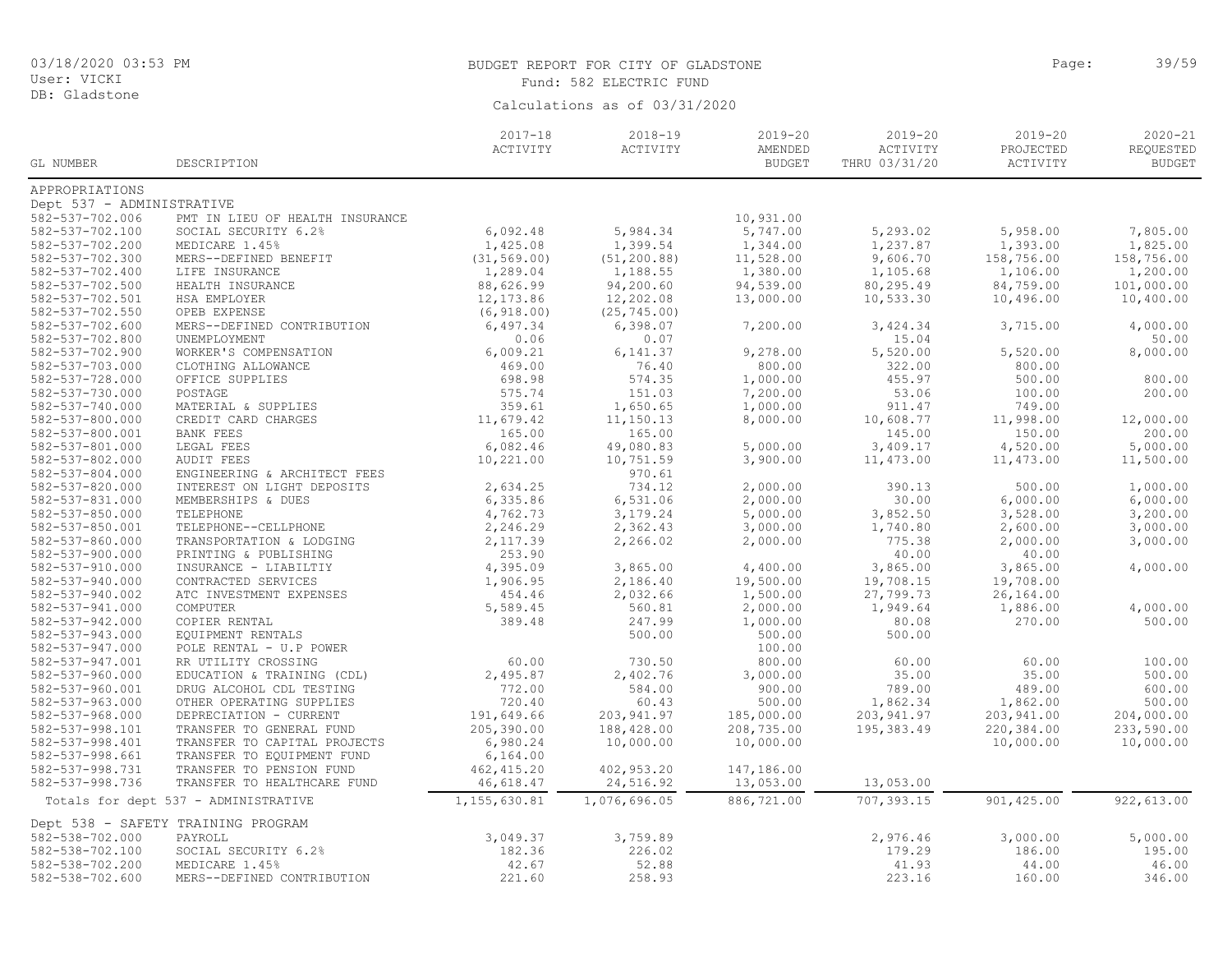DB: Gladstone

# BUDGET REPORT FOR CITY OF GLADSTONE **Page:** 39/59 Fund: 582 ELECTRIC FUND

| ACTIVITY<br>ACTIVITY<br>AMENDED<br>ACTIVITY<br>PROJECTED<br><b>BUDGET</b><br>THRU 03/31/20<br>ACTIVITY<br>GL NUMBER<br>DESCRIPTION<br>APPROPRIATIONS<br>Dept 537 - ADMINISTRATIVE<br>582-537-702.006<br>PMT IN LIEU OF HEALTH INSURANCE<br>10,931.00<br>5,747.00<br>582-537-702.100<br>SOCIAL SECURITY 6.2%<br>6,092.48<br>5,984.34<br>5,293.02<br>5,958.00<br>7,805.00<br>1,393.00<br>1,825.00<br>582-537-702.200<br>1,425.08<br>1,399.54<br>1,344.00<br>1,237.87<br>MEDICARE 1.45%<br>(31, 569.00)<br>(51, 200.88)<br>11,528.00<br>158,756.00<br>158,756.00<br>582-537-702.300<br>MERS--DEFINED BENEFIT<br>9,606.70<br>1,380.00<br>1,200.00<br>582-537-702.400<br>LIFE INSURANCE<br>1,289.04<br>1,188.55<br>1,105.68<br>1,106.00<br>88,626.99<br>94,200.60<br>582-537-702.500<br>HEALTH INSURANCE<br>94,539.00<br>80,295.49<br>84,759.00<br>101,000.00<br>582-537-702.501<br>12, 173.86<br>12,202.08<br>10,533.30<br>10,400.00<br>HSA EMPLOYER<br>13,000.00<br>10,496.00<br>582-537-702.550<br>OPEB EXPENSE<br>(6, 918.00)<br>(25, 745.00)<br>MERS--DEFINED CONTRIBUTION<br>6,398.07<br>3,424.34<br>3,715.00<br>4,000.00<br>582-537-702.600<br>6,497.34<br>7,200.00<br>582-537-702.800<br>0.07<br>15.04<br>UNEMPLOYMENT<br>0.06<br>50.00<br>5,520.00<br>582-537-702.900<br>WORKER'S COMPENSATION<br>6,009.21<br>6, 141.37<br>9,278.00<br>5,520.00<br>8,000.00<br>582-537-703.000<br>469.00<br>76.40<br>800.00<br>322.00<br>800.00<br>CLOTHING ALLOWANCE<br>582-537-728.000<br>698.98<br>574.35<br>1,000.00<br>455.97<br>500.00<br>800.00<br>OFFICE SUPPLIES<br>575.74<br>151.03<br>7,200.00<br>53.06<br>100.00<br>200.00<br>582-537-730.000<br>POSTAGE<br>749.00<br>582-537-740.000<br>MATERIAL & SUPPLIES<br>359.61<br>1,650.65<br>1,000.00<br>911.47<br>11,679.42<br>582-537-800.000<br>CREDIT CARD CHARGES<br>11,150.13<br>8,000.00<br>10,608.77<br>11,998.00<br>12,000.00<br>165.00<br>582-537-800.001<br>165.00<br>145.00<br>150.00<br>200.00<br><b>BANK FEES</b><br>6,082.46<br>582-537-801.000<br>LEGAL FEES<br>49,080.83<br>5,000.00<br>3,409.17<br>4,520.00<br>5,000.00<br>582-537-802.000<br><b>AUDIT FEES</b><br>10,221.00<br>10,751.59<br>11,500.00<br>3,900.00<br>11,473.00<br>11,473.00<br>582-537-804.000<br>ENGINEERING & ARCHITECT FEES<br>970.61<br>2,634.25<br>734.12<br>2,000.00<br>390.13<br>500.00<br>1,000.00<br>582-537-820.000<br>INTEREST ON LIGHT DEPOSITS<br>582-537-831.000<br>MEMBERSHIPS & DUES<br>6,335.86<br>6,531.06<br>2,000.00<br>30.00<br>6,000.00<br>6,000.00<br>3,852.50<br>3,200.00<br>$582 - 537 - 850.000$<br>TELEPHONE<br>4,762.73<br>3,179.24<br>5,000.00<br>3,528.00<br>582-537-850.001<br>2,600.00<br>3,000.00<br>TELEPHONE--CELLPHONE<br>2,246.29<br>2,362.43<br>3,000.00<br>1,740.80<br>582-537-860.000<br>2,000.00<br>775.38<br>3,000.00<br>TRANSPORTATION & LODGING<br>2,117.39<br>2,266.02<br>2,000.00<br>253.90<br>40.00<br>582-537-900.000<br>PRINTING & PUBLISHING<br>40.00<br>582-537-910.000<br>3,865.00<br>4,400.00<br>3,865.00<br>3,865.00<br>INSURANCE - LIABILTIY<br>4,395.09<br>4,000.00<br>582-537-940.000<br>1,906.95<br>2,186.40<br>19,500.00<br>19,708.15<br>19,708.00<br>CONTRACTED SERVICES<br>582-537-940.002<br>ATC INVESTMENT EXPENSES<br>454.46<br>2,032.66<br>1,500.00<br>27,799.73<br>26,164.00<br>1,949.64<br>582-537-941.000<br>COMPUTER<br>5,589.45<br>560.81<br>2,000.00<br>1,886.00<br>4,000.00<br>80.08<br>582-537-942.000<br>COPIER RENTAL<br>389.48<br>247.99<br>1,000.00<br>270.00<br>500.00<br>582-537-943.000<br>EQUIPMENT RENTALS<br>500.00<br>500.00<br>500.00<br>100.00<br>582-537-947.000<br>POLE RENTAL - U.P POWER<br>582-537-947.001<br>RR UTILITY CROSSING<br>60.00<br>800.00<br>60.00<br>60.00<br>100.00<br>730.50<br>582-537-960.000<br>2,495.87<br>2,402.76<br>3,000.00<br>35.00<br>35.00<br>500.00<br>EDUCATION & TRAINING (CDL)<br>772.00<br>584.00<br>900.00<br>789.00<br>489.00<br>600.00<br>582-537-960.001<br>DRUG ALCOHOL CDL TESTING<br>1,862.34<br>500.00<br>582-537-963.000<br>720.40<br>60.43<br>500.00<br>1,862.00<br>OTHER OPERATING SUPPLIES<br>582-537-968.000<br>DEPRECIATION - CURRENT<br>191,649.66<br>203, 941.97<br>185,000.00<br>203, 941.97<br>203,941.00<br>204,000.00<br>582-537-998.101<br>205,390.00<br>208,735.00<br>220,384.00<br>233,590.00<br>TRANSFER TO GENERAL FUND<br>188,428.00<br>195,383.49<br>6,980.24<br>10,000.00<br>10,000.00<br>582-537-998.401<br>TRANSFER TO CAPITAL PROJECTS<br>10,000.00<br>10,000.00<br>582-537-998.661<br>TRANSFER TO EQUIPMENT FUND<br>6, 164.00<br>582-537-998.731<br>TRANSFER TO PENSION FUND<br>462, 415.20<br>402,953.20<br>147,186.00<br>582-537-998.736<br>TRANSFER TO HEALTHCARE FUND<br>46,618.47<br>24,516.92<br>13,053.00<br>13,053.00<br>1,076,696.05<br>707,393.15<br>901,425.00<br>1,155,630.81<br>886,721.00<br>922,613.00<br>Totals for dept 537 - ADMINISTRATIVE<br>Dept 538 - SAFETY TRAINING PROGRAM |  | $2017 - 18$ | $2018 - 19$ | $2019 - 20$ | $2019 - 20$ | $2019 - 20$ | $2020 - 21$   |
|------------------------------------------------------------------------------------------------------------------------------------------------------------------------------------------------------------------------------------------------------------------------------------------------------------------------------------------------------------------------------------------------------------------------------------------------------------------------------------------------------------------------------------------------------------------------------------------------------------------------------------------------------------------------------------------------------------------------------------------------------------------------------------------------------------------------------------------------------------------------------------------------------------------------------------------------------------------------------------------------------------------------------------------------------------------------------------------------------------------------------------------------------------------------------------------------------------------------------------------------------------------------------------------------------------------------------------------------------------------------------------------------------------------------------------------------------------------------------------------------------------------------------------------------------------------------------------------------------------------------------------------------------------------------------------------------------------------------------------------------------------------------------------------------------------------------------------------------------------------------------------------------------------------------------------------------------------------------------------------------------------------------------------------------------------------------------------------------------------------------------------------------------------------------------------------------------------------------------------------------------------------------------------------------------------------------------------------------------------------------------------------------------------------------------------------------------------------------------------------------------------------------------------------------------------------------------------------------------------------------------------------------------------------------------------------------------------------------------------------------------------------------------------------------------------------------------------------------------------------------------------------------------------------------------------------------------------------------------------------------------------------------------------------------------------------------------------------------------------------------------------------------------------------------------------------------------------------------------------------------------------------------------------------------------------------------------------------------------------------------------------------------------------------------------------------------------------------------------------------------------------------------------------------------------------------------------------------------------------------------------------------------------------------------------------------------------------------------------------------------------------------------------------------------------------------------------------------------------------------------------------------------------------------------------------------------------------------------------------------------------------------------------------------------------------------------------------------------------------------------------------------------------------------------------------------------------------------------------------------------------------------------------------------------------------------------------------------------------------------------------------------------------------------------------------------------------------------------------------------------------------------------------------------------------------------------------------------------------------------------------------------------------------------------------------------------------------------------------------------------------------------------------------------------------------------------------------------------------------------------------------------|--|-------------|-------------|-------------|-------------|-------------|---------------|
|                                                                                                                                                                                                                                                                                                                                                                                                                                                                                                                                                                                                                                                                                                                                                                                                                                                                                                                                                                                                                                                                                                                                                                                                                                                                                                                                                                                                                                                                                                                                                                                                                                                                                                                                                                                                                                                                                                                                                                                                                                                                                                                                                                                                                                                                                                                                                                                                                                                                                                                                                                                                                                                                                                                                                                                                                                                                                                                                                                                                                                                                                                                                                                                                                                                                                                                                                                                                                                                                                                                                                                                                                                                                                                                                                                                                                                                                                                                                                                                                                                                                                                                                                                                                                                                                                                                                                                                                                                                                                                                                                                                                                                                                                                                                                                                                                                                                                          |  |             |             |             |             |             | REQUESTED     |
|                                                                                                                                                                                                                                                                                                                                                                                                                                                                                                                                                                                                                                                                                                                                                                                                                                                                                                                                                                                                                                                                                                                                                                                                                                                                                                                                                                                                                                                                                                                                                                                                                                                                                                                                                                                                                                                                                                                                                                                                                                                                                                                                                                                                                                                                                                                                                                                                                                                                                                                                                                                                                                                                                                                                                                                                                                                                                                                                                                                                                                                                                                                                                                                                                                                                                                                                                                                                                                                                                                                                                                                                                                                                                                                                                                                                                                                                                                                                                                                                                                                                                                                                                                                                                                                                                                                                                                                                                                                                                                                                                                                                                                                                                                                                                                                                                                                                                          |  |             |             |             |             |             | <b>BUDGET</b> |
|                                                                                                                                                                                                                                                                                                                                                                                                                                                                                                                                                                                                                                                                                                                                                                                                                                                                                                                                                                                                                                                                                                                                                                                                                                                                                                                                                                                                                                                                                                                                                                                                                                                                                                                                                                                                                                                                                                                                                                                                                                                                                                                                                                                                                                                                                                                                                                                                                                                                                                                                                                                                                                                                                                                                                                                                                                                                                                                                                                                                                                                                                                                                                                                                                                                                                                                                                                                                                                                                                                                                                                                                                                                                                                                                                                                                                                                                                                                                                                                                                                                                                                                                                                                                                                                                                                                                                                                                                                                                                                                                                                                                                                                                                                                                                                                                                                                                                          |  |             |             |             |             |             |               |
|                                                                                                                                                                                                                                                                                                                                                                                                                                                                                                                                                                                                                                                                                                                                                                                                                                                                                                                                                                                                                                                                                                                                                                                                                                                                                                                                                                                                                                                                                                                                                                                                                                                                                                                                                                                                                                                                                                                                                                                                                                                                                                                                                                                                                                                                                                                                                                                                                                                                                                                                                                                                                                                                                                                                                                                                                                                                                                                                                                                                                                                                                                                                                                                                                                                                                                                                                                                                                                                                                                                                                                                                                                                                                                                                                                                                                                                                                                                                                                                                                                                                                                                                                                                                                                                                                                                                                                                                                                                                                                                                                                                                                                                                                                                                                                                                                                                                                          |  |             |             |             |             |             |               |
|                                                                                                                                                                                                                                                                                                                                                                                                                                                                                                                                                                                                                                                                                                                                                                                                                                                                                                                                                                                                                                                                                                                                                                                                                                                                                                                                                                                                                                                                                                                                                                                                                                                                                                                                                                                                                                                                                                                                                                                                                                                                                                                                                                                                                                                                                                                                                                                                                                                                                                                                                                                                                                                                                                                                                                                                                                                                                                                                                                                                                                                                                                                                                                                                                                                                                                                                                                                                                                                                                                                                                                                                                                                                                                                                                                                                                                                                                                                                                                                                                                                                                                                                                                                                                                                                                                                                                                                                                                                                                                                                                                                                                                                                                                                                                                                                                                                                                          |  |             |             |             |             |             |               |
|                                                                                                                                                                                                                                                                                                                                                                                                                                                                                                                                                                                                                                                                                                                                                                                                                                                                                                                                                                                                                                                                                                                                                                                                                                                                                                                                                                                                                                                                                                                                                                                                                                                                                                                                                                                                                                                                                                                                                                                                                                                                                                                                                                                                                                                                                                                                                                                                                                                                                                                                                                                                                                                                                                                                                                                                                                                                                                                                                                                                                                                                                                                                                                                                                                                                                                                                                                                                                                                                                                                                                                                                                                                                                                                                                                                                                                                                                                                                                                                                                                                                                                                                                                                                                                                                                                                                                                                                                                                                                                                                                                                                                                                                                                                                                                                                                                                                                          |  |             |             |             |             |             |               |
|                                                                                                                                                                                                                                                                                                                                                                                                                                                                                                                                                                                                                                                                                                                                                                                                                                                                                                                                                                                                                                                                                                                                                                                                                                                                                                                                                                                                                                                                                                                                                                                                                                                                                                                                                                                                                                                                                                                                                                                                                                                                                                                                                                                                                                                                                                                                                                                                                                                                                                                                                                                                                                                                                                                                                                                                                                                                                                                                                                                                                                                                                                                                                                                                                                                                                                                                                                                                                                                                                                                                                                                                                                                                                                                                                                                                                                                                                                                                                                                                                                                                                                                                                                                                                                                                                                                                                                                                                                                                                                                                                                                                                                                                                                                                                                                                                                                                                          |  |             |             |             |             |             |               |
|                                                                                                                                                                                                                                                                                                                                                                                                                                                                                                                                                                                                                                                                                                                                                                                                                                                                                                                                                                                                                                                                                                                                                                                                                                                                                                                                                                                                                                                                                                                                                                                                                                                                                                                                                                                                                                                                                                                                                                                                                                                                                                                                                                                                                                                                                                                                                                                                                                                                                                                                                                                                                                                                                                                                                                                                                                                                                                                                                                                                                                                                                                                                                                                                                                                                                                                                                                                                                                                                                                                                                                                                                                                                                                                                                                                                                                                                                                                                                                                                                                                                                                                                                                                                                                                                                                                                                                                                                                                                                                                                                                                                                                                                                                                                                                                                                                                                                          |  |             |             |             |             |             |               |
|                                                                                                                                                                                                                                                                                                                                                                                                                                                                                                                                                                                                                                                                                                                                                                                                                                                                                                                                                                                                                                                                                                                                                                                                                                                                                                                                                                                                                                                                                                                                                                                                                                                                                                                                                                                                                                                                                                                                                                                                                                                                                                                                                                                                                                                                                                                                                                                                                                                                                                                                                                                                                                                                                                                                                                                                                                                                                                                                                                                                                                                                                                                                                                                                                                                                                                                                                                                                                                                                                                                                                                                                                                                                                                                                                                                                                                                                                                                                                                                                                                                                                                                                                                                                                                                                                                                                                                                                                                                                                                                                                                                                                                                                                                                                                                                                                                                                                          |  |             |             |             |             |             |               |
|                                                                                                                                                                                                                                                                                                                                                                                                                                                                                                                                                                                                                                                                                                                                                                                                                                                                                                                                                                                                                                                                                                                                                                                                                                                                                                                                                                                                                                                                                                                                                                                                                                                                                                                                                                                                                                                                                                                                                                                                                                                                                                                                                                                                                                                                                                                                                                                                                                                                                                                                                                                                                                                                                                                                                                                                                                                                                                                                                                                                                                                                                                                                                                                                                                                                                                                                                                                                                                                                                                                                                                                                                                                                                                                                                                                                                                                                                                                                                                                                                                                                                                                                                                                                                                                                                                                                                                                                                                                                                                                                                                                                                                                                                                                                                                                                                                                                                          |  |             |             |             |             |             |               |
|                                                                                                                                                                                                                                                                                                                                                                                                                                                                                                                                                                                                                                                                                                                                                                                                                                                                                                                                                                                                                                                                                                                                                                                                                                                                                                                                                                                                                                                                                                                                                                                                                                                                                                                                                                                                                                                                                                                                                                                                                                                                                                                                                                                                                                                                                                                                                                                                                                                                                                                                                                                                                                                                                                                                                                                                                                                                                                                                                                                                                                                                                                                                                                                                                                                                                                                                                                                                                                                                                                                                                                                                                                                                                                                                                                                                                                                                                                                                                                                                                                                                                                                                                                                                                                                                                                                                                                                                                                                                                                                                                                                                                                                                                                                                                                                                                                                                                          |  |             |             |             |             |             |               |
|                                                                                                                                                                                                                                                                                                                                                                                                                                                                                                                                                                                                                                                                                                                                                                                                                                                                                                                                                                                                                                                                                                                                                                                                                                                                                                                                                                                                                                                                                                                                                                                                                                                                                                                                                                                                                                                                                                                                                                                                                                                                                                                                                                                                                                                                                                                                                                                                                                                                                                                                                                                                                                                                                                                                                                                                                                                                                                                                                                                                                                                                                                                                                                                                                                                                                                                                                                                                                                                                                                                                                                                                                                                                                                                                                                                                                                                                                                                                                                                                                                                                                                                                                                                                                                                                                                                                                                                                                                                                                                                                                                                                                                                                                                                                                                                                                                                                                          |  |             |             |             |             |             |               |
|                                                                                                                                                                                                                                                                                                                                                                                                                                                                                                                                                                                                                                                                                                                                                                                                                                                                                                                                                                                                                                                                                                                                                                                                                                                                                                                                                                                                                                                                                                                                                                                                                                                                                                                                                                                                                                                                                                                                                                                                                                                                                                                                                                                                                                                                                                                                                                                                                                                                                                                                                                                                                                                                                                                                                                                                                                                                                                                                                                                                                                                                                                                                                                                                                                                                                                                                                                                                                                                                                                                                                                                                                                                                                                                                                                                                                                                                                                                                                                                                                                                                                                                                                                                                                                                                                                                                                                                                                                                                                                                                                                                                                                                                                                                                                                                                                                                                                          |  |             |             |             |             |             |               |
|                                                                                                                                                                                                                                                                                                                                                                                                                                                                                                                                                                                                                                                                                                                                                                                                                                                                                                                                                                                                                                                                                                                                                                                                                                                                                                                                                                                                                                                                                                                                                                                                                                                                                                                                                                                                                                                                                                                                                                                                                                                                                                                                                                                                                                                                                                                                                                                                                                                                                                                                                                                                                                                                                                                                                                                                                                                                                                                                                                                                                                                                                                                                                                                                                                                                                                                                                                                                                                                                                                                                                                                                                                                                                                                                                                                                                                                                                                                                                                                                                                                                                                                                                                                                                                                                                                                                                                                                                                                                                                                                                                                                                                                                                                                                                                                                                                                                                          |  |             |             |             |             |             |               |
|                                                                                                                                                                                                                                                                                                                                                                                                                                                                                                                                                                                                                                                                                                                                                                                                                                                                                                                                                                                                                                                                                                                                                                                                                                                                                                                                                                                                                                                                                                                                                                                                                                                                                                                                                                                                                                                                                                                                                                                                                                                                                                                                                                                                                                                                                                                                                                                                                                                                                                                                                                                                                                                                                                                                                                                                                                                                                                                                                                                                                                                                                                                                                                                                                                                                                                                                                                                                                                                                                                                                                                                                                                                                                                                                                                                                                                                                                                                                                                                                                                                                                                                                                                                                                                                                                                                                                                                                                                                                                                                                                                                                                                                                                                                                                                                                                                                                                          |  |             |             |             |             |             |               |
|                                                                                                                                                                                                                                                                                                                                                                                                                                                                                                                                                                                                                                                                                                                                                                                                                                                                                                                                                                                                                                                                                                                                                                                                                                                                                                                                                                                                                                                                                                                                                                                                                                                                                                                                                                                                                                                                                                                                                                                                                                                                                                                                                                                                                                                                                                                                                                                                                                                                                                                                                                                                                                                                                                                                                                                                                                                                                                                                                                                                                                                                                                                                                                                                                                                                                                                                                                                                                                                                                                                                                                                                                                                                                                                                                                                                                                                                                                                                                                                                                                                                                                                                                                                                                                                                                                                                                                                                                                                                                                                                                                                                                                                                                                                                                                                                                                                                                          |  |             |             |             |             |             |               |
|                                                                                                                                                                                                                                                                                                                                                                                                                                                                                                                                                                                                                                                                                                                                                                                                                                                                                                                                                                                                                                                                                                                                                                                                                                                                                                                                                                                                                                                                                                                                                                                                                                                                                                                                                                                                                                                                                                                                                                                                                                                                                                                                                                                                                                                                                                                                                                                                                                                                                                                                                                                                                                                                                                                                                                                                                                                                                                                                                                                                                                                                                                                                                                                                                                                                                                                                                                                                                                                                                                                                                                                                                                                                                                                                                                                                                                                                                                                                                                                                                                                                                                                                                                                                                                                                                                                                                                                                                                                                                                                                                                                                                                                                                                                                                                                                                                                                                          |  |             |             |             |             |             |               |
|                                                                                                                                                                                                                                                                                                                                                                                                                                                                                                                                                                                                                                                                                                                                                                                                                                                                                                                                                                                                                                                                                                                                                                                                                                                                                                                                                                                                                                                                                                                                                                                                                                                                                                                                                                                                                                                                                                                                                                                                                                                                                                                                                                                                                                                                                                                                                                                                                                                                                                                                                                                                                                                                                                                                                                                                                                                                                                                                                                                                                                                                                                                                                                                                                                                                                                                                                                                                                                                                                                                                                                                                                                                                                                                                                                                                                                                                                                                                                                                                                                                                                                                                                                                                                                                                                                                                                                                                                                                                                                                                                                                                                                                                                                                                                                                                                                                                                          |  |             |             |             |             |             |               |
|                                                                                                                                                                                                                                                                                                                                                                                                                                                                                                                                                                                                                                                                                                                                                                                                                                                                                                                                                                                                                                                                                                                                                                                                                                                                                                                                                                                                                                                                                                                                                                                                                                                                                                                                                                                                                                                                                                                                                                                                                                                                                                                                                                                                                                                                                                                                                                                                                                                                                                                                                                                                                                                                                                                                                                                                                                                                                                                                                                                                                                                                                                                                                                                                                                                                                                                                                                                                                                                                                                                                                                                                                                                                                                                                                                                                                                                                                                                                                                                                                                                                                                                                                                                                                                                                                                                                                                                                                                                                                                                                                                                                                                                                                                                                                                                                                                                                                          |  |             |             |             |             |             |               |
|                                                                                                                                                                                                                                                                                                                                                                                                                                                                                                                                                                                                                                                                                                                                                                                                                                                                                                                                                                                                                                                                                                                                                                                                                                                                                                                                                                                                                                                                                                                                                                                                                                                                                                                                                                                                                                                                                                                                                                                                                                                                                                                                                                                                                                                                                                                                                                                                                                                                                                                                                                                                                                                                                                                                                                                                                                                                                                                                                                                                                                                                                                                                                                                                                                                                                                                                                                                                                                                                                                                                                                                                                                                                                                                                                                                                                                                                                                                                                                                                                                                                                                                                                                                                                                                                                                                                                                                                                                                                                                                                                                                                                                                                                                                                                                                                                                                                                          |  |             |             |             |             |             |               |
|                                                                                                                                                                                                                                                                                                                                                                                                                                                                                                                                                                                                                                                                                                                                                                                                                                                                                                                                                                                                                                                                                                                                                                                                                                                                                                                                                                                                                                                                                                                                                                                                                                                                                                                                                                                                                                                                                                                                                                                                                                                                                                                                                                                                                                                                                                                                                                                                                                                                                                                                                                                                                                                                                                                                                                                                                                                                                                                                                                                                                                                                                                                                                                                                                                                                                                                                                                                                                                                                                                                                                                                                                                                                                                                                                                                                                                                                                                                                                                                                                                                                                                                                                                                                                                                                                                                                                                                                                                                                                                                                                                                                                                                                                                                                                                                                                                                                                          |  |             |             |             |             |             |               |
|                                                                                                                                                                                                                                                                                                                                                                                                                                                                                                                                                                                                                                                                                                                                                                                                                                                                                                                                                                                                                                                                                                                                                                                                                                                                                                                                                                                                                                                                                                                                                                                                                                                                                                                                                                                                                                                                                                                                                                                                                                                                                                                                                                                                                                                                                                                                                                                                                                                                                                                                                                                                                                                                                                                                                                                                                                                                                                                                                                                                                                                                                                                                                                                                                                                                                                                                                                                                                                                                                                                                                                                                                                                                                                                                                                                                                                                                                                                                                                                                                                                                                                                                                                                                                                                                                                                                                                                                                                                                                                                                                                                                                                                                                                                                                                                                                                                                                          |  |             |             |             |             |             |               |
|                                                                                                                                                                                                                                                                                                                                                                                                                                                                                                                                                                                                                                                                                                                                                                                                                                                                                                                                                                                                                                                                                                                                                                                                                                                                                                                                                                                                                                                                                                                                                                                                                                                                                                                                                                                                                                                                                                                                                                                                                                                                                                                                                                                                                                                                                                                                                                                                                                                                                                                                                                                                                                                                                                                                                                                                                                                                                                                                                                                                                                                                                                                                                                                                                                                                                                                                                                                                                                                                                                                                                                                                                                                                                                                                                                                                                                                                                                                                                                                                                                                                                                                                                                                                                                                                                                                                                                                                                                                                                                                                                                                                                                                                                                                                                                                                                                                                                          |  |             |             |             |             |             |               |
|                                                                                                                                                                                                                                                                                                                                                                                                                                                                                                                                                                                                                                                                                                                                                                                                                                                                                                                                                                                                                                                                                                                                                                                                                                                                                                                                                                                                                                                                                                                                                                                                                                                                                                                                                                                                                                                                                                                                                                                                                                                                                                                                                                                                                                                                                                                                                                                                                                                                                                                                                                                                                                                                                                                                                                                                                                                                                                                                                                                                                                                                                                                                                                                                                                                                                                                                                                                                                                                                                                                                                                                                                                                                                                                                                                                                                                                                                                                                                                                                                                                                                                                                                                                                                                                                                                                                                                                                                                                                                                                                                                                                                                                                                                                                                                                                                                                                                          |  |             |             |             |             |             |               |
|                                                                                                                                                                                                                                                                                                                                                                                                                                                                                                                                                                                                                                                                                                                                                                                                                                                                                                                                                                                                                                                                                                                                                                                                                                                                                                                                                                                                                                                                                                                                                                                                                                                                                                                                                                                                                                                                                                                                                                                                                                                                                                                                                                                                                                                                                                                                                                                                                                                                                                                                                                                                                                                                                                                                                                                                                                                                                                                                                                                                                                                                                                                                                                                                                                                                                                                                                                                                                                                                                                                                                                                                                                                                                                                                                                                                                                                                                                                                                                                                                                                                                                                                                                                                                                                                                                                                                                                                                                                                                                                                                                                                                                                                                                                                                                                                                                                                                          |  |             |             |             |             |             |               |
|                                                                                                                                                                                                                                                                                                                                                                                                                                                                                                                                                                                                                                                                                                                                                                                                                                                                                                                                                                                                                                                                                                                                                                                                                                                                                                                                                                                                                                                                                                                                                                                                                                                                                                                                                                                                                                                                                                                                                                                                                                                                                                                                                                                                                                                                                                                                                                                                                                                                                                                                                                                                                                                                                                                                                                                                                                                                                                                                                                                                                                                                                                                                                                                                                                                                                                                                                                                                                                                                                                                                                                                                                                                                                                                                                                                                                                                                                                                                                                                                                                                                                                                                                                                                                                                                                                                                                                                                                                                                                                                                                                                                                                                                                                                                                                                                                                                                                          |  |             |             |             |             |             |               |
|                                                                                                                                                                                                                                                                                                                                                                                                                                                                                                                                                                                                                                                                                                                                                                                                                                                                                                                                                                                                                                                                                                                                                                                                                                                                                                                                                                                                                                                                                                                                                                                                                                                                                                                                                                                                                                                                                                                                                                                                                                                                                                                                                                                                                                                                                                                                                                                                                                                                                                                                                                                                                                                                                                                                                                                                                                                                                                                                                                                                                                                                                                                                                                                                                                                                                                                                                                                                                                                                                                                                                                                                                                                                                                                                                                                                                                                                                                                                                                                                                                                                                                                                                                                                                                                                                                                                                                                                                                                                                                                                                                                                                                                                                                                                                                                                                                                                                          |  |             |             |             |             |             |               |
|                                                                                                                                                                                                                                                                                                                                                                                                                                                                                                                                                                                                                                                                                                                                                                                                                                                                                                                                                                                                                                                                                                                                                                                                                                                                                                                                                                                                                                                                                                                                                                                                                                                                                                                                                                                                                                                                                                                                                                                                                                                                                                                                                                                                                                                                                                                                                                                                                                                                                                                                                                                                                                                                                                                                                                                                                                                                                                                                                                                                                                                                                                                                                                                                                                                                                                                                                                                                                                                                                                                                                                                                                                                                                                                                                                                                                                                                                                                                                                                                                                                                                                                                                                                                                                                                                                                                                                                                                                                                                                                                                                                                                                                                                                                                                                                                                                                                                          |  |             |             |             |             |             |               |
|                                                                                                                                                                                                                                                                                                                                                                                                                                                                                                                                                                                                                                                                                                                                                                                                                                                                                                                                                                                                                                                                                                                                                                                                                                                                                                                                                                                                                                                                                                                                                                                                                                                                                                                                                                                                                                                                                                                                                                                                                                                                                                                                                                                                                                                                                                                                                                                                                                                                                                                                                                                                                                                                                                                                                                                                                                                                                                                                                                                                                                                                                                                                                                                                                                                                                                                                                                                                                                                                                                                                                                                                                                                                                                                                                                                                                                                                                                                                                                                                                                                                                                                                                                                                                                                                                                                                                                                                                                                                                                                                                                                                                                                                                                                                                                                                                                                                                          |  |             |             |             |             |             |               |
|                                                                                                                                                                                                                                                                                                                                                                                                                                                                                                                                                                                                                                                                                                                                                                                                                                                                                                                                                                                                                                                                                                                                                                                                                                                                                                                                                                                                                                                                                                                                                                                                                                                                                                                                                                                                                                                                                                                                                                                                                                                                                                                                                                                                                                                                                                                                                                                                                                                                                                                                                                                                                                                                                                                                                                                                                                                                                                                                                                                                                                                                                                                                                                                                                                                                                                                                                                                                                                                                                                                                                                                                                                                                                                                                                                                                                                                                                                                                                                                                                                                                                                                                                                                                                                                                                                                                                                                                                                                                                                                                                                                                                                                                                                                                                                                                                                                                                          |  |             |             |             |             |             |               |
|                                                                                                                                                                                                                                                                                                                                                                                                                                                                                                                                                                                                                                                                                                                                                                                                                                                                                                                                                                                                                                                                                                                                                                                                                                                                                                                                                                                                                                                                                                                                                                                                                                                                                                                                                                                                                                                                                                                                                                                                                                                                                                                                                                                                                                                                                                                                                                                                                                                                                                                                                                                                                                                                                                                                                                                                                                                                                                                                                                                                                                                                                                                                                                                                                                                                                                                                                                                                                                                                                                                                                                                                                                                                                                                                                                                                                                                                                                                                                                                                                                                                                                                                                                                                                                                                                                                                                                                                                                                                                                                                                                                                                                                                                                                                                                                                                                                                                          |  |             |             |             |             |             |               |
|                                                                                                                                                                                                                                                                                                                                                                                                                                                                                                                                                                                                                                                                                                                                                                                                                                                                                                                                                                                                                                                                                                                                                                                                                                                                                                                                                                                                                                                                                                                                                                                                                                                                                                                                                                                                                                                                                                                                                                                                                                                                                                                                                                                                                                                                                                                                                                                                                                                                                                                                                                                                                                                                                                                                                                                                                                                                                                                                                                                                                                                                                                                                                                                                                                                                                                                                                                                                                                                                                                                                                                                                                                                                                                                                                                                                                                                                                                                                                                                                                                                                                                                                                                                                                                                                                                                                                                                                                                                                                                                                                                                                                                                                                                                                                                                                                                                                                          |  |             |             |             |             |             |               |
|                                                                                                                                                                                                                                                                                                                                                                                                                                                                                                                                                                                                                                                                                                                                                                                                                                                                                                                                                                                                                                                                                                                                                                                                                                                                                                                                                                                                                                                                                                                                                                                                                                                                                                                                                                                                                                                                                                                                                                                                                                                                                                                                                                                                                                                                                                                                                                                                                                                                                                                                                                                                                                                                                                                                                                                                                                                                                                                                                                                                                                                                                                                                                                                                                                                                                                                                                                                                                                                                                                                                                                                                                                                                                                                                                                                                                                                                                                                                                                                                                                                                                                                                                                                                                                                                                                                                                                                                                                                                                                                                                                                                                                                                                                                                                                                                                                                                                          |  |             |             |             |             |             |               |
|                                                                                                                                                                                                                                                                                                                                                                                                                                                                                                                                                                                                                                                                                                                                                                                                                                                                                                                                                                                                                                                                                                                                                                                                                                                                                                                                                                                                                                                                                                                                                                                                                                                                                                                                                                                                                                                                                                                                                                                                                                                                                                                                                                                                                                                                                                                                                                                                                                                                                                                                                                                                                                                                                                                                                                                                                                                                                                                                                                                                                                                                                                                                                                                                                                                                                                                                                                                                                                                                                                                                                                                                                                                                                                                                                                                                                                                                                                                                                                                                                                                                                                                                                                                                                                                                                                                                                                                                                                                                                                                                                                                                                                                                                                                                                                                                                                                                                          |  |             |             |             |             |             |               |
|                                                                                                                                                                                                                                                                                                                                                                                                                                                                                                                                                                                                                                                                                                                                                                                                                                                                                                                                                                                                                                                                                                                                                                                                                                                                                                                                                                                                                                                                                                                                                                                                                                                                                                                                                                                                                                                                                                                                                                                                                                                                                                                                                                                                                                                                                                                                                                                                                                                                                                                                                                                                                                                                                                                                                                                                                                                                                                                                                                                                                                                                                                                                                                                                                                                                                                                                                                                                                                                                                                                                                                                                                                                                                                                                                                                                                                                                                                                                                                                                                                                                                                                                                                                                                                                                                                                                                                                                                                                                                                                                                                                                                                                                                                                                                                                                                                                                                          |  |             |             |             |             |             |               |
|                                                                                                                                                                                                                                                                                                                                                                                                                                                                                                                                                                                                                                                                                                                                                                                                                                                                                                                                                                                                                                                                                                                                                                                                                                                                                                                                                                                                                                                                                                                                                                                                                                                                                                                                                                                                                                                                                                                                                                                                                                                                                                                                                                                                                                                                                                                                                                                                                                                                                                                                                                                                                                                                                                                                                                                                                                                                                                                                                                                                                                                                                                                                                                                                                                                                                                                                                                                                                                                                                                                                                                                                                                                                                                                                                                                                                                                                                                                                                                                                                                                                                                                                                                                                                                                                                                                                                                                                                                                                                                                                                                                                                                                                                                                                                                                                                                                                                          |  |             |             |             |             |             |               |
|                                                                                                                                                                                                                                                                                                                                                                                                                                                                                                                                                                                                                                                                                                                                                                                                                                                                                                                                                                                                                                                                                                                                                                                                                                                                                                                                                                                                                                                                                                                                                                                                                                                                                                                                                                                                                                                                                                                                                                                                                                                                                                                                                                                                                                                                                                                                                                                                                                                                                                                                                                                                                                                                                                                                                                                                                                                                                                                                                                                                                                                                                                                                                                                                                                                                                                                                                                                                                                                                                                                                                                                                                                                                                                                                                                                                                                                                                                                                                                                                                                                                                                                                                                                                                                                                                                                                                                                                                                                                                                                                                                                                                                                                                                                                                                                                                                                                                          |  |             |             |             |             |             |               |
|                                                                                                                                                                                                                                                                                                                                                                                                                                                                                                                                                                                                                                                                                                                                                                                                                                                                                                                                                                                                                                                                                                                                                                                                                                                                                                                                                                                                                                                                                                                                                                                                                                                                                                                                                                                                                                                                                                                                                                                                                                                                                                                                                                                                                                                                                                                                                                                                                                                                                                                                                                                                                                                                                                                                                                                                                                                                                                                                                                                                                                                                                                                                                                                                                                                                                                                                                                                                                                                                                                                                                                                                                                                                                                                                                                                                                                                                                                                                                                                                                                                                                                                                                                                                                                                                                                                                                                                                                                                                                                                                                                                                                                                                                                                                                                                                                                                                                          |  |             |             |             |             |             |               |
|                                                                                                                                                                                                                                                                                                                                                                                                                                                                                                                                                                                                                                                                                                                                                                                                                                                                                                                                                                                                                                                                                                                                                                                                                                                                                                                                                                                                                                                                                                                                                                                                                                                                                                                                                                                                                                                                                                                                                                                                                                                                                                                                                                                                                                                                                                                                                                                                                                                                                                                                                                                                                                                                                                                                                                                                                                                                                                                                                                                                                                                                                                                                                                                                                                                                                                                                                                                                                                                                                                                                                                                                                                                                                                                                                                                                                                                                                                                                                                                                                                                                                                                                                                                                                                                                                                                                                                                                                                                                                                                                                                                                                                                                                                                                                                                                                                                                                          |  |             |             |             |             |             |               |
|                                                                                                                                                                                                                                                                                                                                                                                                                                                                                                                                                                                                                                                                                                                                                                                                                                                                                                                                                                                                                                                                                                                                                                                                                                                                                                                                                                                                                                                                                                                                                                                                                                                                                                                                                                                                                                                                                                                                                                                                                                                                                                                                                                                                                                                                                                                                                                                                                                                                                                                                                                                                                                                                                                                                                                                                                                                                                                                                                                                                                                                                                                                                                                                                                                                                                                                                                                                                                                                                                                                                                                                                                                                                                                                                                                                                                                                                                                                                                                                                                                                                                                                                                                                                                                                                                                                                                                                                                                                                                                                                                                                                                                                                                                                                                                                                                                                                                          |  |             |             |             |             |             |               |
|                                                                                                                                                                                                                                                                                                                                                                                                                                                                                                                                                                                                                                                                                                                                                                                                                                                                                                                                                                                                                                                                                                                                                                                                                                                                                                                                                                                                                                                                                                                                                                                                                                                                                                                                                                                                                                                                                                                                                                                                                                                                                                                                                                                                                                                                                                                                                                                                                                                                                                                                                                                                                                                                                                                                                                                                                                                                                                                                                                                                                                                                                                                                                                                                                                                                                                                                                                                                                                                                                                                                                                                                                                                                                                                                                                                                                                                                                                                                                                                                                                                                                                                                                                                                                                                                                                                                                                                                                                                                                                                                                                                                                                                                                                                                                                                                                                                                                          |  |             |             |             |             |             |               |
|                                                                                                                                                                                                                                                                                                                                                                                                                                                                                                                                                                                                                                                                                                                                                                                                                                                                                                                                                                                                                                                                                                                                                                                                                                                                                                                                                                                                                                                                                                                                                                                                                                                                                                                                                                                                                                                                                                                                                                                                                                                                                                                                                                                                                                                                                                                                                                                                                                                                                                                                                                                                                                                                                                                                                                                                                                                                                                                                                                                                                                                                                                                                                                                                                                                                                                                                                                                                                                                                                                                                                                                                                                                                                                                                                                                                                                                                                                                                                                                                                                                                                                                                                                                                                                                                                                                                                                                                                                                                                                                                                                                                                                                                                                                                                                                                                                                                                          |  |             |             |             |             |             |               |
|                                                                                                                                                                                                                                                                                                                                                                                                                                                                                                                                                                                                                                                                                                                                                                                                                                                                                                                                                                                                                                                                                                                                                                                                                                                                                                                                                                                                                                                                                                                                                                                                                                                                                                                                                                                                                                                                                                                                                                                                                                                                                                                                                                                                                                                                                                                                                                                                                                                                                                                                                                                                                                                                                                                                                                                                                                                                                                                                                                                                                                                                                                                                                                                                                                                                                                                                                                                                                                                                                                                                                                                                                                                                                                                                                                                                                                                                                                                                                                                                                                                                                                                                                                                                                                                                                                                                                                                                                                                                                                                                                                                                                                                                                                                                                                                                                                                                                          |  |             |             |             |             |             |               |
|                                                                                                                                                                                                                                                                                                                                                                                                                                                                                                                                                                                                                                                                                                                                                                                                                                                                                                                                                                                                                                                                                                                                                                                                                                                                                                                                                                                                                                                                                                                                                                                                                                                                                                                                                                                                                                                                                                                                                                                                                                                                                                                                                                                                                                                                                                                                                                                                                                                                                                                                                                                                                                                                                                                                                                                                                                                                                                                                                                                                                                                                                                                                                                                                                                                                                                                                                                                                                                                                                                                                                                                                                                                                                                                                                                                                                                                                                                                                                                                                                                                                                                                                                                                                                                                                                                                                                                                                                                                                                                                                                                                                                                                                                                                                                                                                                                                                                          |  |             |             |             |             |             |               |
|                                                                                                                                                                                                                                                                                                                                                                                                                                                                                                                                                                                                                                                                                                                                                                                                                                                                                                                                                                                                                                                                                                                                                                                                                                                                                                                                                                                                                                                                                                                                                                                                                                                                                                                                                                                                                                                                                                                                                                                                                                                                                                                                                                                                                                                                                                                                                                                                                                                                                                                                                                                                                                                                                                                                                                                                                                                                                                                                                                                                                                                                                                                                                                                                                                                                                                                                                                                                                                                                                                                                                                                                                                                                                                                                                                                                                                                                                                                                                                                                                                                                                                                                                                                                                                                                                                                                                                                                                                                                                                                                                                                                                                                                                                                                                                                                                                                                                          |  |             |             |             |             |             |               |
|                                                                                                                                                                                                                                                                                                                                                                                                                                                                                                                                                                                                                                                                                                                                                                                                                                                                                                                                                                                                                                                                                                                                                                                                                                                                                                                                                                                                                                                                                                                                                                                                                                                                                                                                                                                                                                                                                                                                                                                                                                                                                                                                                                                                                                                                                                                                                                                                                                                                                                                                                                                                                                                                                                                                                                                                                                                                                                                                                                                                                                                                                                                                                                                                                                                                                                                                                                                                                                                                                                                                                                                                                                                                                                                                                                                                                                                                                                                                                                                                                                                                                                                                                                                                                                                                                                                                                                                                                                                                                                                                                                                                                                                                                                                                                                                                                                                                                          |  |             |             |             |             |             |               |
|                                                                                                                                                                                                                                                                                                                                                                                                                                                                                                                                                                                                                                                                                                                                                                                                                                                                                                                                                                                                                                                                                                                                                                                                                                                                                                                                                                                                                                                                                                                                                                                                                                                                                                                                                                                                                                                                                                                                                                                                                                                                                                                                                                                                                                                                                                                                                                                                                                                                                                                                                                                                                                                                                                                                                                                                                                                                                                                                                                                                                                                                                                                                                                                                                                                                                                                                                                                                                                                                                                                                                                                                                                                                                                                                                                                                                                                                                                                                                                                                                                                                                                                                                                                                                                                                                                                                                                                                                                                                                                                                                                                                                                                                                                                                                                                                                                                                                          |  |             |             |             |             |             |               |
|                                                                                                                                                                                                                                                                                                                                                                                                                                                                                                                                                                                                                                                                                                                                                                                                                                                                                                                                                                                                                                                                                                                                                                                                                                                                                                                                                                                                                                                                                                                                                                                                                                                                                                                                                                                                                                                                                                                                                                                                                                                                                                                                                                                                                                                                                                                                                                                                                                                                                                                                                                                                                                                                                                                                                                                                                                                                                                                                                                                                                                                                                                                                                                                                                                                                                                                                                                                                                                                                                                                                                                                                                                                                                                                                                                                                                                                                                                                                                                                                                                                                                                                                                                                                                                                                                                                                                                                                                                                                                                                                                                                                                                                                                                                                                                                                                                                                                          |  |             |             |             |             |             |               |
|                                                                                                                                                                                                                                                                                                                                                                                                                                                                                                                                                                                                                                                                                                                                                                                                                                                                                                                                                                                                                                                                                                                                                                                                                                                                                                                                                                                                                                                                                                                                                                                                                                                                                                                                                                                                                                                                                                                                                                                                                                                                                                                                                                                                                                                                                                                                                                                                                                                                                                                                                                                                                                                                                                                                                                                                                                                                                                                                                                                                                                                                                                                                                                                                                                                                                                                                                                                                                                                                                                                                                                                                                                                                                                                                                                                                                                                                                                                                                                                                                                                                                                                                                                                                                                                                                                                                                                                                                                                                                                                                                                                                                                                                                                                                                                                                                                                                                          |  |             |             |             |             |             |               |
|                                                                                                                                                                                                                                                                                                                                                                                                                                                                                                                                                                                                                                                                                                                                                                                                                                                                                                                                                                                                                                                                                                                                                                                                                                                                                                                                                                                                                                                                                                                                                                                                                                                                                                                                                                                                                                                                                                                                                                                                                                                                                                                                                                                                                                                                                                                                                                                                                                                                                                                                                                                                                                                                                                                                                                                                                                                                                                                                                                                                                                                                                                                                                                                                                                                                                                                                                                                                                                                                                                                                                                                                                                                                                                                                                                                                                                                                                                                                                                                                                                                                                                                                                                                                                                                                                                                                                                                                                                                                                                                                                                                                                                                                                                                                                                                                                                                                                          |  |             |             |             |             |             |               |
|                                                                                                                                                                                                                                                                                                                                                                                                                                                                                                                                                                                                                                                                                                                                                                                                                                                                                                                                                                                                                                                                                                                                                                                                                                                                                                                                                                                                                                                                                                                                                                                                                                                                                                                                                                                                                                                                                                                                                                                                                                                                                                                                                                                                                                                                                                                                                                                                                                                                                                                                                                                                                                                                                                                                                                                                                                                                                                                                                                                                                                                                                                                                                                                                                                                                                                                                                                                                                                                                                                                                                                                                                                                                                                                                                                                                                                                                                                                                                                                                                                                                                                                                                                                                                                                                                                                                                                                                                                                                                                                                                                                                                                                                                                                                                                                                                                                                                          |  |             |             |             |             |             |               |
| 582-538-702.000<br>PAYROLL<br>3,049.37<br>3,759.89<br>2,976.46<br>3,000.00<br>5,000.00                                                                                                                                                                                                                                                                                                                                                                                                                                                                                                                                                                                                                                                                                                                                                                                                                                                                                                                                                                                                                                                                                                                                                                                                                                                                                                                                                                                                                                                                                                                                                                                                                                                                                                                                                                                                                                                                                                                                                                                                                                                                                                                                                                                                                                                                                                                                                                                                                                                                                                                                                                                                                                                                                                                                                                                                                                                                                                                                                                                                                                                                                                                                                                                                                                                                                                                                                                                                                                                                                                                                                                                                                                                                                                                                                                                                                                                                                                                                                                                                                                                                                                                                                                                                                                                                                                                                                                                                                                                                                                                                                                                                                                                                                                                                                                                                   |  |             |             |             |             |             |               |
| 582-538-702.100<br>182.36<br>226.02<br>179.29<br>186.00<br>195.00<br>SOCIAL SECURITY 6.2%                                                                                                                                                                                                                                                                                                                                                                                                                                                                                                                                                                                                                                                                                                                                                                                                                                                                                                                                                                                                                                                                                                                                                                                                                                                                                                                                                                                                                                                                                                                                                                                                                                                                                                                                                                                                                                                                                                                                                                                                                                                                                                                                                                                                                                                                                                                                                                                                                                                                                                                                                                                                                                                                                                                                                                                                                                                                                                                                                                                                                                                                                                                                                                                                                                                                                                                                                                                                                                                                                                                                                                                                                                                                                                                                                                                                                                                                                                                                                                                                                                                                                                                                                                                                                                                                                                                                                                                                                                                                                                                                                                                                                                                                                                                                                                                                |  |             |             |             |             |             |               |
| 42.67<br>52.88<br>41.93<br>44.00<br>46.00<br>582-538-702.200<br>MEDICARE 1.45%                                                                                                                                                                                                                                                                                                                                                                                                                                                                                                                                                                                                                                                                                                                                                                                                                                                                                                                                                                                                                                                                                                                                                                                                                                                                                                                                                                                                                                                                                                                                                                                                                                                                                                                                                                                                                                                                                                                                                                                                                                                                                                                                                                                                                                                                                                                                                                                                                                                                                                                                                                                                                                                                                                                                                                                                                                                                                                                                                                                                                                                                                                                                                                                                                                                                                                                                                                                                                                                                                                                                                                                                                                                                                                                                                                                                                                                                                                                                                                                                                                                                                                                                                                                                                                                                                                                                                                                                                                                                                                                                                                                                                                                                                                                                                                                                           |  |             |             |             |             |             |               |
| 582-538-702.600<br>MERS--DEFINED CONTRIBUTION<br>221.60<br>258.93<br>223.16<br>160.00<br>346.00                                                                                                                                                                                                                                                                                                                                                                                                                                                                                                                                                                                                                                                                                                                                                                                                                                                                                                                                                                                                                                                                                                                                                                                                                                                                                                                                                                                                                                                                                                                                                                                                                                                                                                                                                                                                                                                                                                                                                                                                                                                                                                                                                                                                                                                                                                                                                                                                                                                                                                                                                                                                                                                                                                                                                                                                                                                                                                                                                                                                                                                                                                                                                                                                                                                                                                                                                                                                                                                                                                                                                                                                                                                                                                                                                                                                                                                                                                                                                                                                                                                                                                                                                                                                                                                                                                                                                                                                                                                                                                                                                                                                                                                                                                                                                                                          |  |             |             |             |             |             |               |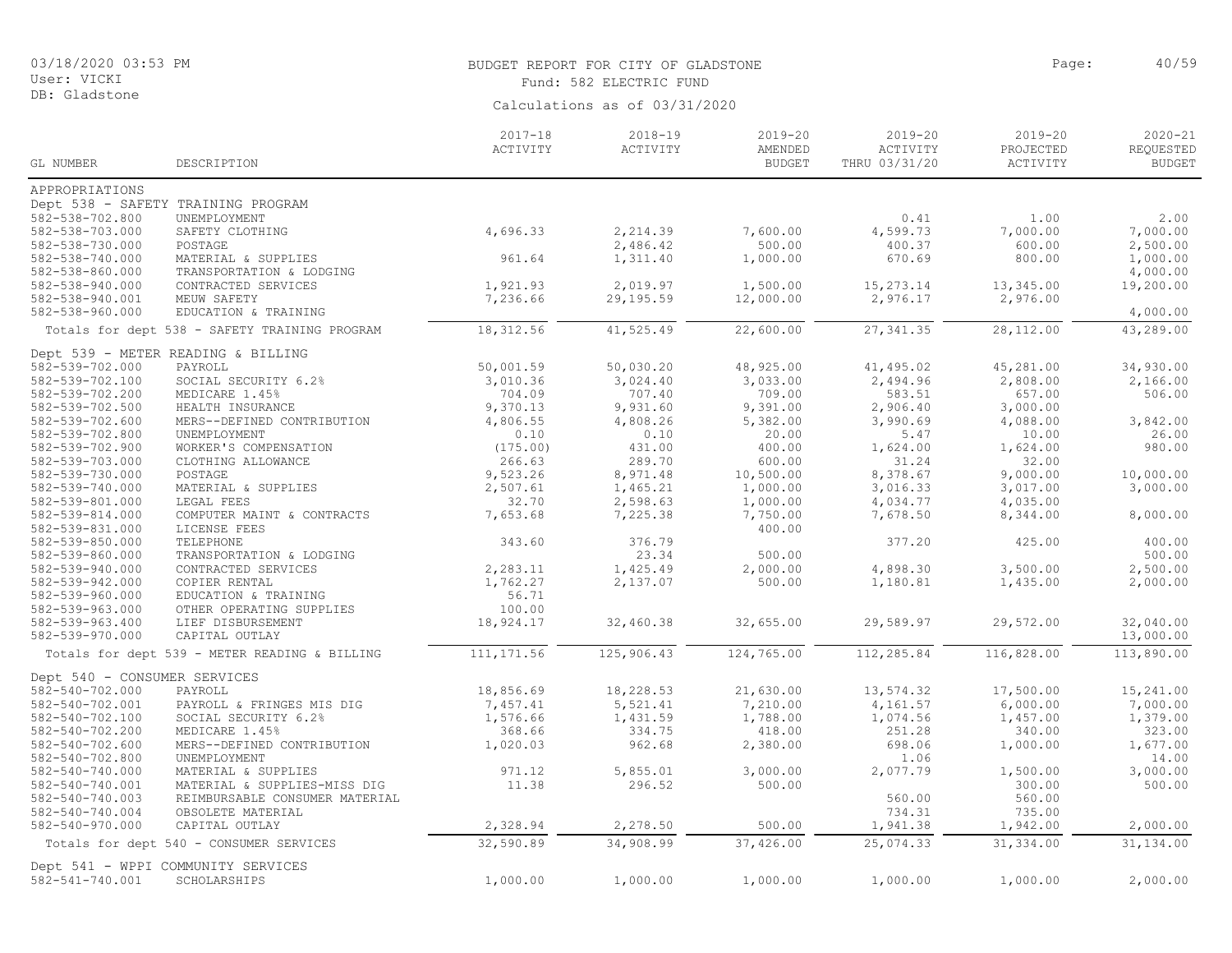DB: Gladstone

# BUDGET REPORT FOR CITY OF GLADSTONE And the state of the control of the page: 40/59 Fund: 582 ELECTRIC FUND

| Calculations as of 03/31/2020 |  |  |
|-------------------------------|--|--|
|                               |  |  |

|                              |                                               | $2017 - 18$ | 2018-19    | 2019-20       | $2019 - 20$   | $2019 - 20$ | $2020 - 21$   |
|------------------------------|-----------------------------------------------|-------------|------------|---------------|---------------|-------------|---------------|
|                              |                                               | ACTIVITY    | ACTIVITY   | AMENDED       | ACTIVITY      | PROJECTED   | REQUESTED     |
| GL NUMBER                    | DESCRIPTION                                   |             |            | <b>BUDGET</b> | THRU 03/31/20 | ACTIVITY    | <b>BUDGET</b> |
| APPROPRIATIONS               |                                               |             |            |               |               |             |               |
|                              | Dept 538 - SAFETY TRAINING PROGRAM            |             |            |               |               |             |               |
| 582-538-702.800              | UNEMPLOYMENT                                  |             |            |               | 0.41          | 1.00        | 2.00          |
| 582-538-703.000              | SAFETY CLOTHING                               | 4,696.33    | 2,214.39   | 7,600.00      | 4,599.73      | 7,000.00    | 7,000.00      |
| 582-538-730.000              | POSTAGE                                       |             | 2,486.42   | 500.00        | 400.37        | 600.00      | 2,500.00      |
| 582-538-740.000              | MATERIAL & SUPPLIES                           | 961.64      | 1,311.40   | 1,000.00      | 670.69        | 800.00      | 1,000.00      |
| 582-538-860.000              | TRANSPORTATION & LODGING                      |             |            |               |               |             | 4,000.00      |
| 582-538-940.000              | CONTRACTED SERVICES                           | 1,921.93    | 2,019.97   | 1,500.00      | 15,273.14     | 13,345.00   | 19,200.00     |
| 582-538-940.001              | MEUW SAFETY                                   | 7,236.66    | 29,195.59  | 12,000.00     | 2,976.17      | 2,976.00    |               |
| 582-538-960.000              | EDUCATION & TRAINING                          |             |            |               |               |             | 4,000.00      |
|                              | Totals for dept 538 - SAFETY TRAINING PROGRAM | 18,312.56   | 41,525.49  | 22,600.00     | 27, 341.35    | 28,112.00   | 43,289.00     |
|                              | Dept 539 - METER READING & BILLING            |             |            |               |               |             |               |
| 582-539-702.000              | PAYROLL                                       | 50,001.59   | 50,030.20  | 48,925.00     | 41, 495.02    | 45,281.00   | 34,930.00     |
| 582-539-702.100              | SOCIAL SECURITY 6.2%                          | 3,010.36    | 3,024.40   | 3,033.00      | 2,494.96      | 2,808.00    | 2,166.00      |
| 582-539-702.200              | MEDICARE 1.45%                                | 704.09      | 707.40     | 709.00        | 583.51        | 657.00      | 506.00        |
| 582-539-702.500              | HEALTH INSURANCE                              | 9,370.13    | 9,931.60   | 9,391.00      | 2,906.40      | 3,000.00    |               |
| 582-539-702.600              | MERS--DEFINED CONTRIBUTION                    | 4,806.55    | 4,808.26   | 5,382.00      | 3,990.69      | 4,088.00    | 3,842.00      |
| 582-539-702.800              | UNEMPLOYMENT                                  | 0.10        | 0.10       | 20.00         | 5.47          | 10.00       | 26.00         |
| 582-539-702.900              | WORKER'S COMPENSATION                         | (175.00)    | 431.00     | 400.00        | 1,624.00      | 1,624.00    | 980.00        |
| 582-539-703.000              | CLOTHING ALLOWANCE                            | 266.63      | 289.70     | 600.00        | 31.24         | 32.00       |               |
| 582-539-730.000              | POSTAGE                                       | 9,523.26    | 8,971.48   | 10,500.00     | 8,378.67      | 9,000.00    | 10,000.00     |
| 582-539-740.000              | MATERIAL & SUPPLIES                           | 2,507.61    | 1,465.21   | 1,000.00      | 3,016.33      | 3,017.00    | 3,000.00      |
| 582-539-801.000              | LEGAL FEES                                    | 32.70       | 2,598.63   | 1,000.00      | 4,034.77      | 4,035.00    |               |
| 582-539-814.000              | COMPUTER MAINT & CONTRACTS                    | 7,653.68    | 7,225.38   | 7,750.00      | 7,678.50      | 8,344.00    | 8,000.00      |
| 582-539-831.000              | LICENSE FEES                                  |             |            | 400.00        |               |             |               |
| 582-539-850.000              | TELEPHONE                                     | 343.60      | 376.79     |               | 377.20        | 425.00      | 400.00        |
| 582-539-860.000              | TRANSPORTATION & LODGING                      |             | 23.34      | 500.00        |               |             | 500.00        |
| 582-539-940.000              | CONTRACTED SERVICES                           | 2,283.11    | 1,425.49   | 2,000.00      | 4,898.30      | 3,500.00    | 2,500.00      |
| 582-539-942.000              | COPIER RENTAL                                 | 1,762.27    | 2,137.07   | 500.00        | 1,180.81      | 1,435.00    | 2,000.00      |
| 582-539-960.000              | EDUCATION & TRAINING                          | 56.71       |            |               |               |             |               |
| 582-539-963.000              | OTHER OPERATING SUPPLIES                      | 100.00      |            |               |               |             |               |
| 582-539-963.400              | LIEF DISBURSEMENT                             | 18,924.17   | 32,460.38  | 32,655.00     | 29,589.97     | 29,572.00   | 32,040.00     |
| 582-539-970.000              | CAPITAL OUTLAY                                |             |            |               |               |             | 13,000.00     |
|                              | Totals for dept 539 - METER READING & BILLING | 111, 171.56 | 125,906.43 | 124,765.00    | 112,285.84    | 116,828.00  | 113,890.00    |
| Dept 540 - CONSUMER SERVICES |                                               |             |            |               |               |             |               |
| 582-540-702.000              | PAYROLL                                       | 18,856.69   | 18,228.53  | 21,630.00     | 13,574.32     | 17,500.00   | 15,241.00     |
| 582-540-702.001              | PAYROLL & FRINGES MIS DIG                     | 7,457.41    | 5,521.41   | 7,210.00      | 4,161.57      | 6,000.00    | 7,000.00      |
| 582-540-702.100              | SOCIAL SECURITY 6.2%                          | 1,576.66    | 1,431.59   | 1,788.00      | 1,074.56      | 1,457.00    | 1,379.00      |
| 582-540-702.200              | MEDICARE 1.45%                                | 368.66      | 334.75     | 418.00        | 251.28        | 340.00      | 323.00        |
| 582-540-702.600              | MERS--DEFINED CONTRIBUTION                    | 1,020.03    | 962.68     | 2,380.00      | 698.06        | 1,000.00    | 1,677.00      |
| 582-540-702.800              | UNEMPLOYMENT                                  |             |            |               | 1.06          |             | 14.00         |
| 582-540-740.000              | MATERIAL & SUPPLIES                           | 971.12      | 5,855.01   | 3,000.00      | 2,077.79      | 1,500.00    | 3,000.00      |
| 582-540-740.001              | MATERIAL & SUPPLIES-MISS DIG                  | 11.38       | 296.52     | 500.00        |               | 300.00      | 500.00        |
| 582-540-740.003              | REIMBURSABLE CONSUMER MATERIAL                |             |            |               | 560.00        | 560.00      |               |
| 582-540-740.004              | OBSOLETE MATERIAL                             |             |            |               | 734.31        | 735.00      |               |
| 582-540-970.000              | CAPITAL OUTLAY                                | 2,328.94    | 2,278.50   | 500.00        | 1,941.38      | 1,942.00    | 2,000.00      |
|                              | Totals for dept 540 - CONSUMER SERVICES       | 32,590.89   | 34,908.99  | 37,426.00     | 25,074.33     | 31, 334.00  | 31,134.00     |
|                              | Dept 541 - WPPI COMMUNITY SERVICES            |             |            |               |               |             |               |
| 582-541-740.001              | SCHOLARSHIPS                                  | 1,000.00    | 1,000.00   | 1,000.00      | 1,000.00      | 1,000.00    | 2,000.00      |
|                              |                                               |             |            |               |               |             |               |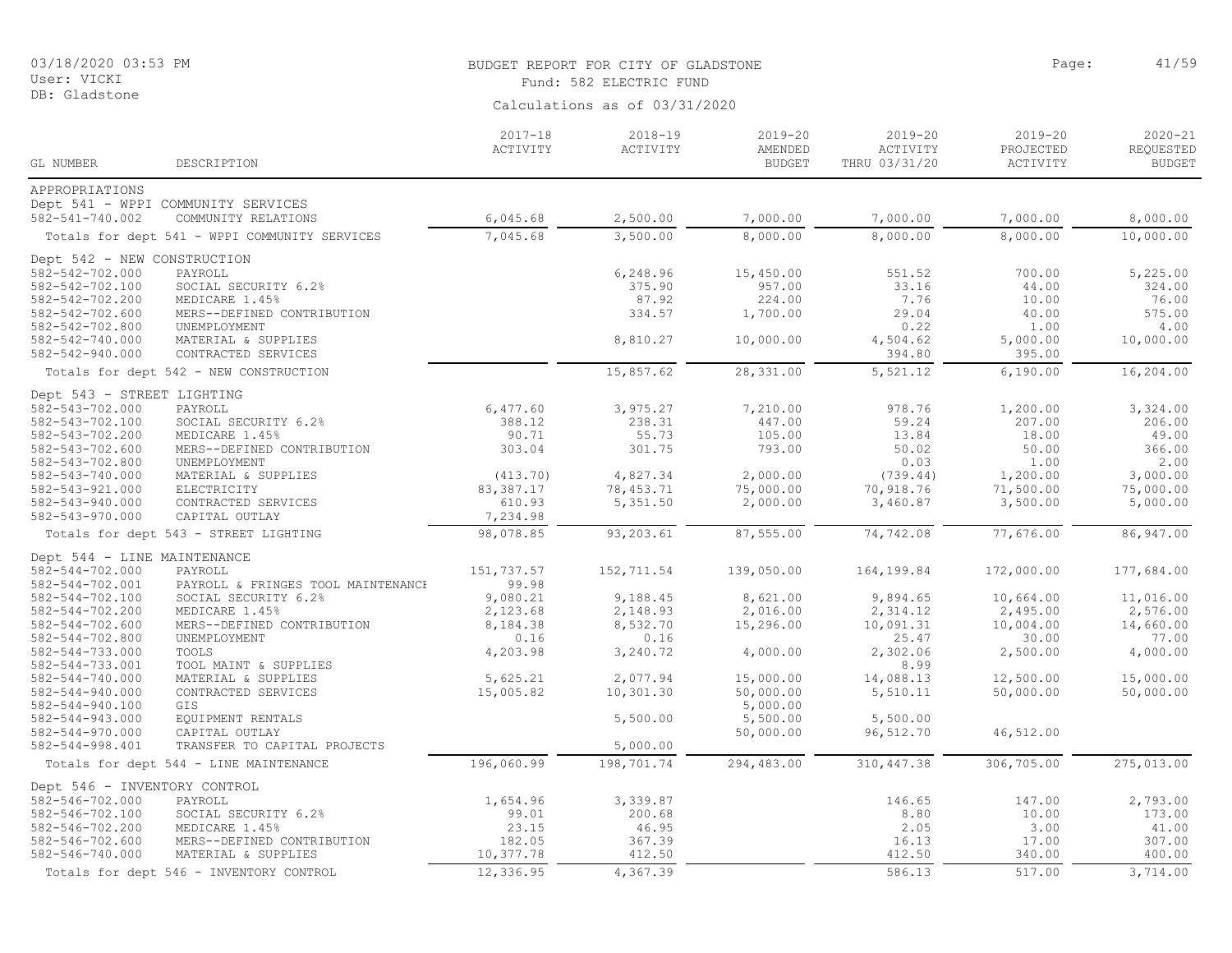|  | 03/18/2020 03:53 PM |  |
|--|---------------------|--|
|  |                     |  |

User: VICKI DB: Gladstone

#### BUDGET REPORT FOR CITY OF GLADSTONE PAGE AND CONTROLLED AT PAGE: 41/59 Fund: 582 ELECTRIC FUND

|                             |                                                           | Calculations as of 03/31/2020 |                         |                                  |                                      |                                  |                                           |  |
|-----------------------------|-----------------------------------------------------------|-------------------------------|-------------------------|----------------------------------|--------------------------------------|----------------------------------|-------------------------------------------|--|
| GL NUMBER                   | DESCRIPTION                                               | $2017 - 18$<br>ACTIVITY       | $2018 - 19$<br>ACTIVITY | $2019 - 20$<br>AMENDED<br>BUDGET | 2019-20<br>ACTIVITY<br>THRU 03/31/20 | 2019-20<br>PROJECTED<br>ACTIVITY | $2020 - 21$<br>REQUESTED<br><b>BUDGET</b> |  |
| APPROPRIATIONS              |                                                           |                               |                         |                                  |                                      |                                  |                                           |  |
| 582-541-740.002             | Dept 541 - WPPI COMMUNITY SERVICES<br>COMMUNITY RELATIONS | 6,045.68                      | 2,500.00                | 7,000.00                         | 7,000.00                             | 7,000.00                         | 8,000.00                                  |  |
|                             | Totals for dept 541 - WPPI COMMUNITY SERVICES             | 7,045.68                      | 3,500.00                | 8,000.00                         | 8,000.00                             | 8,000.00                         | 10,000.00                                 |  |
| Dept 542 - NEW CONSTRUCTION |                                                           |                               |                         |                                  |                                      |                                  |                                           |  |
| 582-542-702.000             | PAYROLL                                                   |                               | 6,248.96                | 15,450.00                        | 551.52                               | 700.00                           | 5,225.00                                  |  |
| 582-542-702.100             | SOCIAL SECURITY 6.2%                                      |                               | 375.90                  | 957.00                           | 33.16                                | 44.00                            | 324.00                                    |  |
| 582-542-702.200             | MEDICARE 1.45%                                            |                               | 87.92                   | 224.00                           | 7.76                                 | 10.00                            | 76.00                                     |  |
| 582-542-702.600             | MERS--DEFINED CONTRIBUTION                                |                               | 334.57                  | 1,700.00                         | 29.04                                | 40.00                            | 575.00                                    |  |

582-542-702.800 UNEMPLOYMENT 0.22 1.00 4.00 582-542-740.000 MATERIAL & SUPPLIES 8,810.27 10,000.00 4,504.62 5,000.00 10,000.00 582-542-940.000 CONTRACTED SERVICES 394.80 395.00 Totals for dept 542 - NEW CONSTRUCTION 15,857.62 28,331.00 5,521.12 6,190.00 16,204.00 Dept 543 - STREET LIGHTING 582-543-702.000 PAYROLL 6,477.60 3,975.27 7,210.00 978.76 1,200.00 3,324.00 582-543-702.100 SOCIAL SECURITY 6.2% 388.12 238.31 447.00 59.24 207.00 206.00 582-543-702.200 MEDICARE 1.45% 90.71 55.73 105.00 13.84 18.00 49.00 582-543-702.600 MERS--DEFINED CONTRIBUTION 303.04 301.75 793.00 50.02 50.00 366.00 582-543-702.800 UNEMPLOYMENT 0.03 1.00 2.00 582-543-740.000 MATERIAL & SUPPLIES (413.70) 4,827.34 2,000.00 (739.44) 1,200.00 3,000.00 582-543-921.000 ELECTRICITY 83,387.17 78,453.71 75,000.00 70,918.76 71,500.00 75,000.00 582-543-940.000 CONTRACTED SERVICES 610.93 5,351.50 2,000.00 3,460.87 3,500.00 5,000.00<br>582-543-970.000 CAPITAL OUTLAY 7,234.98 CAPITAL OUTLAY Totals for dept 543 - STREET LIGHTING 98,078.85 93,203.61 87,555.00 74,742.08 77,676.00 86,947.00 Dept 544 - LINE MAINTENANCE<br>582-544-702.000 PAYROLL 582-544-702.000 PAYROLL 151,737.57 152,711.54 139,050.00 164,199.84 172,000.00 177,684.00 582-544-702.001 PAYROLL & FRINGES TOOL MAINTENANCE 99.98

| 382-344-702.001              | PAYROLL & FRINGES TOOL MAINTENANCE     | 99.98      |            |            |             |            |            |
|------------------------------|----------------------------------------|------------|------------|------------|-------------|------------|------------|
| 582-544-702.100              | SOCIAL SECURITY 6.2%                   | 9,080.21   | 9,188.45   | 8,621.00   | 9,894.65    | 10,664.00  | 11,016.00  |
| 582-544-702.200              | MEDICARE 1.45%                         | 2,123.68   | 2,148.93   | 2,016.00   | 2,314.12    | 2,495.00   | 2,576.00   |
| 582-544-702.600              | MERS--DEFINED CONTRIBUTION             | 8,184.38   | 8,532.70   | 15,296.00  | 10,091.31   | 10,004.00  | 14,660.00  |
| 582-544-702.800              | UNEMPLOYMENT                           | 0.16       | 0.16       |            | 25.47       | 30.00      | 77.00      |
| 582-544-733.000              | TOOLS                                  | 4,203.98   | 3,240.72   | 4,000.00   | 2,302.06    | 2,500.00   | 4,000.00   |
| 582-544-733.001              | TOOL MAINT & SUPPLIES                  |            |            |            | 8.99        |            |            |
| 582-544-740.000              | MATERIAL & SUPPLIES                    | 5,625.21   | 2,077.94   | 15,000.00  | 14,088.13   | 12,500.00  | 15,000.00  |
| 582-544-940.000              | CONTRACTED SERVICES                    | 15,005.82  | 10,301.30  | 50,000.00  | 5,510.11    | 50,000.00  | 50,000.00  |
| 582-544-940.100              | GIS                                    |            |            | 5,000.00   |             |            |            |
| 582-544-943.000              | EOUIPMENT RENTALS                      |            | 5,500.00   | 5,500.00   | 5,500.00    |            |            |
| 582-544-970.000              | CAPITAL OUTLAY                         |            |            | 50,000.00  | 96,512.70   | 46,512.00  |            |
| 582-544-998.401              | TRANSFER TO CAPITAL PROJECTS           |            | 5,000.00   |            |             |            |            |
|                              | Totals for dept 544 - LINE MAINTENANCE | 196,060.99 | 198,701.74 | 294,483.00 | 310, 447.38 | 306,705.00 | 275,013.00 |
| Dept 546 - INVENTORY CONTROL |                                        |            |            |            |             |            |            |
| 582-546-702.000              | PAYROLL                                | 1,654.96   | 3,339.87   |            | 146.65      | 147.00     | 2,793.00   |
| 582-546-702.100              | SOCIAL SECURITY 6.2%                   | 99.01      | 200.68     |            | 8.80        | 10.00      | 173.00     |
| 582-546-702.200              | MEDICARE 1.45%                         | 23.15      | 46.95      |            | 2.05        | 3.00       | 41.00      |
| 582-546-702.600              | MERS--DEFINED CONTRIBUTION             | 182.05     | 367.39     |            | 16.13       | 17.00      | 307.00     |
| 582-546-740.000              | MATERIAL & SUPPLIES                    | 10,377.78  | 412.50     |            | 412.50      | 340.00     | 400.00     |
|                              |                                        |            |            |            |             |            |            |

Totals for dept 546 - INVENTORY CONTROL 12,336.95 4,367.39 586.13 586.13 517.00 3,714.00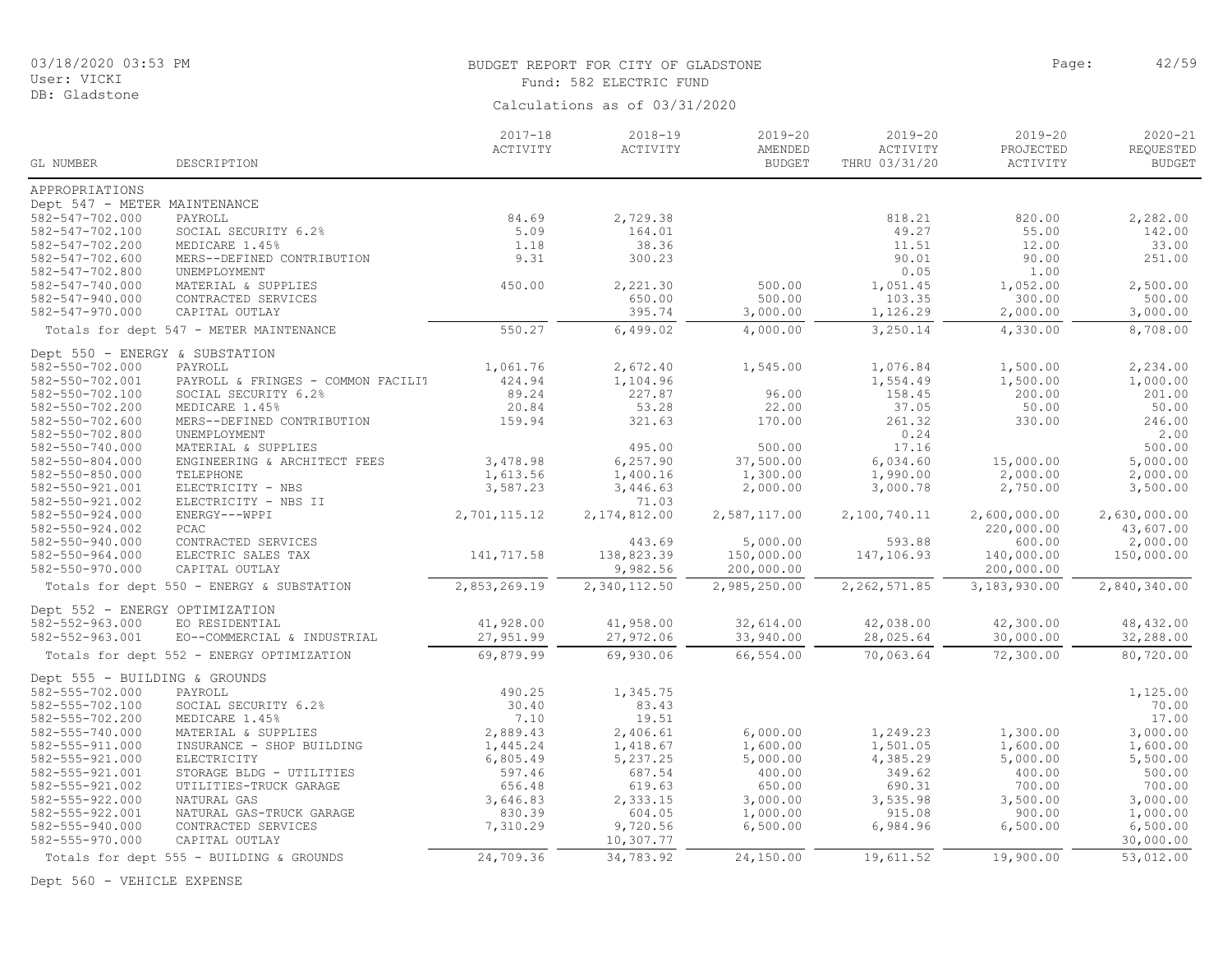# BUDGET REPORT FOR CITY OF GLADSTONE **Page:** 42/59 Fund: 582 ELECTRIC FUND

Calculations as of 03/31/2020

|                                                  |                                            | $2017 - 18$     | $2018 - 19$        | $2019 - 20$              | $2019 - 20$               | $2019 - 20$                    | $2020 - 21$                |
|--------------------------------------------------|--------------------------------------------|-----------------|--------------------|--------------------------|---------------------------|--------------------------------|----------------------------|
| GL NUMBER                                        | DESCRIPTION                                | ACTIVITY        | ACTIVITY           | AMENDED<br><b>BUDGET</b> | ACTIVITY<br>THRU 03/31/20 | PROJECTED<br>$\verb ACTIVITY $ | REQUESTED<br><b>BUDGET</b> |
|                                                  |                                            |                 |                    |                          |                           |                                |                            |
| APPROPRIATIONS                                   |                                            |                 |                    |                          |                           |                                |                            |
| Dept 547 - METER MAINTENANCE                     |                                            |                 |                    |                          |                           |                                |                            |
| 582-547-702.000                                  | PAYROLL                                    | 84.69           | 2,729.38           |                          | 818.21                    | 820.00                         | 2,282.00                   |
| 582-547-702.100                                  | SOCIAL SECURITY 6.2%                       | 5.09            | 164.01             |                          | 49.27                     | 55.00                          | 142.00                     |
| 582-547-702.200                                  | MEDICARE 1.45%                             | 1.18            | 38.36              |                          | 11.51                     | 12.00                          | 33.00                      |
| 582-547-702.600                                  | MERS--DEFINED CONTRIBUTION                 | 9.31            | 300.23             |                          | 90.01                     | 90.00                          | 251.00                     |
| 582-547-702.800                                  | UNEMPLOYMENT                               | 450.00          |                    | 500.00                   | 0.05                      | 1.00                           | 2,500.00                   |
| 582-547-740.000<br>582-547-940.000               | MATERIAL & SUPPLIES<br>CONTRACTED SERVICES |                 | 2,221.30<br>650.00 | 500.00                   | 1,051.45<br>103.35        | 1,052.00<br>300.00             | 500.00                     |
| 582-547-970.000                                  | CAPITAL OUTLAY                             |                 | 395.74             | 3,000.00                 | 1,126.29                  | 2,000.00                       | 3,000.00                   |
|                                                  | Totals for dept 547 - METER MAINTENANCE    | 550.27          | 6,499.02           | 4,000.00                 | 3,250.14                  | 4,330.00                       | 8,708.00                   |
|                                                  |                                            |                 |                    |                          |                           |                                |                            |
| Dept 550 - ENERGY & SUBSTATION                   |                                            |                 |                    |                          |                           |                                |                            |
| 582-550-702.000                                  | PAYROLL                                    | 1,061.76        | 2,672.40           | 1,545.00                 | 1,076.84                  | 1,500.00                       | 2,234.00                   |
| 582-550-702.001                                  | PAYROLL & FRINGES - COMMON FACILIT         | 424.94          | 1,104.96           |                          | 1,554.49                  | 1,500.00                       | 1,000.00                   |
| 582-550-702.100                                  | SOCIAL SECURITY 6.2%                       | 89.24           | 227.87             | 96.00                    | 158.45                    | 200.00                         | 201.00                     |
| 582-550-702.200                                  | MEDICARE 1.45%                             | 20.84<br>159.94 | 53.28<br>321.63    | 22.00<br>170.00          | 37.05<br>261.32           | 50.00<br>330.00                | 50.00<br>246.00            |
| $582 - 550 - 702.600$<br>582-550-702.800         | MERS--DEFINED CONTRIBUTION<br>UNEMPLOYMENT |                 |                    |                          | 0.24                      |                                | 2.00                       |
| 582-550-740.000                                  | MATERIAL & SUPPLIES                        |                 | 495.00             | 500.00                   | 17.16                     |                                | 500.00                     |
| 582-550-804.000                                  | ENGINEERING & ARCHITECT FEES               | 3,478.98        | 6, 257.90          | 37,500.00                | 6,034.60                  | 15,000.00                      | 5,000.00                   |
| 582-550-850.000                                  | TELEPHONE                                  | 1,613.56        | 1,400.16           | 1,300.00                 | 1,990.00                  | 2,000.00                       | 2,000.00                   |
| 582-550-921.001                                  | ELECTRICITY - NBS                          | 3,587.23        | 3,446.63           | 2,000.00                 | 3,000.78                  | 2,750.00                       | 3,500.00                   |
| 582-550-921.002                                  | ELECTRICITY - NBS II                       |                 | 71.03              |                          |                           |                                |                            |
| 582-550-924.000                                  | ENERGY---WPPI                              | 2,701,115.12    | 2, 174, 812.00     | 2,587,117.00             | 2,100,740.11              | 2,600,000.00                   | 2,630,000.00               |
| 582-550-924.002                                  | PCAC                                       |                 |                    |                          |                           | 220,000.00                     | 43,607.00                  |
| 582-550-940.000                                  | CONTRACTED SERVICES                        |                 | 443.69             | 5,000.00                 | 593.88                    | 600.00                         | 2,000.00                   |
| 582-550-964.000                                  | ELECTRIC SALES TAX                         | 141,717.58      | 138,823.39         | 150,000.00               | 147,106.93                | 140,000.00                     | 150,000.00                 |
| 582-550-970.000                                  | CAPITAL OUTLAY                             |                 | 9,982.56           | 200,000.00               |                           | 200,000.00                     |                            |
|                                                  | Totals for dept 550 - ENERGY & SUBSTATION  | 2,853,269.19    | 2,340,112.50       | 2,985,250.00             | 2,262,571.85              | 3,183,930.00                   | 2,840,340.00               |
| Dept 552 - ENERGY OPTIMIZATION                   |                                            |                 |                    |                          |                           |                                |                            |
| 582-552-963.000                                  | EO RESIDENTIAL                             | 41,928.00       | 41,958.00          | 32,614.00                | 42,038.00                 | 42,300.00                      | 48, 432.00                 |
| 582-552-963.001                                  | EO--COMMERCIAL & INDUSTRIAL                | 27,951.99       | 27,972.06          | 33,940.00                | 28,025.64                 | 30,000.00                      | 32,288.00                  |
|                                                  | Totals for dept 552 - ENERGY OPTIMIZATION  | 69,879.99       | 69,930.06          | 66,554.00                | 70,063.64                 | 72,300.00                      | 80,720.00                  |
|                                                  |                                            |                 |                    |                          |                           |                                |                            |
| Dept 555 - BUILDING & GROUNDS<br>582-555-702.000 | PAYROLL                                    | 490.25          | 1,345.75           |                          |                           |                                | 1,125.00                   |
| 582-555-702.100                                  | SOCIAL SECURITY 6.2%                       | 30.40           | 83.43              |                          |                           |                                | 70.00                      |
| 582-555-702.200                                  | MEDICARE 1.45%                             | 7.10            | 19.51              |                          |                           |                                | 17.00                      |
| 582-555-740.000                                  | MATERIAL & SUPPLIES                        | 2,889.43        | 2,406.61           | 6,000.00                 | 1,249.23                  | 1,300.00                       | 3,000.00                   |
| 582-555-911.000                                  | INSURANCE - SHOP BUILDING                  | 1,445.24        | 1,418.67           | 1,600.00                 | 1,501.05                  | 1,600.00                       | 1,600.00                   |
| 582-555-921.000                                  | ELECTRICITY                                | 6,805.49        | 5,237.25           | 5,000.00                 | 4,385.29                  | 5,000.00                       | 5,500.00                   |
| 582-555-921.001                                  | STORAGE BLDG - UTILITIES                   | 597.46          | 687.54             | 400.00                   | 349.62                    | 400.00                         | 500.00                     |
| 582-555-921.002                                  | UTILITIES-TRUCK GARAGE                     | 656.48          | 619.63             | 650.00                   | 690.31                    | 700.00                         | 700.00                     |
| 582-555-922.000                                  | NATURAL GAS                                | 3,646.83        | 2,333.15           | 3,000.00                 | 3,535.98                  | 3,500.00                       | 3,000.00                   |
| 582-555-922.001                                  | NATURAL GAS-TRUCK GARAGE                   | 830.39          | 604.05             | 1,000.00                 | 915.08                    | 900.00                         | 1,000.00                   |
| 582-555-940.000                                  | CONTRACTED SERVICES                        | 7,310.29        | 9,720.56           | 6,500.00                 | 6,984.96                  | 6,500.00                       | 6,500.00                   |
| 582-555-970.000                                  | CAPITAL OUTLAY                             |                 | 10,307.77          |                          |                           |                                | 30,000.00                  |
|                                                  | Totals for dept 555 - BUILDING & GROUNDS   | 24,709.36       | 34,783.92          | 24,150.00                | 19,611.52                 | 19,900.00                      | 53,012.00                  |

Dept 560 - VEHICLE EXPENSE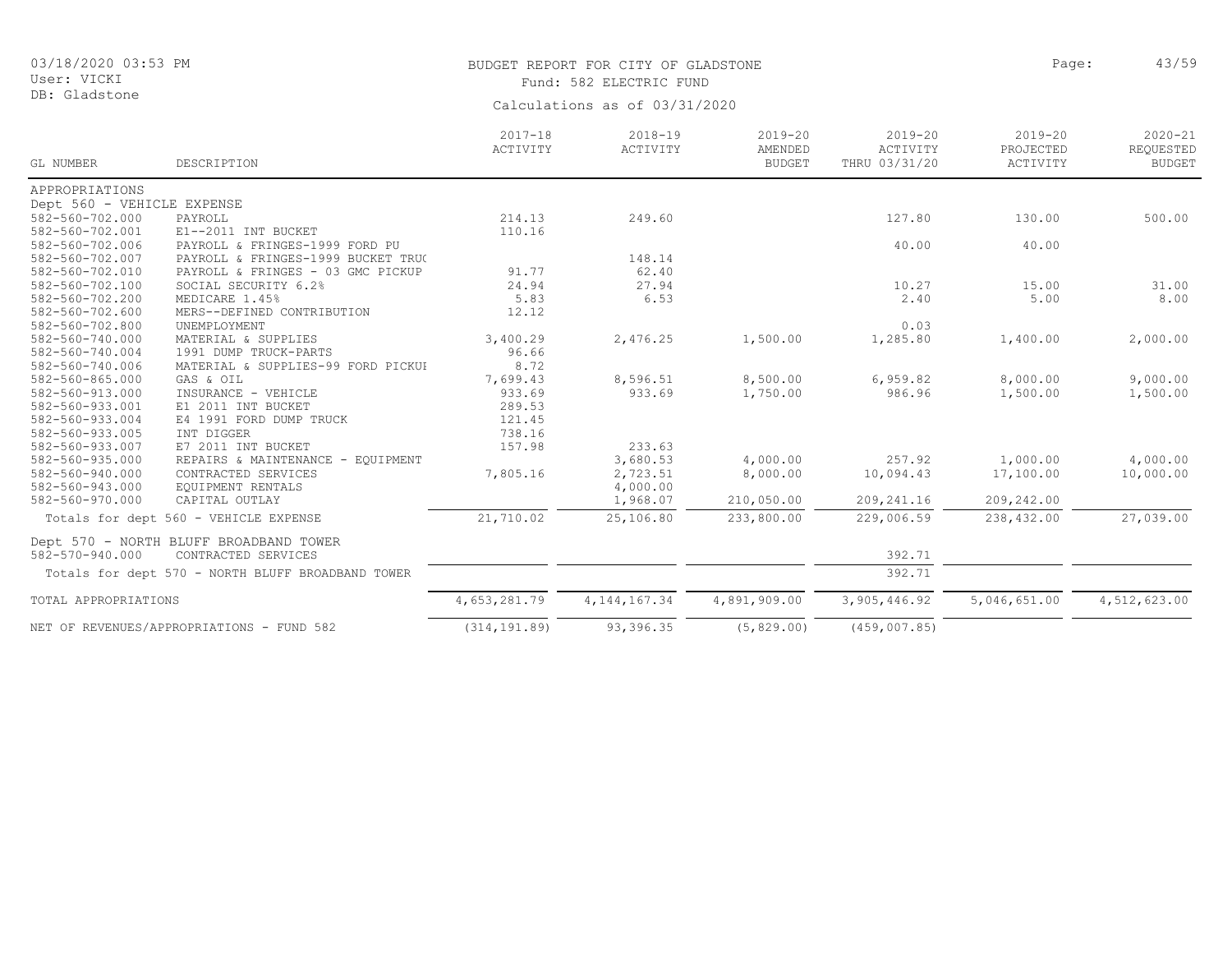# BUDGET REPORT FOR CITY OF GLADSTONE **Page:** 43/59 Fund: 582 ELECTRIC FUND

| GL NUMBER                  | DESCRIPTION                                       | $2017 - 18$<br>ACTIVITY | $2018 - 19$<br>ACTIVITY | $2019 - 20$<br>AMENDED<br><b>BUDGET</b> | $2019 - 20$<br>ACTIVITY<br>THRU 03/31/20 | $2019 - 20$<br>PROJECTED<br>ACTIVITY | $2020 - 21$<br>REQUESTED<br><b>BUDGET</b> |
|----------------------------|---------------------------------------------------|-------------------------|-------------------------|-----------------------------------------|------------------------------------------|--------------------------------------|-------------------------------------------|
| APPROPRIATIONS             |                                                   |                         |                         |                                         |                                          |                                      |                                           |
| Dept 560 - VEHICLE EXPENSE |                                                   |                         |                         |                                         |                                          |                                      |                                           |
| 582-560-702.000            | PAYROLL                                           | 214.13                  | 249.60                  |                                         | 127.80                                   | 130.00                               | 500.00                                    |
| 582-560-702.001            | E1--2011 INT BUCKET                               | 110.16                  |                         |                                         |                                          |                                      |                                           |
| 582-560-702.006            | PAYROLL & FRINGES-1999 FORD PU                    |                         |                         |                                         | 40.00                                    | 40.00                                |                                           |
| 582-560-702.007            | PAYROLL & FRINGES-1999 BUCKET TRU(                |                         | 148.14                  |                                         |                                          |                                      |                                           |
| 582-560-702.010            | PAYROLL & FRINGES - 03 GMC PICKUP                 | 91.77                   | 62.40                   |                                         |                                          |                                      |                                           |
| 582-560-702.100            | SOCIAL SECURITY 6.2%                              | 24.94                   | 27.94                   |                                         | 10.27                                    | 15.00                                | 31.00                                     |
| 582-560-702.200            | MEDICARE 1.45%                                    | 5.83                    | 6.53                    |                                         | 2.40                                     | 5.00                                 | 8.00                                      |
| 582-560-702.600            | MERS--DEFINED CONTRIBUTION                        | 12.12                   |                         |                                         |                                          |                                      |                                           |
| 582-560-702.800            | UNEMPLOYMENT                                      |                         |                         |                                         | 0.03                                     |                                      |                                           |
| 582-560-740.000            | MATERIAL & SUPPLIES                               | 3,400.29                | 2,476.25                | 1,500.00                                | 1,285.80                                 | 1,400.00                             | 2,000.00                                  |
| 582-560-740.004            | 1991 DUMP TRUCK-PARTS                             | 96.66                   |                         |                                         |                                          |                                      |                                           |
| 582-560-740.006            | MATERIAL & SUPPLIES-99 FORD PICKUI                | 8.72                    |                         |                                         |                                          |                                      |                                           |
| 582-560-865.000            | GAS & OIL                                         | 7,699.43                | 8,596.51                | 8,500.00                                | 6,959.82                                 | 8,000.00                             | 9,000.00                                  |
| 582-560-913.000            | INSURANCE - VEHICLE                               | 933.69                  | 933.69                  | 1,750.00                                | 986.96                                   | 1,500.00                             | 1,500.00                                  |
| 582-560-933.001            | E1 2011 INT BUCKET                                | 289.53                  |                         |                                         |                                          |                                      |                                           |
| 582-560-933.004            | E4 1991 FORD DUMP TRUCK                           | 121.45                  |                         |                                         |                                          |                                      |                                           |
| 582-560-933.005            | INT DIGGER                                        | 738.16                  |                         |                                         |                                          |                                      |                                           |
| 582-560-933.007            | E7 2011 INT BUCKET                                | 157.98                  | 233.63                  |                                         |                                          |                                      |                                           |
| 582-560-935.000            | REPAIRS & MAINTENANCE -<br>EOUIPMENT              |                         | 3,680.53                | 4,000.00                                | 257.92                                   | 1,000.00                             | 4,000.00                                  |
| 582-560-940.000            | CONTRACTED SERVICES                               | 7,805.16                | 2,723.51                | 8,000.00                                | 10,094.43                                | 17,100.00                            | 10,000.00                                 |
| 582-560-943.000            | EQUIPMENT RENTALS                                 |                         | 4,000.00                |                                         |                                          |                                      |                                           |
| 582-560-970.000            | CAPITAL OUTLAY                                    |                         | 1,968.07                | 210,050.00                              | 209, 241.16                              | 209,242.00                           |                                           |
|                            | Totals for dept 560 - VEHICLE EXPENSE             | 21,710.02               | 25,106.80               | 233,800.00                              | 229,006.59                               | 238,432.00                           | 27,039.00                                 |
|                            | Dept 570 - NORTH BLUFF BROADBAND TOWER            |                         |                         |                                         |                                          |                                      |                                           |
| 582-570-940.000            | CONTRACTED SERVICES                               |                         |                         |                                         | 392.71                                   |                                      |                                           |
|                            | Totals for dept 570 - NORTH BLUFF BROADBAND TOWER |                         |                         |                                         | 392.71                                   |                                      |                                           |
| TOTAL APPROPRIATIONS       |                                                   | 4,653,281.79            | 4, 144, 167.34          | 4,891,909.00                            | 3,905,446.92                             | 5,046,651.00                         | 4,512,623.00                              |
|                            | NET OF REVENUES/APPROPRIATIONS - FUND 582         | (314, 191.89)           | 93,396.35               | (5, 829.00)                             | (459, 007.85)                            |                                      |                                           |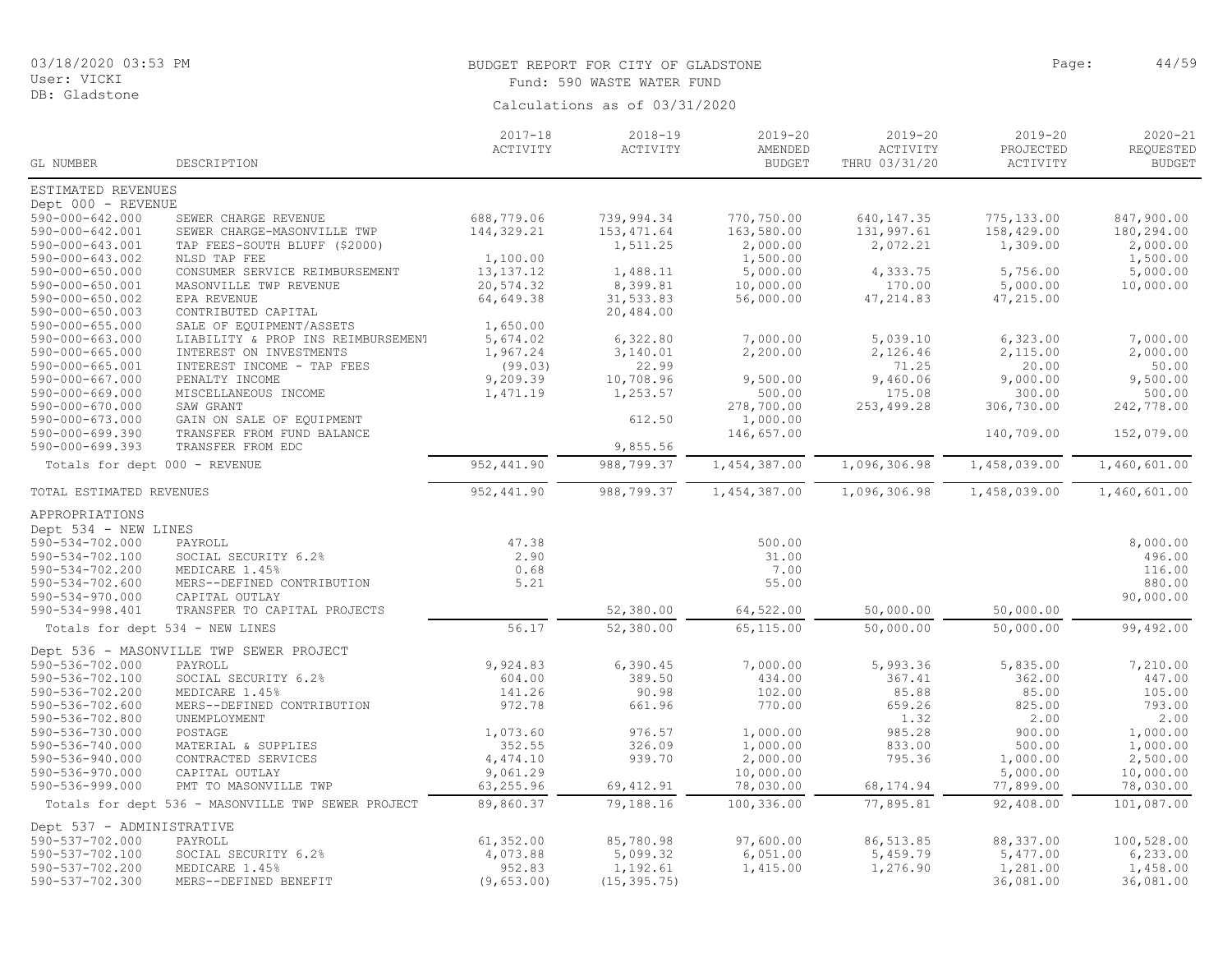DB: Gladstone

#### BUDGET REPORT FOR CITY OF GLADSTONE **Page:** 44/59 Fund: 590 WASTE WATER FUND

|                                          |                                                    | $2017 - 18$<br>ACTIVITY | $2018 - 19$<br>ACTIVITY | $2019 - 20$<br>AMENDED | $2019 - 20$<br>ACTIVITY | $2019 - 20$<br>PROJECTED | $2020 - 21$<br>REQUESTED |
|------------------------------------------|----------------------------------------------------|-------------------------|-------------------------|------------------------|-------------------------|--------------------------|--------------------------|
| GL NUMBER                                | DESCRIPTION                                        |                         |                         | <b>BUDGET</b>          | THRU 03/31/20           | ACTIVITY                 | <b>BUDGET</b>            |
| ESTIMATED REVENUES                       |                                                    |                         |                         |                        |                         |                          |                          |
| Dept 000 - REVENUE                       |                                                    |                         |                         |                        |                         |                          |                          |
| 590-000-642.000                          | SEWER CHARGE REVENUE                               | 688,779.06              | 739,994.34              | 770,750.00             | 640, 147.35             | 775,133.00               | 847,900.00               |
| 590-000-642.001                          | SEWER CHARGE-MASONVILLE TWP                        | 144,329.21              | 153, 471.64             | 163,580.00             | 131,997.61              | 158,429.00               | 180,294.00               |
| 590-000-643.001                          | TAP FEES-SOUTH BLUFF (\$2000)                      |                         | 1,511.25                | 2,000.00               | 2,072.21                | 1,309.00                 | 2,000.00                 |
| 590-000-643.002                          | NLSD TAP FEE                                       | 1,100.00                |                         | 1,500.00               |                         |                          | 1,500.00                 |
| $590 - 000 - 650.000$                    | CONSUMER SERVICE REIMBURSEMENT                     | 13, 137. 12             | 1,488.11                | 5,000.00               | 4,333.75                | 5,756.00                 | 5,000.00                 |
| 590-000-650.001                          | MASONVILLE TWP REVENUE                             | 20,574.32               | 8,399.81                | 10,000.00              | 170.00                  | 5,000.00                 | 10,000.00                |
| 590-000-650.002<br>$590 - 000 - 650.003$ | EPA REVENUE<br>CONTRIBUTED CAPITAL                 | 64,649.38               | 31,533.83<br>20,484.00  | 56,000.00              | 47, 214.83              | 47,215.00                |                          |
| $590 - 000 - 655.000$                    | SALE OF EQUIPMENT/ASSETS                           | 1,650.00                |                         |                        |                         |                          |                          |
| 590-000-663.000                          | LIABILITY & PROP INS REIMBURSEMENT                 | 5,674.02                | 6,322.80                | 7,000.00               | 5,039.10                | 6,323.00                 | 7,000.00                 |
| 590-000-665.000                          | INTEREST ON INVESTMENTS                            | 1,967.24                | 3,140.01                | 2,200.00               | 2,126.46                | 2,115.00                 | 2,000.00                 |
| 590-000-665.001                          | INTEREST INCOME - TAP FEES                         | (99.03)                 | 22.99                   |                        | 71.25                   | 20.00                    | 50.00                    |
| 590-000-667.000                          | PENALTY INCOME                                     | 9,209.39                | 10,708.96               | 9,500.00               | 9,460.06                | 9,000.00                 | 9,500.00                 |
| 590-000-669.000                          | MISCELLANEOUS INCOME                               | 1,471.19                | 1,253.57                | 500.00                 | 175.08                  | 300.00                   | 500.00                   |
| 590-000-670.000                          | SAW GRANT                                          |                         |                         | 278,700.00             | 253,499.28              | 306,730.00               | 242,778.00               |
| $590 - 000 - 673.000$                    | GAIN ON SALE OF EQUIPMENT                          |                         | 612.50                  | 1,000.00               |                         |                          |                          |
| $590 - 000 - 699.390$                    | TRANSFER FROM FUND BALANCE                         |                         |                         | 146,657.00             |                         | 140,709.00               | 152,079.00               |
| $590 - 000 - 699.393$                    | TRANSFER FROM EDC                                  |                         | 9,855.56                |                        |                         |                          |                          |
| Totals for dept 000 - REVENUE            |                                                    | 952, 441.90             | 988,799.37              | 1,454,387.00           | 1,096,306.98            | 1,458,039.00             | 1,460,601.00             |
| TOTAL ESTIMATED REVENUES                 |                                                    | 952, 441.90             | 988,799.37              | 1,454,387.00           | 1,096,306.98            | 1,458,039.00             | 1,460,601.00             |
| APPROPRIATIONS                           |                                                    |                         |                         |                        |                         |                          |                          |
| Dept 534 - NEW LINES                     |                                                    |                         |                         |                        |                         |                          |                          |
| 590-534-702.000                          | PAYROLL                                            | 47.38                   |                         | 500.00                 |                         |                          | 8,000.00                 |
| 590-534-702.100                          | SOCIAL SECURITY 6.2%                               | 2.90                    |                         | 31.00                  |                         |                          | 496.00                   |
| 590-534-702.200                          | MEDICARE 1.45%                                     | 0.68                    |                         | 7.00                   |                         |                          | 116.00                   |
| $590 - 534 - 702.600$                    | MERS--DEFINED CONTRIBUTION                         | 5.21                    |                         | 55.00                  |                         |                          | 880.00                   |
| 590-534-970.000                          | CAPITAL OUTLAY                                     |                         |                         |                        |                         |                          | 90,000.00                |
| 590-534-998.401                          | TRANSFER TO CAPITAL PROJECTS                       |                         | 52,380.00               | 64,522.00              | 50,000.00               | 50,000.00                |                          |
|                                          | Totals for dept 534 - NEW LINES                    | 56.17                   | 52,380.00               | 65,115.00              | 50,000.00               | 50,000.00                | 99,492.00                |
|                                          | Dept 536 - MASONVILLE TWP SEWER PROJECT            |                         |                         |                        |                         |                          |                          |
| 590-536-702.000                          | PAYROLL                                            | 9,924.83                | 6,390.45                | 7,000.00               | 5,993.36                | 5,835.00                 | 7,210.00                 |
| 590-536-702.100                          | SOCIAL SECURITY 6.2%                               | 604.00                  | 389.50                  | 434.00                 | 367.41                  | 362.00                   | 447.00                   |
| 590-536-702.200                          | MEDICARE 1.45%                                     | 141.26                  | 90.98                   | 102.00                 | 85.88                   | 85.00                    | 105.00                   |
| 590-536-702.600                          | MERS--DEFINED CONTRIBUTION                         | 972.78                  | 661.96                  | 770.00                 | 659.26                  | 825.00                   | 793.00                   |
| 590-536-702.800                          | UNEMPLOYMENT                                       |                         |                         |                        | 1.32                    | 2.00                     | 2.00                     |
| 590-536-730.000                          | POSTAGE                                            | 1,073.60                | 976.57                  | 1,000.00               | 985.28                  | 900.00                   | 1,000.00                 |
| 590-536-740.000                          | MATERIAL & SUPPLIES                                | 352.55                  | 326.09                  | 1,000.00               | 833.00                  | 500.00                   | 1,000.00                 |
| 590-536-940.000                          | CONTRACTED SERVICES                                | 4,474.10                | 939.70                  | 2,000.00               | 795.36                  | 1,000.00                 | 2,500.00                 |
| 590-536-970.000                          | CAPITAL OUTLAY                                     | 9,061.29                |                         | 10,000.00              |                         | 5,000.00                 | 10,000.00                |
| 590-536-999.000                          | PMT TO MASONVILLE TWP                              | 63,255.96               | 69, 412.91              | 78,030.00              | 68, 174.94              | 77,899.00                | 78,030.00                |
|                                          | Totals for dept 536 - MASONVILLE TWP SEWER PROJECT | 89,860.37               | 79,188.16               | 100,336.00             | 77,895.81               | 92,408.00                | 101,087.00               |
| Dept 537 - ADMINISTRATIVE                |                                                    |                         |                         |                        |                         |                          |                          |
| 590-537-702.000                          | PAYROLL                                            | 61, 352.00              | 85,780.98               | 97,600.00              | 86, 513.85              | 88,337.00                | 100,528.00               |
| 590-537-702.100                          | SOCIAL SECURITY 6.2%                               | 4,073.88                | 5,099.32                | 6,051.00               | 5,459.79                | 5,477.00                 | 6, 233.00                |
| 590-537-702.200                          | MEDICARE 1.45%                                     | 952.83                  | 1,192.61                | 1,415.00               | 1,276.90                | 1,281.00                 | 1,458.00                 |
| 590-537-702.300                          | MERS--DEFINED BENEFIT                              | (9, 653.00)             | (15, 395.75)            |                        |                         | 36,081.00                | 36,081.00                |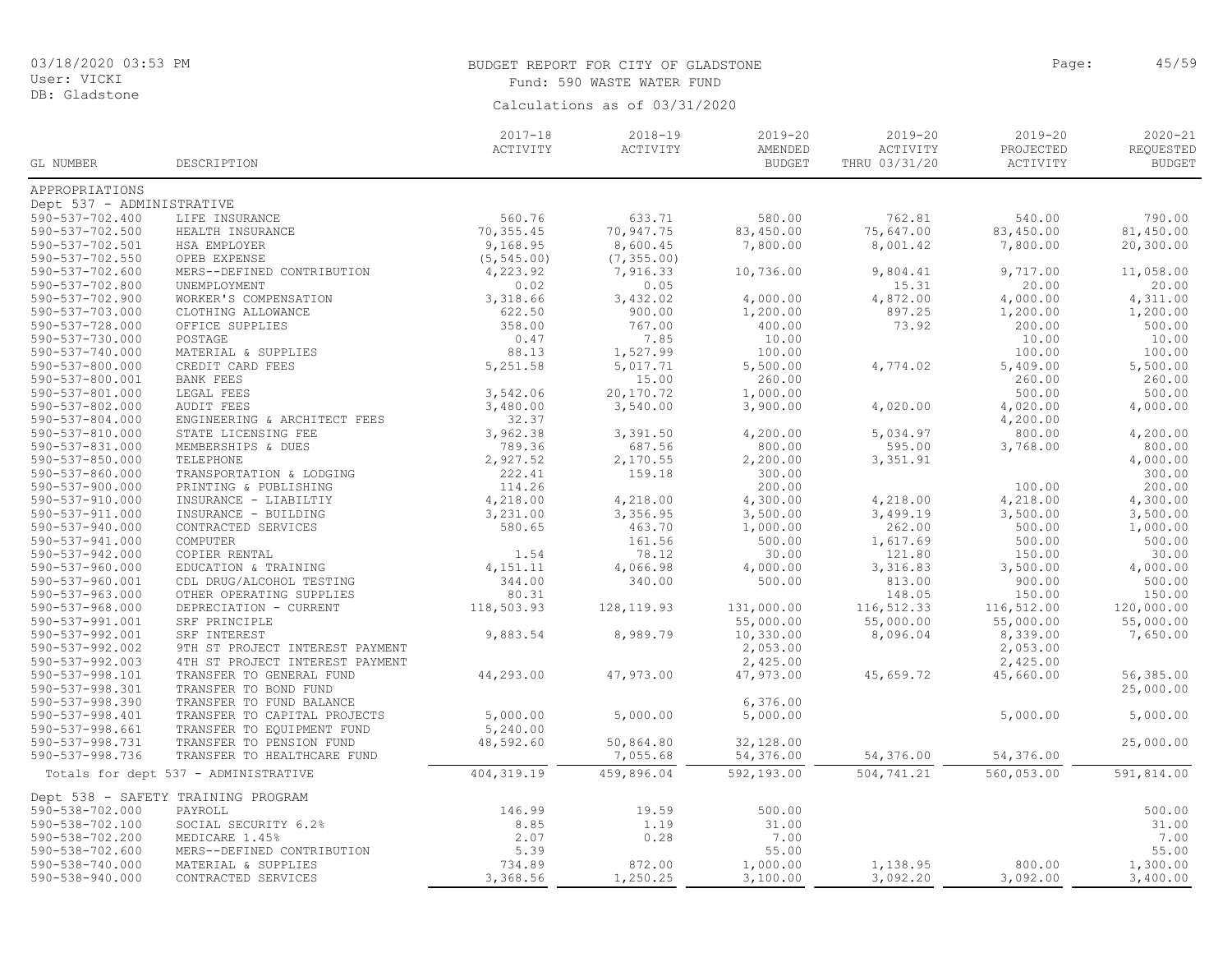DB: Gladstone

# BUDGET REPORT FOR CITY OF GLADSTONE **Page:** 45/59 Fund: 590 WASTE WATER FUND

|                           |                                      | $2017 - 18$ | $2018 - 19$ | 2019-20       | $2019 - 20$   | $2019 - 20$ | $2020 - 21$   |
|---------------------------|--------------------------------------|-------------|-------------|---------------|---------------|-------------|---------------|
|                           |                                      | ACTIVITY    | ACTIVITY    | AMENDED       | ACTIVITY      | PROJECTED   | REQUESTED     |
| GL NUMBER                 | DESCRIPTION                          |             |             | <b>BUDGET</b> | THRU 03/31/20 | ACTIVITY    | <b>BUDGET</b> |
| APPROPRIATIONS            |                                      |             |             |               |               |             |               |
| Dept 537 - ADMINISTRATIVE |                                      |             |             |               |               |             |               |
| 590-537-702.400           |                                      | 560.76      | 633.71      | 580.00        | 762.81        |             | 790.00        |
|                           | LIFE INSURANCE                       |             |             |               |               | 540.00      |               |
| 590-537-702.500           | HEALTH INSURANCE                     | 70, 355.45  | 70,947.75   | 83,450.00     | 75,647.00     | 83,450.00   | 81,450.00     |
| 590-537-702.501           | HSA EMPLOYER                         | 9,168.95    | 8,600.45    | 7,800.00      | 8,001.42      | 7,800.00    | 20,300.00     |
| 590-537-702.550           | OPEB EXPENSE                         | (5, 545.00) | (7, 355.00) |               |               |             |               |
| 590-537-702.600           | MERS--DEFINED CONTRIBUTION           | 4,223.92    | 7,916.33    | 10,736.00     | 9,804.41      | 9,717.00    | 11,058.00     |
| 590-537-702.800           | UNEMPLOYMENT                         | 0.02        | 0.05        |               | 15.31         | 20.00       | 20.00         |
| 590-537-702.900           | WORKER'S COMPENSATION                | 3,318.66    | 3,432.02    | 4,000.00      | 4,872.00      | 4,000.00    | 4,311.00      |
| 590-537-703.000           | CLOTHING ALLOWANCE                   | 622.50      | 900.00      | 1,200.00      | 897.25        | 1,200.00    | 1,200.00      |
| 590-537-728.000           | OFFICE SUPPLIES                      | 358.00      | 767.00      | 400.00        | 73.92         | 200.00      | 500.00        |
| 590-537-730.000           | POSTAGE                              | 0.47        | 7.85        | 10.00         |               | 10.00       | 10.00         |
| 590-537-740.000           | MATERIAL & SUPPLIES                  | 88.13       | 1,527.99    | 100.00        |               | 100.00      | 100.00        |
| 590-537-800.000           | CREDIT CARD FEES                     | 5,251.58    | 5,017.71    | 5,500.00      | 4,774.02      | 5,409.00    | 5,500.00      |
| 590-537-800.001           | <b>BANK FEES</b>                     |             | 15.00       | 260.00        |               | 260.00      | 260.00        |
| 590-537-801.000           | LEGAL FEES                           | 3,542.06    | 20,170.72   | 1,000.00      |               | 500.00      | 500.00        |
| 590-537-802.000           | <b>AUDIT FEES</b>                    | 3,480.00    | 3,540.00    | 3,900.00      | 4,020.00      | 4,020.00    | 4,000.00      |
| 590-537-804.000           | ENGINEERING & ARCHITECT FEES         | 32.37       |             |               |               | 4,200.00    |               |
| 590-537-810.000           | STATE LICENSING FEE                  | 3,962.38    | 3,391.50    | 4,200.00      | 5,034.97      | 800.00      | 4,200.00      |
| 590-537-831.000           | MEMBERSHIPS & DUES                   | 789.36      | 687.56      | 800.00        | 595.00        | 3,768.00    | 800.00        |
| 590-537-850.000           | TELEPHONE                            | 2,927.52    | 2,170.55    | 2,200.00      | 3,351.91      |             | 4,000.00      |
| 590-537-860.000           | TRANSPORTATION & LODGING             | 222.41      | 159.18      | 300.00        |               |             | 300.00        |
| 590-537-900.000           | PRINTING & PUBLISHING                | 114.26      |             | 200.00        |               | 100.00      | 200.00        |
| 590-537-910.000           | INSURANCE - LIABILTIY                | 4,218.00    | 4,218.00    | 4,300.00      | 4,218.00      | 4,218.00    | 4,300.00      |
| $590 - 537 - 911.000$     | INSURANCE - BUILDING                 | 3,231.00    | 3,356.95    | 3,500.00      | 3,499.19      | 3,500.00    | 3,500.00      |
| 590-537-940.000           | CONTRACTED SERVICES                  | 580.65      | 463.70      | 1,000.00      | 262.00        | 500.00      | 1,000.00      |
| 590-537-941.000           | COMPUTER                             |             | 161.56      | 500.00        | 1,617.69      | 500.00      | 500.00        |
| 590-537-942.000           | COPIER RENTAL                        | 1.54        | 78.12       | 30.00         | 121.80        | 150.00      | 30.00         |
| 590-537-960.000           | EDUCATION & TRAINING                 | 4,151.11    | 4,066.98    | 4,000.00      | 3,316.83      | 3,500.00    | 4,000.00      |
| 590-537-960.001           | CDL DRUG/ALCOHOL TESTING             | 344.00      | 340.00      | 500.00        | 813.00        | 900.00      | 500.00        |
| 590-537-963.000           |                                      | 80.31       |             |               | 148.05        |             | 150.00        |
|                           | OTHER OPERATING SUPPLIES             |             |             |               |               | 150.00      |               |
| $590 - 537 - 968.000$     | DEPRECIATION - CURRENT               | 118,503.93  | 128, 119.93 | 131,000.00    | 116,512.33    | 116,512.00  | 120,000.00    |
| 590-537-991.001           | SRF PRINCIPLE                        |             |             | 55,000.00     | 55,000.00     | 55,000.00   | 55,000.00     |
| 590-537-992.001           | SRF INTEREST                         | 9,883.54    | 8,989.79    | 10,330.00     | 8,096.04      | 8,339.00    | 7,650.00      |
| 590-537-992.002           | 9TH ST PROJECT INTEREST PAYMENT      |             |             | 2,053.00      |               | 2,053.00    |               |
| 590-537-992.003           | 4TH ST PROJECT INTEREST PAYMENT      |             |             | 2,425.00      |               | 2,425.00    |               |
| 590-537-998.101           | TRANSFER TO GENERAL FUND             | 44,293.00   | 47,973.00   | 47,973.00     | 45,659.72     | 45,660.00   | 56,385.00     |
| 590-537-998.301           | TRANSFER TO BOND FUND                |             |             |               |               |             | 25,000.00     |
| 590-537-998.390           | TRANSFER TO FUND BALANCE             |             |             | 6,376.00      |               |             |               |
| 590-537-998.401           | TRANSFER TO CAPITAL PROJECTS         | 5,000.00    | 5,000.00    | 5,000.00      |               | 5,000.00    | 5,000.00      |
| 590-537-998.661           | TRANSFER TO EQUIPMENT FUND           | 5,240.00    |             |               |               |             |               |
| 590-537-998.731           | TRANSFER TO PENSION FUND             | 48,592.60   | 50,864.80   | 32,128.00     |               |             | 25,000.00     |
| 590-537-998.736           | TRANSFER TO HEALTHCARE FUND          |             | 7,055.68    | 54,376.00     | 54,376.00     | 54,376.00   |               |
|                           | Totals for dept 537 - ADMINISTRATIVE | 404, 319.19 | 459,896.04  | 592,193.00    | 504,741.21    | 560,053.00  | 591,814.00    |
|                           | Dept 538 - SAFETY TRAINING PROGRAM   |             |             |               |               |             |               |
| 590-538-702.000           | PAYROLL                              | 146.99      | 19.59       | 500.00        |               |             | 500.00        |
| 590-538-702.100           | SOCIAL SECURITY 6.2%                 | 8.85        | 1.19        | 31.00         |               |             | 31.00         |
| 590-538-702.200           | MEDICARE 1.45%                       | 2.07        | 0.28        | 7.00          |               |             | 7.00          |
| 590-538-702.600           | MERS--DEFINED CONTRIBUTION           | 5.39        |             | 55.00         |               |             | 55.00         |
| 590-538-740.000           | MATERIAL & SUPPLIES                  | 734.89      | 872.00      | 1,000.00      | 1,138.95      | 800.00      | 1,300.00      |
| 590-538-940.000           | CONTRACTED SERVICES                  | 3,368.56    | 1,250.25    | 3,100.00      | 3,092.20      | 3,092.00    | 3,400.00      |
|                           |                                      |             |             |               |               |             |               |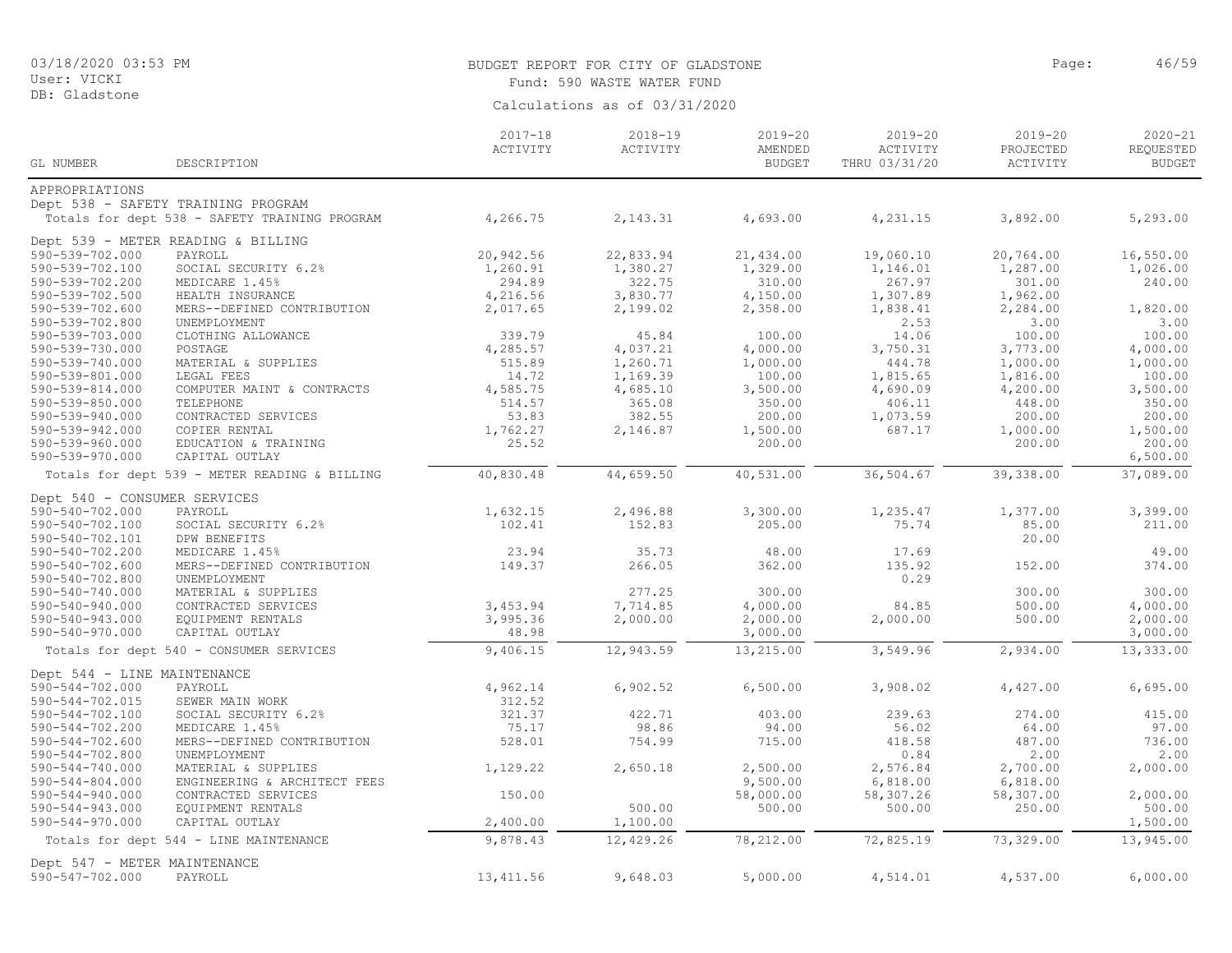#### User: VICKI DB: Gladstone

# BUDGET REPORT FOR CITY OF GLADSTONE **Page:** 46/59 Fund: 590 WASTE WATER FUND

|                                    |                                               | $2017 - 18$<br>ACTIVITY | $2018 - 19$<br>ACTIVITY | $2019 - 20$<br>AMENDED | $2019 - 20$<br>ACTIVITY | $2019 - 20$<br>PROJECTED | 2020-21<br>REQUESTED |
|------------------------------------|-----------------------------------------------|-------------------------|-------------------------|------------------------|-------------------------|--------------------------|----------------------|
| GL NUMBER                          | DESCRIPTION                                   |                         |                         | <b>BUDGET</b>          | THRU 03/31/20           | ACTIVITY                 | <b>BUDGET</b>        |
| APPROPRIATIONS                     |                                               |                         |                         |                        |                         |                          |                      |
|                                    | Dept 538 - SAFETY TRAINING PROGRAM            |                         |                         |                        |                         |                          |                      |
|                                    | Totals for dept 538 - SAFETY TRAINING PROGRAM | 4,266.75                | 2, 143.31               | 4,693.00               | 4,231.15                | 3,892.00                 | 5,293.00             |
|                                    | Dept 539 - METER READING & BILLING            |                         |                         |                        |                         |                          |                      |
| 590-539-702.000                    | PAYROLL                                       | 20,942.56               | 22,833.94               | 21,434.00              | 19,060.10               | 20,764.00                | 16,550.00            |
| 590-539-702.100                    | SOCIAL SECURITY 6.2%                          | 1,260.91                | 1,380.27                | 1,329.00               | 1,146.01                | 1,287.00                 | 1,026.00             |
| 590-539-702.200                    | MEDICARE 1.45%                                | 294.89                  | 322.75                  | 310.00                 | 267.97                  | 301.00                   | 240.00               |
| 590-539-702.500                    | HEALTH INSURANCE                              | 4,216.56                | 3,830.77                | 4,150.00               | 1,307.89                | 1,962.00                 |                      |
| 590-539-702.600                    | MERS--DEFINED CONTRIBUTION                    | 2,017.65                | 2,199.02                | 2,358.00               | 1,838.41                | 2,284.00                 | 1,820.00             |
| 590-539-702.800                    | UNEMPLOYMENT                                  |                         |                         |                        | 2.53<br>14.06           | 3.00                     | 3.00                 |
| 590-539-703.000<br>590-539-730.000 | CLOTHING ALLOWANCE<br>POSTAGE                 | 339.79<br>4,285.57      | 45.84<br>4,037.21       | 100.00<br>4,000.00     | 3,750.31                | 100.00<br>3,773.00       | 100.00<br>4,000.00   |
| 590-539-740.000                    | MATERIAL & SUPPLIES                           | 515.89                  | 1,260.71                | 1,000.00               | 444.78                  | 1,000.00                 | 1,000.00             |
| 590-539-801.000                    | LEGAL FEES                                    | 14.72                   | 1,169.39                | 100.00                 | 1,815.65                | 1,816.00                 | 100.00               |
| 590-539-814.000                    | COMPUTER MAINT & CONTRACTS                    | 4,585.75                | 4,685.10                | 3,500.00               | 4,690.09                | 4,200.00                 | 3,500.00             |
| 590-539-850.000                    | TELEPHONE                                     | 514.57                  | 365.08                  | 350.00                 | 406.11                  | 448.00                   | 350.00               |
| 590-539-940.000                    | CONTRACTED SERVICES                           | 53.83                   | 382.55                  | 200.00                 | 1,073.59                | 200.00                   | 200.00               |
| 590-539-942.000                    | COPIER RENTAL                                 | 1,762.27                | 2,146.87                | 1,500.00               | 687.17                  | 1,000.00                 | 1,500.00             |
| 590-539-960.000                    | EDUCATION & TRAINING                          | 25.52                   |                         | 200.00                 |                         | 200.00                   | 200.00               |
| 590-539-970.000                    | CAPITAL OUTLAY                                |                         |                         |                        |                         |                          | 6,500.00             |
|                                    | Totals for dept 539 - METER READING & BILLING | 40,830.48               | 44,659.50               | 40,531.00              | 36,504.67               | 39,338.00                | 37,089.00            |
| Dept 540 - CONSUMER SERVICES       |                                               |                         |                         |                        |                         |                          |                      |
| 590-540-702.000                    | PAYROLL                                       | 1,632.15                | 2,496.88                | 3,300.00               | 1,235.47                | 1,377.00                 | 3,399.00             |
| 590-540-702.100                    | SOCIAL SECURITY 6.2%                          | 102.41                  | 152.83                  | 205.00                 | 75.74                   | 85.00                    | 211.00               |
| 590-540-702.101                    | DPW BENEFITS                                  |                         |                         |                        |                         | 20.00                    |                      |
| 590-540-702.200                    | MEDICARE 1.45%                                | 23.94                   | 35.73                   | 48.00                  | 17.69                   |                          | 49.00                |
| 590-540-702.600                    | MERS--DEFINED CONTRIBUTION                    | 149.37                  | 266.05                  | 362.00                 | 135.92                  | 152.00                   | 374.00               |
| 590-540-702.800                    | UNEMPLOYMENT                                  |                         |                         |                        | 0.29                    |                          |                      |
| 590-540-740.000                    | MATERIAL & SUPPLIES                           |                         | 277.25                  | 300.00                 |                         | 300.00                   | 300.00               |
| 590-540-940.000                    | CONTRACTED SERVICES                           | 3,453.94                | 7,714.85                | 4,000.00               | 84.85                   | 500.00                   | 4,000.00             |
| 590-540-943.000                    | EQUIPMENT RENTALS                             | 3,995.36                | 2,000.00                | 2,000.00               | 2,000.00                | 500.00                   | 2,000.00             |
| 590-540-970.000                    | CAPITAL OUTLAY                                | 48.98                   |                         | 3,000.00               |                         |                          | 3,000.00             |
|                                    | Totals for dept 540 - CONSUMER SERVICES       | 9,406.15                | 12,943.59               | 13,215.00              | 3,549.96                | 2,934.00                 | 13,333.00            |
| Dept 544 - LINE MAINTENANCE        |                                               |                         |                         |                        |                         |                          |                      |
| 590-544-702.000                    | PAYROLL                                       | 4,962.14                | 6,902.52                | 6,500.00               | 3,908.02                | 4,427.00                 | 6,695.00             |
| 590-544-702.015                    | SEWER MAIN WORK                               | 312.52                  |                         |                        |                         |                          |                      |
| 590-544-702.100                    | SOCIAL SECURITY 6.2%                          | 321.37                  | 422.71                  | 403.00                 | 239.63                  | 274.00                   | 415.00               |
| 590-544-702.200                    | MEDICARE 1.45%                                | 75.17                   | 98.86                   | 94.00                  | 56.02                   | 64.00                    | 97.00                |
| 590-544-702.600                    | MERS--DEFINED CONTRIBUTION                    | 528.01                  | 754.99                  | 715.00                 | 418.58                  | 487.00                   | 736.00               |
| 590-544-702.800                    | UNEMPLOYMENT                                  |                         |                         |                        | 0.84                    | 2.00                     | 2.00                 |
| $590 - 544 - 740.000$              | MATERIAL & SUPPLIES                           | 1,129.22                | 2,650.18                | 2,500.00               | 2,576.84                | 2,700.00                 | 2,000.00             |
| $590 - 544 - 804.000$              | ENGINEERING & ARCHITECT FEES                  |                         |                         | 9,500.00               | 6,818.00                | 6,818.00                 |                      |
| 590-544-940.000                    | CONTRACTED SERVICES                           | 150.00                  |                         | 58,000.00              | 58,307.26               | 58,307.00                | 2,000.00             |
| 590-544-943.000                    | EQUIPMENT RENTALS                             |                         | 500.00                  | 500.00                 | 500.00                  | 250.00                   | 500.00               |
| 590-544-970.000                    | CAPITAL OUTLAY                                | 2,400.00<br>9,878.43    | 1,100.00                |                        |                         |                          | 1,500.00             |
|                                    | Totals for dept 544 - LINE MAINTENANCE        |                         | 12,429.26               | 78,212.00              | 72,825.19               | 73,329.00                | 13,945.00            |
| Dept 547 - METER MAINTENANCE       |                                               |                         |                         |                        |                         |                          |                      |
| 590-547-702.000                    | PAYROLL                                       | 13, 411.56              | 9,648.03                | 5,000.00               | 4,514.01                | 4,537.00                 | 6,000.00             |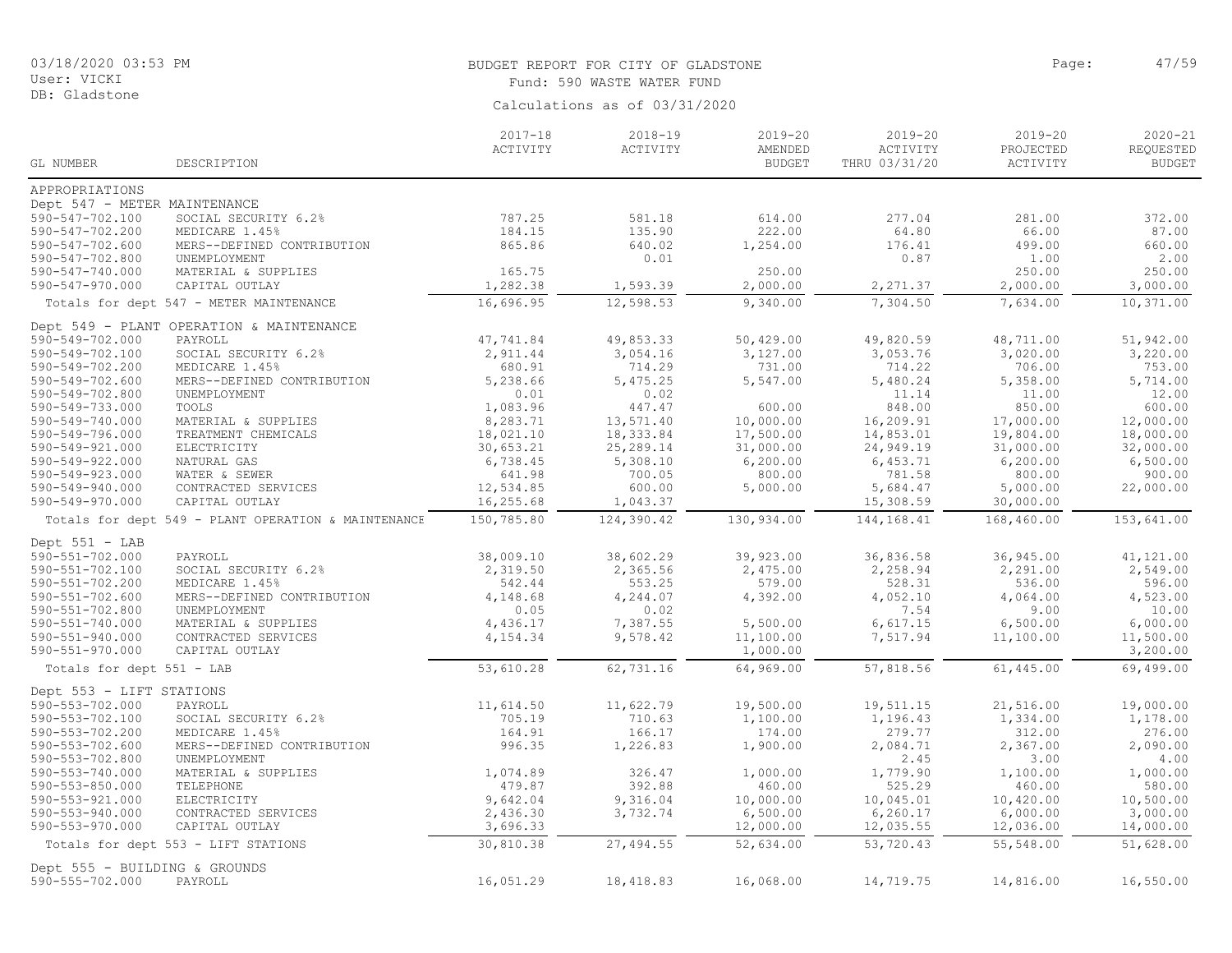# BUDGET REPORT FOR CITY OF GLADSTONE **Page:** 47/59 Fund: 590 WASTE WATER FUND

|                                                  |                                                     | $2017 - 18$            | $2018 - 19$        | $2019 - 20$         | 2019-20               | $2019 - 20$           | $2020 - 21$         |
|--------------------------------------------------|-----------------------------------------------------|------------------------|--------------------|---------------------|-----------------------|-----------------------|---------------------|
|                                                  |                                                     | ACTIVITY               | ACTIVITY           | AMENDED             | ACTIVITY              | PROJECTED             | REQUESTED           |
| GL NUMBER                                        | DESCRIPTION                                         |                        |                    | <b>BUDGET</b>       | THRU 03/31/20         | ACTIVITY              | <b>BUDGET</b>       |
| APPROPRIATIONS                                   |                                                     |                        |                    |                     |                       |                       |                     |
| Dept 547 - METER MAINTENANCE                     |                                                     |                        |                    |                     |                       |                       |                     |
| 590-547-702.100                                  | SOCIAL SECURITY 6.2%                                | 787.25                 | 581.18             | 614.00              | 277.04                | 281.00                | 372.00              |
| 590-547-702.200                                  | MEDICARE 1.45%                                      | 184.15                 | 135.90             | 222.00              | 64.80                 | 66.00                 | 87.00               |
| 590-547-702.600                                  | MERS--DEFINED CONTRIBUTION                          | 865.86                 | 640.02             | 1,254.00            | 176.41                | 499.00                | 660.00              |
| 590-547-702.800                                  | UNEMPLOYMENT                                        |                        | 0.01               |                     | 0.87                  | 1.00                  | 2.00                |
| 590-547-740.000                                  | MATERIAL & SUPPLIES                                 | 165.75                 |                    | 250.00              |                       | 250.00                | 250.00              |
| 590-547-970.000                                  | CAPITAL OUTLAY                                      | 1,282.38               | 1,593.39           | 2,000.00            | 2,271.37              | 2,000.00              | 3,000.00            |
|                                                  | Totals for dept 547 - METER MAINTENANCE             | 16,696.95              | 12,598.53          | 9,340.00            | 7,304.50              | 7,634.00              | 10,371.00           |
|                                                  | Dept 549 - PLANT OPERATION & MAINTENANCE            |                        |                    |                     |                       |                       |                     |
| 590-549-702.000                                  | PAYROLL                                             | 47,741.84              | 49,853.33          | 50,429.00           | 49,820.59             | 48,711.00             | 51,942.00           |
| 590-549-702.100                                  | SOCIAL SECURITY 6.2%                                | 2,911.44               | 3,054.16           | 3,127.00            | 3,053.76              | 3,020.00              | 3,220.00            |
| 590-549-702.200                                  | MEDICARE 1.45%                                      | 680.91                 | 714.29             | 731.00              | 714.22                | 706.00                | 753.00              |
| 590-549-702.600                                  | MERS--DEFINED CONTRIBUTION                          | 5,238.66               | 5,475.25           | 5,547.00            | 5,480.24              | 5,358.00              | 5,714.00            |
| 590-549-702.800                                  | UNEMPLOYMENT                                        | 0.01                   | 0.02               |                     | 11.14                 | 11.00                 | 12.00               |
| 590-549-733.000                                  | TOOLS                                               | 1,083.96               | 447.47             | 600.00              | 848.00                | 850.00                | 600.00              |
| 590-549-740.000                                  | MATERIAL & SUPPLIES                                 | 8,283.71               | 13,571.40          | 10,000.00           | 16,209.91             | 17,000.00             | 12,000.00           |
| 590-549-796.000                                  | TREATMENT CHEMICALS                                 | 18,021.10              | 18, 333.84         | 17,500.00           | 14,853.01             | 19,804.00             | 18,000.00           |
| 590-549-921.000                                  | ELECTRICITY                                         | 30,653.21              | 25,289.14          | 31,000.00           | 24,949.19             | 31,000.00             | 32,000.00           |
| 590-549-922.000                                  | NATURAL GAS                                         | 6,738.45               | 5,308.10           | 6, 200.00           | 6,453.71              | 6, 200.00             | 6,500.00            |
| 590-549-923.000                                  | WATER & SEWER                                       | 641.98                 | 700.05             | 800.00              | 781.58                | 800.00                | 900.00              |
| 590-549-940.000<br>590-549-970.000               | CONTRACTED SERVICES<br>CAPITAL OUTLAY               | 12,534.85<br>16,255.68 | 600.00<br>1,043.37 | 5,000.00            | 5,684.47<br>15,308.59 | 5,000.00<br>30,000.00 | 22,000.00           |
|                                                  | Totals for dept 549 - PLANT OPERATION & MAINTENANCE | 150,785.80             | 124,390.42         | 130,934.00          | 144,168.41            | 168,460.00            | 153,641.00          |
|                                                  |                                                     |                        |                    |                     |                       |                       |                     |
| Dept 551 - LAB                                   |                                                     |                        |                    |                     |                       |                       |                     |
| 590-551-702.000                                  | PAYROLL                                             | 38,009.10              | 38,602.29          | 39,923.00           | 36,836.58             | 36,945.00             | 41,121.00           |
| 590-551-702.100                                  | SOCIAL SECURITY 6.2%                                | 2,319.50               | 2,365.56           | 2,475.00            | 2,258.94              | 2,291.00              | 2,549.00            |
| 590-551-702.200                                  | MEDICARE 1.45%                                      | 542.44                 | 553.25             | 579.00              | 528.31                | 536.00                | 596.00              |
| 590-551-702.600                                  | MERS--DEFINED CONTRIBUTION                          | 4,148.68               | 4,244.07           | 4,392.00            | 4,052.10              | 4,064.00              | 4,523.00            |
| 590-551-702.800                                  | UNEMPLOYMENT                                        | 0.05                   | 0.02               |                     | 7.54                  | 9.00                  | 10.00               |
| 590-551-740.000                                  | MATERIAL & SUPPLIES                                 | 4,436.17               | 7,387.55           | 5,500.00            | 6,617.15              | 6,500.00              | 6,000.00            |
| 590-551-940.000                                  | CONTRACTED SERVICES                                 | 4,154.34               | 9,578.42           | 11,100.00           | 7,517.94              | 11,100.00             | 11,500.00           |
| 590-551-970.000                                  | CAPITAL OUTLAY                                      |                        |                    | 1,000.00            |                       |                       | 3,200.00            |
| Totals for dept 551 - LAB                        |                                                     | 53,610.28              | 62,731.16          | 64,969.00           | 57,818.56             | 61,445.00             | 69,499.00           |
| Dept 553 - LIFT STATIONS                         |                                                     |                        |                    |                     |                       |                       |                     |
| 590-553-702.000                                  | PAYROLL                                             | 11,614.50              | 11,622.79          | 19,500.00           | 19,511.15             | 21,516.00             | 19,000.00           |
| 590-553-702.100                                  | SOCIAL SECURITY 6.2%                                | 705.19                 | 710.63             | 1,100.00            | 1,196.43              | 1,334.00              | 1,178.00            |
| 590-553-702.200                                  | MEDICARE 1.45%                                      | 164.91                 | 166.17             | 174.00              | 279.77                | 312.00                | 276.00              |
| 590-553-702.600                                  | MERS--DEFINED CONTRIBUTION                          | 996.35                 | 1,226.83           | 1,900.00            | 2,084.71              | 2,367.00              | 2,090.00            |
| 590-553-702.800                                  | UNEMPLOYMENT                                        |                        |                    |                     | 2.45                  | 3.00                  | 4.00                |
| 590-553-740.000                                  | MATERIAL & SUPPLIES                                 | 1,074.89<br>479.87     | 326.47<br>392.88   | 1,000.00            | 1,779.90              | 1,100.00              | 1,000.00            |
| 590-553-850.000<br>590-553-921.000               | TELEPHONE<br>ELECTRICITY                            | 9,642.04               | 9,316.04           | 460.00<br>10,000.00 | 525.29<br>10,045.01   | 460.00<br>10,420.00   | 580.00<br>10,500.00 |
| 590-553-940.000                                  | CONTRACTED SERVICES                                 | 2,436.30               | 3,732.74           | 6,500.00            | 6, 260.17             | 6,000.00              | 3,000.00            |
| 590-553-970.000                                  | CAPITAL OUTLAY                                      | 3,696.33               |                    | 12,000.00           | 12,035.55             | 12,036.00             | 14,000.00           |
|                                                  | Totals for dept 553 - LIFT STATIONS                 | 30,810.38              | 27,494.55          | 52,634.00           | 53,720.43             | 55,548.00             | 51,628.00           |
|                                                  |                                                     |                        |                    |                     |                       |                       |                     |
| Dept 555 - BUILDING & GROUNDS<br>590-555-702.000 | PAYROLL                                             | 16,051.29              | 18,418.83          | 16,068.00           | 14,719.75             | 14,816.00             | 16,550.00           |
|                                                  |                                                     |                        |                    |                     |                       |                       |                     |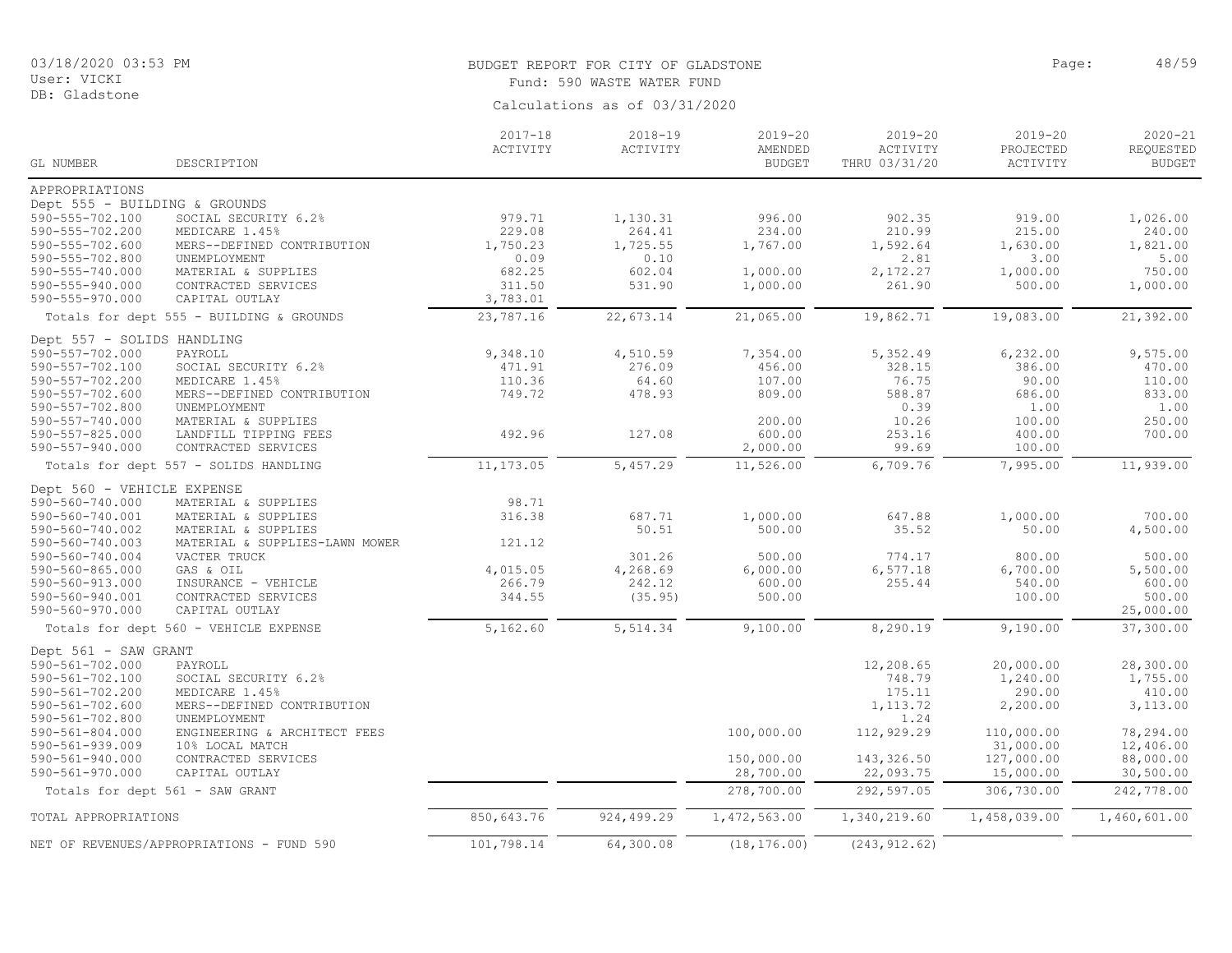# BUDGET REPORT FOR CITY OF GLADSTONE **Page:** 48/59 Fund: 590 WASTE WATER FUND

| GL NUMBER                     | DESCRIPTION                               | $2017 - 18$<br>ACTIVITY | $2018 - 19$<br>ACTIVITY | $2019 - 20$<br>AMENDED<br><b>BUDGET</b> | $2019 - 20$<br>ACTIVITY<br>THRU 03/31/20 | $2019 - 20$<br>PROJECTED<br>ACTIVITY | $2020 - 21$<br>REQUESTED<br><b>BUDGET</b> |
|-------------------------------|-------------------------------------------|-------------------------|-------------------------|-----------------------------------------|------------------------------------------|--------------------------------------|-------------------------------------------|
| APPROPRIATIONS                |                                           |                         |                         |                                         |                                          |                                      |                                           |
| Dept 555 - BUILDING & GROUNDS |                                           |                         |                         |                                         |                                          |                                      |                                           |
| 590-555-702.100               | SOCIAL SECURITY 6.2%                      | 979.71                  | 1,130.31                | 996.00                                  | 902.35                                   | 919.00                               | 1,026.00                                  |
| 590-555-702.200               | MEDICARE 1.45%                            | 229.08                  | 264.41                  | 234.00                                  | 210.99                                   | 215.00                               | 240.00                                    |
| 590-555-702.600               | MERS--DEFINED CONTRIBUTION                | 1,750.23                | 1,725.55                | 1,767.00                                | 1,592.64                                 | 1,630.00                             | 1,821.00                                  |
| 590-555-702.800               | UNEMPLOYMENT                              | 0.09                    | 0.10                    |                                         | 2.81                                     | 3.00                                 | 5.00                                      |
| 590-555-740.000               | MATERIAL & SUPPLIES                       | 682.25                  | 602.04                  | 1,000.00                                | 2,172.27                                 | 1,000.00                             | 750.00                                    |
| 590-555-940.000               | CONTRACTED SERVICES                       | 311.50                  | 531.90                  | 1,000.00                                | 261.90                                   | 500.00                               | 1,000.00                                  |
| 590-555-970.000               | CAPITAL OUTLAY                            | 3,783.01                |                         |                                         |                                          |                                      |                                           |
|                               | Totals for dept 555 - BUILDING & GROUNDS  | 23,787.16               | 22,673.14               | 21,065.00                               | 19,862.71                                | 19,083.00                            | 21,392.00                                 |
| Dept 557 - SOLIDS HANDLING    |                                           |                         |                         |                                         |                                          |                                      |                                           |
| 590-557-702.000               | PAYROLL                                   | 9,348.10                | 4,510.59                | 7,354.00                                | 5,352.49                                 | 6,232.00                             | 9,575.00                                  |
| 590-557-702.100               | SOCIAL SECURITY 6.2%                      | 471.91                  | 276.09                  | 456.00                                  | 328.15                                   | 386.00                               | 470.00                                    |
| 590-557-702.200               | MEDICARE 1.45%                            | 110.36                  | 64.60                   | 107.00                                  | 76.75                                    | 90.00                                | 110.00                                    |
| 590-557-702.600               | MERS--DEFINED CONTRIBUTION                | 749.72                  | 478.93                  | 809.00                                  | 588.87                                   | 686.00                               | 833.00                                    |
| 590-557-702.800               | UNEMPLOYMENT                              |                         |                         |                                         | 0.39                                     | 1.00                                 | 1.00                                      |
| 590-557-740.000               | MATERIAL & SUPPLIES                       |                         |                         | 200.00                                  | 10.26                                    | 100.00                               | 250.00                                    |
| $590 - 557 - 825.000$         | LANDFILL TIPPING FEES                     | 492.96                  | 127.08                  | 600.00                                  | 253.16                                   | 400.00                               | 700.00                                    |
| 590-557-940.000               | CONTRACTED SERVICES                       |                         |                         | 2,000.00                                | 99.69                                    | 100.00                               |                                           |
|                               | Totals for dept 557 - SOLIDS HANDLING     | 11, 173.05              | 5,457.29                | 11,526.00                               | 6,709.76                                 | 7,995.00                             | 11,939.00                                 |
| Dept 560 - VEHICLE EXPENSE    |                                           |                         |                         |                                         |                                          |                                      |                                           |
| 590-560-740.000               | MATERIAL & SUPPLIES                       | 98.71                   |                         |                                         |                                          |                                      |                                           |
| 590-560-740.001               | MATERIAL & SUPPLIES                       | 316.38                  | 687.71                  | 1,000.00                                | 647.88                                   | 1,000.00                             | 700.00                                    |
| 590-560-740.002               | MATERIAL & SUPPLIES                       |                         | 50.51                   | 500.00                                  | 35.52                                    | 50.00                                | 4,500.00                                  |
| 590-560-740.003               | MATERIAL & SUPPLIES-LAWN MOWER            | 121.12                  |                         |                                         |                                          |                                      |                                           |
| 590-560-740.004               | VACTER TRUCK                              |                         | 301.26                  | 500.00                                  | 774.17                                   | 800.00                               | 500.00                                    |
| 590-560-865.000               | GAS & OIL                                 | 4,015.05                | 4,268.69                | 6,000.00                                | 6, 577.18                                | 6,700.00                             | 5,500.00                                  |
| 590-560-913.000               | INSURANCE - VEHICLE                       | 266.79                  | 242.12                  | 600.00                                  | 255.44                                   | 540.00                               | 600.00                                    |
| 590-560-940.001               | CONTRACTED SERVICES                       | 344.55                  | (35.95)                 | 500.00                                  |                                          | 100.00                               | 500.00                                    |
| 590-560-970.000               | CAPITAL OUTLAY                            |                         |                         |                                         |                                          |                                      | 25,000.00                                 |
|                               | Totals for dept 560 - VEHICLE EXPENSE     | 5,162.60                | 5,514.34                | 9,100.00                                | 8,290.19                                 | 9,190.00                             | 37,300.00                                 |
| Dept 561 - SAW GRANT          |                                           |                         |                         |                                         |                                          |                                      |                                           |
| 590-561-702.000               | PAYROLL                                   |                         |                         |                                         | 12,208.65                                | 20,000.00                            | 28,300.00                                 |
| 590-561-702.100               | SOCIAL SECURITY 6.2%                      |                         |                         |                                         | 748.79                                   | 1,240.00                             | 1,755.00                                  |
| 590-561-702.200               | MEDICARE 1.45%                            |                         |                         |                                         | 175.11                                   | 290.00                               | 410.00                                    |
| $590 - 561 - 702.600$         | MERS--DEFINED CONTRIBUTION                |                         |                         |                                         | 1,113.72                                 | 2,200.00                             | 3,113.00                                  |
| 590-561-702.800               | UNEMPLOYMENT                              |                         |                         |                                         | 1.24                                     |                                      |                                           |
| $590 - 561 - 804.000$         | ENGINEERING & ARCHITECT FEES              |                         |                         | 100,000.00                              | 112,929.29                               | 110,000.00                           | 78,294.00                                 |
| $590 - 561 - 939.009$         | 10% LOCAL MATCH                           |                         |                         |                                         |                                          | 31,000.00                            | 12,406.00                                 |
| $590 - 561 - 940.000$         | CONTRACTED SERVICES                       |                         |                         | 150,000.00                              | 143,326.50                               | 127,000.00                           | 88,000.00                                 |
| 590-561-970.000               | CAPITAL OUTLAY                            |                         |                         | 28,700.00                               | 22,093.75                                | 15,000.00                            | 30,500.00                                 |
|                               | Totals for dept 561 - SAW GRANT           |                         |                         | 278,700.00                              | 292,597.05                               | 306,730.00                           | 242,778.00                                |
| TOTAL APPROPRIATIONS          |                                           | 850,643.76              | 924,499.29              | 1, 472, 563.00                          | 1,340,219.60                             | 1,458,039.00                         | 1,460,601.00                              |
|                               | NET OF REVENUES/APPROPRIATIONS - FUND 590 | 101,798.14              | 64,300.08               | (18, 176.00)                            | (243, 912.62)                            |                                      |                                           |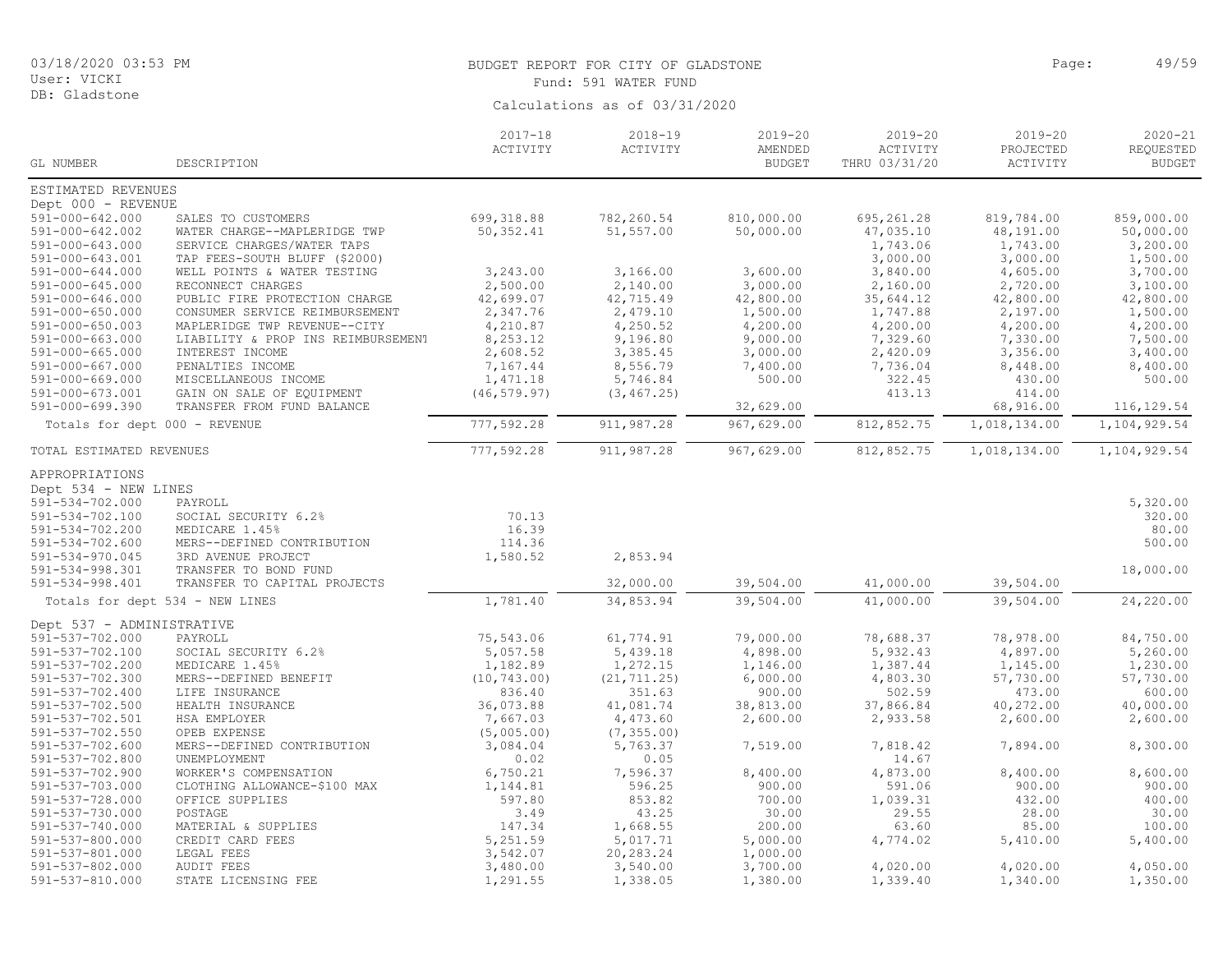DB: Gladstone

#### BUDGET REPORT FOR CITY OF GLADSTONE **Page:** 49/59 Fund: 591 WATER FUND

|                               |                                    | $2017 - 18$<br>ACTIVITY | $2018 - 19$<br>ACTIVITY | $2019 - 20$<br>AMENDED | $2019 - 20$<br>ACTIVITY | $2019 - 20$<br>PROJECTED | $2020 - 21$<br>REQUESTED |
|-------------------------------|------------------------------------|-------------------------|-------------------------|------------------------|-------------------------|--------------------------|--------------------------|
| GL NUMBER                     | DESCRIPTION                        |                         |                         | <b>BUDGET</b>          | THRU 03/31/20           | ACTIVITY                 | <b>BUDGET</b>            |
| ESTIMATED REVENUES            |                                    |                         |                         |                        |                         |                          |                          |
| Dept 000 - REVENUE            |                                    |                         |                         |                        |                         |                          |                          |
| 591-000-642.000               | SALES TO CUSTOMERS                 | 699,318.88              | 782,260.54              | 810,000.00             | 695, 261.28             | 819,784.00               | 859,000.00               |
| 591-000-642.002               | WATER CHARGE--MAPLERIDGE TWP       | 50, 352.41              | 51,557.00               | 50,000.00              | 47,035.10               | 48,191.00                | 50,000.00                |
| $591 - 000 - 643.000$         | SERVICE CHARGES/WATER TAPS         |                         |                         |                        | 1,743.06                | 1,743.00                 | 3,200.00                 |
| 591-000-643.001               | TAP FEES-SOUTH BLUFF (\$2000)      |                         |                         |                        | 3,000.00                | 3,000.00                 | 1,500.00                 |
| $591 - 000 - 644.000$         | WELL POINTS & WATER TESTING        | 3,243.00                | 3,166.00                | 3,600.00               | 3,840.00                | 4,605.00                 | 3,700.00                 |
| 591-000-645.000               | RECONNECT CHARGES                  | 2,500.00                | 2,140.00                | 3,000.00               | 2,160.00                | 2,720.00                 | 3,100.00                 |
| $591 - 000 - 646.000$         | PUBLIC FIRE PROTECTION CHARGE      | 42,699.07               | 42,715.49               | 42,800.00              | 35,644.12               | 42,800.00                | 42,800.00                |
| $591 - 000 - 650.000$         | CONSUMER SERVICE REIMBURSEMENT     | 2,347.76                | 2,479.10                | 1,500.00               | 1,747.88                | 2,197.00                 | 1,500.00                 |
| $591 - 000 - 650.003$         | MAPLERIDGE TWP REVENUE--CITY       | 4,210.87                | 4,250.52                | 4,200.00               | 4,200.00                | 4,200.00                 | 4,200.00                 |
| $591 - 000 - 663.000$         | LIABILITY & PROP INS REIMBURSEMENT | 8,253.12                | 9,196.80                | 9,000.00               | 7,329.60                | 7,330.00                 | 7,500.00                 |
| $591 - 000 - 665.000$         | INTEREST INCOME                    | 2,608.52                | 3,385.45                | 3,000.00               | 2,420.09                | 3,356.00                 | 3,400.00                 |
| $591 - 000 - 667.000$         | PENALTIES INCOME                   | 7,167.44                | 8,556.79                | 7,400.00               | 7,736.04                | 8,448.00                 | 8,400.00                 |
| 591-000-669.000               | MISCELLANEOUS INCOME               | 1,471.18                | 5,746.84                | 500.00                 | 322.45                  | 430.00                   | 500.00                   |
| 591-000-673.001               | GAIN ON SALE OF EQUIPMENT          | (46, 579.97)            | (3, 467.25)             |                        | 413.13                  | 414.00                   |                          |
| 591-000-699.390               | TRANSFER FROM FUND BALANCE         |                         |                         | 32,629.00              |                         | 68,916.00                | 116,129.54               |
| Totals for dept 000 - REVENUE |                                    | 777,592.28              | 911,987.28              | 967,629.00             | 812,852.75              | 1,018,134.00             | 1,104,929.54             |
| TOTAL ESTIMATED REVENUES      |                                    | 777,592.28              | 911, 987.28             | 967,629.00             | 812,852.75              | 1,018,134.00             | 1,104,929.54             |
| APPROPRIATIONS                |                                    |                         |                         |                        |                         |                          |                          |
| Dept 534 - NEW LINES          |                                    |                         |                         |                        |                         |                          |                          |
| 591-534-702.000               | PAYROLL                            |                         |                         |                        |                         |                          | 5,320.00                 |
| 591-534-702.100               | SOCIAL SECURITY 6.2%               | 70.13                   |                         |                        |                         |                          | 320.00                   |
| 591-534-702.200               | MEDICARE 1.45%                     | 16.39                   |                         |                        |                         |                          | 80.00                    |
| $591 - 534 - 702.600$         | MERS--DEFINED CONTRIBUTION         | 114.36                  |                         |                        |                         |                          | 500.00                   |
| $591 - 534 - 970.045$         | 3RD AVENUE PROJECT                 | 1,580.52                | 2,853.94                |                        |                         |                          |                          |
| 591-534-998.301               | TRANSFER TO BOND FUND              |                         |                         |                        |                         |                          | 18,000.00                |
| 591-534-998.401               | TRANSFER TO CAPITAL PROJECTS       |                         | 32,000.00               | 39,504.00              | 41,000.00               | 39,504.00                |                          |
|                               | Totals for dept 534 - NEW LINES    | 1,781.40                | 34,853.94               | 39,504.00              | 41,000.00               | $\overline{39}$ , 504.00 | 24,220.00                |
| Dept 537 - ADMINISTRATIVE     |                                    |                         |                         |                        |                         |                          |                          |
| 591-537-702.000               | PAYROLL                            | 75,543.06               | 61,774.91               | 79,000.00              | 78,688.37               | 78,978.00                | 84,750.00                |
| 591-537-702.100               | SOCIAL SECURITY 6.2%               | 5,057.58                | 5,439.18                | 4,898.00               | 5,932.43                | 4,897.00                 | 5,260.00                 |
| 591-537-702.200               | MEDICARE 1.45%                     | 1,182.89                | 1,272.15                | 1,146.00               | 1,387.44                | 1,145.00                 | 1,230.00                 |
| 591-537-702.300               | MERS--DEFINED BENEFIT              | (10, 743.00)            | (21, 711.25)            | 6,000.00               | 4,803.30                | 57,730.00                | 57,730.00                |
| 591-537-702.400               | LIFE INSURANCE                     | 836.40                  | 351.63                  | 900.00                 | 502.59                  | 473.00                   | 600.00                   |
| 591-537-702.500               | HEALTH INSURANCE                   | 36,073.88               | 41,081.74               | 38,813.00              | 37,866.84               | 40,272.00                | 40,000.00                |
| 591-537-702.501               | HSA EMPLOYER                       | 7,667.03                | 4,473.60                | 2,600.00               | 2,933.58                | 2,600.00                 | 2,600.00                 |
| 591-537-702.550               | OPEB EXPENSE                       | (5,005.00)              | (7, 355.00)             |                        |                         |                          |                          |
| 591-537-702.600               | MERS--DEFINED CONTRIBUTION         | 3,084.04                | 5,763.37                | 7,519.00               | 7,818.42                | 7,894.00                 | 8,300.00                 |
| 591-537-702.800               | UNEMPLOYMENT                       | 0.02                    | 0.05                    |                        | 14.67                   |                          |                          |
| 591-537-702.900               | WORKER'S COMPENSATION              | 6,750.21                | 7,596.37                | 8,400.00               | 4,873.00                | 8,400.00                 | 8,600.00                 |
| 591-537-703.000               | CLOTHING ALLOWANCE-\$100 MAX       | 1,144.81                | 596.25                  | 900.00                 | 591.06                  | 900.00                   | 900.00                   |
| 591-537-728.000               | OFFICE SUPPLIES                    | 597.80                  | 853.82                  | 700.00                 | 1,039.31                | 432.00                   | 400.00                   |
| 591-537-730.000               | POSTAGE                            | 3.49                    | 43.25                   | 30.00                  | 29.55                   | 28.00                    | 30.00                    |
| 591-537-740.000               | MATERIAL & SUPPLIES                | 147.34                  | 1,668.55                | 200.00                 | 63.60                   | 85.00                    | 100.00                   |
| 591-537-800.000               | CREDIT CARD FEES                   | 5,251.59                | 5,017.71                | 5,000.00               | 4,774.02                | 5,410.00                 | 5,400.00                 |
| 591-537-801.000               | LEGAL FEES                         | 3,542.07                | 20,283.24               | 1,000.00               |                         |                          |                          |
| 591-537-802.000               | <b>AUDIT FEES</b>                  | 3,480.00                | 3,540.00                | 3,700.00               | 4,020.00                | 4,020.00                 | 4,050.00                 |
| 591-537-810.000               | STATE LICENSING FEE                | 1,291.55                | 1,338.05                | 1,380.00               | 1,339.40                | 1,340.00                 | 1,350.00                 |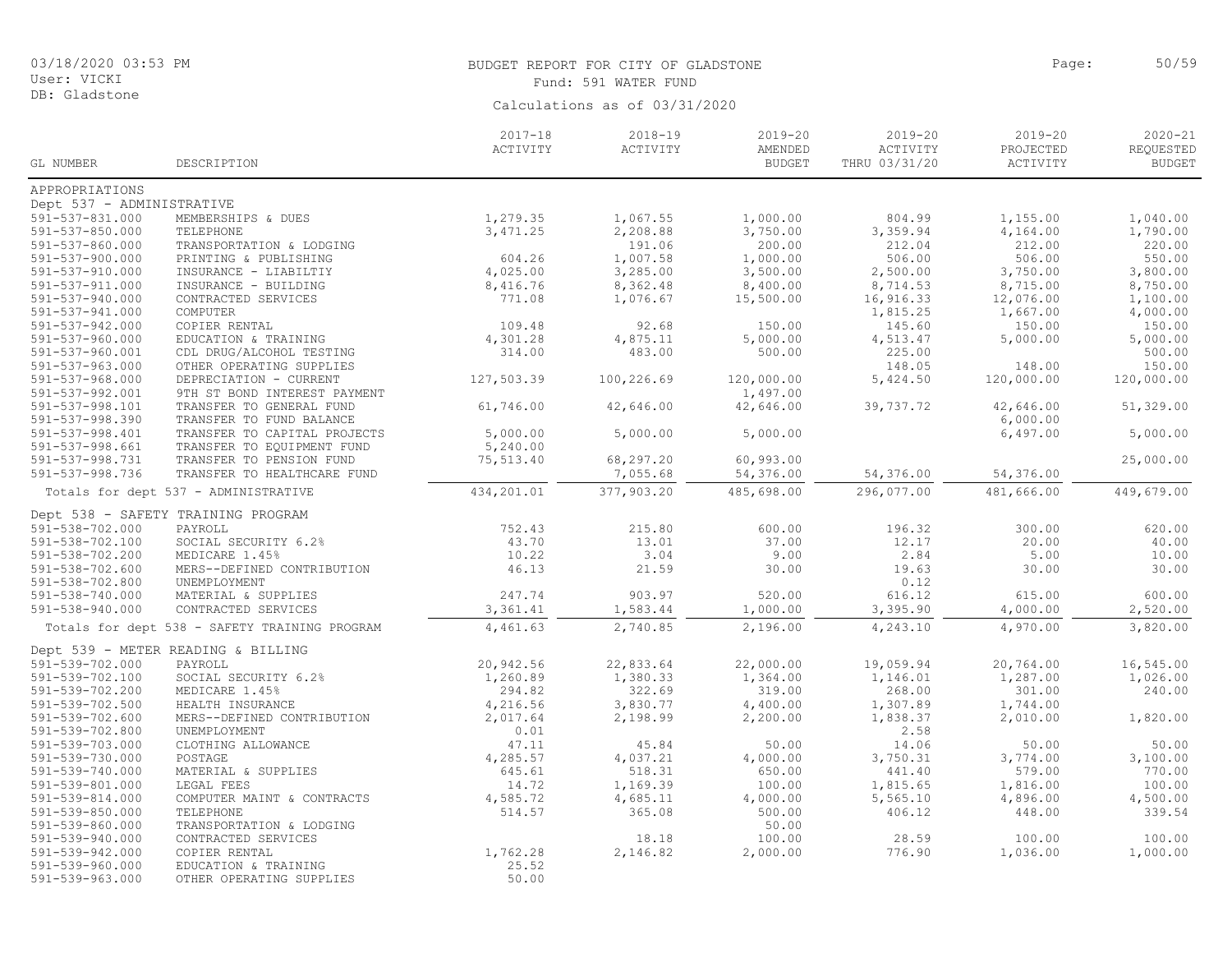591-539-960.000 EDUCATION & TRAINING 25.52 OTHER OPERATING SUPPLIES

DB: Gladstone

#### BUDGET REPORT FOR CITY OF GLADSTONE PAGE AND SOLLARY PAGE: 50/59 Fund: 591 WATER FUND

Calculations as of 03/31/2020

2020-21 REQUESTED **BUDGET** 2019-20 PROJECTED ACTIVITY 2019-20 ACTIVITY THRU 03/31/20 2019-20 AMENDED **BUDGET** 2018-19 ACTIVITY 2017-18 ACTIVITY GL NUMBER DESCRIPTION APPROPRIATIONS Dept 537 - ADMINISTRATIVE<br>591-537-831.000 MEMBERSHIPS & DUES 591-537-831.000 MEMBERSHIPS & DUES 1,279.35 1,067.55 1,000.00 804.99 1,155.00 1,040.00 591-537-850.000 TELEPHONE 3,471.25 2,208.88 3,750.00 3,359.94 4,164.00 1,790.00 591-537-860.000 TRANSPORTATION & LODGING 191.06 200.00 212.04 212.00 220.00 591-537-900.000 PRINTING & PUBLISHING 604.26 1,007.58 1,000.00 506.00 506.00 550.00 591-537-910.000 INSURANCE - LIABILTIY 4,025.00 3,285.00 3,500.00 2,500.00 3,750.00 3,800.00 591-537-911.000 INSURANCE - BUILDING 8,416.76 8,362.48 8,400.00 8,714.53 8,715.00 8,750.00 591-537-940.000 CONTRACTED SERVICES 771.08 1,076.67 15,500.00 16,916.33 12,076.00 1,100.00 591-537-941.000 COMPUTER 1,815.25 1,667.00 4,000.00 591-537-942.000 COPIER RENTAL 109.48 92.68 150.00 145.60 150.00 150.00 591-537-960.000 EDUCATION & TRAINING 4,301.28 4,875.11 5,000.00 4,513.47 5,000.00 5,000.00 591-537-960.001 CDL DRUG/ALCOHOL TESTING 314.00 483.00 500.00 225.00 500.00 0THER OPERATING SUPPLIES 148.00<br>199.000 DEPRECIATION - CURRENT 1000 200.00 100,226.69 120,000.00 5,424.50 120,000.00 591-537-968.000 DEPRECIATION - CURRENT 127,503.39 100,226.69 120,000.00 5,424.50 120,000.00 120,000.00<br>591-537-992.001 9TH ST BOND INTEREST PAYMENT 9TH ST BOND INTEREST PAYMENT 591-537-998.101 TRANSFER TO GENERAL FUND 61,746.00 42,646.00 42,646.00 39,737.72 42,646.00 51,329.00<br>591-537-998.390 TRANSFER TO FUND BALANCE TRANSFER TO FUND BALANCE<br>
5,000.00
TRANSFER TO CAPITAL PROJECTS
5,000.00
5,000.00
5,000.00
5,000.00
5,000.00
5 591-537-998.401 TRANSFER TO CAPITAL PROJECTS 5,000.00 5,000.00 5,000.00 5,000.00 5,000.00 6,497.00 5,000.00 5,000<br>591-537-998.661 TRANSFER TO EOUIPMENT FUND 5.240.00 TRANSFER TO EOUIPMENT FUND 591-537-998.731 TRANSFER TO PENSION FUND 75,513.40 68,297.20 60,993.00<br>591-537-998.736 TRANSFER TO HEALTHCARE FUND 7,055.68 54,376.00 54,376.00 54,376.00 54,376.00 25,000.00 TRANSFER TO HEALTHCARE FUND Totals for dept 537 - ADMINISTRATIVE 434,201.01 377,903.20 485,698.00 296,077.00 481,666.00 449,679.00 Dept 538 - SAFETY TRAINING PROGRAM<br>591-538-702.000 PAYROLL 591-538-702.000 PAYROLL 752.43 215.80 600.00 196.32 300.00 620.00 591-538-702.100 SOCIAL SECURITY 6.2% 43.70 13.01 37.00 12.17 20.00 40.00 591-538-702.200 MEDICARE 1.45% 10.22 3.04 9.00 2.84 5.00 10.00 591-538-702.600 MERS--DEFINED CONTRIBUTION 46.13 21.59 30.00 19.63 30.00 30.00 30.00<br>591-538-702.800 UNEMPIOYMENT 591-538-702.800 UNEMPLOYMENT 0.12 591-538-740.000 MATERIAL & SUPPLIES 247.74 903.97 520.00 616.12 615.00 600.00 591-538-940.000 CONTRACTED SERVICES 3,361.41 1,583.44 1,000.00 3,395.90 4,000.00 2,520.00 Totals for dept 538 - SAFETY TRAINING PROGRAM 4,461.63 2,740.85 2,196.00 4,243.10 4,970.00 3,820.00 Dept 539 - METER READING & BILLING<br>591-539-702.000 PAYROLL 591-539-702.000 PAYROLL 20,942.56 22,833.64 22,000.00 19,059.94 20,764.00 16,545.00 591-539-702.100 SOCIAL SECURITY 6.2% 1,260.89 1,380.33 1,364.00 1,146.01 1,287.00 1,026.00 591-539-702.200 MEDICARE 1.45% 294.82 322.69 319.00 268.00 301.00 240.00 591-539-702.500 HEALTH INSURANCE 4,216.56 3,830.77 4,400.00 1,307.89 1,744.00 591-539-702.600 MERS--DEFINED CONTRIBUTION 2,017.64 2,198.99 2,200.00 1,838.37 2,010.00 1,820.00 591-539-702.800 UNEMPLOYMENT 0.01 2.58 591-539-703.000 CLOTHING ALLOWANCE 47.11 45.84 50.00 14.06 50.00 50.00 591-539-730.000 POSTAGE 4,285.57 4,037.21 4,000.00 3,750.31 3,774.00 3,100.00 591-539-740.000 MATERIAL & SUPPLIES 645.61 518.31 650.00 441.40 579.00 770.00 591-539-801.000 LEGAL FEES 14.72 1,169.39 100.00 1,815.65 1,816.00 100.00 591-539-814.000 COMPUTER MAINT & CONTRACTS 4,585.72 4,685.11 4,000.00 5,565.10 4,896.00 4,500.00 4,500.00 4,500<br>539.54 501-539-850.000 TELEPHONE 339.54 500.00 591-539-850.00 500.00 406.12 48.00 339.54 591-539-850.000 TELEPHONE 514.57 365.08 500.00 406.12 448.00 339.54 591-539-860.000 TRANSPORTATION & LODGING 50.00 591-100.00 CONTRACTED SERVICES (100.00 128.59 100.00 100.00 100.00 100.00 100.00 100.00 100.00<br>1,762.28 2,146.82 2,000.00 1,000.00 1,000.00 1,000.00 1,000.00 591-539-942.000 COPIER RENTAL 1,762.28 2,146.82 2,000.00 776.90 1,036.00 1,000.00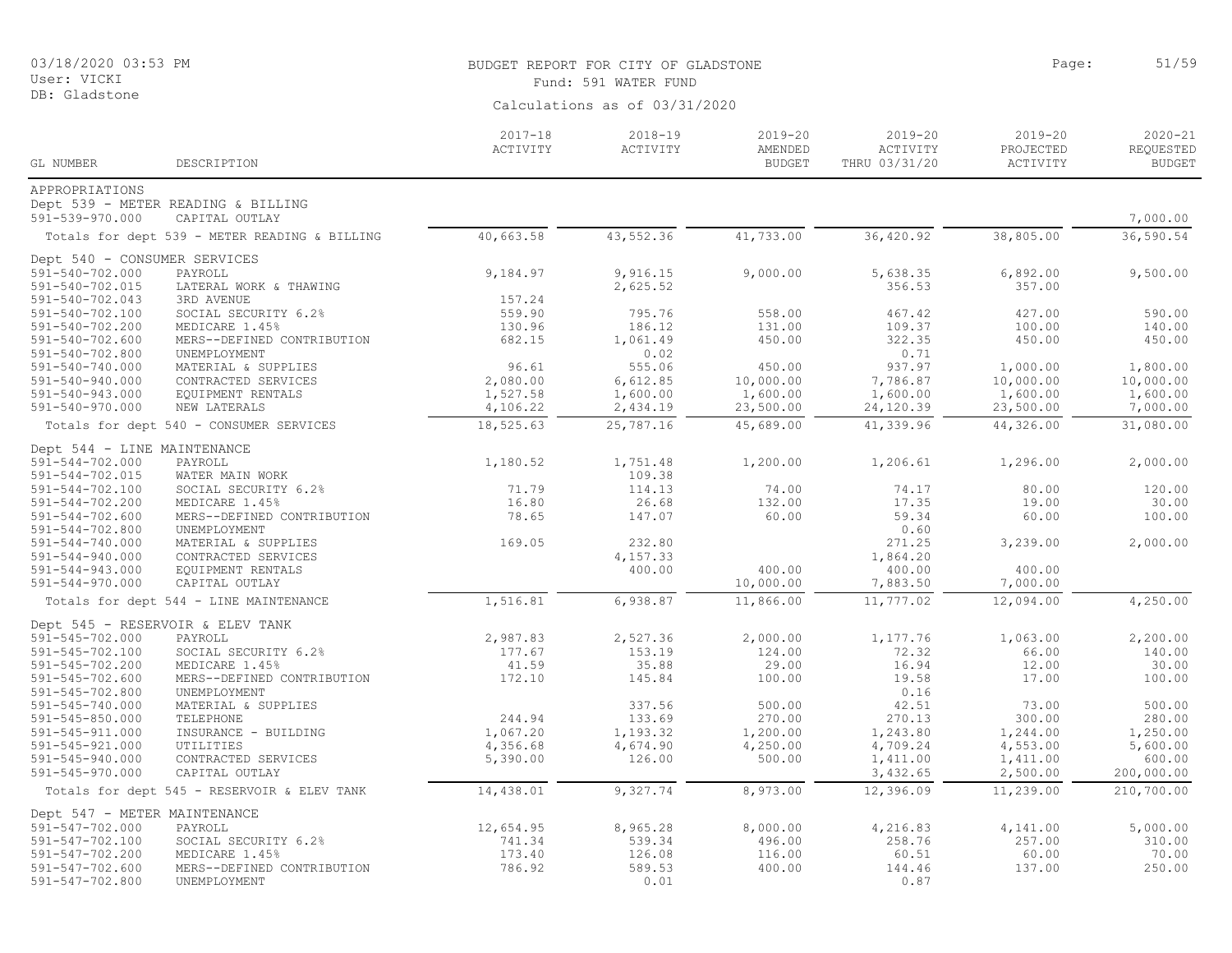# BUDGET REPORT FOR CITY OF GLADSTONE PAGE AND CONTROLLED BAGE: 51/59

| Calculations as of 03/31/2020<br>$2018 - 19$<br>$2019 - 20$<br>$2019 - 20$<br>$2019 - 20$<br>$2017 - 18$<br>AMENDED<br>ACTIVITY<br>PROJECTED<br>ACTIVITY<br>ACTIVITY<br>GL NUMBER<br>DESCRIPTION<br><b>BUDGET</b><br>THRU 03/31/20<br>ACTIVITY<br>APPROPRIATIONS<br>Dept 539 - METER READING & BILLING<br>591-539-970.000<br>7,000.00<br>CAPITAL OUTLAY<br>40,663.58<br>43, 552.36<br>41,733.00<br>38,805.00<br>36,590.54<br>36,420.92<br>Totals for dept 539 - METER READING & BILLING<br>Dept 540 - CONSUMER SERVICES<br>PAYROLL<br>9,184.97<br>5,638.35<br>6,892.00<br>9,500.00<br>591-540-702.000<br>9,916.15<br>9,000.00<br>591-540-702.015<br>2,625.52<br>356.53<br>357.00<br>LATERAL WORK & THAWING<br>157.24<br>591-540-702.043<br>3RD AVENUE<br>559.90<br>795.76<br>591-540-702.100<br>SOCIAL SECURITY 6.2%<br>558.00<br>467.42<br>427.00<br>590.00<br>591-540-702.200<br>MEDICARE 1.45%<br>130.96<br>186.12<br>131.00<br>109.37<br>100.00<br>140.00<br>322.35<br>591-540-702.600<br>MERS--DEFINED CONTRIBUTION<br>682.15<br>1,061.49<br>450.00<br>450.00<br>450.00<br>0.02<br>0.71<br>591-540-702.800<br>UNEMPLOYMENT<br>96.61<br>555.06<br>450.00<br>937.97<br>1,800.00<br>591-540-740.000<br>MATERIAL & SUPPLIES<br>1,000.00<br>6,612.85<br>10,000.00<br>7,786.87<br>10,000.00<br>10,000.00<br>591-540-940.000<br>CONTRACTED SERVICES<br>2,080.00<br>1,600.00<br>1,600.00<br>1,600.00<br>591-540-943.000<br>1,527.58<br>1,600.00<br>1,600.00<br>EQUIPMENT RENTALS<br>23,500.00<br>7,000.00<br>591-540-970.000<br>NEW LATERALS<br>4,106.22<br>2,434.19<br>23,500.00<br>24,120.39<br>18,525.63<br>25,787.16<br>45,689.00<br>41,339.96<br>44,326.00<br>31,080.00<br>Totals for dept 540 - CONSUMER SERVICES<br>Dept 544 - LINE MAINTENANCE<br>1,180.52<br>1,751.48<br>1,200.00<br>1,206.61<br>1,296.00<br>2,000.00<br>591-544-702.000<br>PAYROLL<br>591-544-702.015<br>109.38<br>WATER MAIN WORK<br>71.79<br>114.13<br>74.00<br>80.00<br>120.00<br>591-544-702.100<br>SOCIAL SECURITY 6.2%<br>74.17<br>16.80<br>26.68<br>132.00<br>30.00<br>591-544-702.200<br>MEDICARE 1.45%<br>17.35<br>19.00<br>$591 - 544 - 702.600$<br>78.65<br>147.07<br>60.00<br>59.34<br>60.00<br>100.00<br>MERS--DEFINED CONTRIBUTION<br>0.60<br>591-544-702.800<br>UNEMPLOYMENT<br>169.05<br>232.80<br>271.25<br>3,239.00<br>2,000.00<br>$591 - 544 - 740.000$<br>MATERIAL & SUPPLIES<br>1,864.20<br>$591 - 544 - 940.000$<br>CONTRACTED SERVICES<br>4,157.33<br>EQUIPMENT RENTALS<br>400.00<br>400.00<br>400.00<br>400.00<br>$591 - 544 - 943.000$<br>10,000.00<br>7,883.50<br>7,000.00<br>$591 - 544 - 970.000$<br>CAPITAL OUTLAY<br>1, 516.81<br>12,094.00<br>4,250.00<br>6,938.87<br>11,866.00<br>11,777.02<br>Totals for dept 544 - LINE MAINTENANCE<br>Dept 545 - RESERVOIR & ELEV TANK<br>2,200.00<br>591-545-702.000<br>PAYROLL<br>2,987.83<br>2,527.36<br>2,000.00<br>1,177.76<br>1,063.00<br>153.19<br>124.00<br>72.32<br>591-545-702.100<br>177.67<br>66.00<br>140.00<br>SOCIAL SECURITY 6.2%<br>591-545-702.200<br>MEDICARE 1.45%<br>41.59<br>35.88<br>29.00<br>16.94<br>12.00<br>30.00<br>591-545-702.600<br>172.10<br>145.84<br>100.00<br>19.58<br>17.00<br>100.00<br>MERS--DEFINED CONTRIBUTION<br>591-545-702.800<br>0.16<br>UNEMPLOYMENT<br>591-545-740.000<br>337.56<br>500.00<br>42.51<br>500.00<br>MATERIAL & SUPPLIES<br>73.00<br>133.69<br>$591 - 545 - 850.000$<br>244.94<br>270.00<br>270.13<br>300.00<br>280.00<br>TELEPHONE<br>591-545-911.000<br>INSURANCE - BUILDING<br>1,067.20<br>1,193.32<br>1,200.00<br>1,243.80<br>1,244.00<br>1,250.00<br>UTILITIES<br>5,600.00<br>591-545-921.000<br>4,356.68<br>4,674.90<br>4,250.00<br>4,709.24<br>4,553.00 | User: VICKI   |  | Fund: 591 WATER FUND |  |  |  |                                           |  |  |
|---------------------------------------------------------------------------------------------------------------------------------------------------------------------------------------------------------------------------------------------------------------------------------------------------------------------------------------------------------------------------------------------------------------------------------------------------------------------------------------------------------------------------------------------------------------------------------------------------------------------------------------------------------------------------------------------------------------------------------------------------------------------------------------------------------------------------------------------------------------------------------------------------------------------------------------------------------------------------------------------------------------------------------------------------------------------------------------------------------------------------------------------------------------------------------------------------------------------------------------------------------------------------------------------------------------------------------------------------------------------------------------------------------------------------------------------------------------------------------------------------------------------------------------------------------------------------------------------------------------------------------------------------------------------------------------------------------------------------------------------------------------------------------------------------------------------------------------------------------------------------------------------------------------------------------------------------------------------------------------------------------------------------------------------------------------------------------------------------------------------------------------------------------------------------------------------------------------------------------------------------------------------------------------------------------------------------------------------------------------------------------------------------------------------------------------------------------------------------------------------------------------------------------------------------------------------------------------------------------------------------------------------------------------------------------------------------------------------------------------------------------------------------------------------------------------------------------------------------------------------------------------------------------------------------------------------------------------------------------------------------------------------------------------------------------------------------------------------------------------------------------------------------------------------------------------------------------------------------------------------------------------------------------------------------------------------------------------------------------------------------------------------------------------------------------------------------------------------------------------------------------------------------------------------------------------------------------------------------------------------------------------------------------------------|---------------|--|----------------------|--|--|--|-------------------------------------------|--|--|
|                                                                                                                                                                                                                                                                                                                                                                                                                                                                                                                                                                                                                                                                                                                                                                                                                                                                                                                                                                                                                                                                                                                                                                                                                                                                                                                                                                                                                                                                                                                                                                                                                                                                                                                                                                                                                                                                                                                                                                                                                                                                                                                                                                                                                                                                                                                                                                                                                                                                                                                                                                                                                                                                                                                                                                                                                                                                                                                                                                                                                                                                                                                                                                                                                                                                                                                                                                                                                                                                                                                                                                                                                                                                     | DB: Gladstone |  |                      |  |  |  |                                           |  |  |
|                                                                                                                                                                                                                                                                                                                                                                                                                                                                                                                                                                                                                                                                                                                                                                                                                                                                                                                                                                                                                                                                                                                                                                                                                                                                                                                                                                                                                                                                                                                                                                                                                                                                                                                                                                                                                                                                                                                                                                                                                                                                                                                                                                                                                                                                                                                                                                                                                                                                                                                                                                                                                                                                                                                                                                                                                                                                                                                                                                                                                                                                                                                                                                                                                                                                                                                                                                                                                                                                                                                                                                                                                                                                     |               |  |                      |  |  |  | $2020 - 21$<br>REQUESTED<br><b>BUDGET</b> |  |  |
|                                                                                                                                                                                                                                                                                                                                                                                                                                                                                                                                                                                                                                                                                                                                                                                                                                                                                                                                                                                                                                                                                                                                                                                                                                                                                                                                                                                                                                                                                                                                                                                                                                                                                                                                                                                                                                                                                                                                                                                                                                                                                                                                                                                                                                                                                                                                                                                                                                                                                                                                                                                                                                                                                                                                                                                                                                                                                                                                                                                                                                                                                                                                                                                                                                                                                                                                                                                                                                                                                                                                                                                                                                                                     |               |  |                      |  |  |  |                                           |  |  |
|                                                                                                                                                                                                                                                                                                                                                                                                                                                                                                                                                                                                                                                                                                                                                                                                                                                                                                                                                                                                                                                                                                                                                                                                                                                                                                                                                                                                                                                                                                                                                                                                                                                                                                                                                                                                                                                                                                                                                                                                                                                                                                                                                                                                                                                                                                                                                                                                                                                                                                                                                                                                                                                                                                                                                                                                                                                                                                                                                                                                                                                                                                                                                                                                                                                                                                                                                                                                                                                                                                                                                                                                                                                                     |               |  |                      |  |  |  |                                           |  |  |
|                                                                                                                                                                                                                                                                                                                                                                                                                                                                                                                                                                                                                                                                                                                                                                                                                                                                                                                                                                                                                                                                                                                                                                                                                                                                                                                                                                                                                                                                                                                                                                                                                                                                                                                                                                                                                                                                                                                                                                                                                                                                                                                                                                                                                                                                                                                                                                                                                                                                                                                                                                                                                                                                                                                                                                                                                                                                                                                                                                                                                                                                                                                                                                                                                                                                                                                                                                                                                                                                                                                                                                                                                                                                     |               |  |                      |  |  |  |                                           |  |  |
|                                                                                                                                                                                                                                                                                                                                                                                                                                                                                                                                                                                                                                                                                                                                                                                                                                                                                                                                                                                                                                                                                                                                                                                                                                                                                                                                                                                                                                                                                                                                                                                                                                                                                                                                                                                                                                                                                                                                                                                                                                                                                                                                                                                                                                                                                                                                                                                                                                                                                                                                                                                                                                                                                                                                                                                                                                                                                                                                                                                                                                                                                                                                                                                                                                                                                                                                                                                                                                                                                                                                                                                                                                                                     |               |  |                      |  |  |  |                                           |  |  |
|                                                                                                                                                                                                                                                                                                                                                                                                                                                                                                                                                                                                                                                                                                                                                                                                                                                                                                                                                                                                                                                                                                                                                                                                                                                                                                                                                                                                                                                                                                                                                                                                                                                                                                                                                                                                                                                                                                                                                                                                                                                                                                                                                                                                                                                                                                                                                                                                                                                                                                                                                                                                                                                                                                                                                                                                                                                                                                                                                                                                                                                                                                                                                                                                                                                                                                                                                                                                                                                                                                                                                                                                                                                                     |               |  |                      |  |  |  |                                           |  |  |
|                                                                                                                                                                                                                                                                                                                                                                                                                                                                                                                                                                                                                                                                                                                                                                                                                                                                                                                                                                                                                                                                                                                                                                                                                                                                                                                                                                                                                                                                                                                                                                                                                                                                                                                                                                                                                                                                                                                                                                                                                                                                                                                                                                                                                                                                                                                                                                                                                                                                                                                                                                                                                                                                                                                                                                                                                                                                                                                                                                                                                                                                                                                                                                                                                                                                                                                                                                                                                                                                                                                                                                                                                                                                     |               |  |                      |  |  |  |                                           |  |  |
|                                                                                                                                                                                                                                                                                                                                                                                                                                                                                                                                                                                                                                                                                                                                                                                                                                                                                                                                                                                                                                                                                                                                                                                                                                                                                                                                                                                                                                                                                                                                                                                                                                                                                                                                                                                                                                                                                                                                                                                                                                                                                                                                                                                                                                                                                                                                                                                                                                                                                                                                                                                                                                                                                                                                                                                                                                                                                                                                                                                                                                                                                                                                                                                                                                                                                                                                                                                                                                                                                                                                                                                                                                                                     |               |  |                      |  |  |  |                                           |  |  |
|                                                                                                                                                                                                                                                                                                                                                                                                                                                                                                                                                                                                                                                                                                                                                                                                                                                                                                                                                                                                                                                                                                                                                                                                                                                                                                                                                                                                                                                                                                                                                                                                                                                                                                                                                                                                                                                                                                                                                                                                                                                                                                                                                                                                                                                                                                                                                                                                                                                                                                                                                                                                                                                                                                                                                                                                                                                                                                                                                                                                                                                                                                                                                                                                                                                                                                                                                                                                                                                                                                                                                                                                                                                                     |               |  |                      |  |  |  |                                           |  |  |
|                                                                                                                                                                                                                                                                                                                                                                                                                                                                                                                                                                                                                                                                                                                                                                                                                                                                                                                                                                                                                                                                                                                                                                                                                                                                                                                                                                                                                                                                                                                                                                                                                                                                                                                                                                                                                                                                                                                                                                                                                                                                                                                                                                                                                                                                                                                                                                                                                                                                                                                                                                                                                                                                                                                                                                                                                                                                                                                                                                                                                                                                                                                                                                                                                                                                                                                                                                                                                                                                                                                                                                                                                                                                     |               |  |                      |  |  |  |                                           |  |  |
|                                                                                                                                                                                                                                                                                                                                                                                                                                                                                                                                                                                                                                                                                                                                                                                                                                                                                                                                                                                                                                                                                                                                                                                                                                                                                                                                                                                                                                                                                                                                                                                                                                                                                                                                                                                                                                                                                                                                                                                                                                                                                                                                                                                                                                                                                                                                                                                                                                                                                                                                                                                                                                                                                                                                                                                                                                                                                                                                                                                                                                                                                                                                                                                                                                                                                                                                                                                                                                                                                                                                                                                                                                                                     |               |  |                      |  |  |  |                                           |  |  |
|                                                                                                                                                                                                                                                                                                                                                                                                                                                                                                                                                                                                                                                                                                                                                                                                                                                                                                                                                                                                                                                                                                                                                                                                                                                                                                                                                                                                                                                                                                                                                                                                                                                                                                                                                                                                                                                                                                                                                                                                                                                                                                                                                                                                                                                                                                                                                                                                                                                                                                                                                                                                                                                                                                                                                                                                                                                                                                                                                                                                                                                                                                                                                                                                                                                                                                                                                                                                                                                                                                                                                                                                                                                                     |               |  |                      |  |  |  |                                           |  |  |
|                                                                                                                                                                                                                                                                                                                                                                                                                                                                                                                                                                                                                                                                                                                                                                                                                                                                                                                                                                                                                                                                                                                                                                                                                                                                                                                                                                                                                                                                                                                                                                                                                                                                                                                                                                                                                                                                                                                                                                                                                                                                                                                                                                                                                                                                                                                                                                                                                                                                                                                                                                                                                                                                                                                                                                                                                                                                                                                                                                                                                                                                                                                                                                                                                                                                                                                                                                                                                                                                                                                                                                                                                                                                     |               |  |                      |  |  |  |                                           |  |  |
|                                                                                                                                                                                                                                                                                                                                                                                                                                                                                                                                                                                                                                                                                                                                                                                                                                                                                                                                                                                                                                                                                                                                                                                                                                                                                                                                                                                                                                                                                                                                                                                                                                                                                                                                                                                                                                                                                                                                                                                                                                                                                                                                                                                                                                                                                                                                                                                                                                                                                                                                                                                                                                                                                                                                                                                                                                                                                                                                                                                                                                                                                                                                                                                                                                                                                                                                                                                                                                                                                                                                                                                                                                                                     |               |  |                      |  |  |  |                                           |  |  |
|                                                                                                                                                                                                                                                                                                                                                                                                                                                                                                                                                                                                                                                                                                                                                                                                                                                                                                                                                                                                                                                                                                                                                                                                                                                                                                                                                                                                                                                                                                                                                                                                                                                                                                                                                                                                                                                                                                                                                                                                                                                                                                                                                                                                                                                                                                                                                                                                                                                                                                                                                                                                                                                                                                                                                                                                                                                                                                                                                                                                                                                                                                                                                                                                                                                                                                                                                                                                                                                                                                                                                                                                                                                                     |               |  |                      |  |  |  |                                           |  |  |
|                                                                                                                                                                                                                                                                                                                                                                                                                                                                                                                                                                                                                                                                                                                                                                                                                                                                                                                                                                                                                                                                                                                                                                                                                                                                                                                                                                                                                                                                                                                                                                                                                                                                                                                                                                                                                                                                                                                                                                                                                                                                                                                                                                                                                                                                                                                                                                                                                                                                                                                                                                                                                                                                                                                                                                                                                                                                                                                                                                                                                                                                                                                                                                                                                                                                                                                                                                                                                                                                                                                                                                                                                                                                     |               |  |                      |  |  |  |                                           |  |  |
|                                                                                                                                                                                                                                                                                                                                                                                                                                                                                                                                                                                                                                                                                                                                                                                                                                                                                                                                                                                                                                                                                                                                                                                                                                                                                                                                                                                                                                                                                                                                                                                                                                                                                                                                                                                                                                                                                                                                                                                                                                                                                                                                                                                                                                                                                                                                                                                                                                                                                                                                                                                                                                                                                                                                                                                                                                                                                                                                                                                                                                                                                                                                                                                                                                                                                                                                                                                                                                                                                                                                                                                                                                                                     |               |  |                      |  |  |  |                                           |  |  |
|                                                                                                                                                                                                                                                                                                                                                                                                                                                                                                                                                                                                                                                                                                                                                                                                                                                                                                                                                                                                                                                                                                                                                                                                                                                                                                                                                                                                                                                                                                                                                                                                                                                                                                                                                                                                                                                                                                                                                                                                                                                                                                                                                                                                                                                                                                                                                                                                                                                                                                                                                                                                                                                                                                                                                                                                                                                                                                                                                                                                                                                                                                                                                                                                                                                                                                                                                                                                                                                                                                                                                                                                                                                                     |               |  |                      |  |  |  |                                           |  |  |
|                                                                                                                                                                                                                                                                                                                                                                                                                                                                                                                                                                                                                                                                                                                                                                                                                                                                                                                                                                                                                                                                                                                                                                                                                                                                                                                                                                                                                                                                                                                                                                                                                                                                                                                                                                                                                                                                                                                                                                                                                                                                                                                                                                                                                                                                                                                                                                                                                                                                                                                                                                                                                                                                                                                                                                                                                                                                                                                                                                                                                                                                                                                                                                                                                                                                                                                                                                                                                                                                                                                                                                                                                                                                     |               |  |                      |  |  |  |                                           |  |  |
|                                                                                                                                                                                                                                                                                                                                                                                                                                                                                                                                                                                                                                                                                                                                                                                                                                                                                                                                                                                                                                                                                                                                                                                                                                                                                                                                                                                                                                                                                                                                                                                                                                                                                                                                                                                                                                                                                                                                                                                                                                                                                                                                                                                                                                                                                                                                                                                                                                                                                                                                                                                                                                                                                                                                                                                                                                                                                                                                                                                                                                                                                                                                                                                                                                                                                                                                                                                                                                                                                                                                                                                                                                                                     |               |  |                      |  |  |  |                                           |  |  |
|                                                                                                                                                                                                                                                                                                                                                                                                                                                                                                                                                                                                                                                                                                                                                                                                                                                                                                                                                                                                                                                                                                                                                                                                                                                                                                                                                                                                                                                                                                                                                                                                                                                                                                                                                                                                                                                                                                                                                                                                                                                                                                                                                                                                                                                                                                                                                                                                                                                                                                                                                                                                                                                                                                                                                                                                                                                                                                                                                                                                                                                                                                                                                                                                                                                                                                                                                                                                                                                                                                                                                                                                                                                                     |               |  |                      |  |  |  |                                           |  |  |
|                                                                                                                                                                                                                                                                                                                                                                                                                                                                                                                                                                                                                                                                                                                                                                                                                                                                                                                                                                                                                                                                                                                                                                                                                                                                                                                                                                                                                                                                                                                                                                                                                                                                                                                                                                                                                                                                                                                                                                                                                                                                                                                                                                                                                                                                                                                                                                                                                                                                                                                                                                                                                                                                                                                                                                                                                                                                                                                                                                                                                                                                                                                                                                                                                                                                                                                                                                                                                                                                                                                                                                                                                                                                     |               |  |                      |  |  |  |                                           |  |  |
|                                                                                                                                                                                                                                                                                                                                                                                                                                                                                                                                                                                                                                                                                                                                                                                                                                                                                                                                                                                                                                                                                                                                                                                                                                                                                                                                                                                                                                                                                                                                                                                                                                                                                                                                                                                                                                                                                                                                                                                                                                                                                                                                                                                                                                                                                                                                                                                                                                                                                                                                                                                                                                                                                                                                                                                                                                                                                                                                                                                                                                                                                                                                                                                                                                                                                                                                                                                                                                                                                                                                                                                                                                                                     |               |  |                      |  |  |  |                                           |  |  |
|                                                                                                                                                                                                                                                                                                                                                                                                                                                                                                                                                                                                                                                                                                                                                                                                                                                                                                                                                                                                                                                                                                                                                                                                                                                                                                                                                                                                                                                                                                                                                                                                                                                                                                                                                                                                                                                                                                                                                                                                                                                                                                                                                                                                                                                                                                                                                                                                                                                                                                                                                                                                                                                                                                                                                                                                                                                                                                                                                                                                                                                                                                                                                                                                                                                                                                                                                                                                                                                                                                                                                                                                                                                                     |               |  |                      |  |  |  |                                           |  |  |
|                                                                                                                                                                                                                                                                                                                                                                                                                                                                                                                                                                                                                                                                                                                                                                                                                                                                                                                                                                                                                                                                                                                                                                                                                                                                                                                                                                                                                                                                                                                                                                                                                                                                                                                                                                                                                                                                                                                                                                                                                                                                                                                                                                                                                                                                                                                                                                                                                                                                                                                                                                                                                                                                                                                                                                                                                                                                                                                                                                                                                                                                                                                                                                                                                                                                                                                                                                                                                                                                                                                                                                                                                                                                     |               |  |                      |  |  |  |                                           |  |  |
|                                                                                                                                                                                                                                                                                                                                                                                                                                                                                                                                                                                                                                                                                                                                                                                                                                                                                                                                                                                                                                                                                                                                                                                                                                                                                                                                                                                                                                                                                                                                                                                                                                                                                                                                                                                                                                                                                                                                                                                                                                                                                                                                                                                                                                                                                                                                                                                                                                                                                                                                                                                                                                                                                                                                                                                                                                                                                                                                                                                                                                                                                                                                                                                                                                                                                                                                                                                                                                                                                                                                                                                                                                                                     |               |  |                      |  |  |  |                                           |  |  |
|                                                                                                                                                                                                                                                                                                                                                                                                                                                                                                                                                                                                                                                                                                                                                                                                                                                                                                                                                                                                                                                                                                                                                                                                                                                                                                                                                                                                                                                                                                                                                                                                                                                                                                                                                                                                                                                                                                                                                                                                                                                                                                                                                                                                                                                                                                                                                                                                                                                                                                                                                                                                                                                                                                                                                                                                                                                                                                                                                                                                                                                                                                                                                                                                                                                                                                                                                                                                                                                                                                                                                                                                                                                                     |               |  |                      |  |  |  |                                           |  |  |
|                                                                                                                                                                                                                                                                                                                                                                                                                                                                                                                                                                                                                                                                                                                                                                                                                                                                                                                                                                                                                                                                                                                                                                                                                                                                                                                                                                                                                                                                                                                                                                                                                                                                                                                                                                                                                                                                                                                                                                                                                                                                                                                                                                                                                                                                                                                                                                                                                                                                                                                                                                                                                                                                                                                                                                                                                                                                                                                                                                                                                                                                                                                                                                                                                                                                                                                                                                                                                                                                                                                                                                                                                                                                     |               |  |                      |  |  |  |                                           |  |  |
|                                                                                                                                                                                                                                                                                                                                                                                                                                                                                                                                                                                                                                                                                                                                                                                                                                                                                                                                                                                                                                                                                                                                                                                                                                                                                                                                                                                                                                                                                                                                                                                                                                                                                                                                                                                                                                                                                                                                                                                                                                                                                                                                                                                                                                                                                                                                                                                                                                                                                                                                                                                                                                                                                                                                                                                                                                                                                                                                                                                                                                                                                                                                                                                                                                                                                                                                                                                                                                                                                                                                                                                                                                                                     |               |  |                      |  |  |  |                                           |  |  |
|                                                                                                                                                                                                                                                                                                                                                                                                                                                                                                                                                                                                                                                                                                                                                                                                                                                                                                                                                                                                                                                                                                                                                                                                                                                                                                                                                                                                                                                                                                                                                                                                                                                                                                                                                                                                                                                                                                                                                                                                                                                                                                                                                                                                                                                                                                                                                                                                                                                                                                                                                                                                                                                                                                                                                                                                                                                                                                                                                                                                                                                                                                                                                                                                                                                                                                                                                                                                                                                                                                                                                                                                                                                                     |               |  |                      |  |  |  |                                           |  |  |
|                                                                                                                                                                                                                                                                                                                                                                                                                                                                                                                                                                                                                                                                                                                                                                                                                                                                                                                                                                                                                                                                                                                                                                                                                                                                                                                                                                                                                                                                                                                                                                                                                                                                                                                                                                                                                                                                                                                                                                                                                                                                                                                                                                                                                                                                                                                                                                                                                                                                                                                                                                                                                                                                                                                                                                                                                                                                                                                                                                                                                                                                                                                                                                                                                                                                                                                                                                                                                                                                                                                                                                                                                                                                     |               |  |                      |  |  |  |                                           |  |  |
|                                                                                                                                                                                                                                                                                                                                                                                                                                                                                                                                                                                                                                                                                                                                                                                                                                                                                                                                                                                                                                                                                                                                                                                                                                                                                                                                                                                                                                                                                                                                                                                                                                                                                                                                                                                                                                                                                                                                                                                                                                                                                                                                                                                                                                                                                                                                                                                                                                                                                                                                                                                                                                                                                                                                                                                                                                                                                                                                                                                                                                                                                                                                                                                                                                                                                                                                                                                                                                                                                                                                                                                                                                                                     |               |  |                      |  |  |  |                                           |  |  |
|                                                                                                                                                                                                                                                                                                                                                                                                                                                                                                                                                                                                                                                                                                                                                                                                                                                                                                                                                                                                                                                                                                                                                                                                                                                                                                                                                                                                                                                                                                                                                                                                                                                                                                                                                                                                                                                                                                                                                                                                                                                                                                                                                                                                                                                                                                                                                                                                                                                                                                                                                                                                                                                                                                                                                                                                                                                                                                                                                                                                                                                                                                                                                                                                                                                                                                                                                                                                                                                                                                                                                                                                                                                                     |               |  |                      |  |  |  |                                           |  |  |
|                                                                                                                                                                                                                                                                                                                                                                                                                                                                                                                                                                                                                                                                                                                                                                                                                                                                                                                                                                                                                                                                                                                                                                                                                                                                                                                                                                                                                                                                                                                                                                                                                                                                                                                                                                                                                                                                                                                                                                                                                                                                                                                                                                                                                                                                                                                                                                                                                                                                                                                                                                                                                                                                                                                                                                                                                                                                                                                                                                                                                                                                                                                                                                                                                                                                                                                                                                                                                                                                                                                                                                                                                                                                     |               |  |                      |  |  |  |                                           |  |  |
|                                                                                                                                                                                                                                                                                                                                                                                                                                                                                                                                                                                                                                                                                                                                                                                                                                                                                                                                                                                                                                                                                                                                                                                                                                                                                                                                                                                                                                                                                                                                                                                                                                                                                                                                                                                                                                                                                                                                                                                                                                                                                                                                                                                                                                                                                                                                                                                                                                                                                                                                                                                                                                                                                                                                                                                                                                                                                                                                                                                                                                                                                                                                                                                                                                                                                                                                                                                                                                                                                                                                                                                                                                                                     |               |  |                      |  |  |  |                                           |  |  |
|                                                                                                                                                                                                                                                                                                                                                                                                                                                                                                                                                                                                                                                                                                                                                                                                                                                                                                                                                                                                                                                                                                                                                                                                                                                                                                                                                                                                                                                                                                                                                                                                                                                                                                                                                                                                                                                                                                                                                                                                                                                                                                                                                                                                                                                                                                                                                                                                                                                                                                                                                                                                                                                                                                                                                                                                                                                                                                                                                                                                                                                                                                                                                                                                                                                                                                                                                                                                                                                                                                                                                                                                                                                                     |               |  |                      |  |  |  |                                           |  |  |
|                                                                                                                                                                                                                                                                                                                                                                                                                                                                                                                                                                                                                                                                                                                                                                                                                                                                                                                                                                                                                                                                                                                                                                                                                                                                                                                                                                                                                                                                                                                                                                                                                                                                                                                                                                                                                                                                                                                                                                                                                                                                                                                                                                                                                                                                                                                                                                                                                                                                                                                                                                                                                                                                                                                                                                                                                                                                                                                                                                                                                                                                                                                                                                                                                                                                                                                                                                                                                                                                                                                                                                                                                                                                     |               |  |                      |  |  |  |                                           |  |  |
|                                                                                                                                                                                                                                                                                                                                                                                                                                                                                                                                                                                                                                                                                                                                                                                                                                                                                                                                                                                                                                                                                                                                                                                                                                                                                                                                                                                                                                                                                                                                                                                                                                                                                                                                                                                                                                                                                                                                                                                                                                                                                                                                                                                                                                                                                                                                                                                                                                                                                                                                                                                                                                                                                                                                                                                                                                                                                                                                                                                                                                                                                                                                                                                                                                                                                                                                                                                                                                                                                                                                                                                                                                                                     |               |  |                      |  |  |  |                                           |  |  |
| 126.00<br>500.00<br>600.00<br>591-545-940.000<br>CONTRACTED SERVICES<br>5,390.00<br>1,411.00<br>1,411.00                                                                                                                                                                                                                                                                                                                                                                                                                                                                                                                                                                                                                                                                                                                                                                                                                                                                                                                                                                                                                                                                                                                                                                                                                                                                                                                                                                                                                                                                                                                                                                                                                                                                                                                                                                                                                                                                                                                                                                                                                                                                                                                                                                                                                                                                                                                                                                                                                                                                                                                                                                                                                                                                                                                                                                                                                                                                                                                                                                                                                                                                                                                                                                                                                                                                                                                                                                                                                                                                                                                                                            |               |  |                      |  |  |  |                                           |  |  |
| 3,432.65<br>2,500.00<br>200,000.00<br>591-545-970.000<br>CAPITAL OUTLAY                                                                                                                                                                                                                                                                                                                                                                                                                                                                                                                                                                                                                                                                                                                                                                                                                                                                                                                                                                                                                                                                                                                                                                                                                                                                                                                                                                                                                                                                                                                                                                                                                                                                                                                                                                                                                                                                                                                                                                                                                                                                                                                                                                                                                                                                                                                                                                                                                                                                                                                                                                                                                                                                                                                                                                                                                                                                                                                                                                                                                                                                                                                                                                                                                                                                                                                                                                                                                                                                                                                                                                                             |               |  |                      |  |  |  |                                           |  |  |

|                              | Totals for dept 545 - RESERVOIR & ELEV TANK | 14,438.01 | 9,327.74 | 8,973.00 | 12,396.09 | 11,239.00 | 210,700.00 |
|------------------------------|---------------------------------------------|-----------|----------|----------|-----------|-----------|------------|
| Dept 547 - METER MAINTENANCE |                                             |           |          |          |           |           |            |
| 591-547-702.000              | PAYROLL                                     | 12,654.95 | 8,965.28 | 8,000.00 | 4,216.83  | 4,141.00  | 5,000.00   |
| 591-547-702.100              | SOCIAL SECURITY 6.2%                        | 741.34    | 539.34   | 496.00   | 258.76    | 257.00    | 310.00     |
| 591-547-702.200              | MEDICARE 1.45%                              | 173.40    | 126.08   | 116.00   | 60.51     | 60.00     | 70.00      |
| 591-547-702.600              | MERS--DEFINED CONTRIBUTION                  | 786.92    | 589.53   | 400.00   | 144.46    | 137.00    | 250.00     |
| 591-547-702.800              | UNEMPLOYMENT                                |           | 0.01     |          | 0.87      |           |            |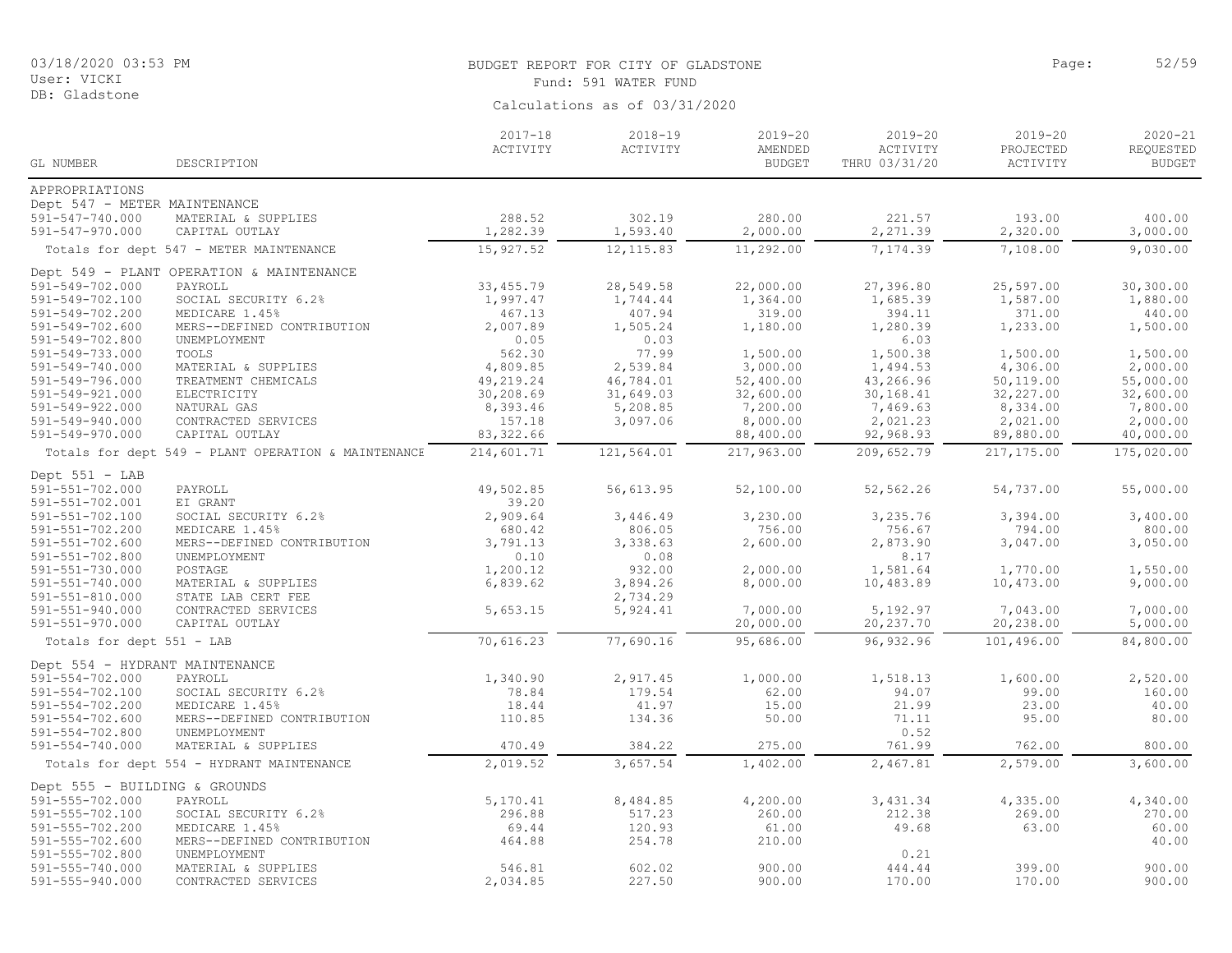| 03/18/2020 03:53 PM |  |  |
|---------------------|--|--|
| User: VICKI         |  |  |

#### BUDGET REPORT FOR CITY OF GLADSTONE **Page:** 52/59 Fund: 591 WATER FUND

| GL NUMBER                      | DESCRIPTION                                         | $2017 - 18$<br>ACTIVITY | $2018 - 19$<br>ACTIVITY | $2019 - 20$<br>AMENDED<br><b>BUDGET</b> | $2019 - 20$<br>ACTIVITY<br>THRU 03/31/20 | $2019 - 20$<br>PROJECTED<br>ACTIVITY | $2020 - 21$<br>REQUESTED<br><b>BUDGET</b> |
|--------------------------------|-----------------------------------------------------|-------------------------|-------------------------|-----------------------------------------|------------------------------------------|--------------------------------------|-------------------------------------------|
| APPROPRIATIONS                 |                                                     |                         |                         |                                         |                                          |                                      |                                           |
| Dept 547 - METER MAINTENANCE   |                                                     |                         |                         |                                         |                                          |                                      |                                           |
| 591-547-740.000                | MATERIAL & SUPPLIES                                 | 288.52                  | 302.19                  | 280.00                                  | 221.57                                   | 193.00                               | 400.00                                    |
| 591-547-970.000                | CAPITAL OUTLAY                                      | 1,282.39                | 1,593.40                | 2,000.00                                | 2,271.39                                 | 2,320.00                             | 3,000.00                                  |
|                                | Totals for dept 547 - METER MAINTENANCE             | 15,927.52               | 12, 115.83              | 11,292.00                               | 7,174.39                                 | 7,108.00                             | 9,030.00                                  |
|                                |                                                     |                         |                         |                                         |                                          |                                      |                                           |
|                                | Dept 549 - PLANT OPERATION & MAINTENANCE            |                         |                         |                                         |                                          |                                      |                                           |
| 591-549-702.000                | PAYROLL                                             | 33, 455.79              | 28,549.58               | 22,000.00                               | 27,396.80                                | 25,597.00                            | 30,300.00                                 |
| 591-549-702.100                | SOCIAL SECURITY 6.2%                                | 1,997.47                | 1,744.44                | 1,364.00                                | 1,685.39                                 | 1,587.00                             | 1,880.00                                  |
| 591-549-702.200                | MEDICARE 1.45%                                      | 467.13                  | 407.94                  | 319.00                                  | 394.11                                   | 371.00                               | 440.00                                    |
| 591-549-702.600                | MERS--DEFINED CONTRIBUTION                          | 2,007.89                | 1,505.24                | 1,180.00                                | 1,280.39                                 | 1,233.00                             | 1,500.00                                  |
| 591-549-702.800                | UNEMPLOYMENT                                        | 0.05                    | 0.03                    |                                         | 6.03                                     |                                      |                                           |
| 591-549-733.000                | TOOLS                                               | 562.30                  | 77.99                   | 1,500.00                                | 1,500.38                                 | 1,500.00                             | 1,500.00                                  |
| 591-549-740.000                | MATERIAL & SUPPLIES                                 | 4,809.85                | 2,539.84                | 3,000.00                                | 1,494.53                                 | 4,306.00                             | 2,000.00                                  |
| 591-549-796.000                | TREATMENT CHEMICALS                                 | 49,219.24               | 46,784.01               | 52,400.00                               | 43,266.96                                | 50,119.00                            | 55,000.00                                 |
| 591-549-921.000                | ELECTRICITY                                         | 30,208.69               | 31,649.03               | 32,600.00                               | 30,168.41                                | 32,227.00                            | 32,600.00                                 |
| 591-549-922.000                | NATURAL GAS                                         | 8,393.46                | 5,208.85                | 7,200.00                                | 7,469.63                                 | 8,334.00                             | 7,800.00                                  |
| 591-549-940.000                | CONTRACTED SERVICES                                 | 157.18                  | 3,097.06                | 8,000.00                                | 2,021.23                                 | 2,021.00                             | 2,000.00                                  |
| 591-549-970.000                | CAPITAL OUTLAY                                      | 83, 322.66              |                         | 88,400.00                               | 92,968.93                                | 89,880.00                            | 40,000.00                                 |
|                                | Totals for dept 549 - PLANT OPERATION & MAINTENANCE | 214,601.71              | 121,564.01              | 217,963.00                              | 209,652.79                               | 217,175.00                           | 175,020.00                                |
| Dept $551 - LAB$               |                                                     |                         |                         |                                         |                                          |                                      |                                           |
| 591-551-702.000                | PAYROLL                                             | 49,502.85               | 56,613.95               | 52,100.00                               | 52,562.26                                | 54,737.00                            | 55,000.00                                 |
| 591-551-702.001                | EI GRANT                                            | 39.20                   |                         |                                         |                                          |                                      |                                           |
| 591-551-702.100                | SOCIAL SECURITY 6.2%                                | 2,909.64                | 3,446.49                | 3,230.00                                | 3,235.76                                 | 3,394.00                             | 3,400.00                                  |
| 591-551-702.200                | MEDICARE 1.45%                                      | 680.42                  | 806.05                  | 756.00                                  | 756.67                                   | 794.00                               | 800.00                                    |
| $591 - 551 - 702.600$          | MERS--DEFINED CONTRIBUTION                          | 3,791.13                | 3,338.63                | 2,600.00                                | 2,873.90                                 | 3,047.00                             | 3,050.00                                  |
| $591 - 551 - 702.800$          | UNEMPLOYMENT                                        | 0.10                    | 0.08                    |                                         | 8.17                                     |                                      |                                           |
| 591-551-730.000                | POSTAGE                                             | 1,200.12                | 932.00                  | 2,000.00                                | 1,581.64                                 | 1,770.00                             | 1,550.00                                  |
| 591-551-740.000                | MATERIAL & SUPPLIES                                 | 6,839.62                | 3,894.26                | 8,000.00                                | 10,483.89                                | 10,473.00                            | 9,000.00                                  |
| 591-551-810.000                | STATE LAB CERT FEE                                  |                         | 2,734.29                |                                         |                                          |                                      |                                           |
| 591-551-940.000                | CONTRACTED SERVICES                                 | 5,653.15                | 5,924.41                | 7,000.00                                | 5,192.97                                 | 7,043.00                             | 7,000.00                                  |
| 591-551-970.000                | CAPITAL OUTLAY                                      |                         |                         | 20,000.00                               | 20,237.70                                | 20,238.00                            | 5,000.00                                  |
| Totals for dept 551 - LAB      |                                                     | 70,616.23               | 77,690.16               | 95,686.00                               | 96,932.96                                | 101,496.00                           | 84,800.00                                 |
| Dept 554 - HYDRANT MAINTENANCE |                                                     |                         |                         |                                         |                                          |                                      |                                           |
| 591-554-702.000                | PAYROLL                                             | 1,340.90                | 2,917.45                | 1,000.00                                | 1,518.13                                 | 1,600.00                             | 2,520.00                                  |
| 591-554-702.100                | SOCIAL SECURITY 6.2%                                | 78.84                   | 179.54                  | 62.00                                   | 94.07                                    | 99.00                                | 160.00                                    |
| 591-554-702.200                | MEDICARE 1.45%                                      | 18.44                   | 41.97                   | 15.00                                   | 21.99                                    | 23.00                                | 40.00                                     |
| $591 - 554 - 702.600$          | MERS--DEFINED CONTRIBUTION                          | 110.85                  | 134.36                  | 50.00                                   | 71.11                                    | 95.00                                | 80.00                                     |
| 591-554-702.800                | UNEMPLOYMENT                                        |                         |                         |                                         | 0.52                                     |                                      |                                           |
| 591-554-740.000                | MATERIAL & SUPPLIES                                 | 470.49                  | 384.22                  | 275.00                                  | 761.99                                   | 762.00                               | 800.00                                    |
|                                | Totals for dept 554 - HYDRANT MAINTENANCE           | 2,019.52                | 3,657.54                | 1,402.00                                | 2,467.81                                 | 2,579.00                             | 3,600.00                                  |
|                                |                                                     |                         |                         |                                         |                                          |                                      |                                           |
| Dept 555 - BUILDING & GROUNDS  |                                                     |                         |                         |                                         |                                          |                                      |                                           |
| 591-555-702.000                | PAYROLL                                             | 5,170.41                | 8,484.85                | 4,200.00                                | 3,431.34                                 | 4,335.00                             | 4,340.00                                  |
| 591-555-702.100                | SOCIAL SECURITY 6.2%                                | 296.88                  | 517.23                  | 260.00                                  | 212.38                                   | 269.00                               | 270.00                                    |
| 591-555-702.200                | MEDICARE 1.45%                                      | 69.44                   | 120.93                  | 61.00                                   | 49.68                                    | 63.00                                | 60.00                                     |
| $591 - 555 - 702.600$          | MERS--DEFINED CONTRIBUTION                          | 464.88                  | 254.78                  | 210.00                                  |                                          |                                      | 40.00                                     |
| $591 - 555 - 702.800$          | UNEMPLOYMENT                                        |                         |                         |                                         | 0.21                                     |                                      |                                           |
| 591-555-740.000                | MATERIAL & SUPPLIES                                 | 546.81                  | 602.02                  | 900.00                                  | 444.44                                   | 399.00                               | 900.00                                    |
| 591-555-940.000                | CONTRACTED SERVICES                                 | 2,034.85                | 227.50                  | 900.00                                  | 170.00                                   | 170.00                               | 900.00                                    |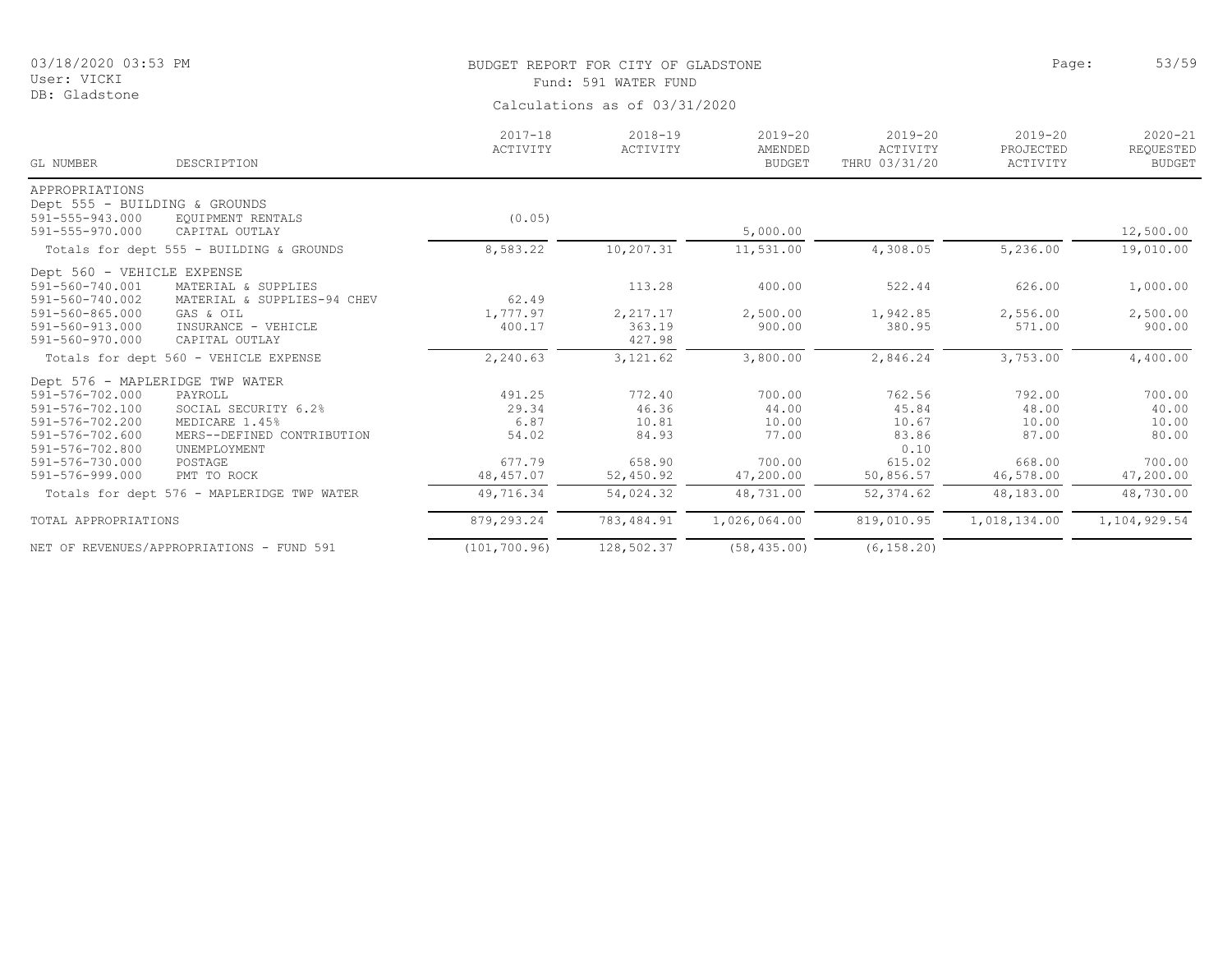DB: Gladstone

# BUDGET REPORT FOR CITY OF GLADSTONE **Example 2018** Page: 53/59 Fund: 591 WATER FUND

| Calculations as of 03/31/2020 |  |  |
|-------------------------------|--|--|
|                               |  |  |

| GL NUMBER                     | DESCRIPTION                                | $2017 - 18$<br>ACTIVITY | $2018 - 19$<br>ACTIVITY | $2019 - 20$<br>AMENDED<br><b>BUDGET</b> | $2019 - 20$<br>ACTIVITY<br>THRU 03/31/20 | $2019 - 20$<br>PROJECTED<br>ACTIVITY | $2020 - 21$<br>REQUESTED<br><b>BUDGET</b> |
|-------------------------------|--------------------------------------------|-------------------------|-------------------------|-----------------------------------------|------------------------------------------|--------------------------------------|-------------------------------------------|
| APPROPRIATIONS                |                                            |                         |                         |                                         |                                          |                                      |                                           |
| Dept 555 - BUILDING & GROUNDS |                                            |                         |                         |                                         |                                          |                                      |                                           |
| 591-555-943.000               | EQUIPMENT RENTALS                          | (0.05)                  |                         |                                         |                                          |                                      |                                           |
| 591-555-970.000               | CAPITAL OUTLAY                             |                         |                         | 5,000.00                                |                                          |                                      | 12,500.00                                 |
|                               | Totals for dept 555 - BUILDING & GROUNDS   | 8,583.22                | 10,207.31               | 11,531.00                               | 4,308.05                                 | 5,236.00                             | 19,010.00                                 |
| Dept 560 - VEHICLE EXPENSE    |                                            |                         |                         |                                         |                                          |                                      |                                           |
| 591-560-740.001               | MATERIAL & SUPPLIES                        |                         | 113.28                  | 400.00                                  | 522.44                                   | 626.00                               | 1,000.00                                  |
| 591-560-740.002               | MATERIAL & SUPPLIES-94 CHEV                | 62.49                   |                         |                                         |                                          |                                      |                                           |
| 591-560-865.000               | GAS & OIL                                  | 1,777.97                | 2,217.17                | 2,500.00                                | 1,942.85                                 | 2,556.00                             | 2,500.00                                  |
| 591-560-913.000               | INSURANCE - VEHICLE                        | 400.17                  | 363.19                  | 900.00                                  | 380.95                                   | 571.00                               | 900.00                                    |
| 591-560-970.000               | CAPITAL OUTLAY                             |                         | 427.98                  |                                         |                                          |                                      |                                           |
|                               | Totals for dept 560 - VEHICLE EXPENSE      | 2,240.63                | 3,121.62                | 3,800.00                                | 2,846.24                                 | 3,753.00                             | 4,400.00                                  |
|                               | Dept 576 - MAPLERIDGE TWP WATER            |                         |                         |                                         |                                          |                                      |                                           |
| 591-576-702.000               | PAYROLL                                    | 491.25                  | 772.40                  | 700.00                                  | 762.56                                   | 792.00                               | 700.00                                    |
| 591-576-702.100               | SOCIAL SECURITY 6.2%                       | 29.34                   | 46.36                   | 44.00                                   | 45.84                                    | 48.00                                | 40.00                                     |
| 591-576-702.200               | MEDICARE 1.45%                             | 6.87                    | 10.81                   | 10.00                                   | 10.67                                    | 10.00                                | 10.00                                     |
| 591-576-702.600               | MERS--DEFINED CONTRIBUTION                 | 54.02                   | 84.93                   | 77.00                                   | 83.86                                    | 87.00                                | 80.00                                     |
| 591-576-702.800               | UNEMPLOYMENT                               |                         |                         |                                         | 0.10                                     |                                      |                                           |
| 591-576-730.000               | POSTAGE                                    | 677.79                  | 658.90                  | 700.00                                  | 615.02                                   | 668.00                               | 700.00                                    |
| 591-576-999.000               | PMT TO ROCK                                | 48, 457.07              | 52,450.92               | 47,200.00                               | 50,856.57                                | 46,578.00                            | 47,200.00                                 |
|                               | Totals for dept 576 - MAPLERIDGE TWP WATER | 49,716.34               | 54,024.32               | 48,731.00                               | 52, 374.62                               | 48,183.00                            | 48,730.00                                 |
| TOTAL APPROPRIATIONS          |                                            | 879,293.24              | 783, 484.91             | 1,026,064.00                            | 819,010.95                               | 1,018,134.00                         | 1,104,929.54                              |
|                               | NET OF REVENUES/APPROPRIATIONS - FUND 591  | (101, 700.96)           | 128,502.37              | (58, 435.00)                            | (6, 158.20)                              |                                      |                                           |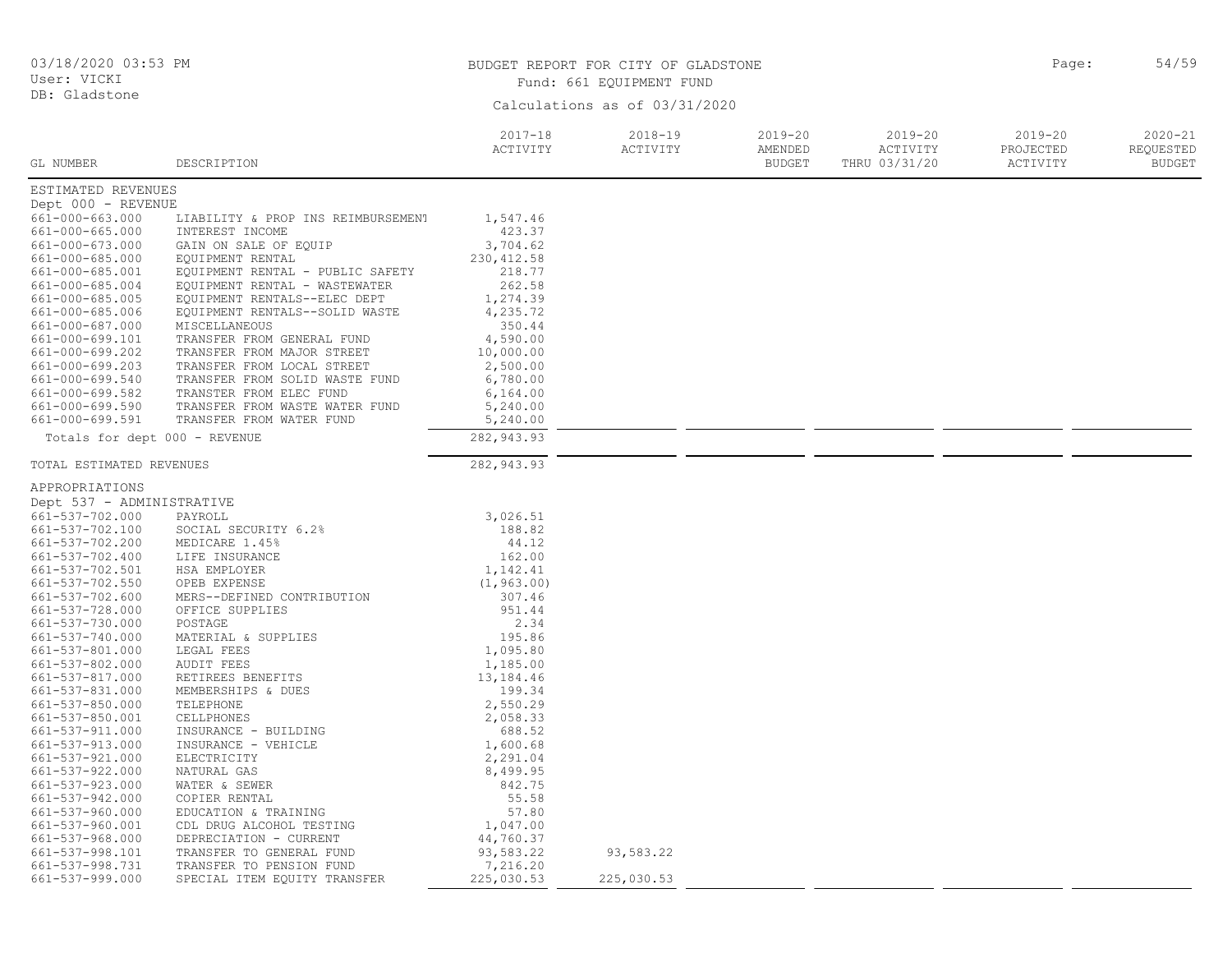| 03/18/2020 03:53 PM<br>User: VICKI                                                                                                                                                                            |                                                                                                                                                                                                                                                                                                                        | BUDGET REPORT FOR CITY OF GLADSTONE<br>Fund: 661 EQUIPMENT FUND                                                              | 54/59<br>Page:                |                                         |                                          |                                      |                                           |
|---------------------------------------------------------------------------------------------------------------------------------------------------------------------------------------------------------------|------------------------------------------------------------------------------------------------------------------------------------------------------------------------------------------------------------------------------------------------------------------------------------------------------------------------|------------------------------------------------------------------------------------------------------------------------------|-------------------------------|-----------------------------------------|------------------------------------------|--------------------------------------|-------------------------------------------|
| DB: Gladstone                                                                                                                                                                                                 |                                                                                                                                                                                                                                                                                                                        |                                                                                                                              | Calculations as of 03/31/2020 |                                         |                                          |                                      |                                           |
| GL NUMBER                                                                                                                                                                                                     | DESCRIPTION                                                                                                                                                                                                                                                                                                            | $2017 - 18$<br>ACTIVITY                                                                                                      | $2018 - 19$<br>ACTIVITY       | $2019 - 20$<br>AMENDED<br><b>BUDGET</b> | $2019 - 20$<br>ACTIVITY<br>THRU 03/31/20 | $2019 - 20$<br>PROJECTED<br>ACTIVITY | $2020 - 21$<br>REQUESTED<br><b>BUDGET</b> |
| ESTIMATED REVENUES                                                                                                                                                                                            |                                                                                                                                                                                                                                                                                                                        |                                                                                                                              |                               |                                         |                                          |                                      |                                           |
| Dept 000 - REVENUE                                                                                                                                                                                            |                                                                                                                                                                                                                                                                                                                        |                                                                                                                              |                               |                                         |                                          |                                      |                                           |
| 661-000-663.000<br>661-000-665.000<br>661-000-673.000<br>661-000-685.000<br>661-000-685.001<br>661-000-685.004<br>661-000-685.005<br>661-000-685.006<br>661-000-687.000<br>661-000-699.101<br>661-000-699.202 | LIABILITY & PROP INS REIMBURSEMENT<br>INTEREST INCOME<br>GAIN ON SALE OF EQUIP<br>EQUIPMENT RENTAL<br>EQUIPMENT RENTAL - PUBLIC SAFETY<br>EQUIPMENT RENTAL - WASTEWATER<br>EQUIPMENT RENTALS--ELEC DEPT<br>EQUIPMENT RENTALS--SOLID WASTE<br>MISCELLANEOUS<br>TRANSFER FROM GENERAL FUND<br>TRANSFER FROM MAJOR STREET | 1,547.46<br>423.37<br>3,704.62<br>230, 412.58<br>218.77<br>262.58<br>1,274.39<br>4,235.72<br>350.44<br>4,590.00<br>10,000.00 |                               |                                         |                                          |                                      |                                           |
| 661-000-699.203                                                                                                                                                                                               | TRANSFER FROM LOCAL STREET                                                                                                                                                                                                                                                                                             | 2,500.00                                                                                                                     |                               |                                         |                                          |                                      |                                           |
| 661-000-699.540<br>661-000-699.582<br>661-000-699.590<br>661-000-699.591                                                                                                                                      | TRANSFER FROM SOLID WASTE FUND<br>TRANSTER FROM ELEC FUND<br>TRANSFER FROM WASTE WATER FUND<br>TRANSFER FROM WATER FUND                                                                                                                                                                                                | 6,780.00<br>6,164.00<br>5,240.00<br>5,240.00                                                                                 |                               |                                         |                                          |                                      |                                           |
| Totals for dept 000 - REVENUE                                                                                                                                                                                 |                                                                                                                                                                                                                                                                                                                        | 282,943.93                                                                                                                   |                               |                                         |                                          |                                      |                                           |
| TOTAL ESTIMATED REVENUES                                                                                                                                                                                      |                                                                                                                                                                                                                                                                                                                        | 282,943.93                                                                                                                   |                               |                                         |                                          |                                      |                                           |
| APPROPRIATIONS                                                                                                                                                                                                |                                                                                                                                                                                                                                                                                                                        |                                                                                                                              |                               |                                         |                                          |                                      |                                           |
| Dept 537 - ADMINISTRATIVE                                                                                                                                                                                     |                                                                                                                                                                                                                                                                                                                        |                                                                                                                              |                               |                                         |                                          |                                      |                                           |
| 661-537-702.000                                                                                                                                                                                               | PAYROLL                                                                                                                                                                                                                                                                                                                | 3,026.51                                                                                                                     |                               |                                         |                                          |                                      |                                           |
| 661-537-702.100                                                                                                                                                                                               | SOCIAL SECURITY 6.2%                                                                                                                                                                                                                                                                                                   | 188.82                                                                                                                       |                               |                                         |                                          |                                      |                                           |
| 661-537-702.200                                                                                                                                                                                               | MEDICARE 1.45%                                                                                                                                                                                                                                                                                                         | 44.12                                                                                                                        |                               |                                         |                                          |                                      |                                           |
| 661-537-702.400                                                                                                                                                                                               | LIFE INSURANCE                                                                                                                                                                                                                                                                                                         | 162.00                                                                                                                       |                               |                                         |                                          |                                      |                                           |
| 661-537-702.501                                                                                                                                                                                               | HSA EMPLOYER                                                                                                                                                                                                                                                                                                           | 1,142.41                                                                                                                     |                               |                                         |                                          |                                      |                                           |
| 661-537-702.550<br>661-537-702.600                                                                                                                                                                            | OPEB EXPENSE<br>MERS--DEFINED CONTRIBUTION                                                                                                                                                                                                                                                                             | (1, 963.00)<br>307.46                                                                                                        |                               |                                         |                                          |                                      |                                           |
| 661-537-728.000                                                                                                                                                                                               | OFFICE SUPPLIES                                                                                                                                                                                                                                                                                                        | 951.44                                                                                                                       |                               |                                         |                                          |                                      |                                           |
| 661-537-730.000                                                                                                                                                                                               | POSTAGE                                                                                                                                                                                                                                                                                                                | 2.34                                                                                                                         |                               |                                         |                                          |                                      |                                           |
| 661-537-740.000                                                                                                                                                                                               | MATERIAL & SUPPLIES                                                                                                                                                                                                                                                                                                    | 195.86                                                                                                                       |                               |                                         |                                          |                                      |                                           |
| 661-537-801.000                                                                                                                                                                                               | LEGAL FEES                                                                                                                                                                                                                                                                                                             | 1,095.80                                                                                                                     |                               |                                         |                                          |                                      |                                           |
| 661-537-802.000                                                                                                                                                                                               | <b>AUDIT FEES</b>                                                                                                                                                                                                                                                                                                      | 1,185.00                                                                                                                     |                               |                                         |                                          |                                      |                                           |
| 661-537-817.000                                                                                                                                                                                               | RETIREES BENEFITS                                                                                                                                                                                                                                                                                                      | 13,184.46                                                                                                                    |                               |                                         |                                          |                                      |                                           |
| 661-537-831.000                                                                                                                                                                                               | MEMBERSHIPS & DUES                                                                                                                                                                                                                                                                                                     | 199.34                                                                                                                       |                               |                                         |                                          |                                      |                                           |
| 661-537-850.000                                                                                                                                                                                               | TELEPHONE                                                                                                                                                                                                                                                                                                              | 2,550.29                                                                                                                     |                               |                                         |                                          |                                      |                                           |
| 661-537-850.001                                                                                                                                                                                               | CELLPHONES                                                                                                                                                                                                                                                                                                             | 2,058.33                                                                                                                     |                               |                                         |                                          |                                      |                                           |
| 661-537-911.000                                                                                                                                                                                               | INSURANCE - BUILDING                                                                                                                                                                                                                                                                                                   | 688.52                                                                                                                       |                               |                                         |                                          |                                      |                                           |
| 661-537-913.000<br>661-537-921.000                                                                                                                                                                            | INSURANCE - VEHICLE<br>ELECTRICITY                                                                                                                                                                                                                                                                                     | 1,600.68<br>2,291.04                                                                                                         |                               |                                         |                                          |                                      |                                           |
| 661-537-922.000                                                                                                                                                                                               | NATURAL GAS                                                                                                                                                                                                                                                                                                            | 8,499.95                                                                                                                     |                               |                                         |                                          |                                      |                                           |
| 661-537-923.000                                                                                                                                                                                               | WATER & SEWER                                                                                                                                                                                                                                                                                                          | 842.75                                                                                                                       |                               |                                         |                                          |                                      |                                           |
| 661-537-942.000                                                                                                                                                                                               | COPIER RENTAL                                                                                                                                                                                                                                                                                                          | 55.58                                                                                                                        |                               |                                         |                                          |                                      |                                           |
| 661-537-960.000                                                                                                                                                                                               | EDUCATION & TRAINING                                                                                                                                                                                                                                                                                                   | 57.80                                                                                                                        |                               |                                         |                                          |                                      |                                           |
| 661-537-960.001                                                                                                                                                                                               | CDL DRUG ALCOHOL TESTING                                                                                                                                                                                                                                                                                               | 1,047.00                                                                                                                     |                               |                                         |                                          |                                      |                                           |
| 661-537-968.000                                                                                                                                                                                               | DEPRECIATION - CURRENT                                                                                                                                                                                                                                                                                                 | 44,760.37                                                                                                                    |                               |                                         |                                          |                                      |                                           |
| 661-537-998.101                                                                                                                                                                                               | TRANSFER TO GENERAL FUND                                                                                                                                                                                                                                                                                               | 93,583.22                                                                                                                    | 93,583.22                     |                                         |                                          |                                      |                                           |
| 661-537-998.731<br>661-537-999.000                                                                                                                                                                            | TRANSFER TO PENSION FUND<br>SPECIAL ITEM EQUITY TRANSFER                                                                                                                                                                                                                                                               | 7,216.20<br>225,030.53                                                                                                       | 225,030.53                    |                                         |                                          |                                      |                                           |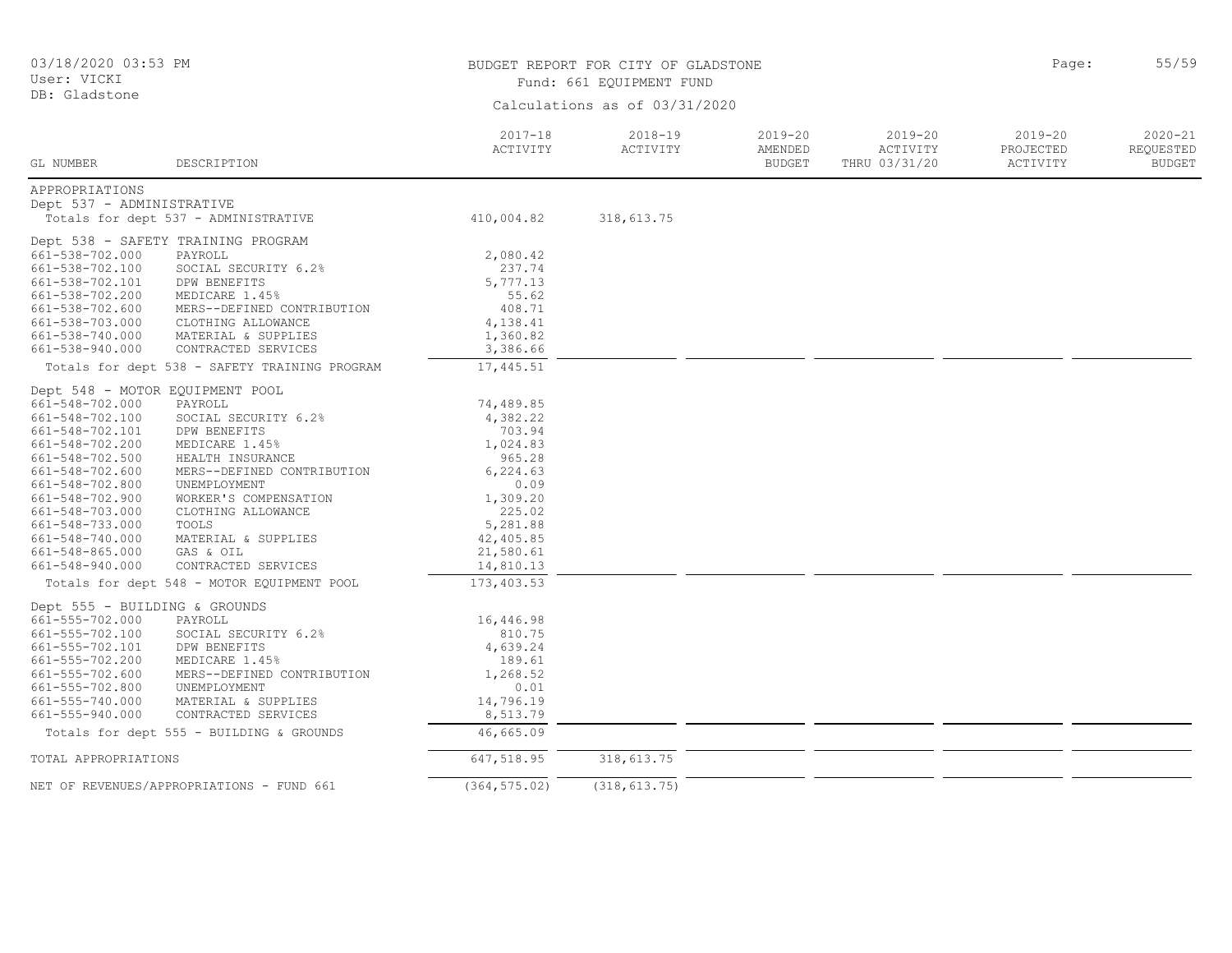| 03/18/2020 03:53 PM<br>User: VICKI |                                               | BUDGET REPORT FOR CITY OF GLADSTONE<br>Fund: 661 EQUIPMENT FUND | 55/59<br>Page:                |                                         |                                          |                                      |                                           |
|------------------------------------|-----------------------------------------------|-----------------------------------------------------------------|-------------------------------|-----------------------------------------|------------------------------------------|--------------------------------------|-------------------------------------------|
| DB: Gladstone                      |                                               |                                                                 | Calculations as of 03/31/2020 |                                         |                                          |                                      |                                           |
| GL NUMBER                          | DESCRIPTION                                   | $2017 - 18$<br>ACTIVITY                                         | $2018 - 19$<br>ACTIVITY       | $2019 - 20$<br>AMENDED<br><b>BUDGET</b> | $2019 - 20$<br>ACTIVITY<br>THRU 03/31/20 | $2019 - 20$<br>PROJECTED<br>ACTIVITY | $2020 - 21$<br>REQUESTED<br><b>BUDGET</b> |
| APPROPRIATIONS                     |                                               |                                                                 |                               |                                         |                                          |                                      |                                           |
| Dept 537 - ADMINISTRATIVE          |                                               |                                                                 |                               |                                         |                                          |                                      |                                           |
|                                    | Totals for dept 537 - ADMINISTRATIVE          | 410,004.82                                                      | 318,613.75                    |                                         |                                          |                                      |                                           |
|                                    | Dept 538 - SAFETY TRAINING PROGRAM            |                                                                 |                               |                                         |                                          |                                      |                                           |
| 661-538-702.000                    | PAYROLL                                       | 2,080.42                                                        |                               |                                         |                                          |                                      |                                           |
| 661-538-702.100                    | SOCIAL SECURITY 6.2%                          | 237.74                                                          |                               |                                         |                                          |                                      |                                           |
| 661-538-702.101                    | DPW BENEFITS                                  | 5,777.13                                                        |                               |                                         |                                          |                                      |                                           |
| 661-538-702.200                    | MEDICARE 1.45%                                | 55.62                                                           |                               |                                         |                                          |                                      |                                           |
| 661-538-702.600                    | MERS--DEFINED CONTRIBUTION                    | 408.71                                                          |                               |                                         |                                          |                                      |                                           |
| 661-538-703.000                    | CLOTHING ALLOWANCE                            | 4,138.41                                                        |                               |                                         |                                          |                                      |                                           |
| 661-538-740.000                    | MATERIAL & SUPPLIES                           | 1,360.82                                                        |                               |                                         |                                          |                                      |                                           |
| 661-538-940.000                    | CONTRACTED SERVICES                           | 3,386.66                                                        |                               |                                         |                                          |                                      |                                           |
|                                    | Totals for dept 538 - SAFETY TRAINING PROGRAM | 17,445.51                                                       |                               |                                         |                                          |                                      |                                           |
| Dept 548 - MOTOR EQUIPMENT POOL    |                                               |                                                                 |                               |                                         |                                          |                                      |                                           |
| 661-548-702.000                    | PAYROLL                                       | 74,489.85                                                       |                               |                                         |                                          |                                      |                                           |
| 661-548-702.100                    | SOCIAL SECURITY 6.2%                          | 4,382.22                                                        |                               |                                         |                                          |                                      |                                           |
| 661-548-702.101                    | DPW BENEFITS                                  | 703.94                                                          |                               |                                         |                                          |                                      |                                           |
| 661-548-702.200                    | MEDICARE 1.45%                                | 1,024.83                                                        |                               |                                         |                                          |                                      |                                           |
| 661-548-702.500                    | HEALTH INSURANCE                              | 965.28                                                          |                               |                                         |                                          |                                      |                                           |
| 661-548-702.600                    | MERS--DEFINED CONTRIBUTION                    | 6,224.63                                                        |                               |                                         |                                          |                                      |                                           |
| 661-548-702.800                    | UNEMPLOYMENT                                  | 0.09                                                            |                               |                                         |                                          |                                      |                                           |
| 661-548-702.900                    | WORKER'S COMPENSATION                         | 1,309.20                                                        |                               |                                         |                                          |                                      |                                           |
| 661-548-703.000                    | CLOTHING ALLOWANCE                            | 225.02                                                          |                               |                                         |                                          |                                      |                                           |
| 661-548-733.000                    | TOOLS                                         | 5,281.88                                                        |                               |                                         |                                          |                                      |                                           |
| 661-548-740.000                    | MATERIAL & SUPPLIES                           | 42,405.85                                                       |                               |                                         |                                          |                                      |                                           |
| 661-548-865.000                    | GAS & OIL                                     | 21,580.61                                                       |                               |                                         |                                          |                                      |                                           |
| 661-548-940.000                    | CONTRACTED SERVICES                           | 14,810.13                                                       |                               |                                         |                                          |                                      |                                           |
|                                    | Totals for dept 548 - MOTOR EQUIPMENT POOL    | 173,403.53                                                      |                               |                                         |                                          |                                      |                                           |
| Dept 555 - BUILDING & GROUNDS      |                                               |                                                                 |                               |                                         |                                          |                                      |                                           |
| 661-555-702.000                    | PAYROLL                                       | 16,446.98                                                       |                               |                                         |                                          |                                      |                                           |
| 661-555-702.100                    | SOCIAL SECURITY 6.2%                          | 810.75                                                          |                               |                                         |                                          |                                      |                                           |
| 661-555-702.101                    | DPW BENEFITS                                  | 4,639.24                                                        |                               |                                         |                                          |                                      |                                           |
| 661-555-702.200                    | MEDICARE 1.45%                                | 189.61                                                          |                               |                                         |                                          |                                      |                                           |
| $661 - 555 - 702.600$              | MERS--DEFINED CONTRIBUTION                    | 1,268.52                                                        |                               |                                         |                                          |                                      |                                           |
| 661-555-702.800                    | UNEMPLOYMENT                                  | 0.01                                                            |                               |                                         |                                          |                                      |                                           |
| 661-555-740.000                    | MATERIAL & SUPPLIES                           | 14,796.19                                                       |                               |                                         |                                          |                                      |                                           |
| 661-555-940.000                    | CONTRACTED SERVICES                           | 8,513.79                                                        |                               |                                         |                                          |                                      |                                           |
|                                    | Totals for dept 555 - BUILDING & GROUNDS      | 46,665.09                                                       |                               |                                         |                                          |                                      |                                           |
| TOTAL APPROPRIATIONS               |                                               | 647,518.95                                                      | 318,613.75                    |                                         |                                          |                                      |                                           |
|                                    |                                               |                                                                 |                               |                                         |                                          |                                      |                                           |
|                                    | NET OF REVENUES/APPROPRIATIONS - FUND 661     | (364, 575.02)                                                   | (318, 613.75)                 |                                         |                                          |                                      |                                           |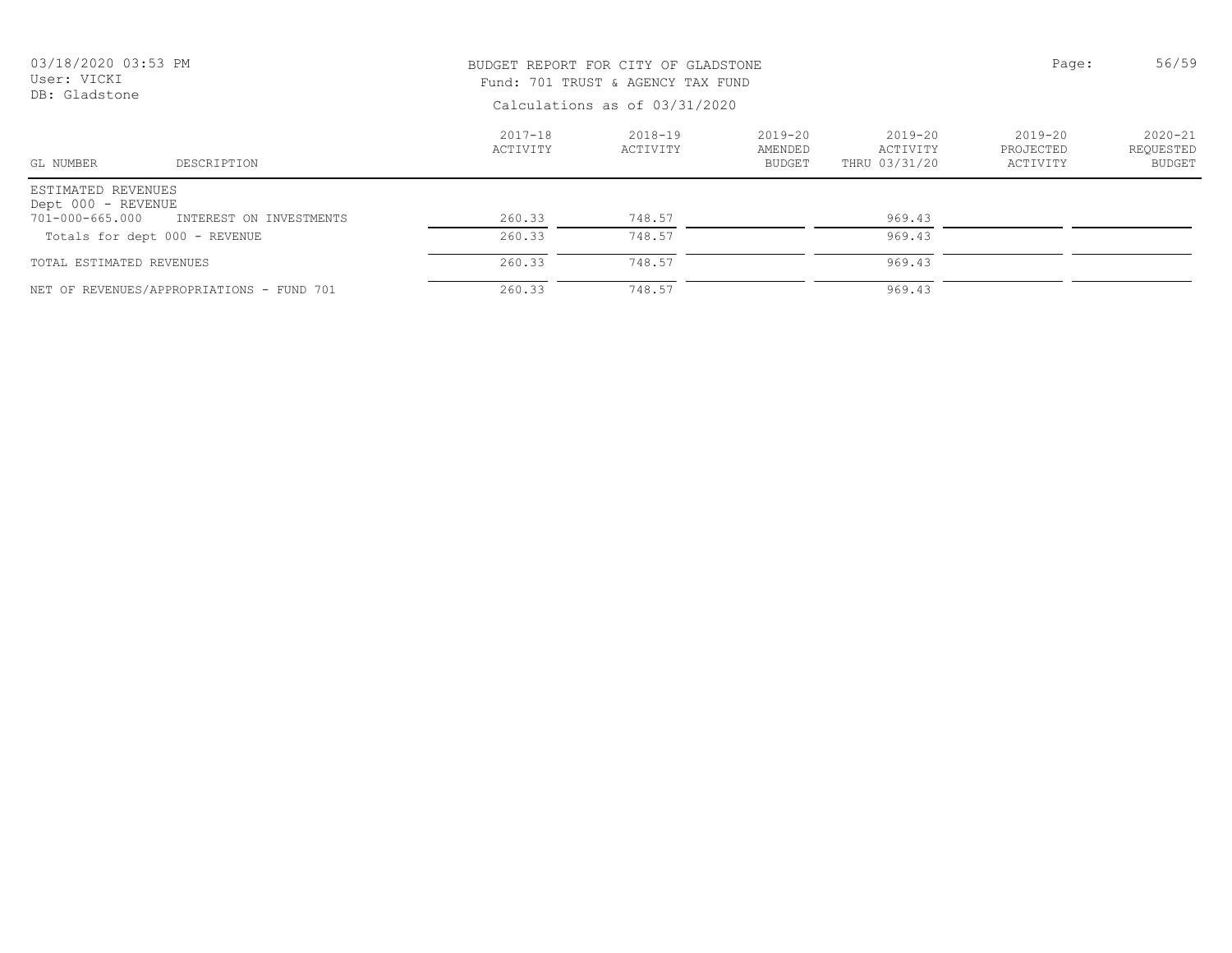| 03/18/2020 03:53 PM<br>User: VICKI<br>DB: Gladstone |                                           | BUDGET REPORT FOR CITY OF GLADSTONE<br>Fund: 701 TRUST & AGENCY TAX FUND<br>Calculations as of 03/31/2020 | Page:               | 56/59                                   |                                      |                                  |                                    |
|-----------------------------------------------------|-------------------------------------------|-----------------------------------------------------------------------------------------------------------|---------------------|-----------------------------------------|--------------------------------------|----------------------------------|------------------------------------|
| GL NUMBER                                           | DESCRIPTION                               | $2017 - 18$<br>ACTIVITY                                                                                   | 2018-19<br>ACTIVITY | $2019 - 20$<br>AMENDED<br><b>BUDGET</b> | 2019-20<br>ACTIVITY<br>THRU 03/31/20 | 2019-20<br>PROJECTED<br>ACTIVITY | $2020 - 21$<br>REQUESTED<br>BUDGET |
| ESTIMATED REVENUES<br>Dept 000 - REVENUE            |                                           |                                                                                                           |                     |                                         |                                      |                                  |                                    |
| 701-000-665.000                                     | INTEREST ON INVESTMENTS                   | 260.33                                                                                                    | 748.57              |                                         | 969.43                               |                                  |                                    |
| Totals for dept 000 - REVENUE                       |                                           | 260.33                                                                                                    | 748.57              |                                         | 969.43                               |                                  |                                    |
| TOTAL ESTIMATED REVENUES                            |                                           | 260.33                                                                                                    | 748.57              |                                         | 969.43                               |                                  |                                    |
|                                                     | NET OF REVENUES/APPROPRIATIONS - FUND 701 | 260.33                                                                                                    | 748.57              |                                         | 969.43                               |                                  |                                    |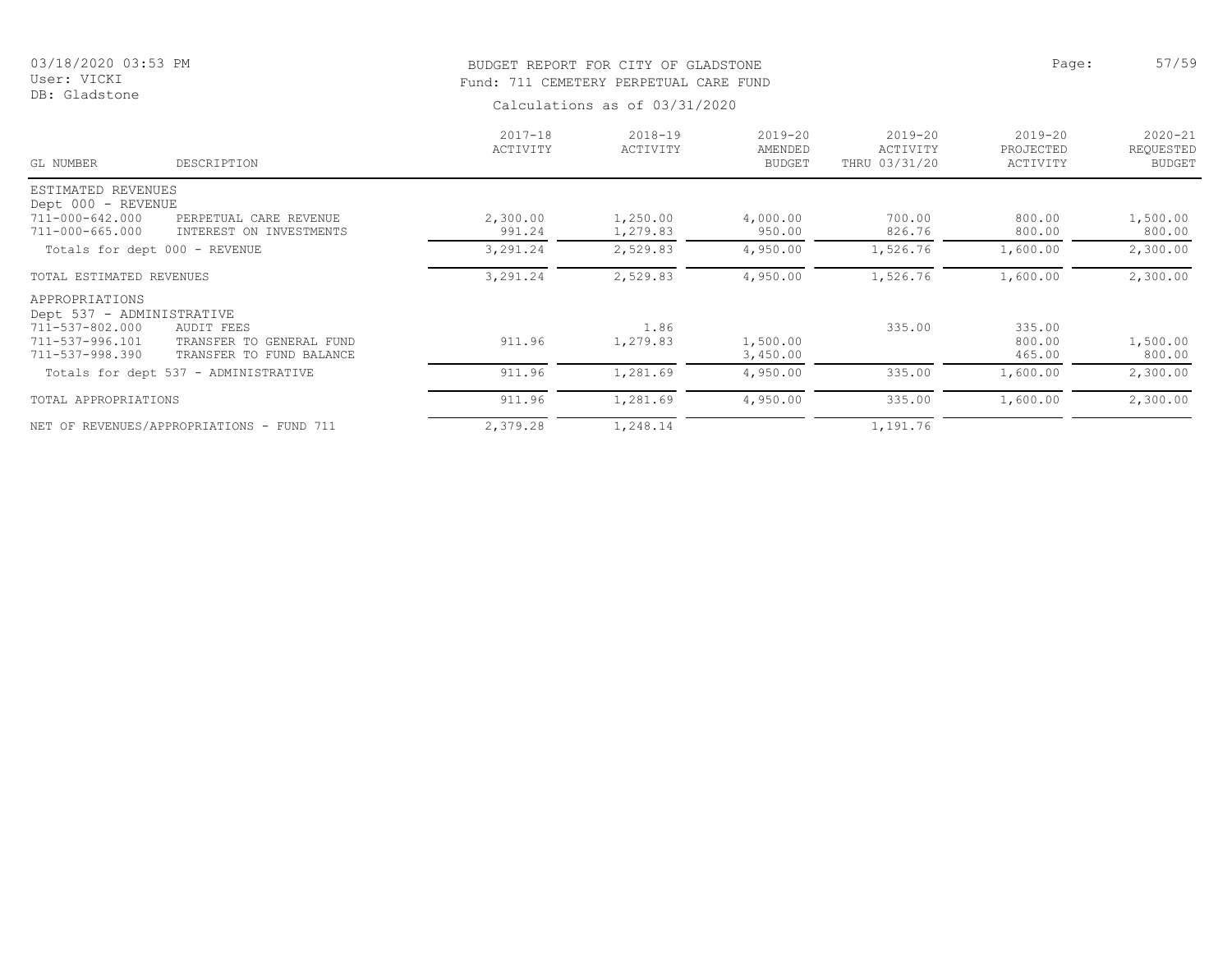DB: Gladstone

# BUDGET REPORT FOR CITY OF GLADSTONE **Example 2018** Page: 57/59 Fund: 711 CEMETERY PERPETUAL CARE FUND

| GL NUMBER                 | DESCRIPTION                               | $2017 - 18$<br>ACTIVITY | $2018 - 19$<br>ACTIVITY | $2019 - 20$<br>AMENDED<br><b>BUDGET</b> | $2019 - 20$<br>ACTIVITY<br>THRU 03/31/20 | $2019 - 20$<br>PROJECTED<br>ACTIVITY | $2020 - 21$<br>REQUESTED<br><b>BUDGET</b> |
|---------------------------|-------------------------------------------|-------------------------|-------------------------|-----------------------------------------|------------------------------------------|--------------------------------------|-------------------------------------------|
| ESTIMATED REVENUES        |                                           |                         |                         |                                         |                                          |                                      |                                           |
| Dept 000 - REVENUE        |                                           |                         |                         |                                         |                                          |                                      |                                           |
| 711-000-642.000           | PERPETUAL CARE REVENUE                    | 2,300.00                | 1,250.00                | 4,000.00                                | 700.00                                   | 800.00                               | 1,500.00                                  |
| 711-000-665.000           | INTEREST ON INVESTMENTS                   | 991.24                  | 1,279.83                | 950.00                                  | 826.76                                   | 800.00                               | 800.00                                    |
|                           | Totals for dept 000 - REVENUE             | 3,291.24                | 2,529.83                | 4,950.00                                | 1,526.76                                 | 1,600.00                             | 2,300.00                                  |
| TOTAL ESTIMATED REVENUES  |                                           | 3,291.24                | 2,529.83                | 4,950.00                                | 1,526.76                                 | 1,600.00                             | 2,300.00                                  |
| APPROPRIATIONS            |                                           |                         |                         |                                         |                                          |                                      |                                           |
| Dept 537 - ADMINISTRATIVE |                                           |                         |                         |                                         |                                          |                                      |                                           |
| 711-537-802.000           | AUDIT FEES                                |                         | 1.86                    |                                         | 335.00                                   | 335.00                               |                                           |
| 711-537-996.101           | TRANSFER TO GENERAL FUND                  | 911.96                  | 1,279.83                | 1,500.00                                |                                          | 800.00                               | 1,500.00                                  |
| 711-537-998.390           | TRANSFER TO FUND BALANCE                  |                         |                         | 3,450.00                                |                                          | 465.00                               | 800.00                                    |
|                           | Totals for dept 537 - ADMINISTRATIVE      | 911.96                  | 1,281.69                | 4,950.00                                | 335.00                                   | 1,600.00                             | 2,300.00                                  |
| TOTAL APPROPRIATIONS      |                                           | 911.96                  | 1,281.69                | 4,950.00                                | 335.00                                   | 1,600.00                             | 2,300.00                                  |
|                           | NET OF REVENUES/APPROPRIATIONS - FUND 711 | 2,379.28                | 1,248.14                |                                         | 1,191.76                                 |                                      |                                           |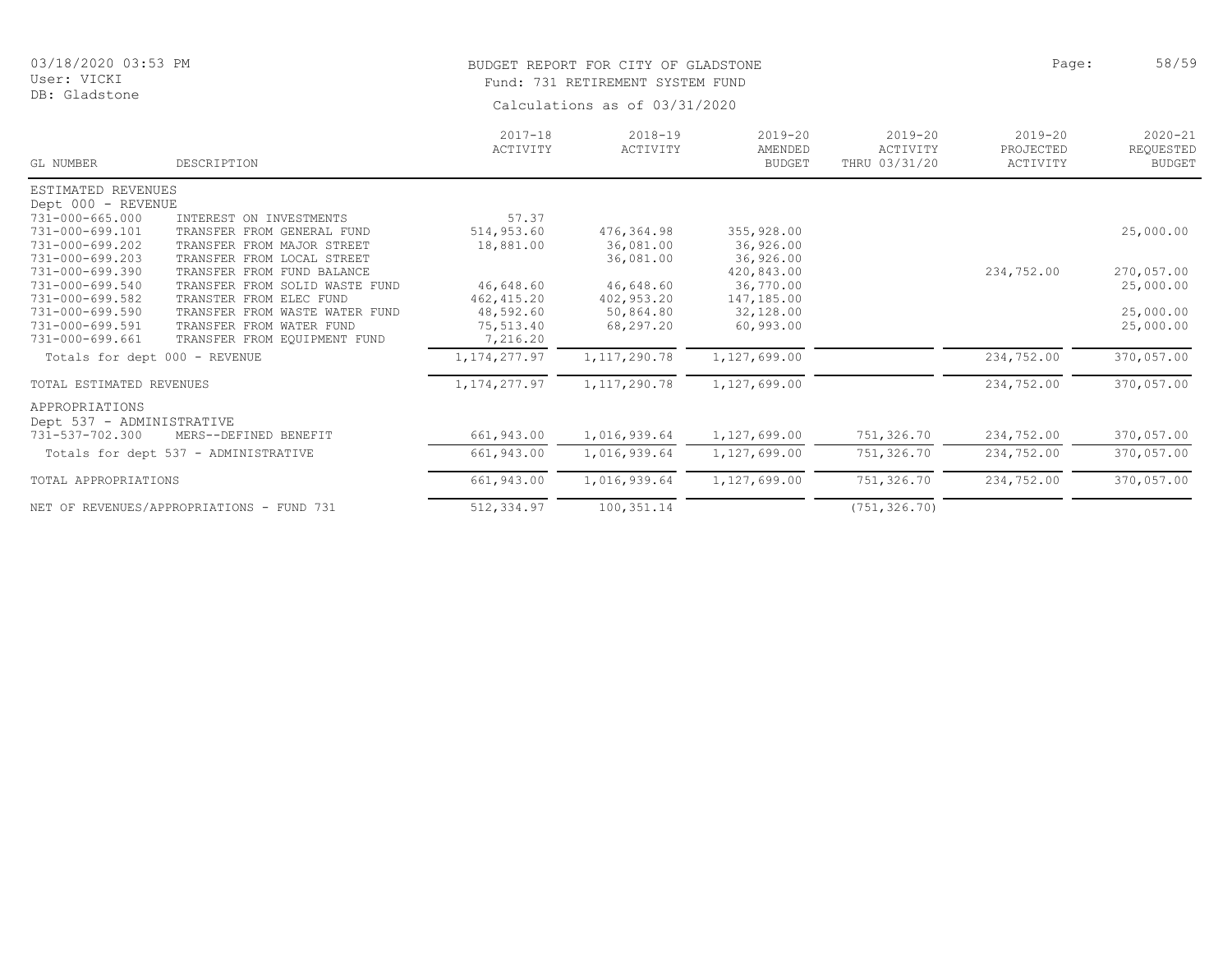# BUDGET REPORT FOR CITY OF GLADSTONE **Page:** 58/59 Fund: 731 RETIREMENT SYSTEM FUND

| GL NUMBER                                   | DESCRIPTION                               | $2017 - 18$<br>ACTIVITY | $2018 - 19$<br>ACTIVITY | $2019 - 20$<br>AMENDED<br><b>BUDGET</b> | $2019 - 20$<br>ACTIVITY<br>THRU 03/31/20 | $2019 - 20$<br>PROJECTED<br>ACTIVITY | $2020 - 21$<br>REQUESTED<br><b>BUDGET</b> |
|---------------------------------------------|-------------------------------------------|-------------------------|-------------------------|-----------------------------------------|------------------------------------------|--------------------------------------|-------------------------------------------|
| ESTIMATED REVENUES                          |                                           |                         |                         |                                         |                                          |                                      |                                           |
| Dept 000 - REVENUE                          |                                           |                         |                         |                                         |                                          |                                      |                                           |
| $731 - 000 - 665.000$                       | INTEREST ON INVESTMENTS                   | 57.37                   |                         |                                         |                                          |                                      |                                           |
| 731-000-699.101                             | TRANSFER FROM GENERAL FUND                | 514,953.60              | 476,364.98              | 355,928.00                              |                                          |                                      | 25,000.00                                 |
| 731-000-699.202                             | TRANSFER FROM MAJOR STREET                | 18,881.00               | 36,081.00               | 36,926.00                               |                                          |                                      |                                           |
| 731-000-699.203                             | TRANSFER FROM LOCAL STREET                |                         | 36,081.00               | 36,926.00                               |                                          |                                      |                                           |
| 731-000-699.390                             | TRANSFER FROM FUND BALANCE                |                         |                         | 420,843.00                              |                                          | 234,752.00                           | 270,057.00                                |
| 731-000-699.540                             | TRANSFER FROM SOLID WASTE FUND            | 46,648.60               | 46,648.60               | 36,770.00                               |                                          |                                      | 25,000.00                                 |
| 731-000-699.582                             | TRANSTER FROM ELEC FUND                   | 462, 415.20             | 402,953.20              | 147,185.00                              |                                          |                                      |                                           |
| 731-000-699.590                             | TRANSFER FROM WASTE WATER FUND            | 48,592.60               | 50,864.80               | 32,128.00                               |                                          |                                      | 25,000.00                                 |
| 731-000-699.591                             | TRANSFER FROM WATER FUND                  | 75,513.40               | 68,297.20               | 60,993.00                               |                                          |                                      | 25,000.00                                 |
| 731-000-699.661                             | TRANSFER FROM EQUIPMENT FUND              | 7,216.20                |                         |                                         |                                          |                                      |                                           |
| Totals for dept 000 - REVENUE               |                                           | 1, 174, 277.97          | 1, 117, 290.78          | 1,127,699.00                            |                                          | 234,752.00                           | 370,057.00                                |
| TOTAL ESTIMATED REVENUES                    |                                           | 1, 174, 277.97          | 1, 117, 290.78          | 1,127,699.00                            |                                          | 234,752.00                           | 370,057.00                                |
| APPROPRIATIONS<br>Dept 537 - ADMINISTRATIVE |                                           |                         |                         |                                         |                                          |                                      |                                           |
| 731-537-702.300                             | MERS--DEFINED BENEFIT                     | 661,943.00              | 1,016,939.64            | 1,127,699.00                            | 751,326.70                               | 234,752.00                           | 370,057.00                                |
|                                             | Totals for dept 537 - ADMINISTRATIVE      | 661,943.00              | 1,016,939.64            | 1,127,699.00                            | 751,326.70                               | 234,752.00                           | 370,057.00                                |
| TOTAL APPROPRIATIONS                        |                                           | 661,943.00              | 1,016,939.64            | 1,127,699.00                            | 751,326.70                               | 234,752.00                           | 370,057.00                                |
|                                             | NET OF REVENUES/APPROPRIATIONS - FUND 731 | 512,334.97              | 100, 351.14             |                                         | (751, 326.70)                            |                                      |                                           |